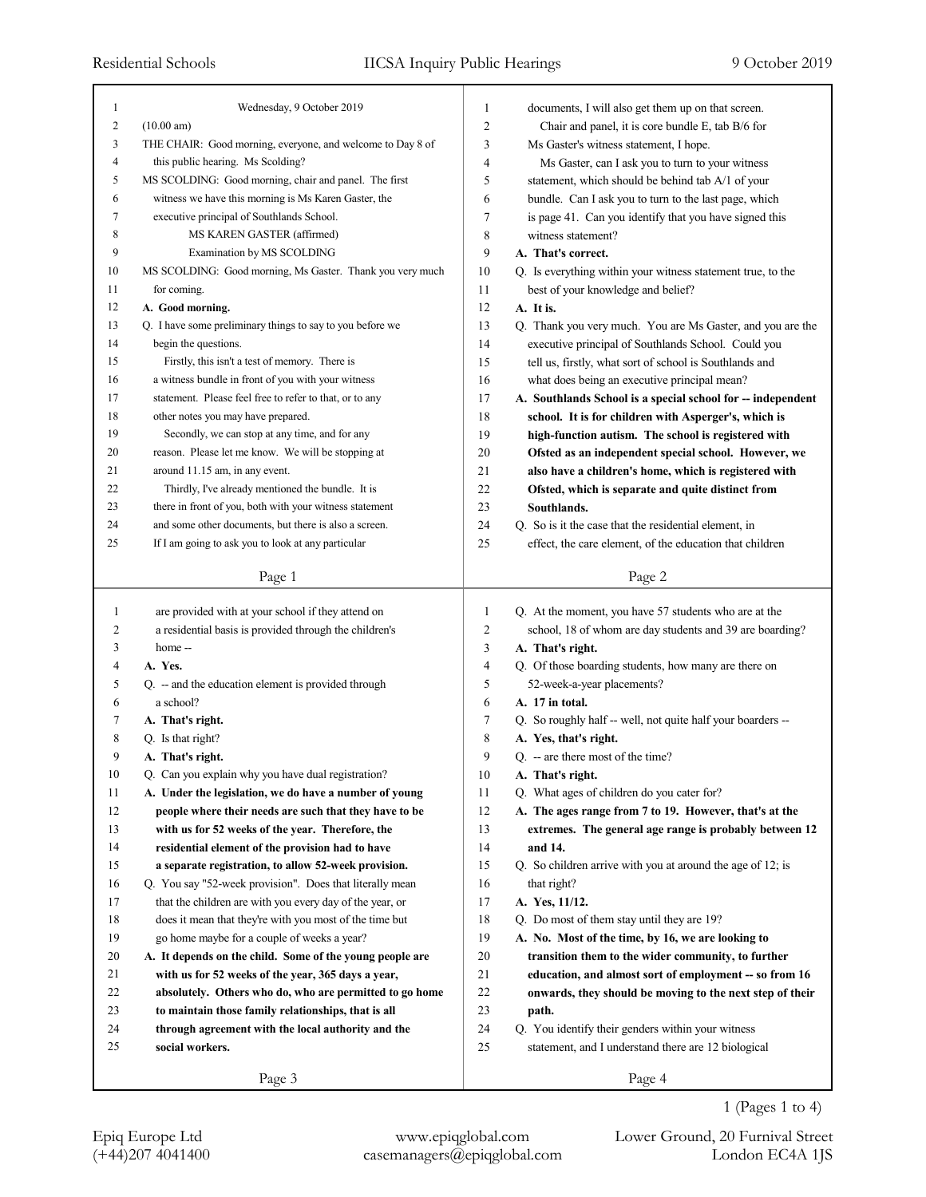| 1              | Wednesday, 9 October 2019                                  | 1      | documents, I will also get them up on that screen.          |
|----------------|------------------------------------------------------------|--------|-------------------------------------------------------------|
| $\overline{c}$ | (10.00 am)                                                 | 2      | Chair and panel, it is core bundle E, tab B/6 for           |
| 3              | THE CHAIR: Good morning, everyone, and welcome to Day 8 of | 3      | Ms Gaster's witness statement, I hope.                      |
| 4              | this public hearing. Ms Scolding?                          | 4      | Ms Gaster, can I ask you to turn to your witness            |
| 5              | MS SCOLDING: Good morning, chair and panel. The first      | 5      | statement, which should be behind tab A/1 of your           |
| 6              | witness we have this morning is Ms Karen Gaster, the       | 6      | bundle. Can I ask you to turn to the last page, which       |
| 7              | executive principal of Southlands School.                  | 7      | is page 41. Can you identify that you have signed this      |
| 8              | MS KAREN GASTER (affirmed)                                 | 8      | witness statement?                                          |
| 9              | Examination by MS SCOLDING                                 | 9      | A. That's correct.                                          |
| 10             | MS SCOLDING: Good morning, Ms Gaster. Thank you very much  | 10     | Q. Is everything within your witness statement true, to the |
| 11             | for coming.                                                | 11     | best of your knowledge and belief?                          |
| 12             | A. Good morning.                                           | 12     | A. It is.                                                   |
| 13             | Q. I have some preliminary things to say to you before we  | 13     | Q. Thank you very much. You are Ms Gaster, and you are the  |
| 14             | begin the questions.                                       | 14     | executive principal of Southlands School. Could you         |
| 15             | Firstly, this isn't a test of memory. There is             | 15     | tell us, firstly, what sort of school is Southlands and     |
| 16             | a witness bundle in front of you with your witness         | 16     | what does being an executive principal mean?                |
| 17             | statement. Please feel free to refer to that, or to any    | 17     | A. Southlands School is a special school for -- independent |
| 18             | other notes you may have prepared.                         | 18     | school. It is for children with Asperger's, which is        |
| 19             | Secondly, we can stop at any time, and for any             | 19     | high-function autism. The school is registered with         |
| 20             | reason. Please let me know. We will be stopping at         | 20     | Ofsted as an independent special school. However, we        |
| 21             | around 11.15 am, in any event.                             | 21     | also have a children's home, which is registered with       |
| 22             | Thirdly, I've already mentioned the bundle. It is          | 22     | Ofsted, which is separate and quite distinct from           |
| 23             | there in front of you, both with your witness statement    | 23     | Southlands.                                                 |
| 24             | and some other documents, but there is also a screen.      | 24     | Q. So is it the case that the residential element, in       |
| 25             | If I am going to ask you to look at any particular         | 25     | effect, the care element, of the education that children    |
|                |                                                            |        |                                                             |
|                | Page 1                                                     |        | Page 2                                                      |
|                |                                                            |        |                                                             |
|                |                                                            |        |                                                             |
| 1              | are provided with at your school if they attend on         | 1      | Q. At the moment, you have 57 students who are at the       |
| 2              | a residential basis is provided through the children's     | 2      | school, 18 of whom are day students and 39 are boarding?    |
| 3              | home --                                                    | 3      | A. That's right.                                            |
| 4              | A. Yes.                                                    | 4      | Q. Of those boarding students, how many are there on        |
| 5              | $Q.$ - and the education element is provided through       | 5      | 52-week-a-year placements?                                  |
| 6              | a school?                                                  | 6      | A. 17 in total.                                             |
| 7              | A. That's right.                                           | 7      | Q. So roughly half -- well, not quite half your boarders -- |
| 8              | Q. Is that right?                                          | 8      | A. Yes, that's right.                                       |
| 9              | A. That's right.                                           | 9      | $Q_{\cdot}$ -- are there most of the time?                  |
| 10             | Q. Can you explain why you have dual registration?         | 10     | A. That's right.                                            |
| 11             | A. Under the legislation, we do have a number of young     | 11     | Q. What ages of children do you cater for?                  |
| 12             | people where their needs are such that they have to be     | 12     | A. The ages range from 7 to 19. However, that's at the      |
| 13             | with us for 52 weeks of the year. Therefore, the           | 13     | extremes. The general age range is probably between 12      |
| 14             | residential element of the provision had to have           | 14     | and 14.                                                     |
| 15             | a separate registration, to allow 52-week provision.       | 15     | Q. So children arrive with you at around the age of 12; is  |
| 16             | Q. You say "52-week provision". Does that literally mean   | 16     | that right?                                                 |
| 17             | that the children are with you every day of the year, or   | 17     | A. Yes, 11/12.                                              |
| 18             | does it mean that they're with you most of the time but    | 18     | Q. Do most of them stay until they are 19?                  |
| 19             | go home maybe for a couple of weeks a year?                | 19     | A. No. Most of the time, by 16, we are looking to           |
| 20             | A. It depends on the child. Some of the young people are   | 20     | transition them to the wider community, to further          |
| 21             | with us for 52 weeks of the year, 365 days a year,         | 21     | education, and almost sort of employment -- so from 16      |
| 22             | absolutely. Others who do, who are permitted to go home    | $22\,$ | onwards, they should be moving to the next step of their    |
| 23             | to maintain those family relationships, that is all        | 23     | path.                                                       |
| 24             | through agreement with the local authority and the         | 24     | Q. You identify their genders within your witness           |
| 25             | social workers.                                            | 25     | statement, and I understand there are 12 biological         |
|                | Page 3                                                     |        | Page 4                                                      |

(+44)207 4041400 casemanagers@epiqglobal.com London EC4A 1JS Epiq Europe Ltd www.epiqglobal.com Lower Ground, 20 Furnival Street

1 (Pages 1 to 4)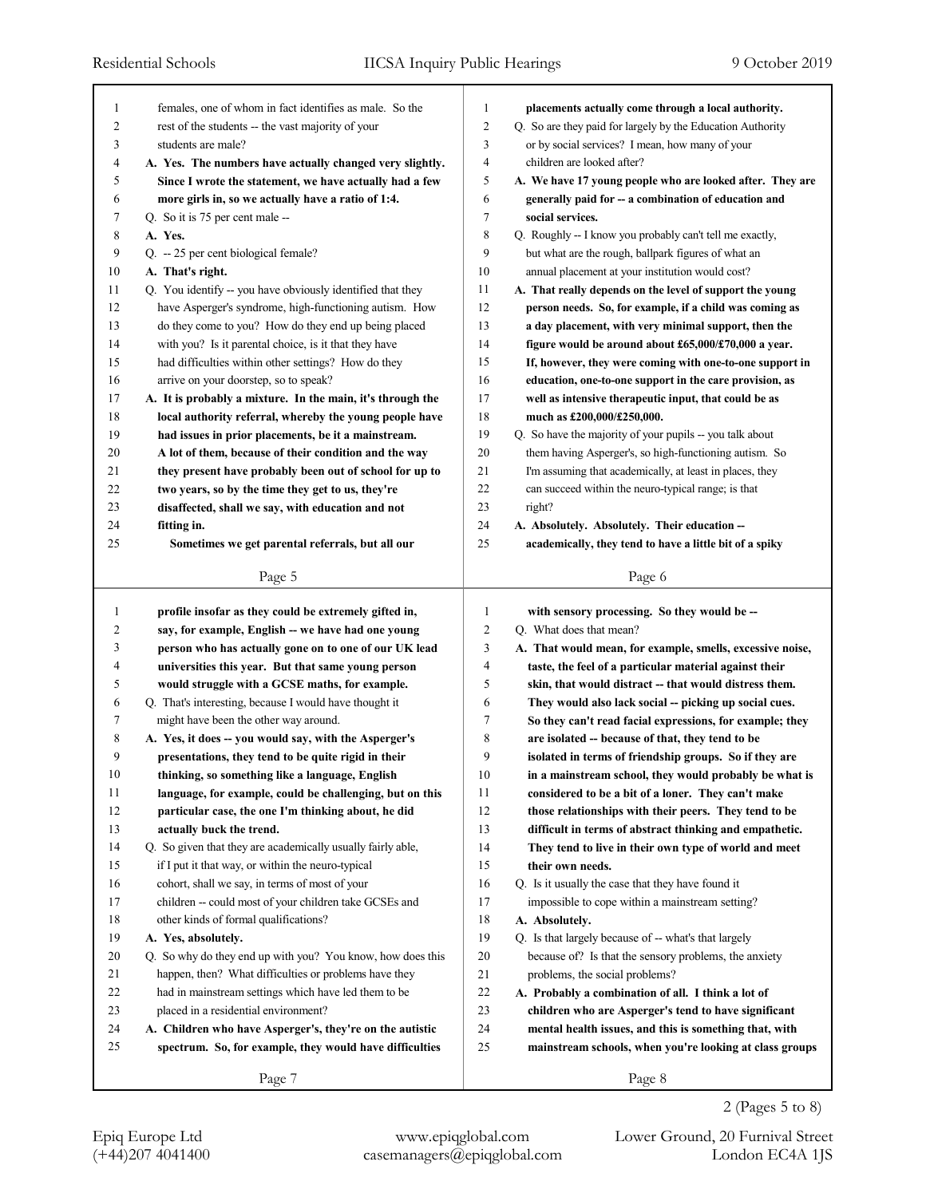| 1              | females, one of whom in fact identifies as male. So the                                                     | $\mathbf{1}$<br>placements actually come through a local authority.                                                                   |  |
|----------------|-------------------------------------------------------------------------------------------------------------|---------------------------------------------------------------------------------------------------------------------------------------|--|
| $\overline{c}$ | rest of the students -- the vast majority of your                                                           | $\overline{c}$<br>Q. So are they paid for largely by the Education Authority                                                          |  |
| 3              | students are male?                                                                                          | 3<br>or by social services? I mean, how many of your                                                                                  |  |
| 4              | A. Yes. The numbers have actually changed very slightly.                                                    | $\overline{4}$<br>children are looked after?                                                                                          |  |
| 5              | Since I wrote the statement, we have actually had a few                                                     | 5<br>A. We have 17 young people who are looked after. They are                                                                        |  |
| 6              | more girls in, so we actually have a ratio of 1:4.                                                          | 6<br>generally paid for -- a combination of education and                                                                             |  |
| 7              | Q. So it is 75 per cent male --                                                                             | $\tau$<br>social services.                                                                                                            |  |
| 8              | A. Yes.                                                                                                     | $\,$ 8 $\,$<br>Q. Roughly -- I know you probably can't tell me exactly,                                                               |  |
| 9              | Q. -- 25 per cent biological female?                                                                        | 9<br>but what are the rough, ballpark figures of what an                                                                              |  |
| 10             | A. That's right.                                                                                            | 10<br>annual placement at your institution would cost?                                                                                |  |
| 11             | Q. You identify -- you have obviously identified that they                                                  | 11<br>A. That really depends on the level of support the young                                                                        |  |
| 12             | have Asperger's syndrome, high-functioning autism. How                                                      | 12<br>person needs. So, for example, if a child was coming as                                                                         |  |
| 13             | do they come to you? How do they end up being placed                                                        | 13<br>a day placement, with very minimal support, then the                                                                            |  |
| 14             | with you? Is it parental choice, is it that they have                                                       | 14<br>figure would be around about £65,000/£70,000 a year.                                                                            |  |
| 15             | had difficulties within other settings? How do they                                                         | 15<br>If, however, they were coming with one-to-one support in                                                                        |  |
| 16             | arrive on your doorstep, so to speak?                                                                       | 16<br>education, one-to-one support in the care provision, as                                                                         |  |
| 17             | A. It is probably a mixture. In the main, it's through the                                                  | 17<br>well as intensive therapeutic input, that could be as                                                                           |  |
| 18             | local authority referral, whereby the young people have                                                     | 18<br>much as £200,000/£250,000.                                                                                                      |  |
| 19             | had issues in prior placements, be it a mainstream.                                                         | 19<br>Q. So have the majority of your pupils -- you talk about                                                                        |  |
| 20             | A lot of them, because of their condition and the way                                                       | 20<br>them having Asperger's, so high-functioning autism. So                                                                          |  |
| 21             | they present have probably been out of school for up to                                                     | 21<br>I'm assuming that academically, at least in places, they                                                                        |  |
| 22             | two years, so by the time they get to us, they're                                                           | 22<br>can succeed within the neuro-typical range; is that                                                                             |  |
| 23             | disaffected, shall we say, with education and not                                                           | 23<br>right?                                                                                                                          |  |
| 24             | fitting in.                                                                                                 | 24<br>A. Absolutely. Absolutely. Their education --                                                                                   |  |
| 25             | Sometimes we get parental referrals, but all our                                                            | 25<br>academically, they tend to have a little bit of a spiky                                                                         |  |
|                | Page 5                                                                                                      | Page 6                                                                                                                                |  |
|                |                                                                                                             |                                                                                                                                       |  |
|                |                                                                                                             |                                                                                                                                       |  |
| 1<br>2         | profile insofar as they could be extremely gifted in,                                                       | 1<br>with sensory processing. So they would be --<br>$\overline{c}$                                                                   |  |
| 3              | say, for example, English -- we have had one young                                                          | Q. What does that mean?<br>3                                                                                                          |  |
| 4              | person who has actually gone on to one of our UK lead<br>universities this year. But that same young person | A. That would mean, for example, smells, excessive noise,<br>$\overline{4}$<br>taste, the feel of a particular material against their |  |
| 5              | would struggle with a GCSE maths, for example.                                                              | 5<br>skin, that would distract -- that would distress them.                                                                           |  |
| 6              | Q. That's interesting, because I would have thought it                                                      | 6<br>They would also lack social -- picking up social cues.                                                                           |  |
| 7              | might have been the other way around.                                                                       | 7<br>So they can't read facial expressions, for example; they                                                                         |  |
| 8              | A. Yes, it does -- you would say, with the Asperger's                                                       | 8<br>are isolated -- because of that, they tend to be                                                                                 |  |
| 9              | presentations, they tend to be quite rigid in their                                                         | 9<br>isolated in terms of friendship groups. So if they are                                                                           |  |
| $10\,$         | thinking, so something like a language, English                                                             | $10\,$<br>in a mainstream school, they would probably be what is                                                                      |  |
| 11             | language, for example, could be challenging, but on this                                                    | 11<br>considered to be a bit of a loner. They can't make                                                                              |  |
| 12             | particular case, the one I'm thinking about, he did                                                         | 12<br>those relationships with their peers. They tend to be                                                                           |  |
| 13             | actually buck the trend.                                                                                    | 13<br>difficult in terms of abstract thinking and empathetic.                                                                         |  |
| 14             | Q. So given that they are academically usually fairly able,                                                 | 14<br>They tend to live in their own type of world and meet                                                                           |  |
| 15             | if I put it that way, or within the neuro-typical                                                           | 15<br>their own needs.                                                                                                                |  |
| 16             | cohort, shall we say, in terms of most of your                                                              | 16<br>Q. Is it usually the case that they have found it                                                                               |  |
| 17             | children -- could most of your children take GCSEs and                                                      | 17<br>impossible to cope within a mainstream setting?                                                                                 |  |
| 18             | other kinds of formal qualifications?                                                                       | 18<br>A. Absolutely.                                                                                                                  |  |
| 19             | A. Yes, absolutely.                                                                                         | 19<br>Q. Is that largely because of -- what's that largely                                                                            |  |
| $20\,$         | Q. So why do they end up with you? You know, how does this                                                  | 20<br>because of? Is that the sensory problems, the anxiety                                                                           |  |
| 21             | happen, then? What difficulties or problems have they                                                       | 21<br>problems, the social problems?                                                                                                  |  |
| 22             | had in mainstream settings which have led them to be                                                        | 22<br>A. Probably a combination of all. I think a lot of                                                                              |  |
| 23             | placed in a residential environment?                                                                        | 23<br>children who are Asperger's tend to have significant                                                                            |  |
| 24             | A. Children who have Asperger's, they're on the autistic                                                    | 24<br>mental health issues, and this is something that, with                                                                          |  |
| 25             | spectrum. So, for example, they would have difficulties                                                     | 25<br>mainstream schools, when you're looking at class groups                                                                         |  |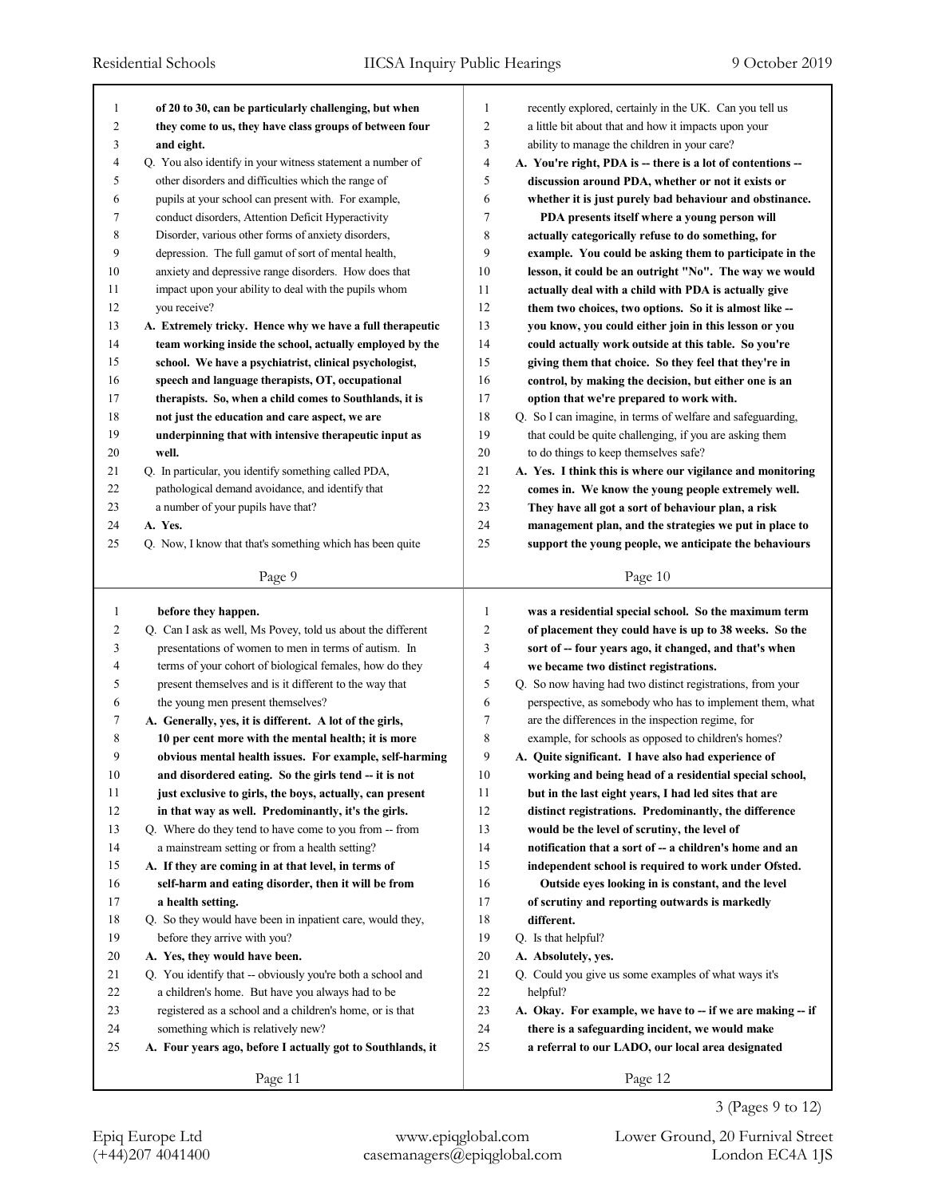| 1<br>$\overline{\mathbf{c}}$ | of 20 to 30, can be particularly challenging, but when                                                              | 1<br>$\overline{c}$ | recently explored, certainly in the UK. Can you tell us                                              |
|------------------------------|---------------------------------------------------------------------------------------------------------------------|---------------------|------------------------------------------------------------------------------------------------------|
| 3                            | they come to us, they have class groups of between four                                                             | 3                   | a little bit about that and how it impacts upon your<br>ability to manage the children in your care? |
| $\overline{\mathcal{A}}$     | and eight.<br>Q. You also identify in your witness statement a number of                                            | $\overline{4}$      | A. You're right, PDA is -- there is a lot of contentions --                                          |
| 5                            | other disorders and difficulties which the range of                                                                 | 5                   | discussion around PDA, whether or not it exists or                                                   |
| 6                            | pupils at your school can present with. For example,                                                                | 6                   | whether it is just purely bad behaviour and obstinance.                                              |
| 7                            | conduct disorders, Attention Deficit Hyperactivity                                                                  | $\tau$              | PDA presents itself where a young person will                                                        |
| 8                            | Disorder, various other forms of anxiety disorders,                                                                 | 8                   | actually categorically refuse to do something, for                                                   |
| 9                            | depression. The full gamut of sort of mental health,                                                                | 9                   | example. You could be asking them to participate in the                                              |
| 10                           | anxiety and depressive range disorders. How does that                                                               | 10                  | lesson, it could be an outright "No". The way we would                                               |
| 11                           | impact upon your ability to deal with the pupils whom                                                               | 11                  | actually deal with a child with PDA is actually give                                                 |
| 12                           | you receive?                                                                                                        | 12                  | them two choices, two options. So it is almost like --                                               |
| 13                           | A. Extremely tricky. Hence why we have a full therapeutic                                                           | 13                  | you know, you could either join in this lesson or you                                                |
| 14                           | team working inside the school, actually employed by the                                                            | 14                  | could actually work outside at this table. So you're                                                 |
| 15                           | school. We have a psychiatrist, clinical psychologist,                                                              | 15                  | giving them that choice. So they feel that they're in                                                |
| 16                           | speech and language therapists, OT, occupational                                                                    | 16                  | control, by making the decision, but either one is an                                                |
| 17                           | therapists. So, when a child comes to Southlands, it is                                                             | 17                  | option that we're prepared to work with.                                                             |
| 18                           | not just the education and care aspect, we are                                                                      | 18                  | Q. So I can imagine, in terms of welfare and safeguarding,                                           |
| 19                           | underpinning that with intensive therapeutic input as                                                               | 19                  | that could be quite challenging, if you are asking them                                              |
| 20                           | well.                                                                                                               | 20                  | to do things to keep themselves safe?                                                                |
| 21                           | Q. In particular, you identify something called PDA,                                                                | 21                  | A. Yes. I think this is where our vigilance and monitoring                                           |
| 22                           | pathological demand avoidance, and identify that                                                                    | 22                  | comes in. We know the young people extremely well.                                                   |
| 23                           | a number of your pupils have that?                                                                                  | 23                  | They have all got a sort of behaviour plan, a risk                                                   |
| 24                           | A. Yes.                                                                                                             | 24                  | management plan, and the strategies we put in place to                                               |
| 25                           | Q. Now, I know that that's something which has been quite                                                           | 25                  | support the young people, we anticipate the behaviours                                               |
|                              |                                                                                                                     |                     |                                                                                                      |
|                              | Page 9                                                                                                              |                     | Page 10                                                                                              |
|                              |                                                                                                                     |                     |                                                                                                      |
| 1                            | before they happen.                                                                                                 | 1                   | was a residential special school. So the maximum term                                                |
| 2                            |                                                                                                                     | $\overline{c}$      | of placement they could have is up to 38 weeks. So the                                               |
| 3                            | Q. Can I ask as well, Ms Povey, told us about the different<br>presentations of women to men in terms of autism. In | 3                   | sort of -- four years ago, it changed, and that's when                                               |
| 4                            | terms of your cohort of biological females, how do they                                                             | 4                   | we became two distinct registrations.                                                                |
| 5                            | present themselves and is it different to the way that                                                              | 5                   | Q. So now having had two distinct registrations, from your                                           |
| 6                            | the young men present themselves?                                                                                   | 6                   | perspective, as somebody who has to implement them, what                                             |
| 7                            | A. Generally, yes, it is different. A lot of the girls,                                                             | 7                   | are the differences in the inspection regime, for                                                    |
| 8                            | 10 per cent more with the mental health; it is more                                                                 | 8                   | example, for schools as opposed to children's homes?                                                 |
| 9                            | obvious mental health issues. For example, self-harming                                                             | 9                   | A. Quite significant. I have also had experience of                                                  |
| 10                           | and disordered eating. So the girls tend -- it is not                                                               | 10                  | working and being head of a residential special school,                                              |
| 11                           | just exclusive to girls, the boys, actually, can present                                                            | 11                  | but in the last eight years, I had led sites that are                                                |
| 12                           | in that way as well. Predominantly, it's the girls.                                                                 | 12                  | distinct registrations. Predominantly, the difference                                                |
| 13                           | Q. Where do they tend to have come to you from -- from                                                              | 13                  | would be the level of scrutiny, the level of                                                         |
| 14                           | a mainstream setting or from a health setting?                                                                      | 14                  | notification that a sort of -- a children's home and an                                              |
| 15                           | A. If they are coming in at that level, in terms of                                                                 | 15                  | independent school is required to work under Ofsted.                                                 |
| 16                           | self-harm and eating disorder, then it will be from                                                                 | 16                  | Outside eyes looking in is constant, and the level                                                   |
| 17                           | a health setting.                                                                                                   | 17                  | of scrutiny and reporting outwards is markedly                                                       |
| 18                           | Q. So they would have been in inpatient care, would they,                                                           | 18                  | different.                                                                                           |
| 19                           | before they arrive with you?                                                                                        | 19                  | Q. Is that helpful?                                                                                  |
| 20                           | A. Yes, they would have been.                                                                                       | 20                  | A. Absolutely, yes.                                                                                  |
| 21                           | Q. You identify that -- obviously you're both a school and                                                          | $21\,$              | Q. Could you give us some examples of what ways it's                                                 |
| 22                           | a children's home. But have you always had to be                                                                    | 22                  | helpful?                                                                                             |
| 23                           | registered as a school and a children's home, or is that                                                            | 23                  | A. Okay. For example, we have to -- if we are making -- if                                           |
| 24                           | something which is relatively new?                                                                                  | 24                  | there is a safeguarding incident, we would make                                                      |
| 25                           | A. Four years ago, before I actually got to Southlands, it                                                          | 25                  | a referral to our LADO, our local area designated                                                    |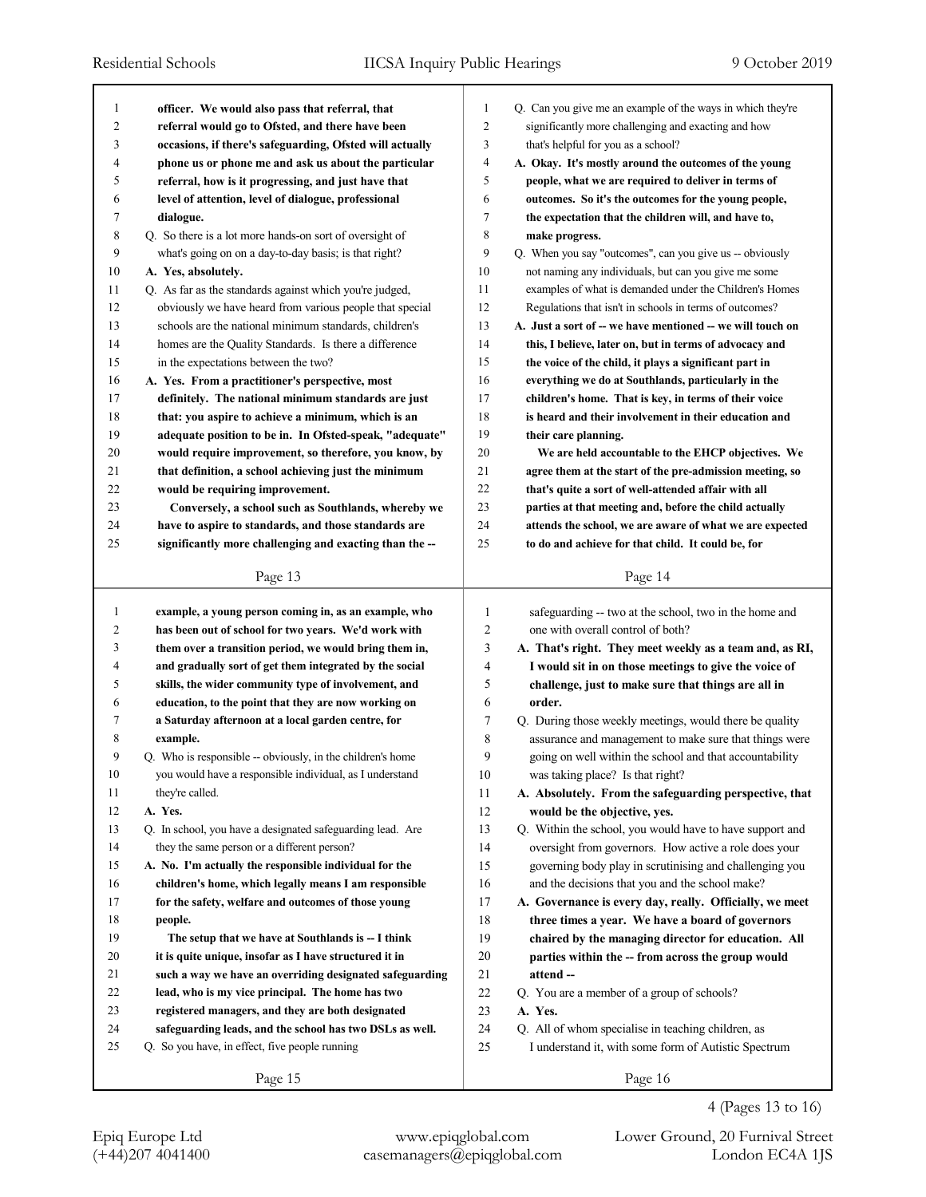| 1              | officer. We would also pass that referral, that            | 1              | Q. Can you give me an example of the ways in which they're |
|----------------|------------------------------------------------------------|----------------|------------------------------------------------------------|
| $\overline{c}$ | referral would go to Ofsted, and there have been           | $\overline{c}$ | significantly more challenging and exacting and how        |
| 3              | occasions, if there's safeguarding, Ofsted will actually   | 3              | that's helpful for you as a school?                        |
| 4              | phone us or phone me and ask us about the particular       | 4              | A. Okay. It's mostly around the outcomes of the young      |
| 5              | referral, how is it progressing, and just have that        | 5              | people, what we are required to deliver in terms of        |
| 6              | level of attention, level of dialogue, professional        | 6              | outcomes. So it's the outcomes for the young people,       |
| 7              | dialogue.                                                  | 7              | the expectation that the children will, and have to,       |
| 8              | Q. So there is a lot more hands-on sort of oversight of    | 8              | make progress.                                             |
| 9              | what's going on on a day-to-day basis; is that right?      | 9              | Q. When you say "outcomes", can you give us -- obviously   |
| 10             | A. Yes, absolutely.                                        | 10             | not naming any individuals, but can you give me some       |
| 11             | Q. As far as the standards against which you're judged,    | 11             | examples of what is demanded under the Children's Homes    |
| 12             | obviously we have heard from various people that special   | 12             | Regulations that isn't in schools in terms of outcomes?    |
| 13             | schools are the national minimum standards, children's     | 13             | A. Just a sort of -- we have mentioned -- we will touch on |
| 14             | homes are the Quality Standards. Is there a difference     | 14             | this, I believe, later on, but in terms of advocacy and    |
| 15             | in the expectations between the two?                       | 15             | the voice of the child, it plays a significant part in     |
| 16             | A. Yes. From a practitioner's perspective, most            | 16             | everything we do at Southlands, particularly in the        |
| 17             | definitely. The national minimum standards are just        | 17             | children's home. That is key, in terms of their voice      |
| 18             | that: you aspire to achieve a minimum, which is an         | 18             | is heard and their involvement in their education and      |
| 19             | adequate position to be in. In Ofsted-speak, "adequate"    | 19             | their care planning.                                       |
| 20             | would require improvement, so therefore, you know, by      | 20             | We are held accountable to the EHCP objectives. We         |
| 21             | that definition, a school achieving just the minimum       | 21             | agree them at the start of the pre-admission meeting, so   |
| 22             | would be requiring improvement.                            | 22             | that's quite a sort of well-attended affair with all       |
| 23             | Conversely, a school such as Southlands, whereby we        | 23             | parties at that meeting and, before the child actually     |
| 24             | have to aspire to standards, and those standards are       | 24             | attends the school, we are aware of what we are expected   |
| 25             | significantly more challenging and exacting than the --    | 25             | to do and achieve for that child. It could be, for         |
|                |                                                            |                |                                                            |
|                | Page 13                                                    |                | Page 14                                                    |
|                |                                                            |                |                                                            |
|                |                                                            |                |                                                            |
| $\mathbf{1}$   | example, a young person coming in, as an example, who      | 1              | safeguarding -- two at the school, two in the home and     |
| 2              | has been out of school for two years. We'd work with       | 2              | one with overall control of both?                          |
| 3              | them over a transition period, we would bring them in,     | 3              | A. That's right. They meet weekly as a team and, as RI,    |
| 4              | and gradually sort of get them integrated by the social    | 4              | I would sit in on those meetings to give the voice of      |
| 5              | skills, the wider community type of involvement, and       | 5              | challenge, just to make sure that things are all in        |
| 6              | education, to the point that they are now working on       | 6              | order.                                                     |
| 7              | a Saturday afternoon at a local garden centre, for         | 7              | Q. During those weekly meetings, would there be quality    |
| 8              | example.                                                   | 8              | assurance and management to make sure that things were     |
| 9              | Q. Who is responsible -- obviously, in the children's home | 9              | going on well within the school and that accountability    |
| 10             | you would have a responsible individual, as I understand   | 10             | was taking place? Is that right?                           |
| 11             | they're called.                                            | 11             | A. Absolutely. From the safeguarding perspective, that     |
| 12             | A. Yes.                                                    | 12             | would be the objective, yes.                               |
| 13             | Q. In school, you have a designated safeguarding lead. Are | 13             | Q. Within the school, you would have to have support and   |
| 14             | they the same person or a different person?                | 14             | oversight from governors. How active a role does your      |
| 15             | A. No. I'm actually the responsible individual for the     | 15             | governing body play in scrutinising and challenging you    |
| 16             | children's home, which legally means I am responsible      | 16             | and the decisions that you and the school make?            |
| 17             | for the safety, welfare and outcomes of those young        | 17             | A. Governance is every day, really. Officially, we meet    |
| 18             | people.                                                    | 18             | three times a year. We have a board of governors           |
| 19             | The setup that we have at Southlands is -- I think         | 19             | chaired by the managing director for education. All        |
| 20             | it is quite unique, insofar as I have structured it in     | 20             | parties within the -- from across the group would          |
| 21             | such a way we have an overriding designated safeguarding   | 21             | attend-                                                    |
| 22             | lead, who is my vice principal. The home has two           | 22             | Q. You are a member of a group of schools?                 |
| 23             | registered managers, and they are both designated          | 23             | A. Yes.                                                    |
| 24             | safeguarding leads, and the school has two DSLs as well.   | 24             | Q. All of whom specialise in teaching children, as         |
| 25             | Q. So you have, in effect, five people running             | 25             | I understand it, with some form of Autistic Spectrum       |
|                | Page 15                                                    |                | Page 16                                                    |

4 (Pages 13 to 16)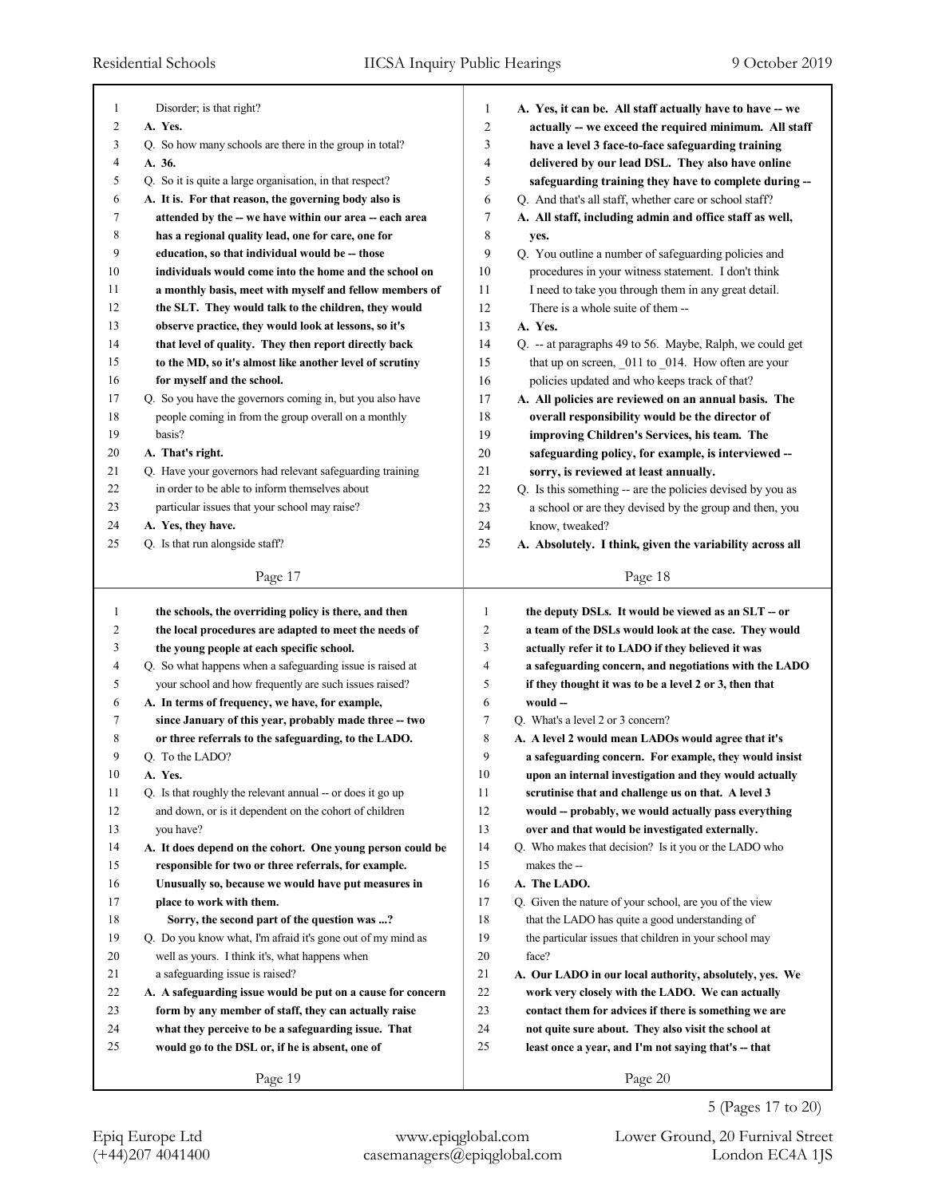| $\mathbf{1}$            | Disorder; is that right?                                                                                    | 1              | A. Yes, it can be. All staff actually have to have -- we   |
|-------------------------|-------------------------------------------------------------------------------------------------------------|----------------|------------------------------------------------------------|
| 2                       | A. Yes.                                                                                                     | $\overline{c}$ | actually -- we exceed the required minimum. All staff      |
| 3                       | Q. So how many schools are there in the group in total?                                                     | 3              | have a level 3 face-to-face safeguarding training          |
| 4                       | A. 36.                                                                                                      | 4              | delivered by our lead DSL. They also have online           |
| 5                       | Q. So it is quite a large organisation, in that respect?                                                    | 5              | safeguarding training they have to complete during --      |
| 6                       | A. It is. For that reason, the governing body also is                                                       | 6              | Q. And that's all staff, whether care or school staff?     |
| 7                       | attended by the -- we have within our area -- each area                                                     | 7              | A. All staff, including admin and office staff as well,    |
| 8                       | has a regional quality lead, one for care, one for                                                          | 8              | yes.                                                       |
| 9                       | education, so that individual would be -- those                                                             | 9              | Q. You outline a number of safeguarding policies and       |
| 10                      | individuals would come into the home and the school on                                                      | 10             | procedures in your witness statement. I don't think        |
| 11                      | a monthly basis, meet with myself and fellow members of                                                     | 11             | I need to take you through them in any great detail.       |
| 12                      | the SLT. They would talk to the children, they would                                                        | 12             | There is a whole suite of them --                          |
| 13                      | observe practice, they would look at lessons, so it's                                                       | 13             | A. Yes.                                                    |
| 14                      | that level of quality. They then report directly back                                                       | 14             | Q. -- at paragraphs 49 to 56. Maybe, Ralph, we could get   |
| 15                      | to the MD, so it's almost like another level of scrutiny                                                    | 15             | that up on screen, 011 to 014. How often are your          |
| 16                      | for myself and the school.                                                                                  | 16             | policies updated and who keeps track of that?              |
| 17                      | Q. So you have the governors coming in, but you also have                                                   | 17             | A. All policies are reviewed on an annual basis. The       |
| 18                      | people coming in from the group overall on a monthly                                                        | 18             | overall responsibility would be the director of            |
| 19                      | basis?                                                                                                      | 19             | improving Children's Services, his team. The               |
| 20                      | A. That's right.                                                                                            | 20             | safeguarding policy, for example, is interviewed --        |
| 21                      | Q. Have your governors had relevant safeguarding training                                                   | 21             | sorry, is reviewed at least annually.                      |
| 22                      | in order to be able to inform themselves about                                                              | 22             | Q. Is this something -- are the policies devised by you as |
| 23                      | particular issues that your school may raise?                                                               | 23             | a school or are they devised by the group and then, you    |
| 24                      | A. Yes, they have.                                                                                          | 24             | know, tweaked?                                             |
| 25                      | Q. Is that run alongside staff?                                                                             | 25             | A. Absolutely. I think, given the variability across all   |
|                         | Page 17                                                                                                     |                | Page 18                                                    |
|                         |                                                                                                             |                |                                                            |
|                         |                                                                                                             |                |                                                            |
| 1                       | the schools, the overriding policy is there, and then                                                       | $\mathbf{1}$   | the deputy DSLs. It would be viewed as an SLT – or         |
| $\overline{\mathbf{c}}$ | the local procedures are adapted to meet the needs of                                                       | 2              | a team of the DSLs would look at the case. They would      |
| 3                       | the young people at each specific school.                                                                   | 3              | actually refer it to LADO if they believed it was          |
| 4                       | Q. So what happens when a safeguarding issue is raised at                                                   | 4              | a safeguarding concern, and negotiations with the LADO     |
| 5                       | your school and how frequently are such issues raised?                                                      | 5              | if they thought it was to be a level 2 or 3, then that     |
| 6                       | A. In terms of frequency, we have, for example,                                                             | 6              | would --                                                   |
| 7                       | since January of this year, probably made three -- two                                                      | 7              | Q. What's a level 2 or 3 concern?                          |
| 8                       | or three referrals to the safeguarding, to the LADO.                                                        | 8              | A. A level 2 would mean LADOs would agree that it's        |
| 9                       | O. To the LADO?                                                                                             | 9              | a safeguarding concern. For example, they would insist     |
| 10                      | A. Yes.                                                                                                     | 10             | upon an internal investigation and they would actually     |
| 11                      | Q. Is that roughly the relevant annual -- or does it go up                                                  | 11             | scrutinise that and challenge us on that. A level 3        |
| 12                      | and down, or is it dependent on the cohort of children                                                      | 12             | would -- probably, we would actually pass everything       |
| 13                      | you have?                                                                                                   | 13             | over and that would be investigated externally.            |
| 14                      | A. It does depend on the cohort. One young person could be                                                  | 14             | Q. Who makes that decision? Is it you or the LADO who      |
| 15                      | responsible for two or three referrals, for example.                                                        | 15             | makes the --                                               |
| 16                      | Unusually so, because we would have put measures in                                                         | 16             | A. The LADO.                                               |
| 17                      | place to work with them.                                                                                    | 17             | Q. Given the nature of your school, are you of the view    |
| 18                      |                                                                                                             | 18             | that the LADO has quite a good understanding of            |
| 19                      | Sorry, the second part of the question was ?<br>Q. Do you know what, I'm afraid it's gone out of my mind as | 19             | the particular issues that children in your school may     |
| 20                      | well as yours. I think it's, what happens when                                                              | 20             | face?                                                      |
| 21                      | a safeguarding issue is raised?                                                                             | 21             | A. Our LADO in our local authority, absolutely, yes. We    |
| 22                      | A. A safeguarding issue would be put on a cause for concern                                                 | 22             | work very closely with the LADO. We can actually           |
| 23                      | form by any member of staff, they can actually raise                                                        | 23             | contact them for advices if there is something we are      |
| 24                      | what they perceive to be a safeguarding issue. That                                                         | 24             | not quite sure about. They also visit the school at        |
| 25                      | would go to the DSL or, if he is absent, one of                                                             | 25             | least once a year, and I'm not saying that's -- that       |
|                         | Page 19                                                                                                     |                | Page 20                                                    |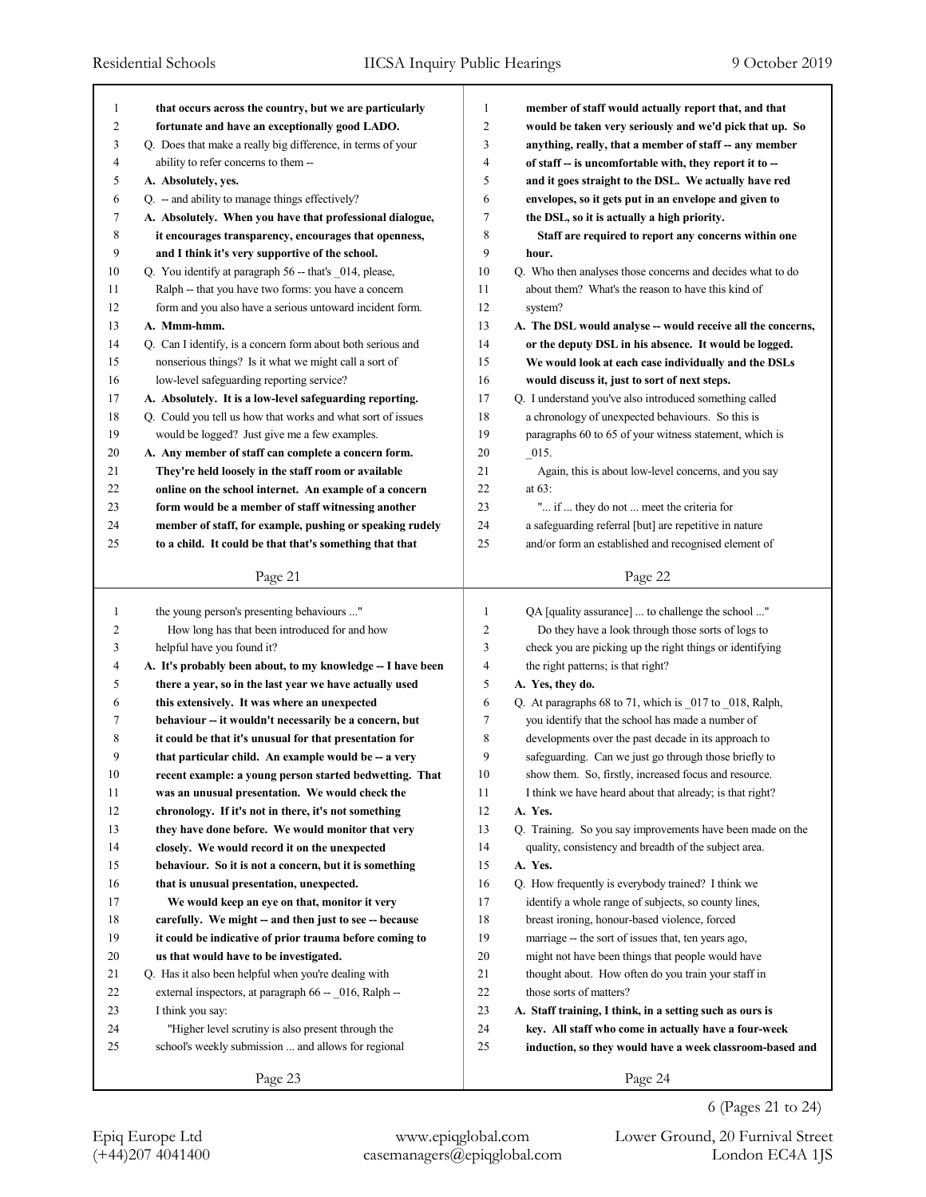| $\mathbf{1}$   | that occurs across the country, but we are particularly     | $\mathbf{1}$   | member of staff would actually report that, and that        |
|----------------|-------------------------------------------------------------|----------------|-------------------------------------------------------------|
| $\overline{c}$ | fortunate and have an exceptionally good LADO.              | $\overline{2}$ | would be taken very seriously and we'd pick that up. So     |
| 3              | Q. Does that make a really big difference, in terms of your | 3              | anything, really, that a member of staff -- any member      |
| 4              | ability to refer concerns to them --                        | $\overline{4}$ | of staff -- is uncomfortable with, they report it to --     |
| 5              | A. Absolutely, yes.                                         | 5              | and it goes straight to the DSL. We actually have red       |
| 6              | Q. - and ability to manage things effectively?              | 6              | envelopes, so it gets put in an envelope and given to       |
| 7              | A. Absolutely. When you have that professional dialogue,    | $\tau$         | the DSL, so it is actually a high priority.                 |
| 8              | it encourages transparency, encourages that openness,       | 8              | Staff are required to report any concerns within one        |
| 9              | and I think it's very supportive of the school.             | 9              | hour.                                                       |
| 10             | Q. You identify at paragraph 56 -- that's _014, please,     | 10             | Q. Who then analyses those concerns and decides what to do  |
| 11             | Ralph -- that you have two forms: you have a concern        | 11             | about them? What's the reason to have this kind of          |
| 12             | form and you also have a serious untoward incident form.    | 12             | system?                                                     |
| 13             | A. Mmm-hmm.                                                 | 13             | A. The DSL would analyse -- would receive all the concerns, |
| 14             | Q. Can I identify, is a concern form about both serious and | 14             | or the deputy DSL in his absence. It would be logged.       |
| 15             | nonserious things? Is it what we might call a sort of       | 15             | We would look at each case individually and the DSLs        |
| 16             | low-level safeguarding reporting service?                   | 16             | would discuss it, just to sort of next steps.               |
| 17             | A. Absolutely. It is a low-level safeguarding reporting.    | 17             | Q. I understand you've also introduced something called     |
| 18             | Q. Could you tell us how that works and what sort of issues | 18             | a chronology of unexpected behaviours. So this is           |
| 19             | would be logged? Just give me a few examples.               | 19             | paragraphs 60 to 65 of your witness statement, which is     |
| 20             | A. Any member of staff can complete a concern form.         | 20             | $-015.$                                                     |
| 21             | They're held loosely in the staff room or available         | 21             | Again, this is about low-level concerns, and you say        |
| 22             | online on the school internet. An example of a concern      | 22             | at $63$ :                                                   |
| 23             | form would be a member of staff witnessing another          | 23             | " if  they do not  meet the criteria for                    |
| 24             | member of staff, for example, pushing or speaking rudely    | 24             | a safeguarding referral [but] are repetitive in nature      |
| 25             | to a child. It could be that that's something that that     | 25             | and/or form an established and recognised element of        |
|                |                                                             |                |                                                             |
|                | Page 21                                                     |                | Page 22                                                     |
|                |                                                             |                |                                                             |
|                |                                                             |                |                                                             |
| $\mathbf{1}$   | the young person's presenting behaviours "                  | 1              | QA [quality assurance]  to challenge the school "           |
| 2              | How long has that been introduced for and how               | 2              | Do they have a look through those sorts of logs to          |
| 3              | helpful have you found it?                                  | 3              | check you are picking up the right things or identifying    |
| 4              | A. It's probably been about, to my knowledge -- I have been | 4              | the right patterns; is that right?                          |
| 5              | there a year, so in the last year we have actually used     | 5              | A. Yes, they do.                                            |
| 6              | this extensively. It was where an unexpected                | 6              | Q. At paragraphs 68 to 71, which is _017 to _018, Ralph,    |
| 7              | behaviour -- it wouldn't necessarily be a concern, but      | 7              | you identify that the school has made a number of           |
| 8              | it could be that it's unusual for that presentation for     | 8              | developments over the past decade in its approach to        |
| 9              | that particular child. An example would be -- a very        | 9              | safeguarding. Can we just go through those briefly to       |
| 10             | recent example: a young person started bedwetting. That     | 10             | show them. So, firstly, increased focus and resource.       |
| 11             | was an unusual presentation. We would check the             | 11             | I think we have heard about that already; is that right?    |
| 12             | chronology. If it's not in there, it's not something        | 12             | A. Yes.                                                     |
| 13             | they have done before. We would monitor that very           | 13             | Q. Training. So you say improvements have been made on the  |
| 14             | closely. We would record it on the unexpected               | 14             | quality, consistency and breadth of the subject area.       |
| 15             | behaviour. So it is not a concern, but it is something      | 15             | A. Yes.                                                     |
| 16             | that is unusual presentation, unexpected.                   | 16             | Q. How frequently is everybody trained? I think we          |
| 17             | We would keep an eye on that, monitor it very               | 17             | identify a whole range of subjects, so county lines,        |
| 18             | carefully. We might -- and then just to see -- because      | 18             | breast ironing, honour-based violence, forced               |
| 19             | it could be indicative of prior trauma before coming to     | 19             | marriage -- the sort of issues that, ten years ago,         |
| 20             | us that would have to be investigated.                      | 20             | might not have been things that people would have           |
| 21             | Q. Has it also been helpful when you're dealing with        | 21             | thought about. How often do you train your staff in         |
| 22             | external inspectors, at paragraph 66 -- _016, Ralph --      | 22             | those sorts of matters?                                     |
| 23             | I think you say:                                            | 23             | A. Staff training, I think, in a setting such as ours is    |
| 24             | "Higher level scrutiny is also present through the          | 24             | key. All staff who come in actually have a four-week        |
| 25             | school's weekly submission  and allows for regional         | 25             | induction, so they would have a week classroom-based and    |
|                | Page 23                                                     |                | Page 24                                                     |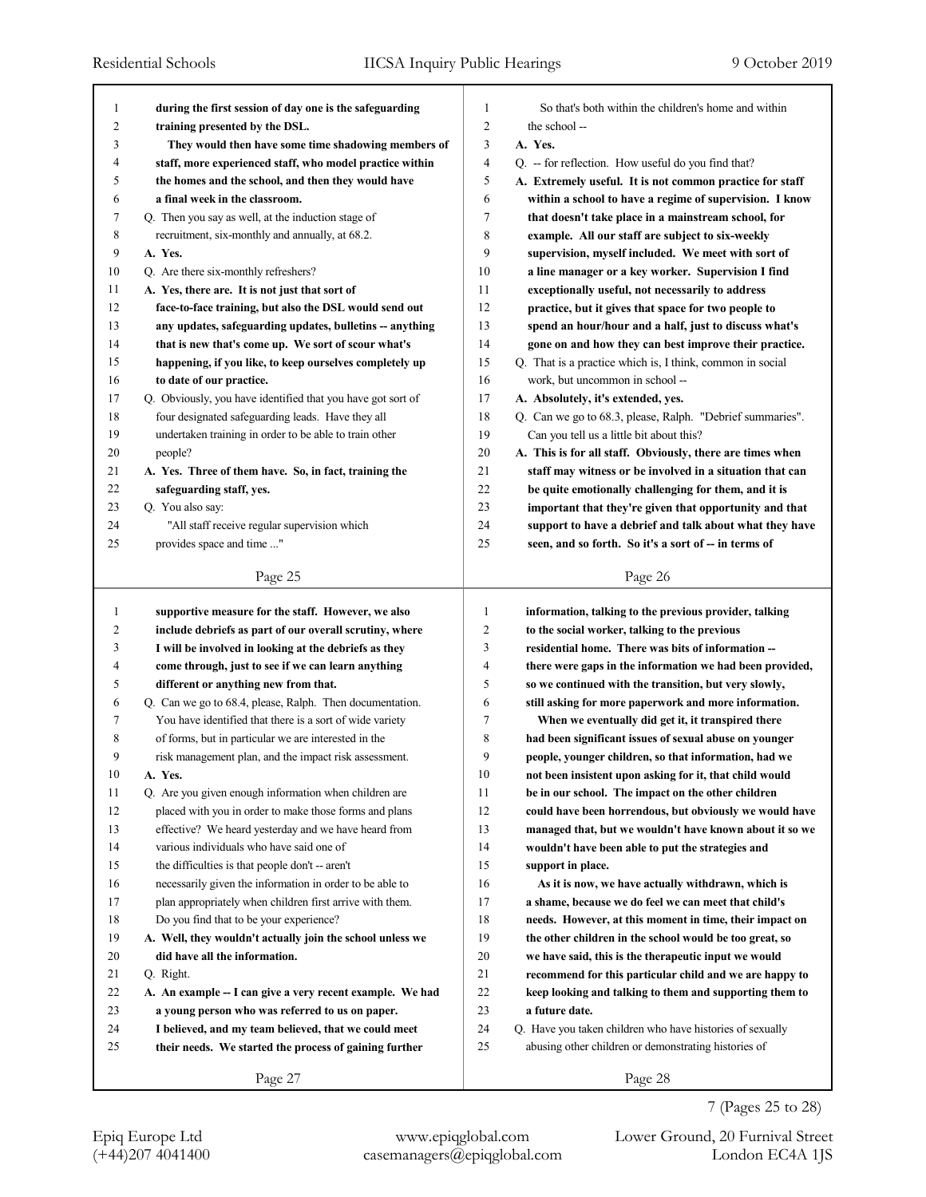| 1              | during the first session of day one is the safeguarding     | 1              | So that's both within the children's home and within      |
|----------------|-------------------------------------------------------------|----------------|-----------------------------------------------------------|
| $\overline{c}$ | training presented by the DSL.                              | $\overline{c}$ | the school --                                             |
| 3              | They would then have some time shadowing members of         | 3              | A. Yes.                                                   |
| 4              | staff, more experienced staff, who model practice within    | 4              | Q. -- for reflection. How useful do you find that?        |
| 5              | the homes and the school, and then they would have          | 5              | A. Extremely useful. It is not common practice for staff  |
| 6              | a final week in the classroom.                              | 6              | within a school to have a regime of supervision. I know   |
| 7              | Q. Then you say as well, at the induction stage of          | 7              | that doesn't take place in a mainstream school, for       |
| 8              | recruitment, six-monthly and annually, at 68.2.             | 8              | example. All our staff are subject to six-weekly          |
| 9              | A. Yes.                                                     | 9              | supervision, myself included. We meet with sort of        |
| 10             | Q. Are there six-monthly refreshers?                        | 10             | a line manager or a key worker. Supervision I find        |
| 11             | A. Yes, there are. It is not just that sort of              | 11             | exceptionally useful, not necessarily to address          |
| 12             | face-to-face training, but also the DSL would send out      | 12             | practice, but it gives that space for two people to       |
| 13             | any updates, safeguarding updates, bulletins -- anything    | 13             | spend an hour/hour and a half, just to discuss what's     |
| 14             | that is new that's come up. We sort of scour what's         | 14             | gone on and how they can best improve their practice.     |
| 15             | happening, if you like, to keep ourselves completely up     | 15             | Q. That is a practice which is, I think, common in social |
| 16             | to date of our practice.                                    | 16             | work, but uncommon in school --                           |
| 17             | Q. Obviously, you have identified that you have got sort of | 17             | A. Absolutely, it's extended, yes.                        |
| 18             | four designated safeguarding leads. Have they all           | 18             | Q. Can we go to 68.3, please, Ralph. "Debrief summaries". |
| 19             | undertaken training in order to be able to train other      | 19             | Can you tell us a little bit about this?                  |
| 20             | people?                                                     | 20             | A. This is for all staff. Obviously, there are times when |
| 21             | A. Yes. Three of them have. So, in fact, training the       | 21             | staff may witness or be involved in a situation that can  |
| 22             | safeguarding staff, yes.                                    | 22             | be quite emotionally challenging for them, and it is      |
| 23             | Q. You also say:                                            | 23             | important that they're given that opportunity and that    |
| 24             | "All staff receive regular supervision which                | 24             | support to have a debrief and talk about what they have   |
| 25             | provides space and time "                                   | 25             | seen, and so forth. So it's a sort of -- in terms of      |
|                |                                                             |                |                                                           |
|                | Page 25                                                     |                | Page 26                                                   |
|                |                                                             |                |                                                           |
|                |                                                             |                |                                                           |
| $\mathbf{1}$   | supportive measure for the staff. However, we also          | 1              | information, talking to the previous provider, talking    |
| 2              | include debriefs as part of our overall scrutiny, where     | 2              | to the social worker, talking to the previous             |
| 3              | I will be involved in looking at the debriefs as they       | 3              | residential home. There was bits of information --        |
| 4              | come through, just to see if we can learn anything          | 4              | there were gaps in the information we had been provided,  |
| 5              | different or anything new from that.                        | 5              | so we continued with the transition, but very slowly,     |
| 6              | Q. Can we go to 68.4, please, Ralph. Then documentation.    | 6              | still asking for more paperwork and more information.     |
| 7              | You have identified that there is a sort of wide variety    | 7              | When we eventually did get it, it transpired there        |
| 8              | of forms, but in particular we are interested in the        | 8              | had been significant issues of sexual abuse on younger    |
| 9              | risk management plan, and the impact risk assessment.       | 9              | people, younger children, so that information, had we     |
| 10             | A. Yes.                                                     | $10\,$         | not been insistent upon asking for it, that child would   |
| 11             | Q. Are you given enough information when children are       | 11             | be in our school. The impact on the other children        |
| 12             | placed with you in order to make those forms and plans      | 12             | could have been horrendous, but obviously we would have   |
| 13             | effective? We heard yesterday and we have heard from        | 13             | managed that, but we wouldn't have known about it so we   |
| 14             | various individuals who have said one of                    | 14             | wouldn't have been able to put the strategies and         |
| 15             | the difficulties is that people don't -- aren't             | 15             | support in place.                                         |
| 16             | necessarily given the information in order to be able to    | 16             | As it is now, we have actually withdrawn, which is        |
| 17             | plan appropriately when children first arrive with them.    | 17             | a shame, because we do feel we can meet that child's      |
| 18             | Do you find that to be your experience?                     | 18             | needs. However, at this moment in time, their impact on   |
| 19             | A. Well, they wouldn't actually join the school unless we   | 19             | the other children in the school would be too great, so   |
| 20             | did have all the information.                               | 20             | we have said, this is the therapeutic input we would      |
| 21             | Q. Right.                                                   | 21             | recommend for this particular child and we are happy to   |
| 22             | A. An example -- I can give a very recent example. We had   | 22             | keep looking and talking to them and supporting them to   |
| 23             | a young person who was referred to us on paper.             | 23             | a future date.                                            |
| 24             | I believed, and my team believed, that we could meet        | 24             | Q. Have you taken children who have histories of sexually |
| 25             | their needs. We started the process of gaining further      | 25             | abusing other children or demonstrating histories of      |
|                | Page 27                                                     |                | Page 28                                                   |

(+44)207 4041400 casemanagers@epiqglobal.com London EC4A 1JS Epiq Europe Ltd www.epiqglobal.com Lower Ground, 20 Furnival Street

7 (Pages 25 to 28)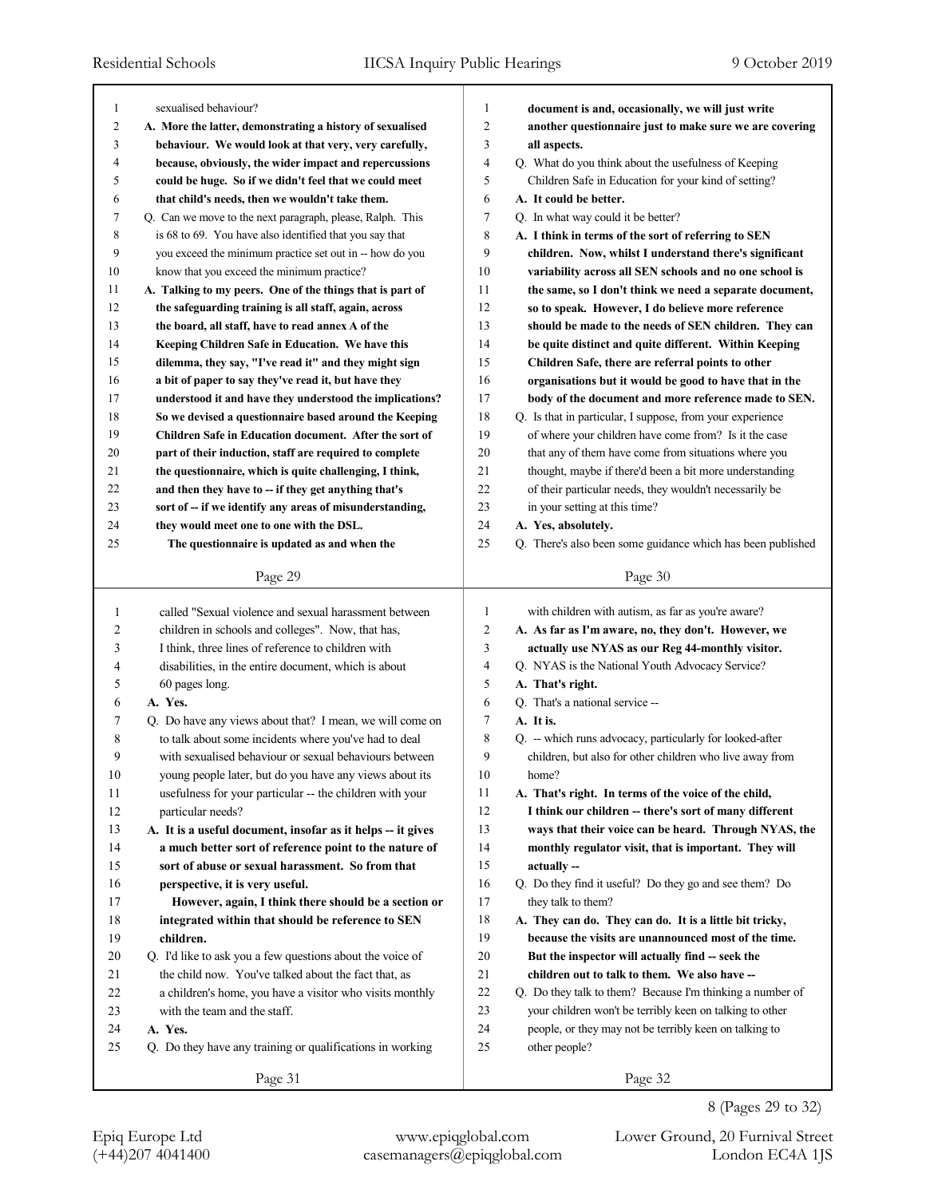٦

| 1              |                                                                                                                 |                |                                                             |
|----------------|-----------------------------------------------------------------------------------------------------------------|----------------|-------------------------------------------------------------|
|                | sexualised behaviour?                                                                                           | 1              | document is and, occasionally, we will just write           |
| $\overline{c}$ | A. More the latter, demonstrating a history of sexualised                                                       | 2              | another questionnaire just to make sure we are covering     |
| 3              | behaviour. We would look at that very, very carefully,                                                          | 3              | all aspects.                                                |
| 4              | because, obviously, the wider impact and repercussions                                                          | 4              | Q. What do you think about the usefulness of Keeping        |
| 5              | could be huge. So if we didn't feel that we could meet                                                          | 5              | Children Safe in Education for your kind of setting?        |
| 6              | that child's needs, then we wouldn't take them.                                                                 | 6              | A. It could be better.                                      |
| 7              | Q. Can we move to the next paragraph, please, Ralph. This                                                       | 7              | Q. In what way could it be better?                          |
| 8              | is 68 to 69. You have also identified that you say that                                                         | 8              | A. I think in terms of the sort of referring to SEN         |
| 9              | you exceed the minimum practice set out in -- how do you                                                        | 9              | children. Now, whilst I understand there's significant      |
| 10             | know that you exceed the minimum practice?                                                                      | 10             | variability across all SEN schools and no one school is     |
| 11             | A. Talking to my peers. One of the things that is part of                                                       | 11             | the same, so I don't think we need a separate document,     |
| 12             | the safeguarding training is all staff, again, across                                                           | 12             | so to speak. However, I do believe more reference           |
| 13             | the board, all staff, have to read annex A of the                                                               | 13             | should be made to the needs of SEN children. They can       |
| 14             | Keeping Children Safe in Education. We have this                                                                | 14             | be quite distinct and quite different. Within Keeping       |
| 15             | dilemma, they say, "I've read it" and they might sign                                                           | 15             | Children Safe, there are referral points to other           |
| 16             | a bit of paper to say they've read it, but have they                                                            | 16             | organisations but it would be good to have that in the      |
| 17             | understood it and have they understood the implications?                                                        | 17             | body of the document and more reference made to SEN.        |
| 18             | So we devised a questionnaire based around the Keeping                                                          | 18             | Q. Is that in particular, I suppose, from your experience   |
| 19             | Children Safe in Education document. After the sort of                                                          | 19             | of where your children have come from? Is it the case       |
| 20             | part of their induction, staff are required to complete                                                         | 20             | that any of them have come from situations where you        |
| 21             | the questionnaire, which is quite challenging, I think,                                                         | 21             | thought, maybe if there'd been a bit more understanding     |
| 22             | and then they have to -- if they get anything that's                                                            | 22             | of their particular needs, they wouldn't necessarily be     |
|                |                                                                                                                 | 23             |                                                             |
| 23             | sort of -- if we identify any areas of misunderstanding,                                                        |                | in your setting at this time?                               |
| 24             | they would meet one to one with the DSL.                                                                        | 24             | A. Yes, absolutely.                                         |
| 25             | The questionnaire is updated as and when the                                                                    | 25             | Q. There's also been some guidance which has been published |
|                | Page 29                                                                                                         |                | Page 30                                                     |
|                |                                                                                                                 |                |                                                             |
| 1              | called "Sexual violence and sexual harassment between                                                           | 1              | with children with autism, as far as you're aware?          |
| 2              | children in schools and colleges". Now, that has,                                                               | $\overline{c}$ | A. As far as I'm aware, no, they don't. However, we         |
|                |                                                                                                                 |                |                                                             |
| 3              | I think, three lines of reference to children with                                                              | 3              | actually use NYAS as our Reg 44-monthly visitor.            |
| 4              | disabilities, in the entire document, which is about                                                            | 4              | Q. NYAS is the National Youth Advocacy Service?             |
| 5              |                                                                                                                 | 5              | A. That's right.                                            |
| 6              | 60 pages long.<br>A. Yes.                                                                                       | 6              | Q. That's a national service --                             |
| 7              |                                                                                                                 | 7              | A. It is.                                                   |
| 8              | Q. Do have any views about that? I mean, we will come on                                                        | 8              |                                                             |
| 9              | to talk about some incidents where you've had to deal<br>with sexualised behaviour or sexual behaviours between | 9              | Q. -- which runs advocacy, particularly for looked-after    |
|                |                                                                                                                 |                | children, but also for other children who live away from    |
| 10             | young people later, but do you have any views about its                                                         | 10             | home?                                                       |
| 11             | usefulness for your particular -- the children with your                                                        | 11             | A. That's right. In terms of the voice of the child,        |
| 12             | particular needs?                                                                                               | 12             | I think our children -- there's sort of many different      |
| 13             | A. It is a useful document, insofar as it helps -- it gives                                                     | 13             | ways that their voice can be heard. Through NYAS, the       |
| 14             | a much better sort of reference point to the nature of                                                          | 14             | monthly regulator visit, that is important. They will       |
| 15             | sort of abuse or sexual harassment. So from that                                                                | 15             | actually --                                                 |
| 16             | perspective, it is very useful.                                                                                 | 16             | Q. Do they find it useful? Do they go and see them? Do      |
| 17             | However, again, I think there should be a section or                                                            | 17             | they talk to them?                                          |
| 18             | integrated within that should be reference to SEN                                                               | 18             | A. They can do. They can do. It is a little bit tricky,     |
| 19             | children.                                                                                                       | 19             | because the visits are unannounced most of the time.        |
| 20             | Q. I'd like to ask you a few questions about the voice of                                                       | 20             | But the inspector will actually find -- seek the            |
| 21             | the child now. You've talked about the fact that, as                                                            | 21             | children out to talk to them. We also have --               |
| 22             | a children's home, you have a visitor who visits monthly                                                        | 22             | Q. Do they talk to them? Because I'm thinking a number of   |
| 23             | with the team and the staff.                                                                                    | 23             | your children won't be terribly keen on talking to other    |
| 24             | A. Yes.                                                                                                         | 24             | people, or they may not be terribly keen on talking to      |
| 25             | Q. Do they have any training or qualifications in working                                                       | 25             | other people?                                               |

8 (Pages 29 to 32)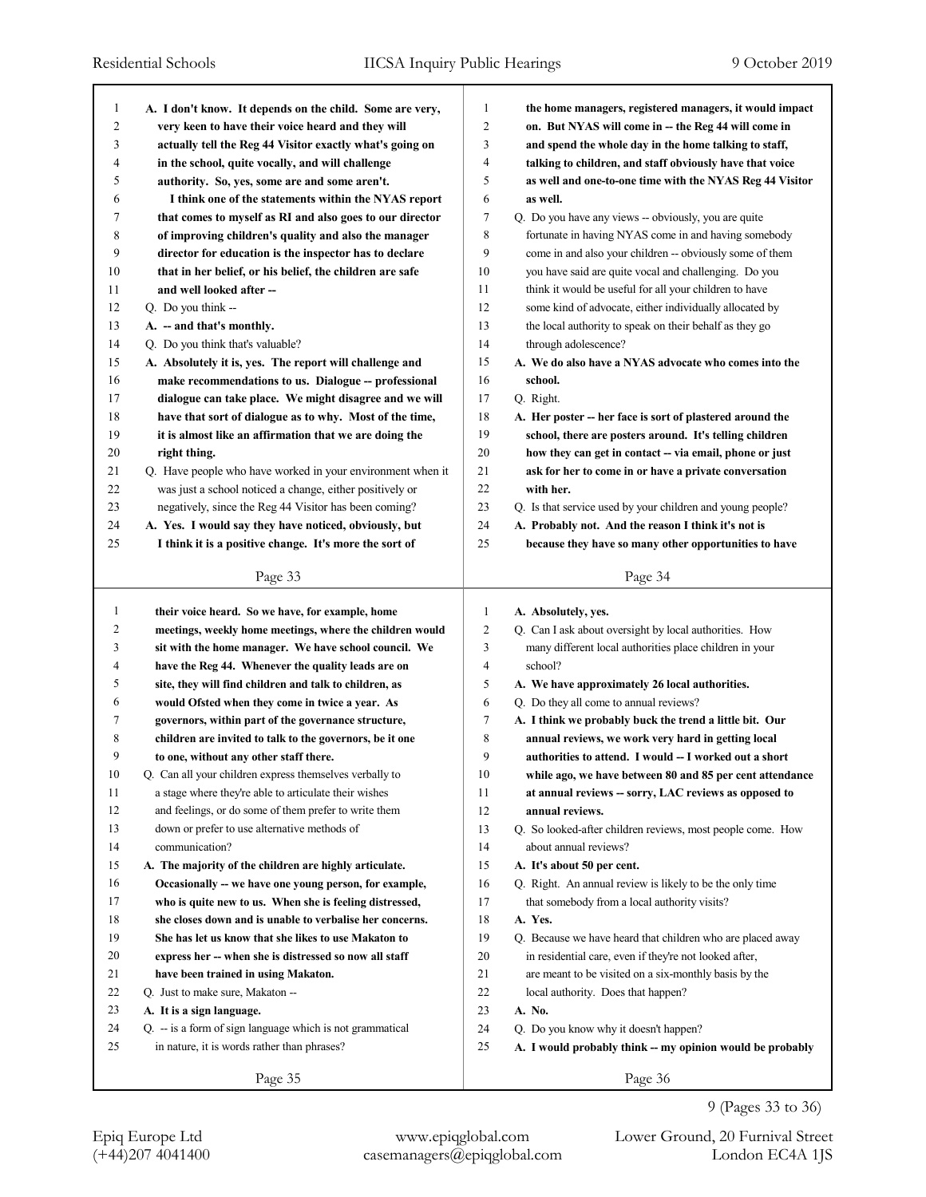| 1            | A. I don't know. It depends on the child. Some are very,             | 1              | the home managers, registered managers, it would impact                                            |
|--------------|----------------------------------------------------------------------|----------------|----------------------------------------------------------------------------------------------------|
| 2            | very keen to have their voice heard and they will                    | $\overline{c}$ | on. But NYAS will come in - the Reg 44 will come in                                                |
| 3            | actually tell the Reg 44 Visitor exactly what's going on             | 3              | and spend the whole day in the home talking to staff,                                              |
| 4            | in the school, quite vocally, and will challenge                     | 4              | talking to children, and staff obviously have that voice                                           |
| 5            | authority. So, yes, some are and some aren't.                        | 5              | as well and one-to-one time with the NYAS Reg 44 Visitor                                           |
| 6            | I think one of the statements within the NYAS report                 | 6              | as well.                                                                                           |
| 7            | that comes to myself as RI and also goes to our director             | 7              | Q. Do you have any views -- obviously, you are quite                                               |
| 8            | of improving children's quality and also the manager                 | 8              | fortunate in having NYAS come in and having somebody                                               |
| 9            | director for education is the inspector has to declare               | 9              | come in and also your children -- obviously some of them                                           |
| 10           | that in her belief, or his belief, the children are safe             | 10             | you have said are quite vocal and challenging. Do you                                              |
| 11           | and well looked after --                                             | 11             | think it would be useful for all your children to have                                             |
| 12           | Q. Do you think --                                                   | 12             | some kind of advocate, either individually allocated by                                            |
| 13           | A. -- and that's monthly.                                            | 13             | the local authority to speak on their behalf as they go                                            |
| 14           | Q. Do you think that's valuable?                                     | 14             | through adolescence?                                                                               |
| 15           | A. Absolutely it is, yes. The report will challenge and              | 15             | A. We do also have a NYAS advocate who comes into the                                              |
| 16           | make recommendations to us. Dialogue -- professional                 | 16             | school.                                                                                            |
| 17           | dialogue can take place. We might disagree and we will               | 17             | Q. Right.                                                                                          |
| 18           | have that sort of dialogue as to why. Most of the time,              | 18             | A. Her poster -- her face is sort of plastered around the                                          |
| 19           | it is almost like an affirmation that we are doing the               | 19             | school, there are posters around. It's telling children                                            |
| 20           | right thing.                                                         | 20             | how they can get in contact -- via email, phone or just                                            |
| 21           | Q. Have people who have worked in your environment when it           | 21             | ask for her to come in or have a private conversation                                              |
| 22           | was just a school noticed a change, either positively or             | 22             | with her.                                                                                          |
| 23           | negatively, since the Reg 44 Visitor has been coming?                | 23             | Q. Is that service used by your children and young people?                                         |
| 24           | A. Yes. I would say they have noticed, obviously, but                | 24             | A. Probably not. And the reason I think it's not is                                                |
| 25           | I think it is a positive change. It's more the sort of               | 25             | because they have so many other opportunities to have                                              |
|              | Page 33                                                              |                | Page 34                                                                                            |
|              |                                                                      |                |                                                                                                    |
|              |                                                                      |                |                                                                                                    |
| $\mathbf{1}$ | their voice heard. So we have, for example, home                     | 1              | A. Absolutely, yes.                                                                                |
| 2            | meetings, weekly home meetings, where the children would             | $\overline{c}$ | Q. Can I ask about oversight by local authorities. How                                             |
| 3            | sit with the home manager. We have school council. We                | 3              | many different local authorities place children in your                                            |
| 4            | have the Reg 44. Whenever the quality leads are on                   | $\overline{4}$ | school?                                                                                            |
| 5            | site, they will find children and talk to children, as               | 5              | A. We have approximately 26 local authorities.                                                     |
| 6            | would Ofsted when they come in twice a year. As                      | 6              | Q. Do they all come to annual reviews?                                                             |
| 7            | governors, within part of the governance structure,                  | 7              | A. I think we probably buck the trend a little bit. Our                                            |
| 8            | children are invited to talk to the governors, be it one             | 8              | annual reviews, we work very hard in getting local                                                 |
| 9            | to one, without any other staff there.                               | 9              | authorities to attend. I would -- I worked out a short                                             |
| 10           | Q. Can all your children express themselves verbally to              | 10             | while ago, we have between 80 and 85 per cent attendance                                           |
| 11           | a stage where they're able to articulate their wishes                | 11             | at annual reviews - sorry, LAC reviews as opposed to                                               |
| 12           | and feelings, or do some of them prefer to write them                | 12             | annual reviews.                                                                                    |
| 13           | down or prefer to use alternative methods of                         | 13             | Q. So looked-after children reviews, most people come. How                                         |
| 14           | communication?                                                       | 14             | about annual reviews?                                                                              |
| 15           | A. The majority of the children are highly articulate.               | 15             | A. It's about 50 per cent.                                                                         |
| 16           | Occasionally -- we have one young person, for example,               | 16             | Q. Right. An annual review is likely to be the only time                                           |
| 17           | who is quite new to us. When she is feeling distressed,              | 17             | that somebody from a local authority visits?                                                       |
| $18\,$       | she closes down and is unable to verbalise her concerns.             | 18             | A. Yes.                                                                                            |
| 19           | She has let us know that she likes to use Makaton to                 | 19             | Q. Because we have heard that children who are placed away                                         |
| 20           | express her -- when she is distressed so now all staff               | 20             | in residential care, even if they're not looked after,                                             |
| 21           | have been trained in using Makaton.                                  | 21             | are meant to be visited on a six-monthly basis by the                                              |
| 22           | Q. Just to make sure, Makaton --                                     | 22             | local authority. Does that happen?                                                                 |
| 23           | A. It is a sign language.                                            |                | A. No.                                                                                             |
| 24           | $Q_{\text{r}}$ - is a form of sign language which is not grammatical | 23<br>24       |                                                                                                    |
| 25           | in nature, it is words rather than phrases?                          |                | Q. Do you know why it doesn't happen?<br>A. I would probably think -- my opinion would be probably |
|              | Page 35                                                              | 25             | Page 36                                                                                            |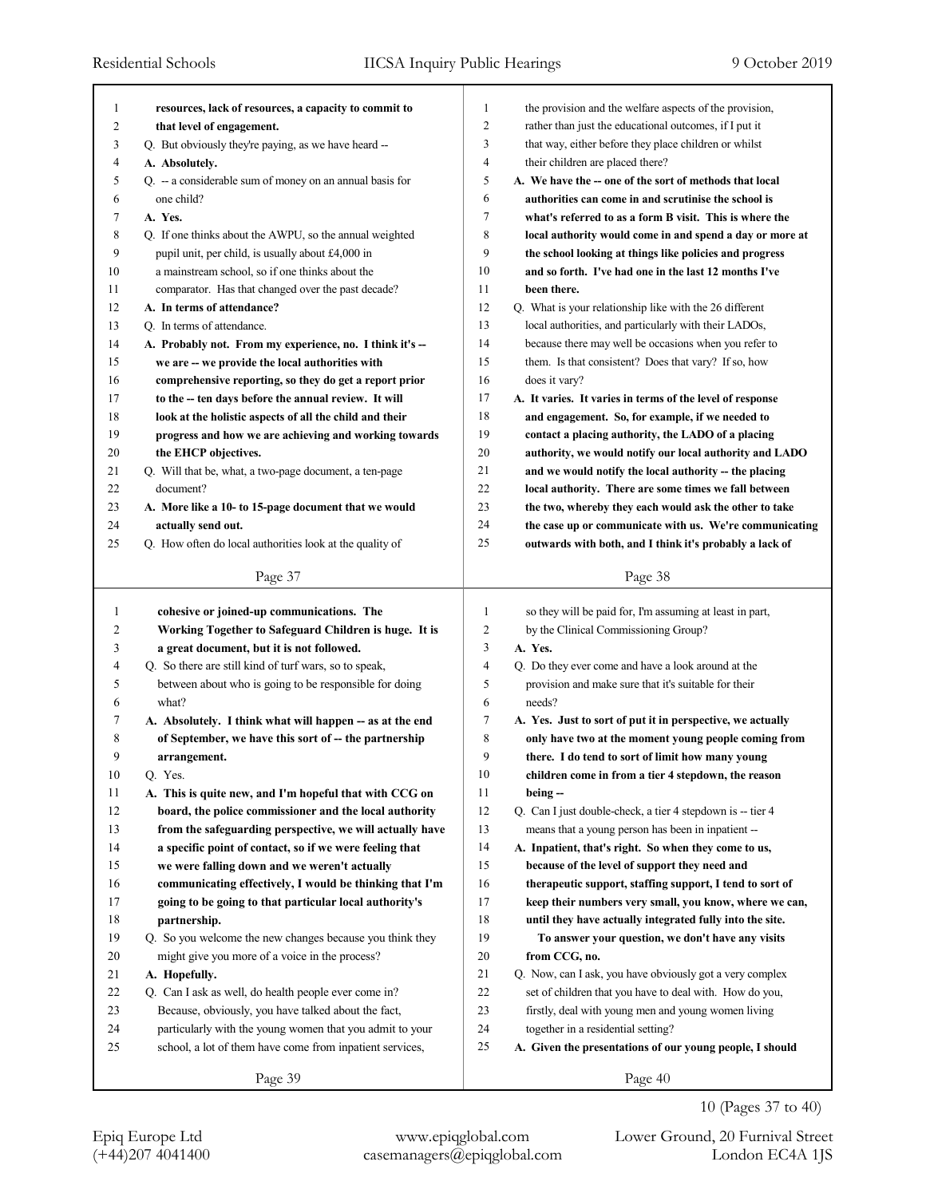| 1            | resources, lack of resources, a capacity to commit to    | 1              | the provision and the welfare aspects of the provision,    |
|--------------|----------------------------------------------------------|----------------|------------------------------------------------------------|
| 2            | that level of engagement.                                | 2              | rather than just the educational outcomes, if I put it     |
| 3            | Q. But obviously they're paying, as we have heard --     | 3              | that way, either before they place children or whilst      |
| 4            | A. Absolutely.                                           | $\overline{4}$ | their children are placed there?                           |
| 5            | Q. -- a considerable sum of money on an annual basis for | 5              | A. We have the -- one of the sort of methods that local    |
| 6            | one child?                                               | 6              | authorities can come in and scrutinise the school is       |
| 7            | A. Yes.                                                  | 7              | what's referred to as a form B visit. This is where the    |
| 8            | Q. If one thinks about the AWPU, so the annual weighted  | 8              | local authority would come in and spend a day or more at   |
| 9            | pupil unit, per child, is usually about £4,000 in        | 9              | the school looking at things like policies and progress    |
| 10           | a mainstream school, so if one thinks about the          | 10             | and so forth. I've had one in the last 12 months I've      |
| 11           | comparator. Has that changed over the past decade?       | 11             | been there.                                                |
| 12           | A. In terms of attendance?                               | 12             | Q. What is your relationship like with the 26 different    |
| 13           | Q. In terms of attendance.                               | 13             | local authorities, and particularly with their LADOs,      |
| 14           | A. Probably not. From my experience, no. I think it's -- | 14             | because there may well be occasions when you refer to      |
| 15           | we are -- we provide the local authorities with          | 15             | them. Is that consistent? Does that vary? If so, how       |
| 16           | comprehensive reporting, so they do get a report prior   | 16             | does it vary?                                              |
| 17           | to the -- ten days before the annual review. It will     | 17             | A. It varies. It varies in terms of the level of response  |
| 18           | look at the holistic aspects of all the child and their  | 18             | and engagement. So, for example, if we needed to           |
| 19           | progress and how we are achieving and working towards    | 19             | contact a placing authority, the LADO of a placing         |
| 20           | the EHCP objectives.                                     | 20             | authority, we would notify our local authority and LADO    |
| 21           | Q. Will that be, what, a two-page document, a ten-page   | 21             | and we would notify the local authority -- the placing     |
| 22           | document?                                                | 22             | local authority. There are some times we fall between      |
| 23           | A. More like a 10- to 15-page document that we would     | 23             | the two, whereby they each would ask the other to take     |
| 24           | actually send out.                                       | 24             | the case up or communicate with us. We're communicating    |
| 25           | Q. How often do local authorities look at the quality of | 25             | outwards with both, and I think it's probably a lack of    |
|              |                                                          |                |                                                            |
|              | Page 37                                                  |                | Page 38                                                    |
|              |                                                          |                |                                                            |
|              |                                                          |                |                                                            |
| $\mathbf{1}$ | cohesive or joined-up communications. The                | 1              | so they will be paid for, I'm assuming at least in part,   |
| 2            | Working Together to Safeguard Children is huge. It is    | $\overline{c}$ | by the Clinical Commissioning Group?                       |
| 3            | a great document, but it is not followed.                | 3              | A. Yes.                                                    |
| 4            | Q. So there are still kind of turf wars, so to speak,    | $\overline{4}$ | Q. Do they ever come and have a look around at the         |
| 5            | between about who is going to be responsible for doing   | 5              | provision and make sure that it's suitable for their       |
| 6            | what?                                                    | 6              | needs?                                                     |
| 7            | A. Absolutely. I think what will happen -- as at the end | 7              | A. Yes. Just to sort of put it in perspective, we actually |
| 8            | of September, we have this sort of -- the partnership    | 8              | only have two at the moment young people coming from       |
| 9            | arrangement.                                             | 9              | there. I do tend to sort of limit how many young           |
| 10           | Q. Yes.                                                  | $10\,$         | children come in from a tier 4 stepdown, the reason        |
| 11           | A. This is quite new, and I'm hopeful that with CCG on   | 11             | being --                                                   |
| 12           | board, the police commissioner and the local authority   | 12             | Q. Can I just double-check, a tier 4 stepdown is -- tier 4 |
| 13           | from the safeguarding perspective, we will actually have | 13             | means that a young person has been in inpatient --         |
| 14           | a specific point of contact, so if we were feeling that  | 14             | A. Inpatient, that's right. So when they come to us,       |
| 15           | we were falling down and we weren't actually             | 15             | because of the level of support they need and              |
| $16$         | communicating effectively, I would be thinking that I'm  | 16             | therapeutic support, staffing support, I tend to sort of   |
| $17\,$       | going to be going to that particular local authority's   | 17             | keep their numbers very small, you know, where we can,     |
| $18\,$       | partnership.                                             | 18             | until they have actually integrated fully into the site.   |
| 19           | Q. So you welcome the new changes because you think they | 19             | To answer your question, we don't have any visits          |
| 20           | might give you more of a voice in the process?           | 20             | from CCG, no.                                              |
| 21           | A. Hopefully.                                            | 21             | Q. Now, can I ask, you have obviously got a very complex   |
| 22           | Q. Can I ask as well, do health people ever come in?     | 22             | set of children that you have to deal with. How do you,    |
| 23           | Because, obviously, you have talked about the fact,      | 23             | firstly, deal with young men and young women living        |
| 24           | particularly with the young women that you admit to your | 24             | together in a residential setting?                         |
| 25           | school, a lot of them have come from inpatient services, | 25             | A. Given the presentations of our young people, I should   |
|              | Page 39                                                  |                | Page 40                                                    |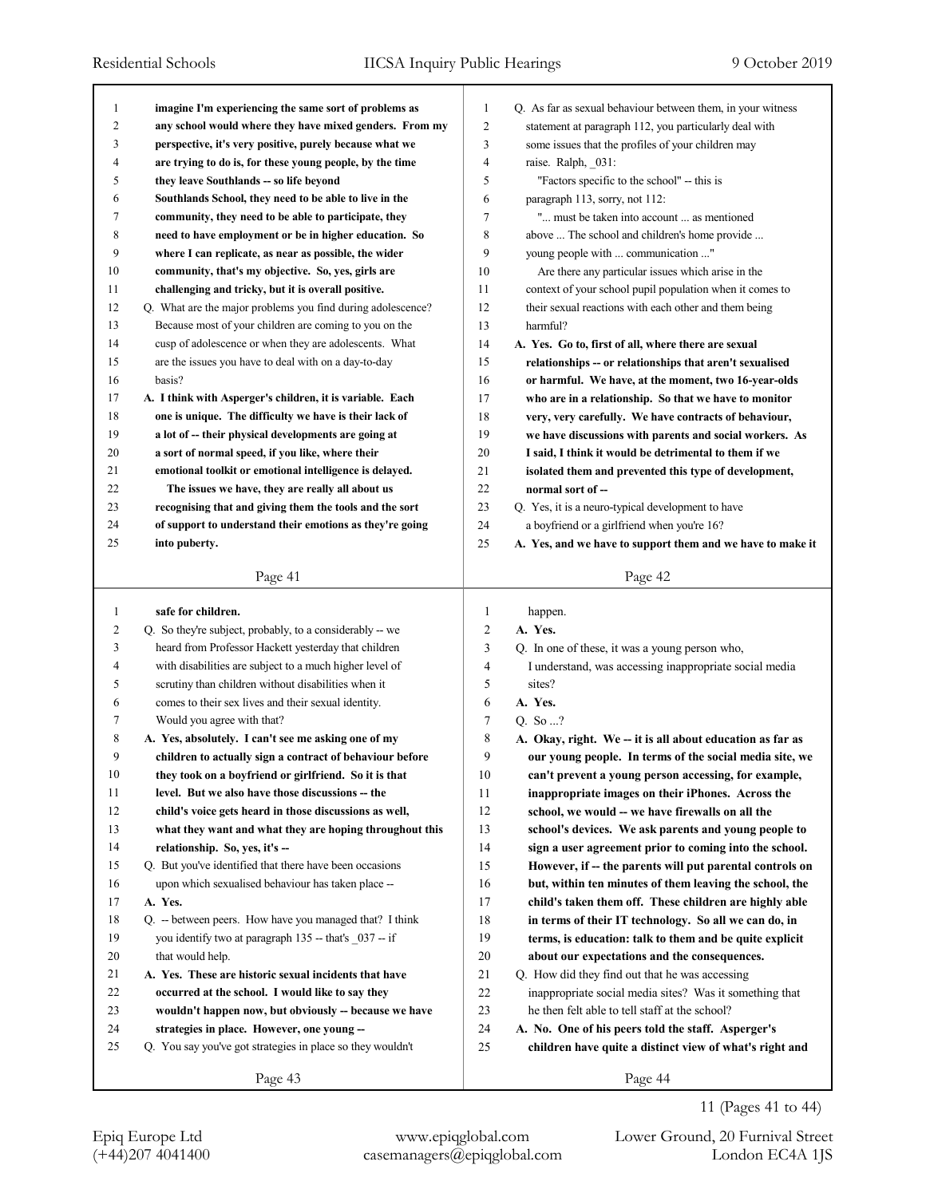| $\mathbf{1}$   | imagine I'm experiencing the same sort of problems as       | 1              | Q. As far as sexual behaviour between them, in your witness |
|----------------|-------------------------------------------------------------|----------------|-------------------------------------------------------------|
| $\overline{c}$ | any school would where they have mixed genders. From my     | $\overline{2}$ | statement at paragraph 112, you particularly deal with      |
| 3              | perspective, it's very positive, purely because what we     | 3              | some issues that the profiles of your children may          |
| 4              | are trying to do is, for these young people, by the time    | 4              | raise. Ralph, 031:                                          |
| 5              | they leave Southlands -- so life beyond                     | 5              | "Factors specific to the school" -- this is                 |
| 6              | Southlands School, they need to be able to live in the      | 6              | paragraph 113, sorry, not 112:                              |
| 7              | community, they need to be able to participate, they        | 7              | " must be taken into account  as mentioned                  |
| 8              | need to have employment or be in higher education. So       | 8              | above  The school and children's home provide               |
| 9              | where I can replicate, as near as possible, the wider       | 9              | young people with  communication "                          |
| 10             | community, that's my objective. So, yes, girls are          | 10             | Are there any particular issues which arise in the          |
| 11             | challenging and tricky, but it is overall positive.         | 11             | context of your school pupil population when it comes to    |
| 12             | Q. What are the major problems you find during adolescence? | 12             | their sexual reactions with each other and them being       |
| 13             | Because most of your children are coming to you on the      | 13             | harmful?                                                    |
| 14             | cusp of adolescence or when they are adolescents. What      | 14             | A. Yes. Go to, first of all, where there are sexual         |
| 15             | are the issues you have to deal with on a day-to-day        | 15             | relationships -- or relationships that aren't sexualised    |
| 16             | basis?                                                      | 16             | or harmful. We have, at the moment, two 16-year-olds        |
| 17             | A. I think with Asperger's children, it is variable. Each   | 17             | who are in a relationship. So that we have to monitor       |
| 18             | one is unique. The difficulty we have is their lack of      | 18             | very, very carefully. We have contracts of behaviour,       |
| 19             | a lot of -- their physical developments are going at        | 19             | we have discussions with parents and social workers. As     |
| 20             | a sort of normal speed, if you like, where their            | 20             | I said, I think it would be detrimental to them if we       |
| 21             | emotional toolkit or emotional intelligence is delayed.     | 21             | isolated them and prevented this type of development,       |
| 22             | The issues we have, they are really all about us            | 22             | normal sort of --                                           |
| 23             | recognising that and giving them the tools and the sort     | 23             | Q. Yes, it is a neuro-typical development to have           |
| 24             | of support to understand their emotions as they're going    | 24             | a boyfriend or a girlfriend when you're 16?                 |
| 25             | into puberty.                                               | 25             | A. Yes, and we have to support them and we have to make it  |
|                |                                                             |                |                                                             |
|                | Page 41                                                     |                | Page 42                                                     |
|                |                                                             |                |                                                             |
|                |                                                             |                |                                                             |
| 1              | safe for children.                                          | 1              | happen.                                                     |
| $\overline{2}$ | Q. So they're subject, probably, to a considerably -- we    | 2              | A. Yes.                                                     |
| 3              | heard from Professor Hackett yesterday that children        | 3              | Q. In one of these, it was a young person who,              |
| 4              | with disabilities are subject to a much higher level of     | 4              | I understand, was accessing inappropriate social media      |
| 5              | scrutiny than children without disabilities when it         | 5              | sites?                                                      |
| 6              | comes to their sex lives and their sexual identity.         | 6              | A. Yes.                                                     |
| 7              | Would you agree with that?                                  | 7              | Q. So ?                                                     |
| 8              | A. Yes, absolutely. I can't see me asking one of my         | 8              | A. Okay, right. We -- it is all about education as far as   |
| 9              | children to actually sign a contract of behaviour before    | 9              | our young people. In terms of the social media site, we     |
| 10             | they took on a boyfriend or girlfriend. So it is that       | 10             | can't prevent a young person accessing, for example,        |
| 11             | level. But we also have those discussions -- the            | 11             | inappropriate images on their iPhones. Across the           |
| 12             | child's voice gets heard in those discussions as well,      | 12             | school, we would -- we have firewalls on all the            |
| 13             | what they want and what they are hoping throughout this     | 13             | school's devices. We ask parents and young people to        |
| 14             | relationship. So, yes, it's --                              | 14             | sign a user agreement prior to coming into the school.      |
| 15             | Q. But you've identified that there have been occasions     | 15             | However, if -- the parents will put parental controls on    |
| 16             | upon which sexualised behaviour has taken place --          | 16             | but, within ten minutes of them leaving the school, the     |
| 17             | A. Yes.                                                     | 17             | child's taken them off. These children are highly able      |
| 18             | Q. -- between peers. How have you managed that? I think     | 18             | in terms of their IT technology. So all we can do, in       |
| 19             | you identify two at paragraph 135 -- that's 037 -- if       | 19             | terms, is education: talk to them and be quite explicit     |
| 20             | that would help.                                            | 20             | about our expectations and the consequences.                |
| 21             | A. Yes. These are historic sexual incidents that have       | 21             | Q. How did they find out that he was accessing              |
| 22             | occurred at the school. I would like to say they            | 22             | inappropriate social media sites? Was it something that     |
| 23             | wouldn't happen now, but obviously -- because we have       | 23             | he then felt able to tell staff at the school?              |
| 24             | strategies in place. However, one young --                  | 24             | A. No. One of his peers told the staff. Asperger's          |
| 25             | Q. You say you've got strategies in place so they wouldn't  | 25             | children have quite a distinct view of what's right and     |
|                | Page 43                                                     |                | Page 44                                                     |

## 11 (Pages 41 to 44)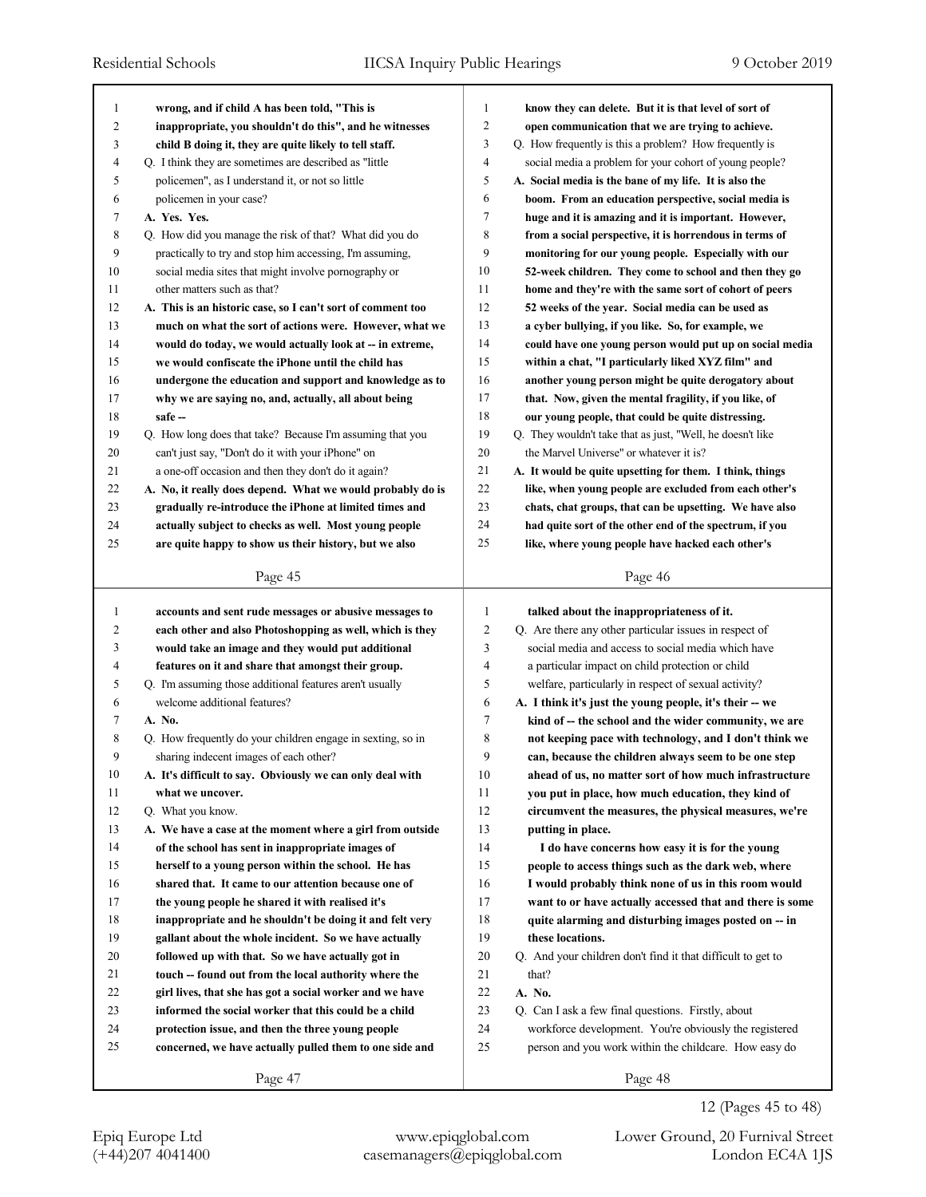|                |                                                                                                                   | 1              |                                                                                                              |
|----------------|-------------------------------------------------------------------------------------------------------------------|----------------|--------------------------------------------------------------------------------------------------------------|
| 1<br>2         | wrong, and if child A has been told, "This is                                                                     | 2              | know they can delete. But it is that level of sort of                                                        |
| 3              | inappropriate, you shouldn't do this", and he witnesses                                                           | 3              | open communication that we are trying to achieve.<br>Q. How frequently is this a problem? How frequently is  |
| $\overline{4}$ | child B doing it, they are quite likely to tell staff.<br>Q. I think they are sometimes are described as "little" | 4              | social media a problem for your cohort of young people?                                                      |
| 5              | policemen", as I understand it, or not so little                                                                  | 5              | A. Social media is the bane of my life. It is also the                                                       |
| 6              | policemen in your case?                                                                                           | 6              | boom. From an education perspective, social media is                                                         |
| 7              | A. Yes. Yes.                                                                                                      | 7              | huge and it is amazing and it is important. However,                                                         |
| $\,$ 8 $\,$    | Q. How did you manage the risk of that? What did you do                                                           | 8              | from a social perspective, it is horrendous in terms of                                                      |
| 9              | practically to try and stop him accessing, I'm assuming,                                                          | 9              | monitoring for our young people. Especially with our                                                         |
| 10             | social media sites that might involve pornography or                                                              | 10             | 52-week children. They come to school and then they go                                                       |
| 11             | other matters such as that?                                                                                       | 11             | home and they're with the same sort of cohort of peers                                                       |
| 12             | A. This is an historic case, so I can't sort of comment too                                                       | 12             | 52 weeks of the year. Social media can be used as                                                            |
| 13             | much on what the sort of actions were. However, what we                                                           | 13             | a cyber bullying, if you like. So, for example, we                                                           |
| 14             | would do today, we would actually look at -- in extreme,                                                          | 14             | could have one young person would put up on social media                                                     |
| 15             | we would confiscate the iPhone until the child has                                                                | 15             | within a chat, "I particularly liked XYZ film" and                                                           |
| 16             | undergone the education and support and knowledge as to                                                           | 16             | another young person might be quite derogatory about                                                         |
| 17             | why we are saying no, and, actually, all about being                                                              | 17             | that. Now, given the mental fragility, if you like, of                                                       |
| 18             | safe -                                                                                                            | 18             | our young people, that could be quite distressing.                                                           |
| 19             | Q. How long does that take? Because I'm assuming that you                                                         | 19             | Q. They wouldn't take that as just, "Well, he doesn't like                                                   |
| 20             | can't just say, "Don't do it with your iPhone" on                                                                 | 20             | the Marvel Universe" or whatever it is?                                                                      |
| 21             | a one-off occasion and then they don't do it again?                                                               | 21             | A. It would be quite upsetting for them. I think, things                                                     |
| 22             | A. No, it really does depend. What we would probably do is                                                        | 22             | like, when young people are excluded from each other's                                                       |
| 23             | gradually re-introduce the iPhone at limited times and                                                            | 23             | chats, chat groups, that can be upsetting. We have also                                                      |
| 24             | actually subject to checks as well. Most young people                                                             | 24             | had quite sort of the other end of the spectrum, if you                                                      |
| 25             | are quite happy to show us their history, but we also                                                             | 25             | like, where young people have hacked each other's                                                            |
|                |                                                                                                                   |                |                                                                                                              |
|                | Page 45                                                                                                           |                | Page 46                                                                                                      |
|                |                                                                                                                   |                |                                                                                                              |
| 1              |                                                                                                                   | 1              |                                                                                                              |
| 2              | accounts and sent rude messages or abusive messages to                                                            | $\overline{2}$ | talked about the inappropriateness of it.                                                                    |
| 3              | each other and also Photoshopping as well, which is they<br>would take an image and they would put additional     | 3              | Q. Are there any other particular issues in respect of<br>social media and access to social media which have |
| 4              | features on it and share that amongst their group.                                                                | 4              |                                                                                                              |
| 5              | Q. I'm assuming those additional features aren't usually                                                          | 5              | a particular impact on child protection or child<br>welfare, particularly in respect of sexual activity?     |
| 6              | welcome additional features?                                                                                      | 6              | A. I think it's just the young people, it's their - we                                                       |
| 7              | A. No.                                                                                                            | 7              | kind of -- the school and the wider community, we are                                                        |
| 8              | Q. How frequently do your children engage in sexting, so in                                                       | 8              | not keeping pace with technology, and I don't think we                                                       |
| 9              | sharing indecent images of each other?                                                                            | 9              | can, because the children always seem to be one step                                                         |
| 10             | A. It's difficult to say. Obviously we can only deal with                                                         | 10             | ahead of us, no matter sort of how much infrastructure                                                       |
| 11             | what we uncover.                                                                                                  | 11             | you put in place, how much education, they kind of                                                           |
| 12             | Q. What you know.                                                                                                 | 12             | circumvent the measures, the physical measures, we're                                                        |
| 13             | A. We have a case at the moment where a girl from outside                                                         | 13             | putting in place.                                                                                            |
| 14             | of the school has sent in inappropriate images of                                                                 | 14             | I do have concerns how easy it is for the young                                                              |
| 15             | herself to a young person within the school. He has                                                               | 15             | people to access things such as the dark web, where                                                          |
| 16             | shared that. It came to our attention because one of                                                              | 16             | I would probably think none of us in this room would                                                         |
| 17             | the young people he shared it with realised it's                                                                  | 17             | want to or have actually accessed that and there is some                                                     |
| 18             | inappropriate and he shouldn't be doing it and felt very                                                          | 18             | quite alarming and disturbing images posted on -- in                                                         |
| 19             | gallant about the whole incident. So we have actually                                                             | 19             | these locations.                                                                                             |
| 20             | followed up with that. So we have actually got in                                                                 | 20             | Q. And your children don't find it that difficult to get to                                                  |
| 21             | touch -- found out from the local authority where the                                                             | 21             | that?                                                                                                        |
| 22             | girl lives, that she has got a social worker and we have                                                          | 22             | A. No.                                                                                                       |
| 23             | informed the social worker that this could be a child                                                             | 23             | Q. Can I ask a few final questions. Firstly, about                                                           |
| 24             | protection issue, and then the three young people                                                                 | 24             | workforce development. You're obviously the registered                                                       |
| 25             | concerned, we have actually pulled them to one side and                                                           | 25             | person and you work within the childcare. How easy do                                                        |

(+44)207 4041400 casemanagers@epiqglobal.com London EC4A 1JS Epiq Europe Ltd www.epiqglobal.com Lower Ground, 20 Furnival Street

12 (Pages 45 to 48)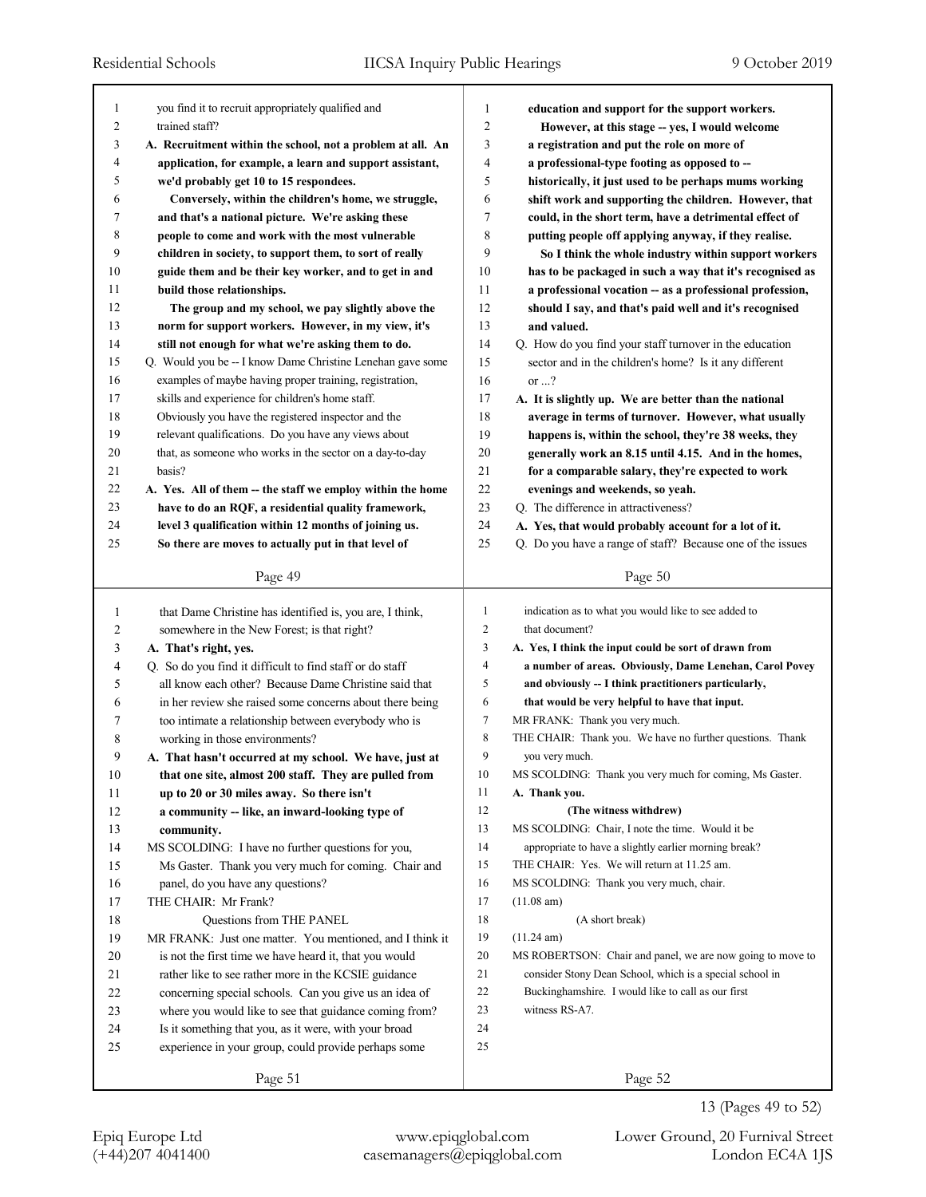| you find it to recruit appropriately qualified and<br>1<br>1<br>education and support for the support workers.<br>2<br>$\overline{c}$<br>trained staff?<br>However, at this stage -- yes, I would welcome<br>3<br>3<br>A. Recruitment within the school, not a problem at all. An<br>a registration and put the role on more of<br>4<br>application, for example, a learn and support assistant,<br>4<br>a professional-type footing as opposed to --<br>5<br>5<br>we'd probably get 10 to 15 respondees.<br>historically, it just used to be perhaps mums working<br>6<br>6<br>shift work and supporting the children. However, that<br>Conversely, within the children's home, we struggle,<br>7<br>7<br>and that's a national picture. We're asking these<br>could, in the short term, have a detrimental effect of<br>8<br>8<br>putting people off applying anyway, if they realise.<br>people to come and work with the most vulnerable<br>9<br>9<br>children in society, to support them, to sort of really<br>So I think the whole industry within support workers<br>10<br>guide them and be their key worker, and to get in and<br>10<br>has to be packaged in such a way that it's recognised as<br>11<br>build those relationships.<br>11<br>a professional vocation -- as a professional profession,<br>12<br>12<br>The group and my school, we pay slightly above the<br>should I say, and that's paid well and it's recognised<br>13<br>13<br>norm for support workers. However, in my view, it's<br>and valued.<br>14<br>14<br>still not enough for what we're asking them to do.<br>Q. How do you find your staff turnover in the education<br>15<br>Q. Would you be -- I know Dame Christine Lenehan gave some<br>15<br>sector and in the children's home? Is it any different<br>16<br>16<br>or $\ldots$ ?<br>examples of maybe having proper training, registration,<br>17<br>skills and experience for children's home staff.<br>17<br>A. It is slightly up. We are better than the national<br>18<br>18<br>Obviously you have the registered inspector and the<br>average in terms of turnover. However, what usually<br>19<br>relevant qualifications. Do you have any views about<br>19<br>happens is, within the school, they're 38 weeks, they<br>20<br>that, as someone who works in the sector on a day-to-day<br>20<br>generally work an 8.15 until 4.15. And in the homes,<br>21<br>21<br>basis?<br>for a comparable salary, they're expected to work<br>22<br>22<br>evenings and weekends, so yeah.<br>A. Yes. All of them -- the staff we employ within the home<br>23<br>23<br>have to do an RQF, a residential quality framework,<br>Q. The difference in attractiveness?<br>24<br>24<br>level 3 qualification within 12 months of joining us.<br>A. Yes, that would probably account for a lot of it.<br>25<br>25<br>So there are moves to actually put in that level of<br>Q. Do you have a range of staff? Because one of the issues<br>Page 49<br>Page 50<br>indication as to what you would like to see added to<br>that Dame Christine has identified is, you are, I think,<br>1<br>1<br>2<br>2<br>that document?<br>somewhere in the New Forest; is that right?<br>3<br>3<br>A. Yes, I think the input could be sort of drawn from<br>A. That's right, yes.<br>4<br>a number of areas. Obviously, Dame Lenehan, Carol Povey<br>4<br>Q. So do you find it difficult to find staff or do staff<br>5<br>5<br>and obviously -- I think practitioners particularly,<br>all know each other? Because Dame Christine said that<br>6<br>that would be very helpful to have that input.<br>6<br>in her review she raised some concerns about there being<br>7<br>MR FRANK: Thank you very much.<br>7<br>too intimate a relationship between everybody who is<br>8<br>THE CHAIR: Thank you. We have no further questions. Thank<br>8<br>working in those environments?<br>9<br>9<br>you very much.<br>A. That hasn't occurred at my school. We have, just at<br>10<br>10<br>that one site, almost 200 staff. They are pulled from<br>MS SCOLDING: Thank you very much for coming, Ms Gaster.<br>11<br>11<br>up to 20 or 30 miles away. So there isn't<br>A. Thank you.<br>12<br>12<br>(The witness withdrew)<br>a community -- like, an inward-looking type of<br>13<br>MS SCOLDING: Chair, I note the time. Would it be<br>13<br>community.<br>14<br>appropriate to have a slightly earlier morning break?<br>14<br>MS SCOLDING: I have no further questions for you,<br>15<br>THE CHAIR: Yes. We will return at 11.25 am.<br>15<br>Ms Gaster. Thank you very much for coming. Chair and<br>16<br>MS SCOLDING: Thank you very much, chair.<br>16<br>panel, do you have any questions?<br>17<br>(11.08 am)<br>THE CHAIR: Mr Frank?<br>17<br>18<br>18<br>Questions from THE PANEL<br>(A short break)<br>19<br>(11.24 am)<br>19<br>MR FRANK: Just one matter. You mentioned, and I think it<br>20<br>20<br>is not the first time we have heard it, that you would<br>MS ROBERTSON: Chair and panel, we are now going to move to<br>21<br>consider Stony Dean School, which is a special school in<br>21<br>rather like to see rather more in the KCSIE guidance<br>22<br>Buckinghamshire. I would like to call as our first<br>22<br>concerning special schools. Can you give us an idea of<br>23<br>23<br>witness RS-A7.<br>where you would like to see that guidance coming from?<br>24<br>24<br>Is it something that you, as it were, with your broad<br>25<br>25<br>experience in your group, could provide perhaps some<br>Page 51<br>Page 52 |  |  |
|--------------------------------------------------------------------------------------------------------------------------------------------------------------------------------------------------------------------------------------------------------------------------------------------------------------------------------------------------------------------------------------------------------------------------------------------------------------------------------------------------------------------------------------------------------------------------------------------------------------------------------------------------------------------------------------------------------------------------------------------------------------------------------------------------------------------------------------------------------------------------------------------------------------------------------------------------------------------------------------------------------------------------------------------------------------------------------------------------------------------------------------------------------------------------------------------------------------------------------------------------------------------------------------------------------------------------------------------------------------------------------------------------------------------------------------------------------------------------------------------------------------------------------------------------------------------------------------------------------------------------------------------------------------------------------------------------------------------------------------------------------------------------------------------------------------------------------------------------------------------------------------------------------------------------------------------------------------------------------------------------------------------------------------------------------------------------------------------------------------------------------------------------------------------------------------------------------------------------------------------------------------------------------------------------------------------------------------------------------------------------------------------------------------------------------------------------------------------------------------------------------------------------------------------------------------------------------------------------------------------------------------------------------------------------------------------------------------------------------------------------------------------------------------------------------------------------------------------------------------------------------------------------------------------------------------------------------------------------------------------------------------------------------------------------------------------------------------------------------------------------------------------------------------------------------------------------------------------------------------------------------------------------------------------------------------------------------------------------------------------------------------------------------------------------------------------------------------------------------------------------------------------------------------------------------------------------------------------------------------------------------------------------------------------------------------------------------------------------------------------------------------------------------------------------------------------------------------------------------------------------------------------------------------------------------------------------------------------------------------------------------------------------------------------------------------------------------------------------------------------------------------------------------------------------------------------------------------------------------------------------------------------------------------------------------------------------------------------------------------------------------------------------------------------------------------------------------------------------------------------------------------------------------------------------------------------------------------------------------------------------------------------------------------------------------------------------------------------------------------------------------------------------------------------------------------------------------------------------------------------------------------------------------------------------------------------------------------------------------------------------------------------------------------------------------------------------------------------------------------------------------------------------------------------------------------------------------------------------------------------------------------------------------------------------------------------------------------------------------------------------------------------------------------------------------------------------------------------------------------------------------------------------------------------------------------------------------|--|--|
|                                                                                                                                                                                                                                                                                                                                                                                                                                                                                                                                                                                                                                                                                                                                                                                                                                                                                                                                                                                                                                                                                                                                                                                                                                                                                                                                                                                                                                                                                                                                                                                                                                                                                                                                                                                                                                                                                                                                                                                                                                                                                                                                                                                                                                                                                                                                                                                                                                                                                                                                                                                                                                                                                                                                                                                                                                                                                                                                                                                                                                                                                                                                                                                                                                                                                                                                                                                                                                                                                                                                                                                                                                                                                                                                                                                                                                                                                                                                                                                                                                                                                                                                                                                                                                                                                                                                                                                                                                                                                                                                                                                                                                                                                                                                                                                                                                                                                                                                                                                                                                                                                                                                                                                                                                                                                                                                                                                                                                                                                                                                                                                |  |  |
|                                                                                                                                                                                                                                                                                                                                                                                                                                                                                                                                                                                                                                                                                                                                                                                                                                                                                                                                                                                                                                                                                                                                                                                                                                                                                                                                                                                                                                                                                                                                                                                                                                                                                                                                                                                                                                                                                                                                                                                                                                                                                                                                                                                                                                                                                                                                                                                                                                                                                                                                                                                                                                                                                                                                                                                                                                                                                                                                                                                                                                                                                                                                                                                                                                                                                                                                                                                                                                                                                                                                                                                                                                                                                                                                                                                                                                                                                                                                                                                                                                                                                                                                                                                                                                                                                                                                                                                                                                                                                                                                                                                                                                                                                                                                                                                                                                                                                                                                                                                                                                                                                                                                                                                                                                                                                                                                                                                                                                                                                                                                                                                |  |  |
|                                                                                                                                                                                                                                                                                                                                                                                                                                                                                                                                                                                                                                                                                                                                                                                                                                                                                                                                                                                                                                                                                                                                                                                                                                                                                                                                                                                                                                                                                                                                                                                                                                                                                                                                                                                                                                                                                                                                                                                                                                                                                                                                                                                                                                                                                                                                                                                                                                                                                                                                                                                                                                                                                                                                                                                                                                                                                                                                                                                                                                                                                                                                                                                                                                                                                                                                                                                                                                                                                                                                                                                                                                                                                                                                                                                                                                                                                                                                                                                                                                                                                                                                                                                                                                                                                                                                                                                                                                                                                                                                                                                                                                                                                                                                                                                                                                                                                                                                                                                                                                                                                                                                                                                                                                                                                                                                                                                                                                                                                                                                                                                |  |  |
|                                                                                                                                                                                                                                                                                                                                                                                                                                                                                                                                                                                                                                                                                                                                                                                                                                                                                                                                                                                                                                                                                                                                                                                                                                                                                                                                                                                                                                                                                                                                                                                                                                                                                                                                                                                                                                                                                                                                                                                                                                                                                                                                                                                                                                                                                                                                                                                                                                                                                                                                                                                                                                                                                                                                                                                                                                                                                                                                                                                                                                                                                                                                                                                                                                                                                                                                                                                                                                                                                                                                                                                                                                                                                                                                                                                                                                                                                                                                                                                                                                                                                                                                                                                                                                                                                                                                                                                                                                                                                                                                                                                                                                                                                                                                                                                                                                                                                                                                                                                                                                                                                                                                                                                                                                                                                                                                                                                                                                                                                                                                                                                |  |  |
|                                                                                                                                                                                                                                                                                                                                                                                                                                                                                                                                                                                                                                                                                                                                                                                                                                                                                                                                                                                                                                                                                                                                                                                                                                                                                                                                                                                                                                                                                                                                                                                                                                                                                                                                                                                                                                                                                                                                                                                                                                                                                                                                                                                                                                                                                                                                                                                                                                                                                                                                                                                                                                                                                                                                                                                                                                                                                                                                                                                                                                                                                                                                                                                                                                                                                                                                                                                                                                                                                                                                                                                                                                                                                                                                                                                                                                                                                                                                                                                                                                                                                                                                                                                                                                                                                                                                                                                                                                                                                                                                                                                                                                                                                                                                                                                                                                                                                                                                                                                                                                                                                                                                                                                                                                                                                                                                                                                                                                                                                                                                                                                |  |  |
|                                                                                                                                                                                                                                                                                                                                                                                                                                                                                                                                                                                                                                                                                                                                                                                                                                                                                                                                                                                                                                                                                                                                                                                                                                                                                                                                                                                                                                                                                                                                                                                                                                                                                                                                                                                                                                                                                                                                                                                                                                                                                                                                                                                                                                                                                                                                                                                                                                                                                                                                                                                                                                                                                                                                                                                                                                                                                                                                                                                                                                                                                                                                                                                                                                                                                                                                                                                                                                                                                                                                                                                                                                                                                                                                                                                                                                                                                                                                                                                                                                                                                                                                                                                                                                                                                                                                                                                                                                                                                                                                                                                                                                                                                                                                                                                                                                                                                                                                                                                                                                                                                                                                                                                                                                                                                                                                                                                                                                                                                                                                                                                |  |  |
|                                                                                                                                                                                                                                                                                                                                                                                                                                                                                                                                                                                                                                                                                                                                                                                                                                                                                                                                                                                                                                                                                                                                                                                                                                                                                                                                                                                                                                                                                                                                                                                                                                                                                                                                                                                                                                                                                                                                                                                                                                                                                                                                                                                                                                                                                                                                                                                                                                                                                                                                                                                                                                                                                                                                                                                                                                                                                                                                                                                                                                                                                                                                                                                                                                                                                                                                                                                                                                                                                                                                                                                                                                                                                                                                                                                                                                                                                                                                                                                                                                                                                                                                                                                                                                                                                                                                                                                                                                                                                                                                                                                                                                                                                                                                                                                                                                                                                                                                                                                                                                                                                                                                                                                                                                                                                                                                                                                                                                                                                                                                                                                |  |  |
|                                                                                                                                                                                                                                                                                                                                                                                                                                                                                                                                                                                                                                                                                                                                                                                                                                                                                                                                                                                                                                                                                                                                                                                                                                                                                                                                                                                                                                                                                                                                                                                                                                                                                                                                                                                                                                                                                                                                                                                                                                                                                                                                                                                                                                                                                                                                                                                                                                                                                                                                                                                                                                                                                                                                                                                                                                                                                                                                                                                                                                                                                                                                                                                                                                                                                                                                                                                                                                                                                                                                                                                                                                                                                                                                                                                                                                                                                                                                                                                                                                                                                                                                                                                                                                                                                                                                                                                                                                                                                                                                                                                                                                                                                                                                                                                                                                                                                                                                                                                                                                                                                                                                                                                                                                                                                                                                                                                                                                                                                                                                                                                |  |  |
|                                                                                                                                                                                                                                                                                                                                                                                                                                                                                                                                                                                                                                                                                                                                                                                                                                                                                                                                                                                                                                                                                                                                                                                                                                                                                                                                                                                                                                                                                                                                                                                                                                                                                                                                                                                                                                                                                                                                                                                                                                                                                                                                                                                                                                                                                                                                                                                                                                                                                                                                                                                                                                                                                                                                                                                                                                                                                                                                                                                                                                                                                                                                                                                                                                                                                                                                                                                                                                                                                                                                                                                                                                                                                                                                                                                                                                                                                                                                                                                                                                                                                                                                                                                                                                                                                                                                                                                                                                                                                                                                                                                                                                                                                                                                                                                                                                                                                                                                                                                                                                                                                                                                                                                                                                                                                                                                                                                                                                                                                                                                                                                |  |  |
|                                                                                                                                                                                                                                                                                                                                                                                                                                                                                                                                                                                                                                                                                                                                                                                                                                                                                                                                                                                                                                                                                                                                                                                                                                                                                                                                                                                                                                                                                                                                                                                                                                                                                                                                                                                                                                                                                                                                                                                                                                                                                                                                                                                                                                                                                                                                                                                                                                                                                                                                                                                                                                                                                                                                                                                                                                                                                                                                                                                                                                                                                                                                                                                                                                                                                                                                                                                                                                                                                                                                                                                                                                                                                                                                                                                                                                                                                                                                                                                                                                                                                                                                                                                                                                                                                                                                                                                                                                                                                                                                                                                                                                                                                                                                                                                                                                                                                                                                                                                                                                                                                                                                                                                                                                                                                                                                                                                                                                                                                                                                                                                |  |  |
|                                                                                                                                                                                                                                                                                                                                                                                                                                                                                                                                                                                                                                                                                                                                                                                                                                                                                                                                                                                                                                                                                                                                                                                                                                                                                                                                                                                                                                                                                                                                                                                                                                                                                                                                                                                                                                                                                                                                                                                                                                                                                                                                                                                                                                                                                                                                                                                                                                                                                                                                                                                                                                                                                                                                                                                                                                                                                                                                                                                                                                                                                                                                                                                                                                                                                                                                                                                                                                                                                                                                                                                                                                                                                                                                                                                                                                                                                                                                                                                                                                                                                                                                                                                                                                                                                                                                                                                                                                                                                                                                                                                                                                                                                                                                                                                                                                                                                                                                                                                                                                                                                                                                                                                                                                                                                                                                                                                                                                                                                                                                                                                |  |  |
|                                                                                                                                                                                                                                                                                                                                                                                                                                                                                                                                                                                                                                                                                                                                                                                                                                                                                                                                                                                                                                                                                                                                                                                                                                                                                                                                                                                                                                                                                                                                                                                                                                                                                                                                                                                                                                                                                                                                                                                                                                                                                                                                                                                                                                                                                                                                                                                                                                                                                                                                                                                                                                                                                                                                                                                                                                                                                                                                                                                                                                                                                                                                                                                                                                                                                                                                                                                                                                                                                                                                                                                                                                                                                                                                                                                                                                                                                                                                                                                                                                                                                                                                                                                                                                                                                                                                                                                                                                                                                                                                                                                                                                                                                                                                                                                                                                                                                                                                                                                                                                                                                                                                                                                                                                                                                                                                                                                                                                                                                                                                                                                |  |  |
|                                                                                                                                                                                                                                                                                                                                                                                                                                                                                                                                                                                                                                                                                                                                                                                                                                                                                                                                                                                                                                                                                                                                                                                                                                                                                                                                                                                                                                                                                                                                                                                                                                                                                                                                                                                                                                                                                                                                                                                                                                                                                                                                                                                                                                                                                                                                                                                                                                                                                                                                                                                                                                                                                                                                                                                                                                                                                                                                                                                                                                                                                                                                                                                                                                                                                                                                                                                                                                                                                                                                                                                                                                                                                                                                                                                                                                                                                                                                                                                                                                                                                                                                                                                                                                                                                                                                                                                                                                                                                                                                                                                                                                                                                                                                                                                                                                                                                                                                                                                                                                                                                                                                                                                                                                                                                                                                                                                                                                                                                                                                                                                |  |  |
|                                                                                                                                                                                                                                                                                                                                                                                                                                                                                                                                                                                                                                                                                                                                                                                                                                                                                                                                                                                                                                                                                                                                                                                                                                                                                                                                                                                                                                                                                                                                                                                                                                                                                                                                                                                                                                                                                                                                                                                                                                                                                                                                                                                                                                                                                                                                                                                                                                                                                                                                                                                                                                                                                                                                                                                                                                                                                                                                                                                                                                                                                                                                                                                                                                                                                                                                                                                                                                                                                                                                                                                                                                                                                                                                                                                                                                                                                                                                                                                                                                                                                                                                                                                                                                                                                                                                                                                                                                                                                                                                                                                                                                                                                                                                                                                                                                                                                                                                                                                                                                                                                                                                                                                                                                                                                                                                                                                                                                                                                                                                                                                |  |  |
|                                                                                                                                                                                                                                                                                                                                                                                                                                                                                                                                                                                                                                                                                                                                                                                                                                                                                                                                                                                                                                                                                                                                                                                                                                                                                                                                                                                                                                                                                                                                                                                                                                                                                                                                                                                                                                                                                                                                                                                                                                                                                                                                                                                                                                                                                                                                                                                                                                                                                                                                                                                                                                                                                                                                                                                                                                                                                                                                                                                                                                                                                                                                                                                                                                                                                                                                                                                                                                                                                                                                                                                                                                                                                                                                                                                                                                                                                                                                                                                                                                                                                                                                                                                                                                                                                                                                                                                                                                                                                                                                                                                                                                                                                                                                                                                                                                                                                                                                                                                                                                                                                                                                                                                                                                                                                                                                                                                                                                                                                                                                                                                |  |  |
|                                                                                                                                                                                                                                                                                                                                                                                                                                                                                                                                                                                                                                                                                                                                                                                                                                                                                                                                                                                                                                                                                                                                                                                                                                                                                                                                                                                                                                                                                                                                                                                                                                                                                                                                                                                                                                                                                                                                                                                                                                                                                                                                                                                                                                                                                                                                                                                                                                                                                                                                                                                                                                                                                                                                                                                                                                                                                                                                                                                                                                                                                                                                                                                                                                                                                                                                                                                                                                                                                                                                                                                                                                                                                                                                                                                                                                                                                                                                                                                                                                                                                                                                                                                                                                                                                                                                                                                                                                                                                                                                                                                                                                                                                                                                                                                                                                                                                                                                                                                                                                                                                                                                                                                                                                                                                                                                                                                                                                                                                                                                                                                |  |  |
|                                                                                                                                                                                                                                                                                                                                                                                                                                                                                                                                                                                                                                                                                                                                                                                                                                                                                                                                                                                                                                                                                                                                                                                                                                                                                                                                                                                                                                                                                                                                                                                                                                                                                                                                                                                                                                                                                                                                                                                                                                                                                                                                                                                                                                                                                                                                                                                                                                                                                                                                                                                                                                                                                                                                                                                                                                                                                                                                                                                                                                                                                                                                                                                                                                                                                                                                                                                                                                                                                                                                                                                                                                                                                                                                                                                                                                                                                                                                                                                                                                                                                                                                                                                                                                                                                                                                                                                                                                                                                                                                                                                                                                                                                                                                                                                                                                                                                                                                                                                                                                                                                                                                                                                                                                                                                                                                                                                                                                                                                                                                                                                |  |  |
|                                                                                                                                                                                                                                                                                                                                                                                                                                                                                                                                                                                                                                                                                                                                                                                                                                                                                                                                                                                                                                                                                                                                                                                                                                                                                                                                                                                                                                                                                                                                                                                                                                                                                                                                                                                                                                                                                                                                                                                                                                                                                                                                                                                                                                                                                                                                                                                                                                                                                                                                                                                                                                                                                                                                                                                                                                                                                                                                                                                                                                                                                                                                                                                                                                                                                                                                                                                                                                                                                                                                                                                                                                                                                                                                                                                                                                                                                                                                                                                                                                                                                                                                                                                                                                                                                                                                                                                                                                                                                                                                                                                                                                                                                                                                                                                                                                                                                                                                                                                                                                                                                                                                                                                                                                                                                                                                                                                                                                                                                                                                                                                |  |  |
|                                                                                                                                                                                                                                                                                                                                                                                                                                                                                                                                                                                                                                                                                                                                                                                                                                                                                                                                                                                                                                                                                                                                                                                                                                                                                                                                                                                                                                                                                                                                                                                                                                                                                                                                                                                                                                                                                                                                                                                                                                                                                                                                                                                                                                                                                                                                                                                                                                                                                                                                                                                                                                                                                                                                                                                                                                                                                                                                                                                                                                                                                                                                                                                                                                                                                                                                                                                                                                                                                                                                                                                                                                                                                                                                                                                                                                                                                                                                                                                                                                                                                                                                                                                                                                                                                                                                                                                                                                                                                                                                                                                                                                                                                                                                                                                                                                                                                                                                                                                                                                                                                                                                                                                                                                                                                                                                                                                                                                                                                                                                                                                |  |  |
|                                                                                                                                                                                                                                                                                                                                                                                                                                                                                                                                                                                                                                                                                                                                                                                                                                                                                                                                                                                                                                                                                                                                                                                                                                                                                                                                                                                                                                                                                                                                                                                                                                                                                                                                                                                                                                                                                                                                                                                                                                                                                                                                                                                                                                                                                                                                                                                                                                                                                                                                                                                                                                                                                                                                                                                                                                                                                                                                                                                                                                                                                                                                                                                                                                                                                                                                                                                                                                                                                                                                                                                                                                                                                                                                                                                                                                                                                                                                                                                                                                                                                                                                                                                                                                                                                                                                                                                                                                                                                                                                                                                                                                                                                                                                                                                                                                                                                                                                                                                                                                                                                                                                                                                                                                                                                                                                                                                                                                                                                                                                                                                |  |  |
|                                                                                                                                                                                                                                                                                                                                                                                                                                                                                                                                                                                                                                                                                                                                                                                                                                                                                                                                                                                                                                                                                                                                                                                                                                                                                                                                                                                                                                                                                                                                                                                                                                                                                                                                                                                                                                                                                                                                                                                                                                                                                                                                                                                                                                                                                                                                                                                                                                                                                                                                                                                                                                                                                                                                                                                                                                                                                                                                                                                                                                                                                                                                                                                                                                                                                                                                                                                                                                                                                                                                                                                                                                                                                                                                                                                                                                                                                                                                                                                                                                                                                                                                                                                                                                                                                                                                                                                                                                                                                                                                                                                                                                                                                                                                                                                                                                                                                                                                                                                                                                                                                                                                                                                                                                                                                                                                                                                                                                                                                                                                                                                |  |  |
|                                                                                                                                                                                                                                                                                                                                                                                                                                                                                                                                                                                                                                                                                                                                                                                                                                                                                                                                                                                                                                                                                                                                                                                                                                                                                                                                                                                                                                                                                                                                                                                                                                                                                                                                                                                                                                                                                                                                                                                                                                                                                                                                                                                                                                                                                                                                                                                                                                                                                                                                                                                                                                                                                                                                                                                                                                                                                                                                                                                                                                                                                                                                                                                                                                                                                                                                                                                                                                                                                                                                                                                                                                                                                                                                                                                                                                                                                                                                                                                                                                                                                                                                                                                                                                                                                                                                                                                                                                                                                                                                                                                                                                                                                                                                                                                                                                                                                                                                                                                                                                                                                                                                                                                                                                                                                                                                                                                                                                                                                                                                                                                |  |  |
|                                                                                                                                                                                                                                                                                                                                                                                                                                                                                                                                                                                                                                                                                                                                                                                                                                                                                                                                                                                                                                                                                                                                                                                                                                                                                                                                                                                                                                                                                                                                                                                                                                                                                                                                                                                                                                                                                                                                                                                                                                                                                                                                                                                                                                                                                                                                                                                                                                                                                                                                                                                                                                                                                                                                                                                                                                                                                                                                                                                                                                                                                                                                                                                                                                                                                                                                                                                                                                                                                                                                                                                                                                                                                                                                                                                                                                                                                                                                                                                                                                                                                                                                                                                                                                                                                                                                                                                                                                                                                                                                                                                                                                                                                                                                                                                                                                                                                                                                                                                                                                                                                                                                                                                                                                                                                                                                                                                                                                                                                                                                                                                |  |  |
|                                                                                                                                                                                                                                                                                                                                                                                                                                                                                                                                                                                                                                                                                                                                                                                                                                                                                                                                                                                                                                                                                                                                                                                                                                                                                                                                                                                                                                                                                                                                                                                                                                                                                                                                                                                                                                                                                                                                                                                                                                                                                                                                                                                                                                                                                                                                                                                                                                                                                                                                                                                                                                                                                                                                                                                                                                                                                                                                                                                                                                                                                                                                                                                                                                                                                                                                                                                                                                                                                                                                                                                                                                                                                                                                                                                                                                                                                                                                                                                                                                                                                                                                                                                                                                                                                                                                                                                                                                                                                                                                                                                                                                                                                                                                                                                                                                                                                                                                                                                                                                                                                                                                                                                                                                                                                                                                                                                                                                                                                                                                                                                |  |  |
|                                                                                                                                                                                                                                                                                                                                                                                                                                                                                                                                                                                                                                                                                                                                                                                                                                                                                                                                                                                                                                                                                                                                                                                                                                                                                                                                                                                                                                                                                                                                                                                                                                                                                                                                                                                                                                                                                                                                                                                                                                                                                                                                                                                                                                                                                                                                                                                                                                                                                                                                                                                                                                                                                                                                                                                                                                                                                                                                                                                                                                                                                                                                                                                                                                                                                                                                                                                                                                                                                                                                                                                                                                                                                                                                                                                                                                                                                                                                                                                                                                                                                                                                                                                                                                                                                                                                                                                                                                                                                                                                                                                                                                                                                                                                                                                                                                                                                                                                                                                                                                                                                                                                                                                                                                                                                                                                                                                                                                                                                                                                                                                |  |  |
|                                                                                                                                                                                                                                                                                                                                                                                                                                                                                                                                                                                                                                                                                                                                                                                                                                                                                                                                                                                                                                                                                                                                                                                                                                                                                                                                                                                                                                                                                                                                                                                                                                                                                                                                                                                                                                                                                                                                                                                                                                                                                                                                                                                                                                                                                                                                                                                                                                                                                                                                                                                                                                                                                                                                                                                                                                                                                                                                                                                                                                                                                                                                                                                                                                                                                                                                                                                                                                                                                                                                                                                                                                                                                                                                                                                                                                                                                                                                                                                                                                                                                                                                                                                                                                                                                                                                                                                                                                                                                                                                                                                                                                                                                                                                                                                                                                                                                                                                                                                                                                                                                                                                                                                                                                                                                                                                                                                                                                                                                                                                                                                |  |  |
|                                                                                                                                                                                                                                                                                                                                                                                                                                                                                                                                                                                                                                                                                                                                                                                                                                                                                                                                                                                                                                                                                                                                                                                                                                                                                                                                                                                                                                                                                                                                                                                                                                                                                                                                                                                                                                                                                                                                                                                                                                                                                                                                                                                                                                                                                                                                                                                                                                                                                                                                                                                                                                                                                                                                                                                                                                                                                                                                                                                                                                                                                                                                                                                                                                                                                                                                                                                                                                                                                                                                                                                                                                                                                                                                                                                                                                                                                                                                                                                                                                                                                                                                                                                                                                                                                                                                                                                                                                                                                                                                                                                                                                                                                                                                                                                                                                                                                                                                                                                                                                                                                                                                                                                                                                                                                                                                                                                                                                                                                                                                                                                |  |  |
|                                                                                                                                                                                                                                                                                                                                                                                                                                                                                                                                                                                                                                                                                                                                                                                                                                                                                                                                                                                                                                                                                                                                                                                                                                                                                                                                                                                                                                                                                                                                                                                                                                                                                                                                                                                                                                                                                                                                                                                                                                                                                                                                                                                                                                                                                                                                                                                                                                                                                                                                                                                                                                                                                                                                                                                                                                                                                                                                                                                                                                                                                                                                                                                                                                                                                                                                                                                                                                                                                                                                                                                                                                                                                                                                                                                                                                                                                                                                                                                                                                                                                                                                                                                                                                                                                                                                                                                                                                                                                                                                                                                                                                                                                                                                                                                                                                                                                                                                                                                                                                                                                                                                                                                                                                                                                                                                                                                                                                                                                                                                                                                |  |  |
|                                                                                                                                                                                                                                                                                                                                                                                                                                                                                                                                                                                                                                                                                                                                                                                                                                                                                                                                                                                                                                                                                                                                                                                                                                                                                                                                                                                                                                                                                                                                                                                                                                                                                                                                                                                                                                                                                                                                                                                                                                                                                                                                                                                                                                                                                                                                                                                                                                                                                                                                                                                                                                                                                                                                                                                                                                                                                                                                                                                                                                                                                                                                                                                                                                                                                                                                                                                                                                                                                                                                                                                                                                                                                                                                                                                                                                                                                                                                                                                                                                                                                                                                                                                                                                                                                                                                                                                                                                                                                                                                                                                                                                                                                                                                                                                                                                                                                                                                                                                                                                                                                                                                                                                                                                                                                                                                                                                                                                                                                                                                                                                |  |  |
|                                                                                                                                                                                                                                                                                                                                                                                                                                                                                                                                                                                                                                                                                                                                                                                                                                                                                                                                                                                                                                                                                                                                                                                                                                                                                                                                                                                                                                                                                                                                                                                                                                                                                                                                                                                                                                                                                                                                                                                                                                                                                                                                                                                                                                                                                                                                                                                                                                                                                                                                                                                                                                                                                                                                                                                                                                                                                                                                                                                                                                                                                                                                                                                                                                                                                                                                                                                                                                                                                                                                                                                                                                                                                                                                                                                                                                                                                                                                                                                                                                                                                                                                                                                                                                                                                                                                                                                                                                                                                                                                                                                                                                                                                                                                                                                                                                                                                                                                                                                                                                                                                                                                                                                                                                                                                                                                                                                                                                                                                                                                                                                |  |  |
|                                                                                                                                                                                                                                                                                                                                                                                                                                                                                                                                                                                                                                                                                                                                                                                                                                                                                                                                                                                                                                                                                                                                                                                                                                                                                                                                                                                                                                                                                                                                                                                                                                                                                                                                                                                                                                                                                                                                                                                                                                                                                                                                                                                                                                                                                                                                                                                                                                                                                                                                                                                                                                                                                                                                                                                                                                                                                                                                                                                                                                                                                                                                                                                                                                                                                                                                                                                                                                                                                                                                                                                                                                                                                                                                                                                                                                                                                                                                                                                                                                                                                                                                                                                                                                                                                                                                                                                                                                                                                                                                                                                                                                                                                                                                                                                                                                                                                                                                                                                                                                                                                                                                                                                                                                                                                                                                                                                                                                                                                                                                                                                |  |  |
|                                                                                                                                                                                                                                                                                                                                                                                                                                                                                                                                                                                                                                                                                                                                                                                                                                                                                                                                                                                                                                                                                                                                                                                                                                                                                                                                                                                                                                                                                                                                                                                                                                                                                                                                                                                                                                                                                                                                                                                                                                                                                                                                                                                                                                                                                                                                                                                                                                                                                                                                                                                                                                                                                                                                                                                                                                                                                                                                                                                                                                                                                                                                                                                                                                                                                                                                                                                                                                                                                                                                                                                                                                                                                                                                                                                                                                                                                                                                                                                                                                                                                                                                                                                                                                                                                                                                                                                                                                                                                                                                                                                                                                                                                                                                                                                                                                                                                                                                                                                                                                                                                                                                                                                                                                                                                                                                                                                                                                                                                                                                                                                |  |  |
|                                                                                                                                                                                                                                                                                                                                                                                                                                                                                                                                                                                                                                                                                                                                                                                                                                                                                                                                                                                                                                                                                                                                                                                                                                                                                                                                                                                                                                                                                                                                                                                                                                                                                                                                                                                                                                                                                                                                                                                                                                                                                                                                                                                                                                                                                                                                                                                                                                                                                                                                                                                                                                                                                                                                                                                                                                                                                                                                                                                                                                                                                                                                                                                                                                                                                                                                                                                                                                                                                                                                                                                                                                                                                                                                                                                                                                                                                                                                                                                                                                                                                                                                                                                                                                                                                                                                                                                                                                                                                                                                                                                                                                                                                                                                                                                                                                                                                                                                                                                                                                                                                                                                                                                                                                                                                                                                                                                                                                                                                                                                                                                |  |  |
|                                                                                                                                                                                                                                                                                                                                                                                                                                                                                                                                                                                                                                                                                                                                                                                                                                                                                                                                                                                                                                                                                                                                                                                                                                                                                                                                                                                                                                                                                                                                                                                                                                                                                                                                                                                                                                                                                                                                                                                                                                                                                                                                                                                                                                                                                                                                                                                                                                                                                                                                                                                                                                                                                                                                                                                                                                                                                                                                                                                                                                                                                                                                                                                                                                                                                                                                                                                                                                                                                                                                                                                                                                                                                                                                                                                                                                                                                                                                                                                                                                                                                                                                                                                                                                                                                                                                                                                                                                                                                                                                                                                                                                                                                                                                                                                                                                                                                                                                                                                                                                                                                                                                                                                                                                                                                                                                                                                                                                                                                                                                                                                |  |  |
|                                                                                                                                                                                                                                                                                                                                                                                                                                                                                                                                                                                                                                                                                                                                                                                                                                                                                                                                                                                                                                                                                                                                                                                                                                                                                                                                                                                                                                                                                                                                                                                                                                                                                                                                                                                                                                                                                                                                                                                                                                                                                                                                                                                                                                                                                                                                                                                                                                                                                                                                                                                                                                                                                                                                                                                                                                                                                                                                                                                                                                                                                                                                                                                                                                                                                                                                                                                                                                                                                                                                                                                                                                                                                                                                                                                                                                                                                                                                                                                                                                                                                                                                                                                                                                                                                                                                                                                                                                                                                                                                                                                                                                                                                                                                                                                                                                                                                                                                                                                                                                                                                                                                                                                                                                                                                                                                                                                                                                                                                                                                                                                |  |  |
|                                                                                                                                                                                                                                                                                                                                                                                                                                                                                                                                                                                                                                                                                                                                                                                                                                                                                                                                                                                                                                                                                                                                                                                                                                                                                                                                                                                                                                                                                                                                                                                                                                                                                                                                                                                                                                                                                                                                                                                                                                                                                                                                                                                                                                                                                                                                                                                                                                                                                                                                                                                                                                                                                                                                                                                                                                                                                                                                                                                                                                                                                                                                                                                                                                                                                                                                                                                                                                                                                                                                                                                                                                                                                                                                                                                                                                                                                                                                                                                                                                                                                                                                                                                                                                                                                                                                                                                                                                                                                                                                                                                                                                                                                                                                                                                                                                                                                                                                                                                                                                                                                                                                                                                                                                                                                                                                                                                                                                                                                                                                                                                |  |  |
|                                                                                                                                                                                                                                                                                                                                                                                                                                                                                                                                                                                                                                                                                                                                                                                                                                                                                                                                                                                                                                                                                                                                                                                                                                                                                                                                                                                                                                                                                                                                                                                                                                                                                                                                                                                                                                                                                                                                                                                                                                                                                                                                                                                                                                                                                                                                                                                                                                                                                                                                                                                                                                                                                                                                                                                                                                                                                                                                                                                                                                                                                                                                                                                                                                                                                                                                                                                                                                                                                                                                                                                                                                                                                                                                                                                                                                                                                                                                                                                                                                                                                                                                                                                                                                                                                                                                                                                                                                                                                                                                                                                                                                                                                                                                                                                                                                                                                                                                                                                                                                                                                                                                                                                                                                                                                                                                                                                                                                                                                                                                                                                |  |  |
|                                                                                                                                                                                                                                                                                                                                                                                                                                                                                                                                                                                                                                                                                                                                                                                                                                                                                                                                                                                                                                                                                                                                                                                                                                                                                                                                                                                                                                                                                                                                                                                                                                                                                                                                                                                                                                                                                                                                                                                                                                                                                                                                                                                                                                                                                                                                                                                                                                                                                                                                                                                                                                                                                                                                                                                                                                                                                                                                                                                                                                                                                                                                                                                                                                                                                                                                                                                                                                                                                                                                                                                                                                                                                                                                                                                                                                                                                                                                                                                                                                                                                                                                                                                                                                                                                                                                                                                                                                                                                                                                                                                                                                                                                                                                                                                                                                                                                                                                                                                                                                                                                                                                                                                                                                                                                                                                                                                                                                                                                                                                                                                |  |  |
|                                                                                                                                                                                                                                                                                                                                                                                                                                                                                                                                                                                                                                                                                                                                                                                                                                                                                                                                                                                                                                                                                                                                                                                                                                                                                                                                                                                                                                                                                                                                                                                                                                                                                                                                                                                                                                                                                                                                                                                                                                                                                                                                                                                                                                                                                                                                                                                                                                                                                                                                                                                                                                                                                                                                                                                                                                                                                                                                                                                                                                                                                                                                                                                                                                                                                                                                                                                                                                                                                                                                                                                                                                                                                                                                                                                                                                                                                                                                                                                                                                                                                                                                                                                                                                                                                                                                                                                                                                                                                                                                                                                                                                                                                                                                                                                                                                                                                                                                                                                                                                                                                                                                                                                                                                                                                                                                                                                                                                                                                                                                                                                |  |  |
|                                                                                                                                                                                                                                                                                                                                                                                                                                                                                                                                                                                                                                                                                                                                                                                                                                                                                                                                                                                                                                                                                                                                                                                                                                                                                                                                                                                                                                                                                                                                                                                                                                                                                                                                                                                                                                                                                                                                                                                                                                                                                                                                                                                                                                                                                                                                                                                                                                                                                                                                                                                                                                                                                                                                                                                                                                                                                                                                                                                                                                                                                                                                                                                                                                                                                                                                                                                                                                                                                                                                                                                                                                                                                                                                                                                                                                                                                                                                                                                                                                                                                                                                                                                                                                                                                                                                                                                                                                                                                                                                                                                                                                                                                                                                                                                                                                                                                                                                                                                                                                                                                                                                                                                                                                                                                                                                                                                                                                                                                                                                                                                |  |  |
|                                                                                                                                                                                                                                                                                                                                                                                                                                                                                                                                                                                                                                                                                                                                                                                                                                                                                                                                                                                                                                                                                                                                                                                                                                                                                                                                                                                                                                                                                                                                                                                                                                                                                                                                                                                                                                                                                                                                                                                                                                                                                                                                                                                                                                                                                                                                                                                                                                                                                                                                                                                                                                                                                                                                                                                                                                                                                                                                                                                                                                                                                                                                                                                                                                                                                                                                                                                                                                                                                                                                                                                                                                                                                                                                                                                                                                                                                                                                                                                                                                                                                                                                                                                                                                                                                                                                                                                                                                                                                                                                                                                                                                                                                                                                                                                                                                                                                                                                                                                                                                                                                                                                                                                                                                                                                                                                                                                                                                                                                                                                                                                |  |  |
|                                                                                                                                                                                                                                                                                                                                                                                                                                                                                                                                                                                                                                                                                                                                                                                                                                                                                                                                                                                                                                                                                                                                                                                                                                                                                                                                                                                                                                                                                                                                                                                                                                                                                                                                                                                                                                                                                                                                                                                                                                                                                                                                                                                                                                                                                                                                                                                                                                                                                                                                                                                                                                                                                                                                                                                                                                                                                                                                                                                                                                                                                                                                                                                                                                                                                                                                                                                                                                                                                                                                                                                                                                                                                                                                                                                                                                                                                                                                                                                                                                                                                                                                                                                                                                                                                                                                                                                                                                                                                                                                                                                                                                                                                                                                                                                                                                                                                                                                                                                                                                                                                                                                                                                                                                                                                                                                                                                                                                                                                                                                                                                |  |  |
|                                                                                                                                                                                                                                                                                                                                                                                                                                                                                                                                                                                                                                                                                                                                                                                                                                                                                                                                                                                                                                                                                                                                                                                                                                                                                                                                                                                                                                                                                                                                                                                                                                                                                                                                                                                                                                                                                                                                                                                                                                                                                                                                                                                                                                                                                                                                                                                                                                                                                                                                                                                                                                                                                                                                                                                                                                                                                                                                                                                                                                                                                                                                                                                                                                                                                                                                                                                                                                                                                                                                                                                                                                                                                                                                                                                                                                                                                                                                                                                                                                                                                                                                                                                                                                                                                                                                                                                                                                                                                                                                                                                                                                                                                                                                                                                                                                                                                                                                                                                                                                                                                                                                                                                                                                                                                                                                                                                                                                                                                                                                                                                |  |  |
|                                                                                                                                                                                                                                                                                                                                                                                                                                                                                                                                                                                                                                                                                                                                                                                                                                                                                                                                                                                                                                                                                                                                                                                                                                                                                                                                                                                                                                                                                                                                                                                                                                                                                                                                                                                                                                                                                                                                                                                                                                                                                                                                                                                                                                                                                                                                                                                                                                                                                                                                                                                                                                                                                                                                                                                                                                                                                                                                                                                                                                                                                                                                                                                                                                                                                                                                                                                                                                                                                                                                                                                                                                                                                                                                                                                                                                                                                                                                                                                                                                                                                                                                                                                                                                                                                                                                                                                                                                                                                                                                                                                                                                                                                                                                                                                                                                                                                                                                                                                                                                                                                                                                                                                                                                                                                                                                                                                                                                                                                                                                                                                |  |  |
|                                                                                                                                                                                                                                                                                                                                                                                                                                                                                                                                                                                                                                                                                                                                                                                                                                                                                                                                                                                                                                                                                                                                                                                                                                                                                                                                                                                                                                                                                                                                                                                                                                                                                                                                                                                                                                                                                                                                                                                                                                                                                                                                                                                                                                                                                                                                                                                                                                                                                                                                                                                                                                                                                                                                                                                                                                                                                                                                                                                                                                                                                                                                                                                                                                                                                                                                                                                                                                                                                                                                                                                                                                                                                                                                                                                                                                                                                                                                                                                                                                                                                                                                                                                                                                                                                                                                                                                                                                                                                                                                                                                                                                                                                                                                                                                                                                                                                                                                                                                                                                                                                                                                                                                                                                                                                                                                                                                                                                                                                                                                                                                |  |  |
|                                                                                                                                                                                                                                                                                                                                                                                                                                                                                                                                                                                                                                                                                                                                                                                                                                                                                                                                                                                                                                                                                                                                                                                                                                                                                                                                                                                                                                                                                                                                                                                                                                                                                                                                                                                                                                                                                                                                                                                                                                                                                                                                                                                                                                                                                                                                                                                                                                                                                                                                                                                                                                                                                                                                                                                                                                                                                                                                                                                                                                                                                                                                                                                                                                                                                                                                                                                                                                                                                                                                                                                                                                                                                                                                                                                                                                                                                                                                                                                                                                                                                                                                                                                                                                                                                                                                                                                                                                                                                                                                                                                                                                                                                                                                                                                                                                                                                                                                                                                                                                                                                                                                                                                                                                                                                                                                                                                                                                                                                                                                                                                |  |  |
|                                                                                                                                                                                                                                                                                                                                                                                                                                                                                                                                                                                                                                                                                                                                                                                                                                                                                                                                                                                                                                                                                                                                                                                                                                                                                                                                                                                                                                                                                                                                                                                                                                                                                                                                                                                                                                                                                                                                                                                                                                                                                                                                                                                                                                                                                                                                                                                                                                                                                                                                                                                                                                                                                                                                                                                                                                                                                                                                                                                                                                                                                                                                                                                                                                                                                                                                                                                                                                                                                                                                                                                                                                                                                                                                                                                                                                                                                                                                                                                                                                                                                                                                                                                                                                                                                                                                                                                                                                                                                                                                                                                                                                                                                                                                                                                                                                                                                                                                                                                                                                                                                                                                                                                                                                                                                                                                                                                                                                                                                                                                                                                |  |  |
|                                                                                                                                                                                                                                                                                                                                                                                                                                                                                                                                                                                                                                                                                                                                                                                                                                                                                                                                                                                                                                                                                                                                                                                                                                                                                                                                                                                                                                                                                                                                                                                                                                                                                                                                                                                                                                                                                                                                                                                                                                                                                                                                                                                                                                                                                                                                                                                                                                                                                                                                                                                                                                                                                                                                                                                                                                                                                                                                                                                                                                                                                                                                                                                                                                                                                                                                                                                                                                                                                                                                                                                                                                                                                                                                                                                                                                                                                                                                                                                                                                                                                                                                                                                                                                                                                                                                                                                                                                                                                                                                                                                                                                                                                                                                                                                                                                                                                                                                                                                                                                                                                                                                                                                                                                                                                                                                                                                                                                                                                                                                                                                |  |  |
|                                                                                                                                                                                                                                                                                                                                                                                                                                                                                                                                                                                                                                                                                                                                                                                                                                                                                                                                                                                                                                                                                                                                                                                                                                                                                                                                                                                                                                                                                                                                                                                                                                                                                                                                                                                                                                                                                                                                                                                                                                                                                                                                                                                                                                                                                                                                                                                                                                                                                                                                                                                                                                                                                                                                                                                                                                                                                                                                                                                                                                                                                                                                                                                                                                                                                                                                                                                                                                                                                                                                                                                                                                                                                                                                                                                                                                                                                                                                                                                                                                                                                                                                                                                                                                                                                                                                                                                                                                                                                                                                                                                                                                                                                                                                                                                                                                                                                                                                                                                                                                                                                                                                                                                                                                                                                                                                                                                                                                                                                                                                                                                |  |  |
|                                                                                                                                                                                                                                                                                                                                                                                                                                                                                                                                                                                                                                                                                                                                                                                                                                                                                                                                                                                                                                                                                                                                                                                                                                                                                                                                                                                                                                                                                                                                                                                                                                                                                                                                                                                                                                                                                                                                                                                                                                                                                                                                                                                                                                                                                                                                                                                                                                                                                                                                                                                                                                                                                                                                                                                                                                                                                                                                                                                                                                                                                                                                                                                                                                                                                                                                                                                                                                                                                                                                                                                                                                                                                                                                                                                                                                                                                                                                                                                                                                                                                                                                                                                                                                                                                                                                                                                                                                                                                                                                                                                                                                                                                                                                                                                                                                                                                                                                                                                                                                                                                                                                                                                                                                                                                                                                                                                                                                                                                                                                                                                |  |  |
|                                                                                                                                                                                                                                                                                                                                                                                                                                                                                                                                                                                                                                                                                                                                                                                                                                                                                                                                                                                                                                                                                                                                                                                                                                                                                                                                                                                                                                                                                                                                                                                                                                                                                                                                                                                                                                                                                                                                                                                                                                                                                                                                                                                                                                                                                                                                                                                                                                                                                                                                                                                                                                                                                                                                                                                                                                                                                                                                                                                                                                                                                                                                                                                                                                                                                                                                                                                                                                                                                                                                                                                                                                                                                                                                                                                                                                                                                                                                                                                                                                                                                                                                                                                                                                                                                                                                                                                                                                                                                                                                                                                                                                                                                                                                                                                                                                                                                                                                                                                                                                                                                                                                                                                                                                                                                                                                                                                                                                                                                                                                                                                |  |  |
|                                                                                                                                                                                                                                                                                                                                                                                                                                                                                                                                                                                                                                                                                                                                                                                                                                                                                                                                                                                                                                                                                                                                                                                                                                                                                                                                                                                                                                                                                                                                                                                                                                                                                                                                                                                                                                                                                                                                                                                                                                                                                                                                                                                                                                                                                                                                                                                                                                                                                                                                                                                                                                                                                                                                                                                                                                                                                                                                                                                                                                                                                                                                                                                                                                                                                                                                                                                                                                                                                                                                                                                                                                                                                                                                                                                                                                                                                                                                                                                                                                                                                                                                                                                                                                                                                                                                                                                                                                                                                                                                                                                                                                                                                                                                                                                                                                                                                                                                                                                                                                                                                                                                                                                                                                                                                                                                                                                                                                                                                                                                                                                |  |  |
|                                                                                                                                                                                                                                                                                                                                                                                                                                                                                                                                                                                                                                                                                                                                                                                                                                                                                                                                                                                                                                                                                                                                                                                                                                                                                                                                                                                                                                                                                                                                                                                                                                                                                                                                                                                                                                                                                                                                                                                                                                                                                                                                                                                                                                                                                                                                                                                                                                                                                                                                                                                                                                                                                                                                                                                                                                                                                                                                                                                                                                                                                                                                                                                                                                                                                                                                                                                                                                                                                                                                                                                                                                                                                                                                                                                                                                                                                                                                                                                                                                                                                                                                                                                                                                                                                                                                                                                                                                                                                                                                                                                                                                                                                                                                                                                                                                                                                                                                                                                                                                                                                                                                                                                                                                                                                                                                                                                                                                                                                                                                                                                |  |  |
|                                                                                                                                                                                                                                                                                                                                                                                                                                                                                                                                                                                                                                                                                                                                                                                                                                                                                                                                                                                                                                                                                                                                                                                                                                                                                                                                                                                                                                                                                                                                                                                                                                                                                                                                                                                                                                                                                                                                                                                                                                                                                                                                                                                                                                                                                                                                                                                                                                                                                                                                                                                                                                                                                                                                                                                                                                                                                                                                                                                                                                                                                                                                                                                                                                                                                                                                                                                                                                                                                                                                                                                                                                                                                                                                                                                                                                                                                                                                                                                                                                                                                                                                                                                                                                                                                                                                                                                                                                                                                                                                                                                                                                                                                                                                                                                                                                                                                                                                                                                                                                                                                                                                                                                                                                                                                                                                                                                                                                                                                                                                                                                |  |  |

13 (Pages 49 to 52)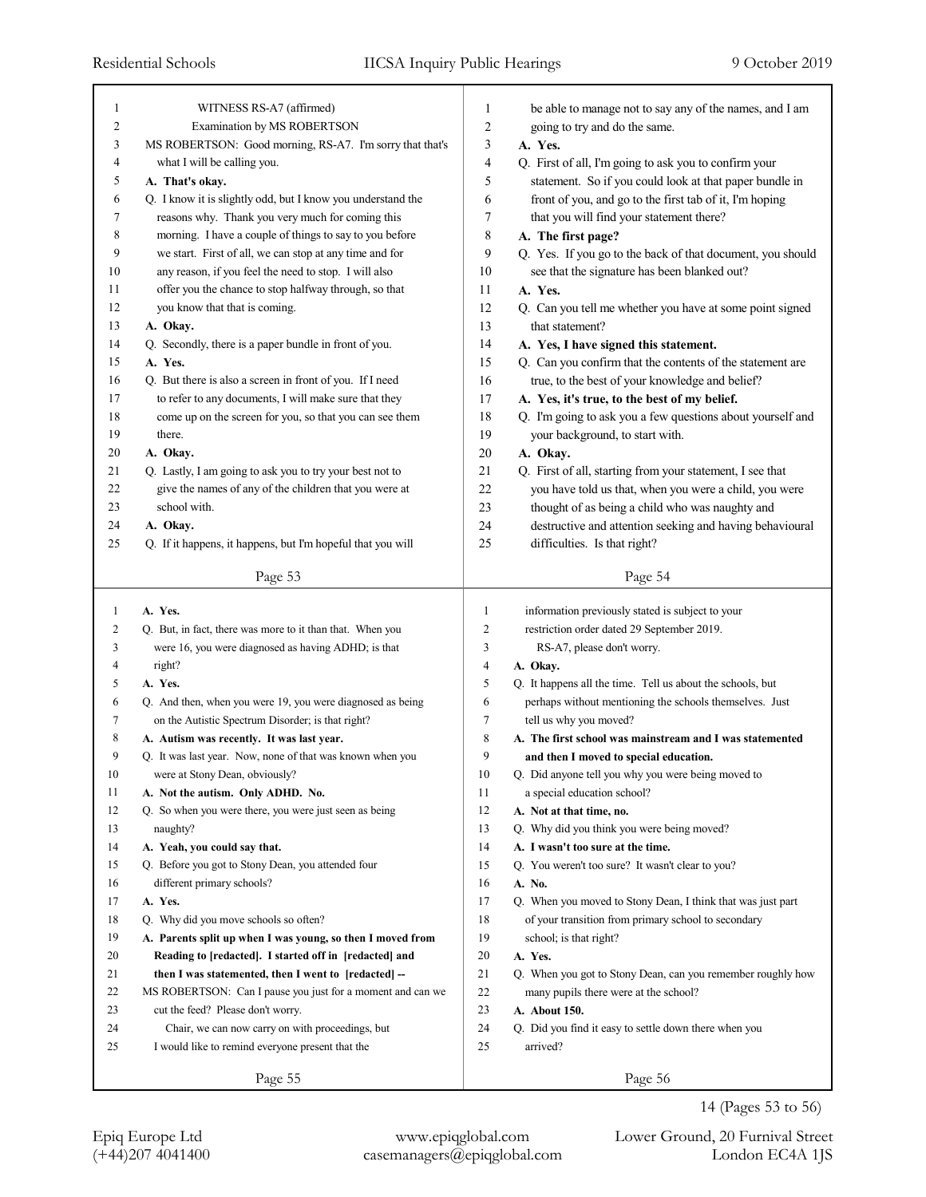| 1                | WITNESS RS-A7 (affirmed)                                    | 1              | be able to manage not to say any of the names, and I am                         |
|------------------|-------------------------------------------------------------|----------------|---------------------------------------------------------------------------------|
| $\boldsymbol{2}$ | Examination by MS ROBERTSON                                 | 2              | going to try and do the same.                                                   |
| 3                | MS ROBERTSON: Good morning, RS-A7. I'm sorry that that's    | 3              | A. Yes.                                                                         |
| 4                | what I will be calling you.                                 | 4              | Q. First of all, I'm going to ask you to confirm your                           |
| 5                | A. That's okay.                                             | 5              | statement. So if you could look at that paper bundle in                         |
| 6                | Q. I know it is slightly odd, but I know you understand the | 6              | front of you, and go to the first tab of it, I'm hoping                         |
| 7                | reasons why. Thank you very much for coming this            | 7              | that you will find your statement there?                                        |
| 8                | morning. I have a couple of things to say to you before     | 8              | A. The first page?                                                              |
| 9                | we start. First of all, we can stop at any time and for     | 9              | Q. Yes. If you go to the back of that document, you should                      |
| 10               | any reason, if you feel the need to stop. I will also       | 10             | see that the signature has been blanked out?                                    |
| 11               | offer you the chance to stop halfway through, so that       | 11             | A. Yes.                                                                         |
| 12               | you know that that is coming.                               | 12             | Q. Can you tell me whether you have at some point signed                        |
| 13               | A. Okay.                                                    | 13             | that statement?                                                                 |
| 14               | Q. Secondly, there is a paper bundle in front of you.       | 14             | A. Yes, I have signed this statement.                                           |
| 15               | A. Yes.                                                     | 15             | Q. Can you confirm that the contents of the statement are                       |
| 16               | Q. But there is also a screen in front of you. If I need    | 16             | true, to the best of your knowledge and belief?                                 |
| 17               | to refer to any documents, I will make sure that they       | 17             | A. Yes, it's true, to the best of my belief.                                    |
| 18               | come up on the screen for you, so that you can see them     | 18             | Q. I'm going to ask you a few questions about yourself and                      |
| 19               | there.                                                      | 19             | your background, to start with.                                                 |
| 20               | A. Okay.                                                    | 20             | A. Okay.                                                                        |
| 21               | Q. Lastly, I am going to ask you to try your best not to    | 21             | Q. First of all, starting from your statement, I see that                       |
| 22               | give the names of any of the children that you were at      | 22             | you have told us that, when you were a child, you were                          |
| 23               | school with.                                                | 23             | thought of as being a child who was naughty and                                 |
| 24               | A. Okay.                                                    | 24             | destructive and attention seeking and having behavioural                        |
| 25               | Q. If it happens, it happens, but I'm hopeful that you will | 25             | difficulties. Is that right?                                                    |
|                  | Page 53                                                     |                | Page 54                                                                         |
|                  |                                                             |                |                                                                                 |
|                  |                                                             |                |                                                                                 |
| 1                | A. Yes.                                                     | $\mathbf{1}$   | information previously stated is subject to your                                |
| 2                | Q. But, in fact, there was more to it than that. When you   | 2              | restriction order dated 29 September 2019.                                      |
| 3                | were 16, you were diagnosed as having ADHD; is that         | 3              | RS-A7, please don't worry.                                                      |
| 4                | right?                                                      | $\overline{4}$ | A. Okay.                                                                        |
| 5                | A. Yes.                                                     | 5              | Q. It happens all the time. Tell us about the schools, but                      |
| 6                | Q. And then, when you were 19, you were diagnosed as being  | 6              | perhaps without mentioning the schools themselves. Just                         |
| 7                | on the Autistic Spectrum Disorder; is that right?           | 7<br>8         | tell us why you moved?                                                          |
| 8<br>9           | A. Autism was recently. It was last year.                   | 9              | A. The first school was mainstream and I was statemented                        |
|                  | Q. It was last year. Now, none of that was known when you   |                | and then I moved to special education.                                          |
| $10\,$<br>11     | were at Stony Dean, obviously?                              | $10\,$<br>11   | Q. Did anyone tell you why you were being moved to                              |
| 12               | A. Not the autism. Only ADHD. No.                           | 12             | a special education school?<br>A. Not at that time, no.                         |
| 13               | Q. So when you were there, you were just seen as being      | 13             |                                                                                 |
| 14               | naughty?<br>A. Yeah, you could say that.                    | 14             | Q. Why did you think you were being moved?<br>A. I wasn't too sure at the time. |
| 15               |                                                             | 15             |                                                                                 |
| 16               | Q. Before you got to Stony Dean, you attended four          | 16             | Q. You weren't too sure? It wasn't clear to you?                                |
| 17               | different primary schools?<br>A. Yes.                       | 17             | A. No.<br>Q. When you moved to Stony Dean, I think that was just part           |
| 18               | Q. Why did you move schools so often?                       | 18             | of your transition from primary school to secondary                             |
| 19               | A. Parents split up when I was young, so then I moved from  | 19             | school; is that right?                                                          |
| 20               | Reading to [redacted]. I started off in [redacted] and      | 20             | A. Yes.                                                                         |
| 21               | then I was statemented, then I went to [redacted] --        | 21             | Q. When you got to Stony Dean, can you remember roughly how                     |
| 22               | MS ROBERTSON: Can I pause you just for a moment and can we  | 22             | many pupils there were at the school?                                           |
| 23               | cut the feed? Please don't worry.                           | 23             | A. About 150.                                                                   |
| 24               | Chair, we can now carry on with proceedings, but            | 24             | Q. Did you find it easy to settle down there when you                           |
| 25               | I would like to remind everyone present that the            | 25             | arrived?                                                                        |

<sup>14 (</sup>Pages 53 to 56)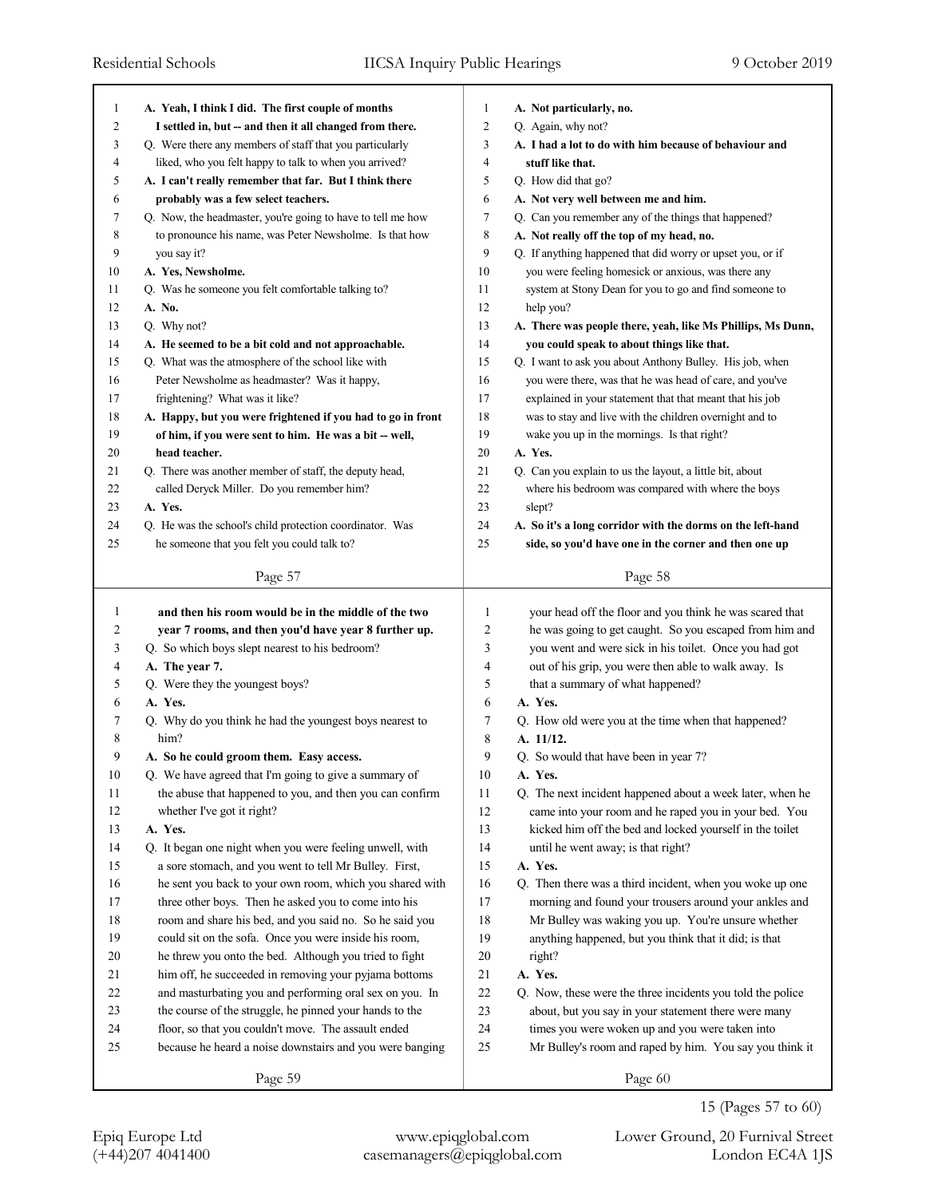| 1      | A. Yeah, I think I did. The first couple of months          | $\mathbf{1}$   | A. Not particularly, no.                                    |
|--------|-------------------------------------------------------------|----------------|-------------------------------------------------------------|
| 2      | I settled in, but -- and then it all changed from there.    | 2              | Q. Again, why not?                                          |
| 3      | Q. Were there any members of staff that you particularly    | 3              | A. I had a lot to do with him because of behaviour and      |
| 4      | liked, who you felt happy to talk to when you arrived?      | $\overline{4}$ | stuff like that.                                            |
| 5      | A. I can't really remember that far. But I think there      | 5              | Q. How did that go?                                         |
| 6      | probably was a few select teachers.                         | 6              | A. Not very well between me and him.                        |
| 7      | Q. Now, the headmaster, you're going to have to tell me how | 7              | Q. Can you remember any of the things that happened?        |
| 8      | to pronounce his name, was Peter Newsholme. Is that how     | 8              | A. Not really off the top of my head, no.                   |
| 9      | you say it?                                                 | 9              | Q. If anything happened that did worry or upset you, or if  |
| 10     | A. Yes, Newsholme.                                          | 10             | you were feeling homesick or anxious, was there any         |
| 11     | Q. Was he someone you felt comfortable talking to?          | 11             | system at Stony Dean for you to go and find someone to      |
| 12     | A. No.                                                      | 12             | help you?                                                   |
| 13     | Q. Why not?                                                 | 13             | A. There was people there, yeah, like Ms Phillips, Ms Dunn, |
| 14     | A. He seemed to be a bit cold and not approachable.         | 14             | you could speak to about things like that.                  |
| 15     | Q. What was the atmosphere of the school like with          | 15             | Q. I want to ask you about Anthony Bulley. His job, when    |
| 16     | Peter Newsholme as headmaster? Was it happy,                | 16             | you were there, was that he was head of care, and you've    |
| 17     | frightening? What was it like?                              | 17             | explained in your statement that that meant that his job    |
| 18     | A. Happy, but you were frightened if you had to go in front | 18             | was to stay and live with the children overnight and to     |
| 19     | of him, if you were sent to him. He was a bit -- well,      | 19             | wake you up in the mornings. Is that right?                 |
| 20     | head teacher.                                               | 20             | A. Yes.                                                     |
| 21     | Q. There was another member of staff, the deputy head,      | 21             | Q. Can you explain to us the layout, a little bit, about    |
| 22     | called Deryck Miller. Do you remember him?                  | 22             | where his bedroom was compared with where the boys          |
| 23     | A. Yes.                                                     | 23             | slept?                                                      |
| 24     | Q. He was the school's child protection coordinator. Was    | 24             | A. So it's a long corridor with the dorms on the left-hand  |
| 25     | he someone that you felt you could talk to?                 | 25             | side, so you'd have one in the corner and then one up       |
|        |                                                             |                |                                                             |
|        | Page 57                                                     |                | Page 58                                                     |
|        |                                                             |                |                                                             |
|        |                                                             |                |                                                             |
| 1      | and then his room would be in the middle of the two         | 1              | your head off the floor and you think he was scared that    |
| 2      | year 7 rooms, and then you'd have year 8 further up.        | $\overline{c}$ | he was going to get caught. So you escaped from him and     |
| 3      | Q. So which boys slept nearest to his bedroom?              | 3              | you went and were sick in his toilet. Once you had got      |
| 4      | A. The year 7.                                              | 4              | out of his grip, you were then able to walk away. Is        |
| 5      | Q. Were they the youngest boys?                             | 5              | that a summary of what happened?                            |
| 6      | A. Yes.                                                     | 6              | A. Yes.                                                     |
| 7      | Q. Why do you think he had the youngest boys nearest to     | 7              | Q. How old were you at the time when that happened?         |
| 8      | him?                                                        | 8              | A. 11/12.                                                   |
| 9      | A. So he could groom them. Easy access.                     | 9              | Q. So would that have been in year 7?                       |
| $10\,$ | Q. We have agreed that I'm going to give a summary of       | $10\,$         | A. Yes.                                                     |
| 11     | the abuse that happened to you, and then you can confirm    | 11             | Q. The next incident happened about a week later, when he   |
| 12     | whether I've got it right?                                  | $12\,$         | came into your room and he raped you in your bed. You       |
| 13     | A. Yes.                                                     | 13             | kicked him off the bed and locked yourself in the toilet    |
| 14     | Q. It began one night when you were feeling unwell, with    | 14             | until he went away; is that right?                          |
| 15     | a sore stomach, and you went to tell Mr Bulley. First,      | 15             | A. Yes.                                                     |
| 16     | he sent you back to your own room, which you shared with    | 16             | Q. Then there was a third incident, when you woke up one    |
| 17     | three other boys. Then he asked you to come into his        | 17             | morning and found your trousers around your ankles and      |
| $18\,$ | room and share his bed, and you said no. So he said you     | $18\,$         | Mr Bulley was waking you up. You're unsure whether          |
| 19     | could sit on the sofa. Once you were inside his room,       | 19             | anything happened, but you think that it did; is that       |
| $20\,$ | he threw you onto the bed. Although you tried to fight      | $20\,$         | right?                                                      |
| $21\,$ | him off, he succeeded in removing your pyjama bottoms       | 21             | A. Yes.                                                     |
| $22\,$ | and masturbating you and performing oral sex on you. In     | $22\,$         | Q. Now, these were the three incidents you told the police  |
| 23     | the course of the struggle, he pinned your hands to the     | $23\,$         | about, but you say in your statement there were many        |
| 24     | floor, so that you couldn't move. The assault ended         | 24             | times you were woken up and you were taken into             |
| $25\,$ | because he heard a noise downstairs and you were banging    | 25             | Mr Bulley's room and raped by him. You say you think it     |
|        | Page 59                                                     |                | Page 60                                                     |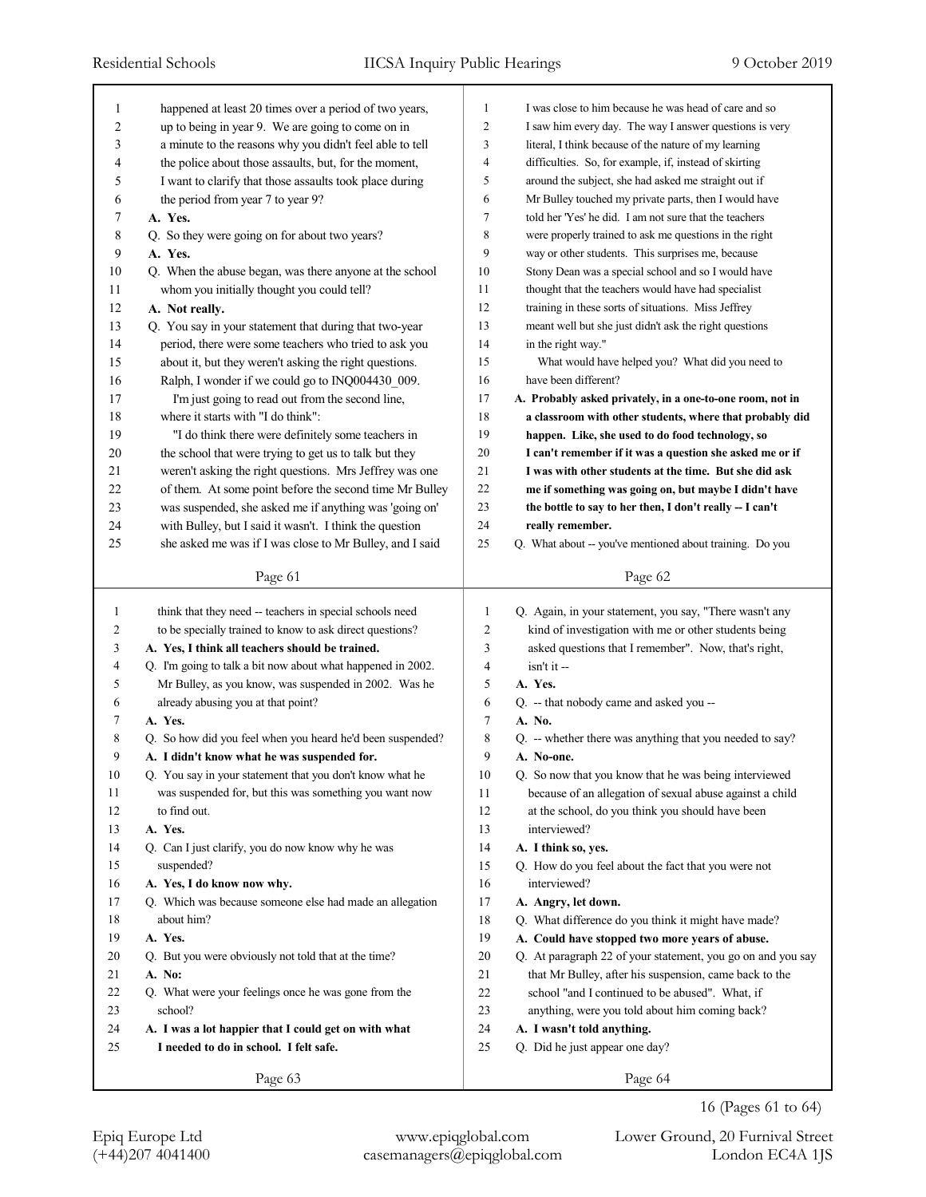| 1           | happened at least 20 times over a period of two years,      | $\mathbf{1}$   | I was close to him because he was head of care and so       |
|-------------|-------------------------------------------------------------|----------------|-------------------------------------------------------------|
| 2           | up to being in year 9. We are going to come on in           | $\overline{2}$ | I saw him every day. The way I answer questions is very     |
| 3           | a minute to the reasons why you didn't feel able to tell    | 3              | literal, I think because of the nature of my learning       |
| 4           | the police about those assaults, but, for the moment,       | $\overline{4}$ | difficulties. So, for example, if, instead of skirting      |
| 5           | I want to clarify that those assaults took place during     | 5              | around the subject, she had asked me straight out if        |
| 6           | the period from year 7 to year 9?                           | 6              | Mr Bulley touched my private parts, then I would have       |
| 7           | A. Yes.                                                     | $\overline{7}$ | told her 'Yes' he did. I am not sure that the teachers      |
| $\,$ 8 $\,$ | Q. So they were going on for about two years?               | 8              | were properly trained to ask me questions in the right      |
| 9           | A. Yes.                                                     | 9              | way or other students. This surprises me, because           |
| 10          | Q. When the abuse began, was there anyone at the school     | 10             | Stony Dean was a special school and so I would have         |
| 11          | whom you initially thought you could tell?                  | 11             | thought that the teachers would have had specialist         |
| 12          | A. Not really.                                              | 12             | training in these sorts of situations. Miss Jeffrey         |
| 13          | Q. You say in your statement that during that two-year      | 13             | meant well but she just didn't ask the right questions      |
| 14          | period, there were some teachers who tried to ask you       | 14             | in the right way."                                          |
| 15          | about it, but they weren't asking the right questions.      | 15             | What would have helped you? What did you need to            |
| 16          | Ralph, I wonder if we could go to INQ004430 009.            | 16             | have been different?                                        |
| 17          | I'm just going to read out from the second line,            | 17             | A. Probably asked privately, in a one-to-one room, not in   |
| 18          | where it starts with "I do think":                          | 18             | a classroom with other students, where that probably did    |
| 19          | "I do think there were definitely some teachers in          | 19             | happen. Like, she used to do food technology, so            |
| 20          | the school that were trying to get us to talk but they      | 20             | I can't remember if it was a question she asked me or if    |
| 21          | weren't asking the right questions. Mrs Jeffrey was one     | 21             | I was with other students at the time. But she did ask      |
| 22          | of them. At some point before the second time Mr Bulley     | 22             | me if something was going on, but maybe I didn't have       |
| 23          | was suspended, she asked me if anything was 'going on'      | 23             | the bottle to say to her then, I don't really -- I can't    |
| 24          | with Bulley, but I said it wasn't. I think the question     | 24             | really remember.                                            |
| 25          | she asked me was if I was close to Mr Bulley, and I said    | 25             | Q. What about -- you've mentioned about training. Do you    |
|             |                                                             |                |                                                             |
|             | Page 61                                                     |                | Page 62                                                     |
| 1           |                                                             |                |                                                             |
|             |                                                             |                |                                                             |
|             | think that they need -- teachers in special schools need    | 1              | Q. Again, in your statement, you say, "There wasn't any     |
| 2           | to be specially trained to know to ask direct questions?    | 2              | kind of investigation with me or other students being       |
| 3           | A. Yes, I think all teachers should be trained.             | 3              | asked questions that I remember". Now, that's right,        |
| 4           | Q. I'm going to talk a bit now about what happened in 2002. | 4              | isn't it --                                                 |
| 5           | Mr Bulley, as you know, was suspended in 2002. Was he       | 5              | A. Yes.                                                     |
| 6           | already abusing you at that point?                          | 6              | Q. -- that nobody came and asked you --                     |
| 7           | A. Yes.                                                     | 7              | A. No.                                                      |
| 8           | Q. So how did you feel when you heard he'd been suspended?  | 8              | Q. -- whether there was anything that you needed to say?    |
| 9           | A. I didn't know what he was suspended for.                 | 9              | A. No-one.                                                  |
| 10          | Q. You say in your statement that you don't know what he    | 10             | Q. So now that you know that he was being interviewed       |
| 11          | was suspended for, but this was something you want now      | 11             | because of an allegation of sexual abuse against a child    |
| 12          | to find out.                                                | 12             | at the school, do you think you should have been            |
| 13          | A. Yes.                                                     | 13             | interviewed?                                                |
| 14          | Q. Can I just clarify, you do now know why he was           | 14             | A. I think so, yes.                                         |
| 15          | suspended?                                                  | 15             | Q. How do you feel about the fact that you were not         |
| 16          | A. Yes, I do know now why.                                  | 16             | interviewed?                                                |
| 17          | Q. Which was because someone else had made an allegation    | 17             | A. Angry, let down.                                         |
| 18          | about him?                                                  | 18             | Q. What difference do you think it might have made?         |
| 19          | A. Yes.                                                     | 19             | A. Could have stopped two more years of abuse.              |
| 20          | Q. But you were obviously not told that at the time?        | 20             | Q. At paragraph 22 of your statement, you go on and you say |
| 21          | A. No:                                                      | 21             | that Mr Bulley, after his suspension, came back to the      |
| 22          | Q. What were your feelings once he was gone from the        | 22             | school "and I continued to be abused". What, if             |
| 23          | school?                                                     | 23             | anything, were you told about him coming back?              |
| 24          | A. I was a lot happier that I could get on with what        | 24             | A. I wasn't told anything.                                  |
| 25          | I needed to do in school. I felt safe.                      | 25             | Q. Did he just appear one day?                              |
|             | Page 63                                                     |                | Page 64                                                     |

<sup>16 (</sup>Pages 61 to 64)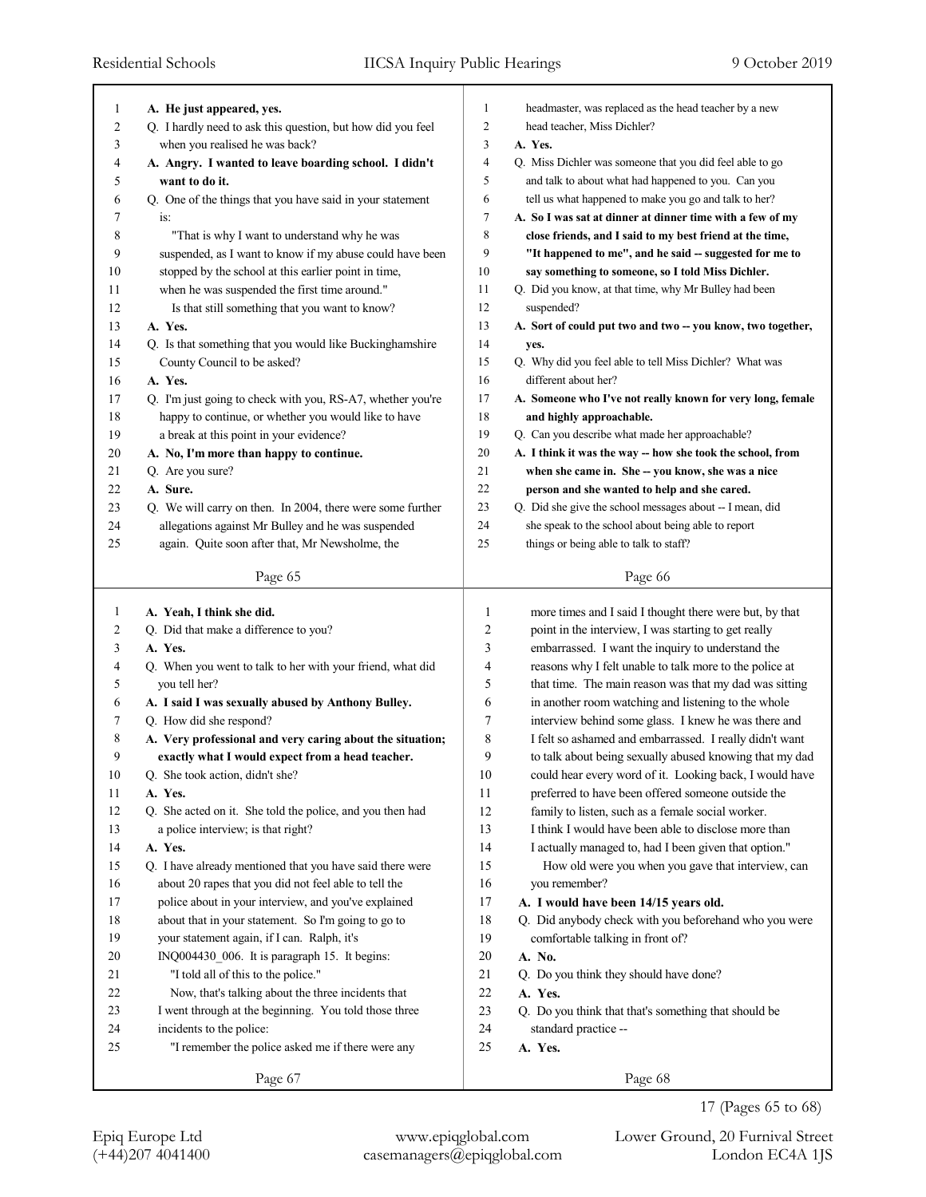| 1              | A. He just appeared, yes.                                                                                          | 1        | headmaster, was replaced as the head teacher by a new                                     |
|----------------|--------------------------------------------------------------------------------------------------------------------|----------|-------------------------------------------------------------------------------------------|
| $\overline{c}$ | Q. I hardly need to ask this question, but how did you feel                                                        | 2        | head teacher, Miss Dichler?                                                               |
| 3              | when you realised he was back?                                                                                     | 3        | A. Yes.                                                                                   |
| 4              | A. Angry. I wanted to leave boarding school. I didn't                                                              | 4        | Q. Miss Dichler was someone that you did feel able to go                                  |
| 5              | want to do it.                                                                                                     | 5        | and talk to about what had happened to you. Can you                                       |
| 6              | Q. One of the things that you have said in your statement                                                          | 6        | tell us what happened to make you go and talk to her?                                     |
| 7              | is:                                                                                                                | 7        | A. So I was sat at dinner at dinner time with a few of my                                 |
| 8              | "That is why I want to understand why he was                                                                       | 8        | close friends, and I said to my best friend at the time,                                  |
| 9              | suspended, as I want to know if my abuse could have been                                                           | 9        | "It happened to me", and he said -- suggested for me to                                   |
| 10             | stopped by the school at this earlier point in time,                                                               | 10       | say something to someone, so I told Miss Dichler.                                         |
| 11             | when he was suspended the first time around."                                                                      | 11       | Q. Did you know, at that time, why Mr Bulley had been                                     |
| 12             | Is that still something that you want to know?                                                                     | 12       | suspended?                                                                                |
| 13             | A. Yes.                                                                                                            | 13       | A. Sort of could put two and two -- you know, two together,                               |
| 14             | Q. Is that something that you would like Buckinghamshire                                                           | 14       | yes.                                                                                      |
| 15             | County Council to be asked?                                                                                        | 15       | Q. Why did you feel able to tell Miss Dichler? What was                                   |
| 16             | A. Yes.                                                                                                            | 16       | different about her?                                                                      |
| 17             | Q. I'm just going to check with you, RS-A7, whether you're                                                         | 17       | A. Someone who I've not really known for very long, female                                |
| 18             | happy to continue, or whether you would like to have                                                               | 18       | and highly approachable.                                                                  |
| 19             | a break at this point in your evidence?                                                                            | 19       | Q. Can you describe what made her approachable?                                           |
| 20             | A. No, I'm more than happy to continue.                                                                            | 20       | A. I think it was the way -- how she took the school, from                                |
| 21             | Q. Are you sure?                                                                                                   | 21       | when she came in. She -- you know, she was a nice                                         |
| 22             | A. Sure.                                                                                                           | 22       | person and she wanted to help and she cared.                                              |
| 23             | Q. We will carry on then. In 2004, there were some further                                                         | 23       | Q. Did she give the school messages about -- I mean, did                                  |
| 24             | allegations against Mr Bulley and he was suspended                                                                 | 24       | she speak to the school about being able to report                                        |
| 25             | again. Quite soon after that, Mr Newsholme, the                                                                    | 25       | things or being able to talk to staff?                                                    |
|                | Page 65                                                                                                            |          | Page 66                                                                                   |
| $\mathbf{1}$   | A. Yeah, I think she did.                                                                                          |          |                                                                                           |
|                |                                                                                                                    |          |                                                                                           |
|                |                                                                                                                    | 1        | more times and I said I thought there were but, by that                                   |
| 2              | Q. Did that make a difference to you?                                                                              | 2        | point in the interview, I was starting to get really                                      |
| 3              | A. Yes.                                                                                                            | 3        | embarrassed. I want the inquiry to understand the                                         |
| 4              | Q. When you went to talk to her with your friend, what did                                                         | 4        | reasons why I felt unable to talk more to the police at                                   |
| 5              | you tell her?                                                                                                      | 5        | that time. The main reason was that my dad was sitting                                    |
| 6              | A. I said I was sexually abused by Anthony Bulley.                                                                 | 6        | in another room watching and listening to the whole                                       |
| 7              | Q. How did she respond?                                                                                            | 7        | interview behind some glass. I knew he was there and                                      |
| 8              | A. Very professional and very caring about the situation;                                                          | 8        | I felt so ashamed and embarrassed. I really didn't want                                   |
| 9              | exactly what I would expect from a head teacher.                                                                   | 9        | to talk about being sexually abused knowing that my dad                                   |
| $10\,$         | Q. She took action, didn't she?                                                                                    | $10\,$   | could hear every word of it. Looking back, I would have                                   |
| 11             | A. Yes.                                                                                                            | 11       | preferred to have been offered someone outside the                                        |
| 12             | Q. She acted on it. She told the police, and you then had                                                          | 12       | family to listen, such as a female social worker.                                         |
| 13<br>14       | a police interview; is that right?                                                                                 | 13       | I think I would have been able to disclose more than                                      |
| 15             | A. Yes.                                                                                                            | 14<br>15 | I actually managed to, had I been given that option."                                     |
| 16             | Q. I have already mentioned that you have said there were<br>about 20 rapes that you did not feel able to tell the | 16       | How old were you when you gave that interview, can                                        |
| 17             |                                                                                                                    | 17       | you remember?<br>A. I would have been 14/15 years old.                                    |
| 18             | police about in your interview, and you've explained<br>about that in your statement. So I'm going to go to        | 18       |                                                                                           |
| 19             | your statement again, if I can. Ralph, it's                                                                        | 19       | Q. Did anybody check with you beforehand who you were<br>comfortable talking in front of? |
| 20             | INQ004430_006. It is paragraph 15. It begins:                                                                      | 20       | A. No.                                                                                    |
| 21             | "I told all of this to the police."                                                                                | 21       | Q. Do you think they should have done?                                                    |
| 22             | Now, that's talking about the three incidents that                                                                 | 22       | A. Yes.                                                                                   |
| 23             | I went through at the beginning. You told those three                                                              | 23       | Q. Do you think that that's something that should be                                      |
| 24             | incidents to the police:                                                                                           | 24       | standard practice --                                                                      |
| 25             | "I remember the police asked me if there were any                                                                  | 25       | A. Yes.                                                                                   |

17 (Pages 65 to 68)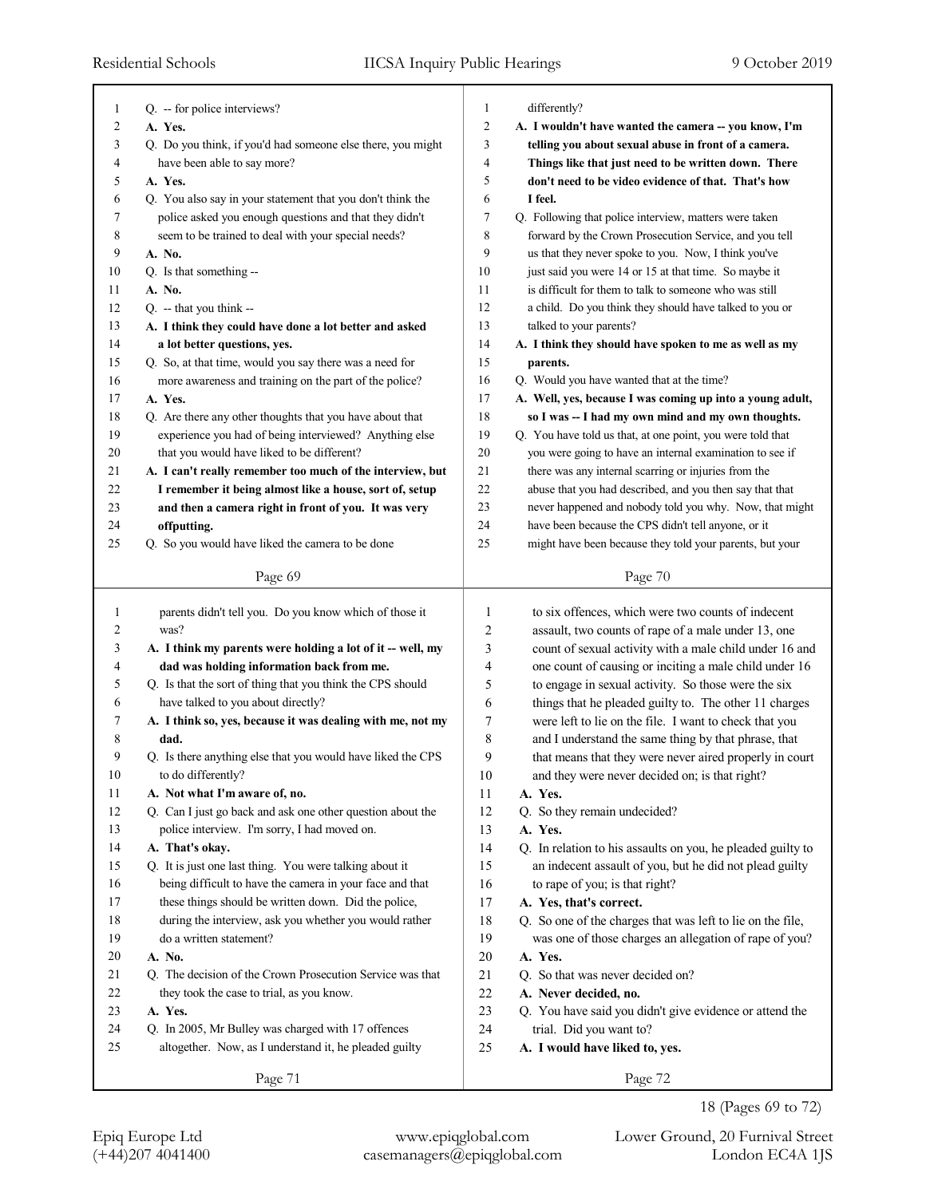| 1              |                                                             |                |                                                             |
|----------------|-------------------------------------------------------------|----------------|-------------------------------------------------------------|
|                | Q. -- for police interviews?                                | 1              | differently?                                                |
| $\overline{2}$ | A. Yes.                                                     | $\overline{2}$ | A. I wouldn't have wanted the camera -- you know, I'm       |
| 3              | Q. Do you think, if you'd had someone else there, you might | 3              | telling you about sexual abuse in front of a camera.        |
| 4              | have been able to say more?                                 | 4              | Things like that just need to be written down. There        |
| 5              | A. Yes.                                                     | 5              | don't need to be video evidence of that. That's how         |
| 6              | Q. You also say in your statement that you don't think the  | 6              | I feel.                                                     |
| 7              | police asked you enough questions and that they didn't      | 7              | Q. Following that police interview, matters were taken      |
| 8              | seem to be trained to deal with your special needs?         | 8              | forward by the Crown Prosecution Service, and you tell      |
| 9              | A. No.                                                      | 9              | us that they never spoke to you. Now, I think you've        |
| 10             | Q. Is that something --                                     | 10             | just said you were 14 or 15 at that time. So maybe it       |
| 11             | A. No.                                                      | 11             | is difficult for them to talk to someone who was still      |
| 12             | $Q. -$ that you think $-$                                   | 12             | a child. Do you think they should have talked to you or     |
| 13             | A. I think they could have done a lot better and asked      | 13             | talked to your parents?                                     |
| 14             | a lot better questions, yes.                                | 14             | A. I think they should have spoken to me as well as my      |
| 15             | Q. So, at that time, would you say there was a need for     | 15             | parents.                                                    |
| 16             | more awareness and training on the part of the police?      | 16             | Q. Would you have wanted that at the time?                  |
| 17             | A. Yes.                                                     | 17             | A. Well, yes, because I was coming up into a young adult,   |
| 18             | Q. Are there any other thoughts that you have about that    | 18             | so I was -- I had my own mind and my own thoughts.          |
| 19             | experience you had of being interviewed? Anything else      | 19             | Q. You have told us that, at one point, you were told that  |
| 20             | that you would have liked to be different?                  | 20             | you were going to have an internal examination to see if    |
| 21             |                                                             | 21             | there was any internal scarring or injuries from the        |
|                | A. I can't really remember too much of the interview, but   | 22             |                                                             |
| 22             | I remember it being almost like a house, sort of, setup     | 23             | abuse that you had described, and you then say that that    |
| 23             | and then a camera right in front of you. It was very        |                | never happened and nobody told you why. Now, that might     |
| 24             | offputting.                                                 | 24             | have been because the CPS didn't tell anyone, or it         |
| 25             | Q. So you would have liked the camera to be done            | 25             | might have been because they told your parents, but your    |
|                | Page 69                                                     |                | Page 70                                                     |
|                |                                                             |                |                                                             |
| 1              | parents didn't tell you. Do you know which of those it      | 1              | to six offences, which were two counts of indecent          |
| 2              | was?                                                        | 2              | assault, two counts of rape of a male under 13, one         |
| 3              | A. I think my parents were holding a lot of it -- well, my  | 3              | count of sexual activity with a male child under 16 and     |
| 4              | dad was holding information back from me.                   | 4              | one count of causing or inciting a male child under 16      |
| 5              | Q. Is that the sort of thing that you think the CPS should  | 5              | to engage in sexual activity. So those were the six         |
| 6              | have talked to you about directly?                          |                |                                                             |
|                |                                                             | 6              | things that he pleaded guilty to. The other 11 charges      |
| 7              | A. I think so, yes, because it was dealing with me, not my  | 7              | were left to lie on the file. I want to check that you      |
| 8              | dad.                                                        | 8              | and I understand the same thing by that phrase, that        |
| 9              | Q. Is there anything else that you would have liked the CPS | 9              |                                                             |
|                | to do differently?                                          |                | that means that they were never aired properly in court     |
| 10<br>11       |                                                             | $10\,$         | and they were never decided on; is that right?<br>A. Yes.   |
| 12             | A. Not what I'm aware of, no.                               | 11             |                                                             |
| 13             | Q. Can I just go back and ask one other question about the  | 12             | Q. So they remain undecided?<br>A. Yes.                     |
|                | police interview. I'm sorry, I had moved on.                | 13             |                                                             |
| 14             | A. That's okay.                                             | 14             | Q. In relation to his assaults on you, he pleaded guilty to |
| 15             | Q. It is just one last thing. You were talking about it     | 15             | an indecent assault of you, but he did not plead guilty     |
| 16             | being difficult to have the camera in your face and that    | 16             | to rape of you; is that right?                              |
| 17             | these things should be written down. Did the police,        | 17             | A. Yes, that's correct.                                     |
| 18             | during the interview, ask you whether you would rather      | 18             | Q. So one of the charges that was left to lie on the file,  |
| 19             | do a written statement?                                     | 19             | was one of those charges an allegation of rape of you?      |
| $20\,$         | A. No.                                                      | 20             | A. Yes.                                                     |
| 21             | Q. The decision of the Crown Prosecution Service was that   | 21             | Q. So that was never decided on?                            |
| 22             | they took the case to trial, as you know.                   | 22             | A. Never decided, no.                                       |
| 23             | A. Yes.                                                     | 23             | Q. You have said you didn't give evidence or attend the     |
| 24             | Q. In 2005, Mr Bulley was charged with 17 offences          | 24             | trial. Did you want to?                                     |
| 25             | altogether. Now, as I understand it, he pleaded guilty      | 25             | A. I would have liked to, yes.                              |
|                | Page 71                                                     |                | Page 72                                                     |

<sup>18 (</sup>Pages 69 to 72)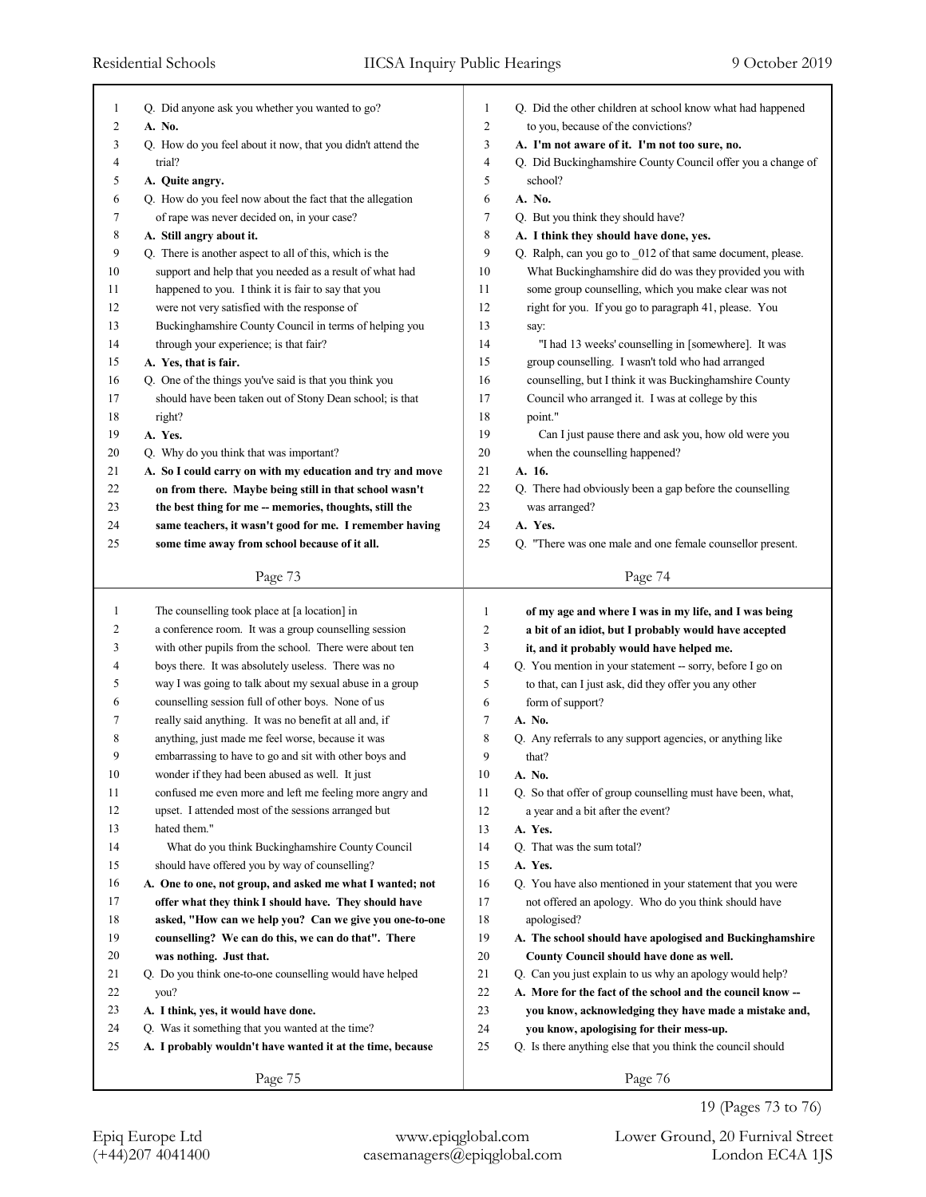| 1      | Q. Did anyone ask you whether you wanted to go?             | $\mathbf{1}$   | Q. Did the other children at school know what had happened  |
|--------|-------------------------------------------------------------|----------------|-------------------------------------------------------------|
| 2      | A. No.                                                      | $\overline{2}$ | to you, because of the convictions?                         |
| 3      | Q. How do you feel about it now, that you didn't attend the | 3              | A. I'm not aware of it. I'm not too sure, no.               |
| 4      | trial?                                                      | 4              | Q. Did Buckinghamshire County Council offer you a change of |
| 5      | A. Quite angry.                                             | 5              | school?                                                     |
| 6      | Q. How do you feel now about the fact that the allegation   | 6              | A. No.                                                      |
| 7      | of rape was never decided on, in your case?                 | 7              | Q. But you think they should have?                          |
| 8      | A. Still angry about it.                                    | 8              | A. I think they should have done, yes.                      |
| 9      | Q. There is another aspect to all of this, which is the     | 9              | Q. Ralph, can you go to _012 of that same document, please. |
| 10     | support and help that you needed as a result of what had    | 10             | What Buckinghamshire did do was they provided you with      |
| 11     | happened to you. I think it is fair to say that you         | 11             | some group counselling, which you make clear was not        |
| 12     | were not very satisfied with the response of                | 12             | right for you. If you go to paragraph 41, please. You       |
| 13     | Buckinghamshire County Council in terms of helping you      | 13             | say:                                                        |
| 14     | through your experience; is that fair?                      | 14             | "I had 13 weeks' counselling in [somewhere]. It was         |
| 15     | A. Yes, that is fair.                                       | 15             | group counselling. I wasn't told who had arranged           |
| 16     | Q. One of the things you've said is that you think you      | 16             | counselling, but I think it was Buckinghamshire County      |
| 17     | should have been taken out of Stony Dean school; is that    | 17             | Council who arranged it. I was at college by this           |
| 18     | right?                                                      | 18             | point."                                                     |
| 19     | A. Yes.                                                     | 19             | Can I just pause there and ask you, how old were you        |
| 20     | Q. Why do you think that was important?                     | 20             | when the counselling happened?                              |
| 21     | A. So I could carry on with my education and try and move   | 21             | A. 16.                                                      |
| 22     | on from there. Maybe being still in that school wasn't      | 22             | Q. There had obviously been a gap before the counselling    |
| 23     | the best thing for me -- memories, thoughts, still the      | 23             | was arranged?                                               |
| 24     | same teachers, it wasn't good for me. I remember having     | 24             | A. Yes.                                                     |
| 25     | some time away from school because of it all.               | 25             | Q. "There was one male and one female counsellor present.   |
|        | Page 73                                                     |                | Page 74                                                     |
|        |                                                             |                |                                                             |
|        |                                                             |                |                                                             |
| 1      | The counselling took place at [a location] in               | $\mathbf{1}$   | of my age and where I was in my life, and I was being       |
| 2      | a conference room. It was a group counselling session       | 2              | a bit of an idiot, but I probably would have accepted       |
| 3      | with other pupils from the school. There were about ten     | 3              | it, and it probably would have helped me.                   |
| 4      | boys there. It was absolutely useless. There was no         | 4              | Q. You mention in your statement -- sorry, before I go on   |
| 5      | way I was going to talk about my sexual abuse in a group    | 5              | to that, can I just ask, did they offer you any other       |
| 6      | counselling session full of other boys. None of us          | 6              | form of support?                                            |
| 7      | really said anything. It was no benefit at all and, if      | 7              | A. No.                                                      |
| 8      | anything, just made me feel worse, because it was           | 8              | Q. Any referrals to any support agencies, or anything like  |
| 9      | embarrassing to have to go and sit with other boys and      | 9              | that?                                                       |
| $10\,$ | wonder if they had been abused as well. It just             | $10\,$         | A. No.                                                      |
| 11     | confused me even more and left me feeling more angry and    | 11             | Q. So that offer of group counselling must have been, what, |
| 12     | upset. I attended most of the sessions arranged but         | 12             | a year and a bit after the event?                           |
| 13     | hated them."                                                | 13             | A. Yes.                                                     |
| 14     | What do you think Buckinghamshire County Council            | 14             | Q. That was the sum total?                                  |
| 15     | should have offered you by way of counselling?              | 15             | A. Yes.                                                     |
| 16     | A. One to one, not group, and asked me what I wanted; not   | 16             | Q. You have also mentioned in your statement that you were  |
| 17     | offer what they think I should have. They should have       | 17             | not offered an apology. Who do you think should have        |
| 18     | asked, "How can we help you? Can we give you one-to-one     | 18             | apologised?                                                 |
| 19     | counselling? We can do this, we can do that". There         | 19             | A. The school should have apologised and Buckinghamshire    |
| 20     | was nothing. Just that.                                     | 20             | County Council should have done as well.                    |
| 21     | Q. Do you think one-to-one counselling would have helped    | 21             | Q. Can you just explain to us why an apology would help?    |
| 22     | you?                                                        | 22             | A. More for the fact of the school and the council know --  |
| 23     | A. I think, yes, it would have done.                        | 23             | you know, acknowledging they have made a mistake and,       |
| 24     | Q. Was it something that you wanted at the time?            | 24             | you know, apologising for their mess-up.                    |
| 25     | A. I probably wouldn't have wanted it at the time, because  | 25             | Q. Is there anything else that you think the council should |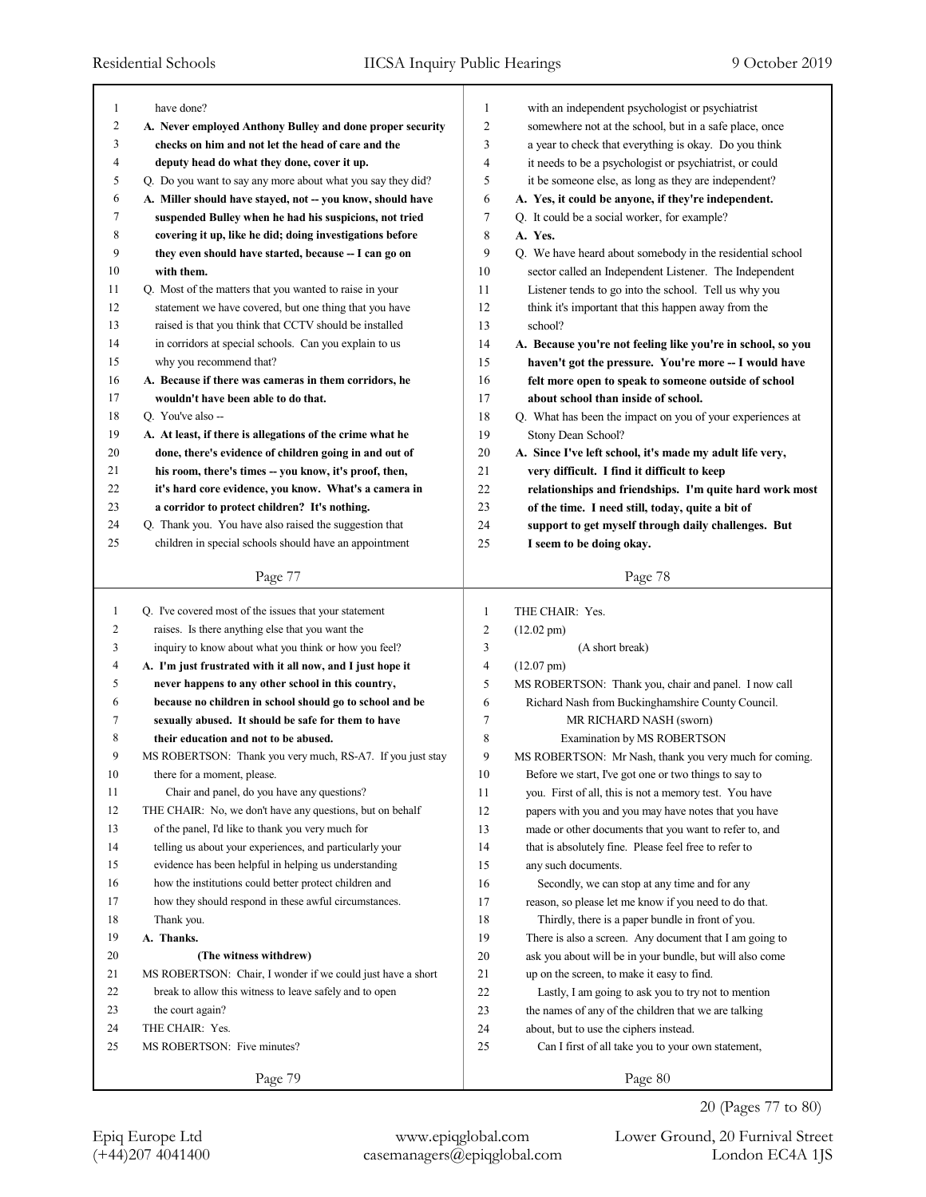| $\mathbf{1}$ | have done?                                                  | $\mathbf{1}$   | with an independent psychologist or psychiatrist            |
|--------------|-------------------------------------------------------------|----------------|-------------------------------------------------------------|
| 2            | A. Never employed Anthony Bulley and done proper security   | $\overline{2}$ | somewhere not at the school, but in a safe place, once      |
| 3            |                                                             | 3              | a year to check that everything is okay. Do you think       |
|              | checks on him and not let the head of care and the          |                |                                                             |
| 4            | deputy head do what they done, cover it up.                 | 4              | it needs to be a psychologist or psychiatrist, or could     |
| 5            | Q. Do you want to say any more about what you say they did? | 5              | it be someone else, as long as they are independent?        |
| 6            | A. Miller should have stayed, not -- you know, should have  | 6              | A. Yes, it could be anyone, if they're independent.         |
| 7            | suspended Bulley when he had his suspicions, not tried      | $\tau$         | Q. It could be a social worker, for example?                |
| 8            | covering it up, like he did; doing investigations before    | 8              | A. Yes.                                                     |
| 9            | they even should have started, because -- I can go on       | 9              | Q. We have heard about somebody in the residential school   |
| 10           | with them.                                                  | 10             | sector called an Independent Listener. The Independent      |
| 11           | Q. Most of the matters that you wanted to raise in your     | 11             | Listener tends to go into the school. Tell us why you       |
| 12           | statement we have covered, but one thing that you have      | 12             | think it's important that this happen away from the         |
| 13           | raised is that you think that CCTV should be installed      | 13             | school?                                                     |
| 14           | in corridors at special schools. Can you explain to us      | 14             | A. Because you're not feeling like you're in school, so you |
| 15           | why you recommend that?                                     | 15             | haven't got the pressure. You're more -- I would have       |
| 16           | A. Because if there was cameras in them corridors, he       | 16             | felt more open to speak to someone outside of school        |
| 17           | wouldn't have been able to do that.                         | 17             | about school than inside of school.                         |
| 18           | Q. You've also --                                           | 18             | Q. What has been the impact on you of your experiences at   |
| 19           | A. At least, if there is allegations of the crime what he   | 19             | Stony Dean School?                                          |
| 20           | done, there's evidence of children going in and out of      | 20             | A. Since I've left school, it's made my adult life very,    |
| 21           | his room, there's times -- you know, it's proof, then,      | 21             | very difficult. I find it difficult to keep                 |
| 22           | it's hard core evidence, you know. What's a camera in       | 22             | relationships and friendships. I'm quite hard work most     |
| 23           | a corridor to protect children? It's nothing.               | 23             | of the time. I need still, today, quite a bit of            |
| 24           | Q. Thank you. You have also raised the suggestion that      | 24             | support to get myself through daily challenges. But         |
| 25           | children in special schools should have an appointment      | 25             | I seem to be doing okay.                                    |
|              |                                                             |                |                                                             |
|              | Page 77                                                     |                | Page 78                                                     |
|              |                                                             |                |                                                             |
|              |                                                             |                |                                                             |
| $\mathbf{1}$ | Q. I've covered most of the issues that your statement      | $\mathbf{1}$   | THE CHAIR: Yes.                                             |
| 2            | raises. Is there anything else that you want the            | $\overline{c}$ | $(12.02 \text{ pm})$                                        |
| 3            | inquiry to know about what you think or how you feel?       | 3              | (A short break)                                             |
| 4            | A. I'm just frustrated with it all now, and I just hope it  | $\overline{4}$ | $(12.07 \text{ pm})$                                        |
| 5            | never happens to any other school in this country,          | 5              | MS ROBERTSON: Thank you, chair and panel. I now call        |
| 6            | because no children in school should go to school and be    | 6              | Richard Nash from Buckinghamshire County Council.           |
| 7            | sexually abused. It should be safe for them to have         | 7              | MR RICHARD NASH (sworn)                                     |
| 8            | their education and not to be abused.                       | $\,$ 8 $\,$    | Examination by MS ROBERTSON                                 |
| 9            | MS ROBERTSON: Thank you very much, RS-A7. If you just stay  | 9              | MS ROBERTSON: Mr Nash, thank you very much for coming.      |
| $10\,$       | there for a moment, please.                                 | $10\,$         | Before we start, I've got one or two things to say to       |
| 11           | Chair and panel, do you have any questions?                 | 11             | you. First of all, this is not a memory test. You have      |
| 12           | THE CHAIR: No, we don't have any questions, but on behalf   | 12             | papers with you and you may have notes that you have        |
| 13           | of the panel, I'd like to thank you very much for           | 13             | made or other documents that you want to refer to, and      |
| 14           | telling us about your experiences, and particularly your    | 14             | that is absolutely fine. Please feel free to refer to       |
| 15           | evidence has been helpful in helping us understanding       | 15             | any such documents.                                         |
| 16           | how the institutions could better protect children and      | 16             | Secondly, we can stop at any time and for any               |
| 17           | how they should respond in these awful circumstances.       | 17             | reason, so please let me know if you need to do that.       |
| 18           | Thank you.                                                  | 18             | Thirdly, there is a paper bundle in front of you.           |
| 19           | A. Thanks.                                                  | 19             | There is also a screen. Any document that I am going to     |
| 20           | (The witness withdrew)                                      | 20             | ask you about will be in your bundle, but will also come    |
| 21           | MS ROBERTSON: Chair, I wonder if we could just have a short | 21             | up on the screen, to make it easy to find.                  |
| 22           | break to allow this witness to leave safely and to open     | 22             | Lastly, I am going to ask you to try not to mention         |
| 23           | the court again?                                            | 23             | the names of any of the children that we are talking        |
| 24           | THE CHAIR: Yes.                                             | 24             | about, but to use the ciphers instead.                      |
| 25           | MS ROBERTSON: Five minutes?                                 | 25             | Can I first of all take you to your own statement,          |
|              | Page 79                                                     |                | Page 80                                                     |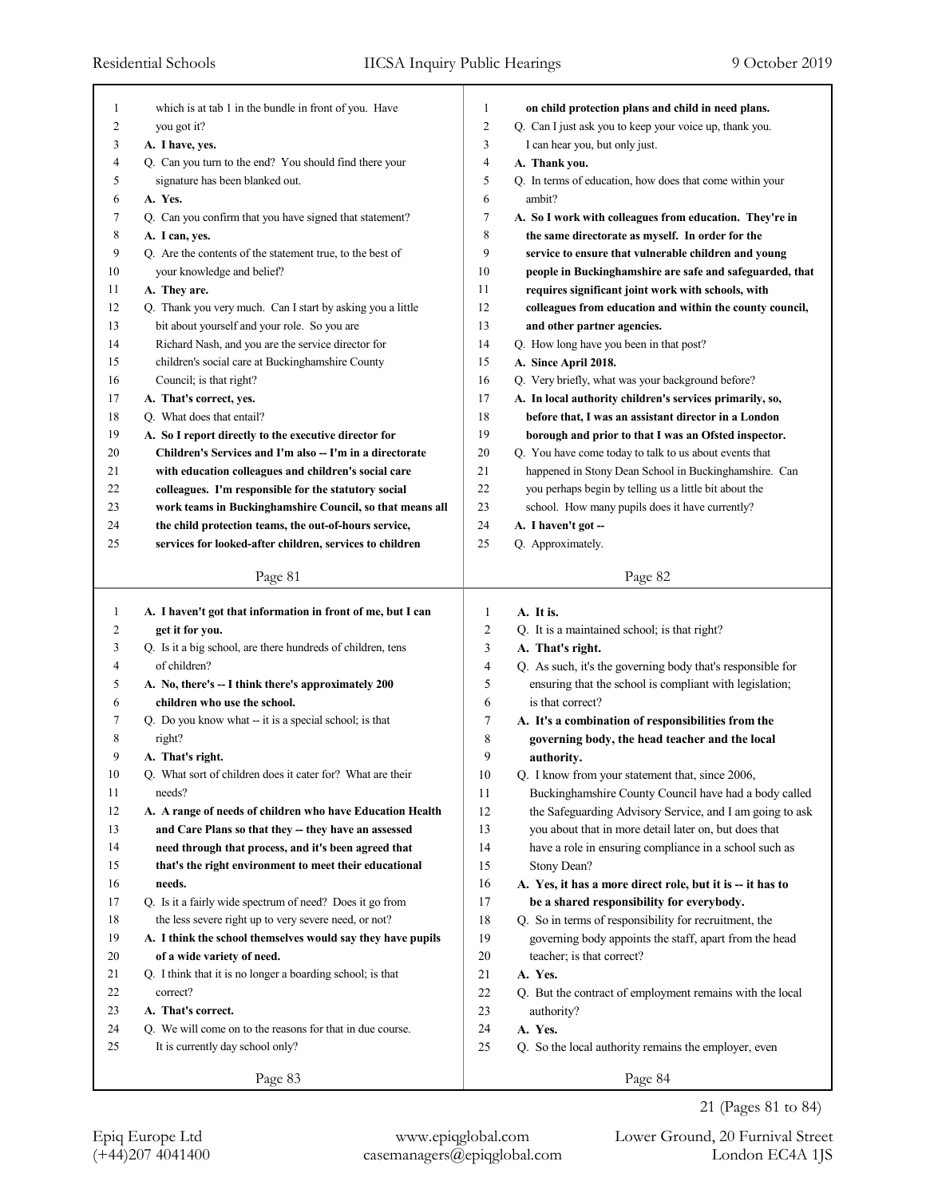| 1      | which is at tab 1 in the bundle in front of you. Have                               | on child protection plans and child in need plans.<br>1                   |  |
|--------|-------------------------------------------------------------------------------------|---------------------------------------------------------------------------|--|
| 2      | you got it?                                                                         | $\overline{c}$<br>Q. Can I just ask you to keep your voice up, thank you. |  |
| 3      | A. I have, yes.                                                                     | 3<br>I can hear you, but only just.                                       |  |
| 4      | Q. Can you turn to the end? You should find there your                              | 4<br>A. Thank you.                                                        |  |
| 5      | signature has been blanked out.                                                     | 5<br>Q. In terms of education, how does that come within your             |  |
| 6      | A. Yes.                                                                             | 6<br>ambit?                                                               |  |
| 7      | Q. Can you confirm that you have signed that statement?                             | 7<br>A. So I work with colleagues from education. They're in              |  |
| 8      | A. I can, yes.                                                                      | 8<br>the same directorate as myself. In order for the                     |  |
| 9      | Q. Are the contents of the statement true, to the best of                           | 9<br>service to ensure that vulnerable children and young                 |  |
| 10     | your knowledge and belief?                                                          | 10<br>people in Buckinghamshire are safe and safeguarded, that            |  |
| 11     | A. They are.                                                                        | 11<br>requires significant joint work with schools, with                  |  |
| 12     | Q. Thank you very much. Can I start by asking you a little                          | 12<br>colleagues from education and within the county council,            |  |
| 13     | bit about yourself and your role. So you are                                        | 13<br>and other partner agencies.                                         |  |
| 14     | Richard Nash, and you are the service director for                                  | 14<br>Q. How long have you been in that post?                             |  |
| 15     | children's social care at Buckinghamshire County                                    | 15<br>A. Since April 2018.                                                |  |
| 16     | Council; is that right?                                                             | 16<br>Q. Very briefly, what was your background before?                   |  |
| 17     | A. That's correct, yes.                                                             | 17<br>A. In local authority children's services primarily, so,            |  |
| 18     | Q. What does that entail?                                                           | 18<br>before that, I was an assistant director in a London                |  |
| 19     | A. So I report directly to the executive director for                               | 19<br>borough and prior to that I was an Ofsted inspector.                |  |
| 20     | Children's Services and I'm also -- I'm in a directorate                            | 20<br>Q. You have come today to talk to us about events that              |  |
| 21     | with education colleagues and children's social care                                | 21<br>happened in Stony Dean School in Buckinghamshire. Can               |  |
|        |                                                                                     | 22                                                                        |  |
| 22     | colleagues. I'm responsible for the statutory social                                | you perhaps begin by telling us a little bit about the                    |  |
| 23     | work teams in Buckinghamshire Council, so that means all                            | 23<br>school. How many pupils does it have currently?                     |  |
| 24     | the child protection teams, the out-of-hours service,                               | 24<br>A. I haven't got --                                                 |  |
| 25     | services for looked-after children, services to children                            | 25<br>Q. Approximately.                                                   |  |
|        | Page 81                                                                             | Page 82                                                                   |  |
|        |                                                                                     |                                                                           |  |
|        |                                                                                     |                                                                           |  |
| 1      | A. I haven't got that information in front of me, but I can                         | 1<br>A. It is.                                                            |  |
| 2      | get it for you.                                                                     | 2<br>Q. It is a maintained school; is that right?                         |  |
| 3      | Q. Is it a big school, are there hundreds of children, tens                         | 3<br>A. That's right.                                                     |  |
| 4      | of children?                                                                        | 4<br>Q. As such, it's the governing body that's responsible for           |  |
| 5      |                                                                                     | 5<br>ensuring that the school is compliant with legislation;              |  |
| 6      | A. No, there's -- I think there's approximately 200<br>children who use the school. | 6<br>is that correct?                                                     |  |
| 7      |                                                                                     |                                                                           |  |
|        | Q. Do you know what -- it is a special school; is that                              | 7<br>A. It's a combination of responsibilities from the                   |  |
| 8<br>9 | right?                                                                              | 8<br>governing body, the head teacher and the local<br>9                  |  |
|        | A. That's right.                                                                    | authority.                                                                |  |
| 10     | Q. What sort of children does it cater for? What are their                          | 10<br>Q. I know from your statement that, since 2006,                     |  |
| 11     | needs?                                                                              | 11<br>Buckinghamshire County Council have had a body called               |  |
| 12     | A. A range of needs of children who have Education Health                           | 12<br>the Safeguarding Advisory Service, and I am going to ask            |  |
| 13     | and Care Plans so that they -- they have an assessed                                | 13<br>you about that in more detail later on, but does that               |  |
| 14     | need through that process, and it's been agreed that                                | 14<br>have a role in ensuring compliance in a school such as              |  |
| 15     | that's the right environment to meet their educational                              | 15<br>Stony Dean?                                                         |  |
| 16     | needs.                                                                              | 16<br>A. Yes, it has a more direct role, but it is -- it has to           |  |
| 17     | Q. Is it a fairly wide spectrum of need? Does it go from                            | 17<br>be a shared responsibility for everybody.                           |  |
| 18     | the less severe right up to very severe need, or not?                               | 18<br>Q. So in terms of responsibility for recruitment, the               |  |
| 19     | A. I think the school themselves would say they have pupils                         | 19<br>governing body appoints the staff, apart from the head              |  |
| 20     | of a wide variety of need.                                                          | 20<br>teacher; is that correct?                                           |  |
| 21     | Q. I think that it is no longer a boarding school; is that                          | 21<br>A. Yes.                                                             |  |
| 22     | correct?                                                                            | $22\,$<br>Q. But the contract of employment remains with the local        |  |
| 23     | A. That's correct.                                                                  | 23<br>authority?                                                          |  |
| 24     | Q. We will come on to the reasons for that in due course.                           | 24<br>A. Yes.                                                             |  |
| 25     | It is currently day school only?                                                    | 25<br>Q. So the local authority remains the employer, even                |  |
|        | Page 83                                                                             | Page 84                                                                   |  |

21 (Pages 81 to 84)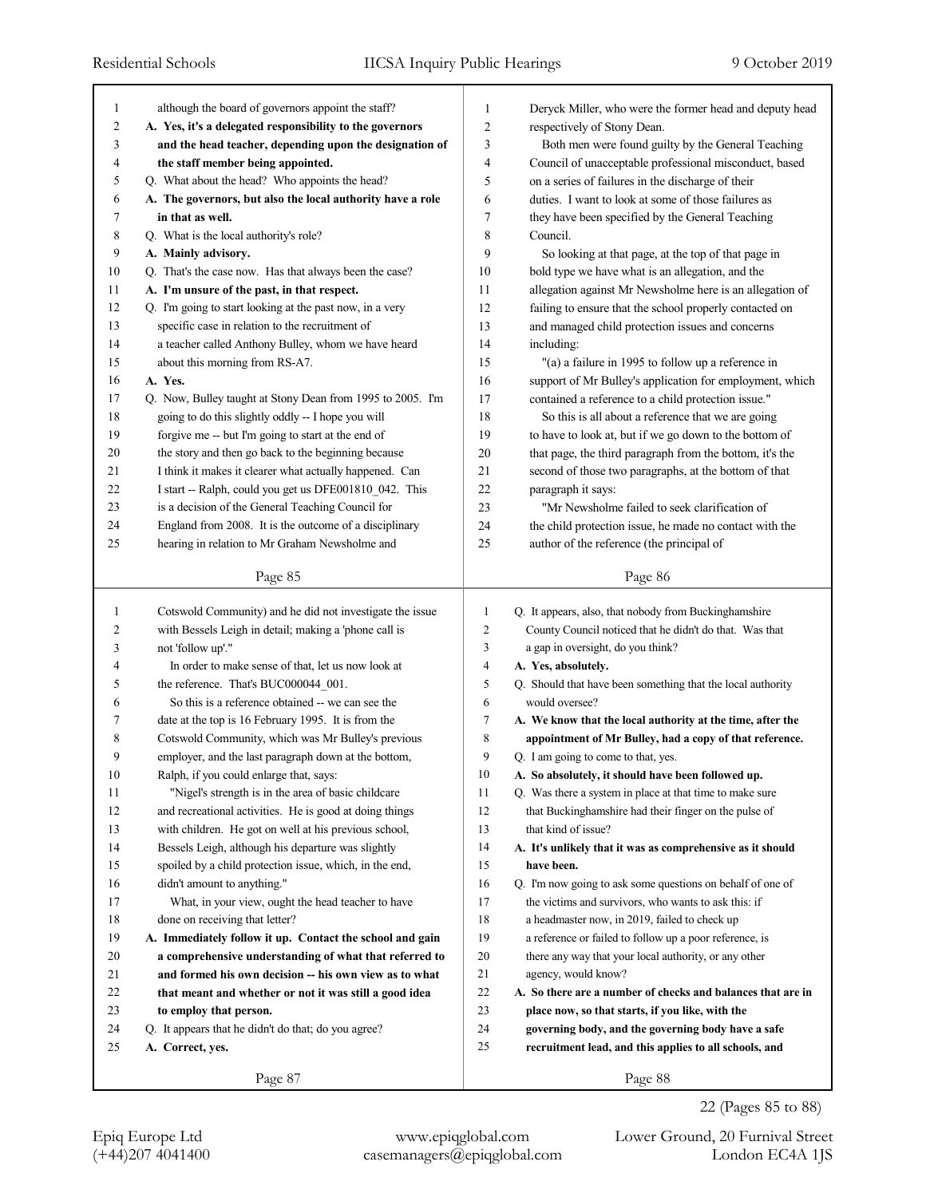| 1            | although the board of governors appoint the staff?         | 1              | Deryck Miller, who were the former head and deputy head     |
|--------------|------------------------------------------------------------|----------------|-------------------------------------------------------------|
| 2            | A. Yes, it's a delegated responsibility to the governors   | 2              | respectively of Stony Dean.                                 |
| 3            | and the head teacher, depending upon the designation of    | 3              | Both men were found guilty by the General Teaching          |
| 4            | the staff member being appointed.                          | 4              | Council of unacceptable professional misconduct, based      |
| 5            | Q. What about the head? Who appoints the head?             | 5              | on a series of failures in the discharge of their           |
| 6            | A. The governors, but also the local authority have a role | 6              | duties. I want to look at some of those failures as         |
| 7            | in that as well.                                           | 7              | they have been specified by the General Teaching            |
| 8            | Q. What is the local authority's role?                     | 8              | Council.                                                    |
| 9            | A. Mainly advisory.                                        | 9              | So looking at that page, at the top of that page in         |
| 10           | Q. That's the case now. Has that always been the case?     | 10             | bold type we have what is an allegation, and the            |
| 11           | A. I'm unsure of the past, in that respect.                | 11             | allegation against Mr Newsholme here is an allegation of    |
| 12           | Q. I'm going to start looking at the past now, in a very   | 12             | failing to ensure that the school properly contacted on     |
| 13           | specific case in relation to the recruitment of            | 13             | and managed child protection issues and concerns            |
| 14           | a teacher called Anthony Bulley, whom we have heard        | 14             | including:                                                  |
| 15           | about this morning from RS-A7.                             | 15             | "(a) a failure in 1995 to follow up a reference in          |
| 16           | A. Yes.                                                    | 16             | support of Mr Bulley's application for employment, which    |
| 17           | Q. Now, Bulley taught at Stony Dean from 1995 to 2005. I'm | 17             | contained a reference to a child protection issue."         |
| 18           | going to do this slightly oddly -- I hope you will         | 18             | So this is all about a reference that we are going          |
| 19           | forgive me -- but I'm going to start at the end of         | 19             | to have to look at, but if we go down to the bottom of      |
| 20           | the story and then go back to the beginning because        | 20             | that page, the third paragraph from the bottom, it's the    |
| 21           | I think it makes it clearer what actually happened. Can    | 21             | second of those two paragraphs, at the bottom of that       |
| 22           | I start -- Ralph, could you get us DFE001810_042. This     | 22             | paragraph it says:                                          |
| 23           | is a decision of the General Teaching Council for          | 23             | "Mr Newsholme failed to seek clarification of               |
| 24           | England from 2008. It is the outcome of a disciplinary     | 24             | the child protection issue, he made no contact with the     |
| 25           | hearing in relation to Mr Graham Newsholme and             | 25             | author of the reference (the principal of                   |
|              | Page 85                                                    |                | Page 86                                                     |
|              |                                                            |                |                                                             |
|              |                                                            |                |                                                             |
| $\mathbf{1}$ | Cotswold Community) and he did not investigate the issue   | 1              | Q. It appears, also, that nobody from Buckinghamshire       |
| 2            | with Bessels Leigh in detail; making a 'phone call is      | $\overline{c}$ | County Council noticed that he didn't do that. Was that     |
| 3            | not 'follow up'."                                          | 3              | a gap in oversight, do you think?                           |
| 4            | In order to make sense of that, let us now look at         | 4              | A. Yes, absolutely.                                         |
| 5            | the reference. That's BUC000044_001.                       | 5              | Q. Should that have been something that the local authority |
| 6            | So this is a reference obtained -- we can see the          | 6              | would oversee?                                              |
| 7            | date at the top is 16 February 1995. It is from the        | 7              | A. We know that the local authority at the time, after the  |
| 8            | Cotswold Community, which was Mr Bulley's previous         | 8              | appointment of Mr Bulley, had a copy of that reference.     |
| 9            | employer, and the last paragraph down at the bottom,       | 9              | Q. I am going to come to that, yes.                         |
| 10           | Ralph, if you could enlarge that, says:                    | 10             | A. So absolutely, it should have been followed up.          |
| 11           | "Nigel's strength is in the area of basic childcare        | 11             | Q. Was there a system in place at that time to make sure    |
| 12           | and recreational activities. He is good at doing things    | 12             | that Buckinghamshire had their finger on the pulse of       |
| 13           | with children. He got on well at his previous school,      | 13             | that kind of issue?                                         |
| 14           | Bessels Leigh, although his departure was slightly         | 14             | A. It's unlikely that it was as comprehensive as it should  |
| 15           | spoiled by a child protection issue, which, in the end,    | 15             | have been.                                                  |
| 16           | didn't amount to anything."                                | 16             | Q. I'm now going to ask some questions on behalf of one of  |
| 17           | What, in your view, ought the head teacher to have         | 17             | the victims and survivors, who wants to ask this: if        |
| 18           | done on receiving that letter?                             | 18             | a headmaster now, in 2019, failed to check up               |
| 19           | A. Immediately follow it up. Contact the school and gain   | 19             | a reference or failed to follow up a poor reference, is     |
| 20           | a comprehensive understanding of what that referred to     | 20             | there any way that your local authority, or any other       |
| 21           | and formed his own decision -- his own view as to what     | 21             | agency, would know?                                         |
| 22           | that meant and whether or not it was still a good idea     | 22             | A. So there are a number of checks and balances that are in |
| 23           | to employ that person.                                     | 23             | place now, so that starts, if you like, with the            |
| 24           | Q. It appears that he didn't do that; do you agree?        | 24             | governing body, and the governing body have a safe          |
| 25           | A. Correct, yes.                                           | 25             | recruitment lead, and this applies to all schools, and      |

22 (Pages 85 to 88)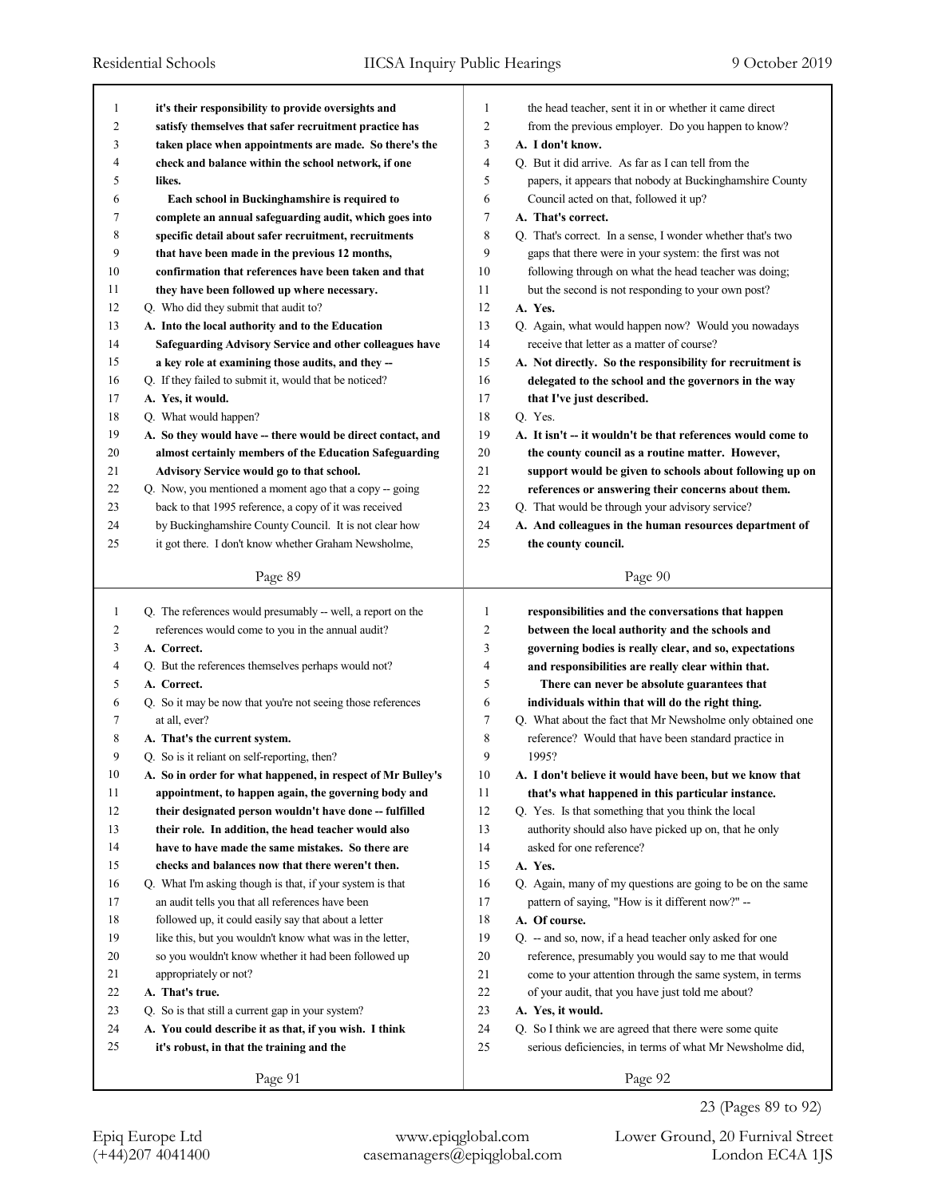| 1  | it's their responsibility to provide oversights and         | 1             | the head teacher, sent it in or whether it came direct      |
|----|-------------------------------------------------------------|---------------|-------------------------------------------------------------|
| 2  | satisfy themselves that safer recruitment practice has      | 2             | from the previous employer. Do you happen to know?          |
| 3  | taken place when appointments are made. So there's the      | 3             | A. I don't know.                                            |
| 4  | check and balance within the school network, if one         | 4             | Q. But it did arrive. As far as I can tell from the         |
| 5  | likes.                                                      | 5             | papers, it appears that nobody at Buckinghamshire County    |
| 6  | Each school in Buckinghamshire is required to               | 6             | Council acted on that, followed it up?                      |
| 7  | complete an annual safeguarding audit, which goes into      | 7             | A. That's correct.                                          |
| 8  | specific detail about safer recruitment, recruitments       | 8             | Q. That's correct. In a sense, I wonder whether that's two  |
| 9  | that have been made in the previous 12 months,              | 9             | gaps that there were in your system: the first was not      |
| 10 | confirmation that references have been taken and that       | 10            | following through on what the head teacher was doing;       |
| 11 | they have been followed up where necessary.                 | 11            | but the second is not responding to your own post?          |
| 12 | Q. Who did they submit that audit to?                       | 12<br>A. Yes. |                                                             |
| 13 | A. Into the local authority and to the Education            | 13            | Q. Again, what would happen now? Would you nowadays         |
| 14 | Safeguarding Advisory Service and other colleagues have     | 14            | receive that letter as a matter of course?                  |
| 15 | a key role at examining those audits, and they --           | 15            | A. Not directly. So the responsibility for recruitment is   |
| 16 | Q. If they failed to submit it, would that be noticed?      | 16            | delegated to the school and the governors in the way        |
| 17 | A. Yes, it would.                                           | 17            | that I've just described.                                   |
| 18 | Q. What would happen?                                       | 18<br>Q. Yes. |                                                             |
| 19 | A. So they would have -- there would be direct contact, and | 19            | A. It isn't -- it wouldn't be that references would come to |
| 20 | almost certainly members of the Education Safeguarding      | 20            | the county council as a routine matter. However,            |
| 21 | Advisory Service would go to that school.                   | 21            | support would be given to schools about following up on     |
| 22 | Q. Now, you mentioned a moment ago that a copy -- going     | 22            | references or answering their concerns about them.          |
| 23 | back to that 1995 reference, a copy of it was received      | 23            | Q. That would be through your advisory service?             |
| 24 | by Buckinghamshire County Council. It is not clear how      | 24            | A. And colleagues in the human resources department of      |
| 25 | it got there. I don't know whether Graham Newsholme,        | 25            | the county council.                                         |
|    |                                                             |               |                                                             |
|    | Page 89                                                     |               | Page 90                                                     |
|    |                                                             |               |                                                             |
|    |                                                             |               |                                                             |
| 1  | Q. The references would presumably -- well, a report on the | 1             | responsibilities and the conversations that happen          |
| 2  | references would come to you in the annual audit?           | 2             | between the local authority and the schools and             |
| 3  | A. Correct.                                                 | 3             | governing bodies is really clear, and so, expectations      |
| 4  | Q. But the references themselves perhaps would not?         | 4             | and responsibilities are really clear within that.          |
| 5  | A. Correct.                                                 | 5             | There can never be absolute guarantees that                 |
| 6  | Q. So it may be now that you're not seeing those references | 6             | individuals within that will do the right thing.            |
| 7  | at all, ever?                                               | 7             | Q. What about the fact that Mr Newsholme only obtained one  |
| 8  | A. That's the current system.                               | 8             | reference? Would that have been standard practice in        |
| 9  | Q. So is it reliant on self-reporting, then?                | 9             | 1995?                                                       |
| 10 | A. So in order for what happened, in respect of Mr Bulley's | 10            | A. I don't believe it would have been, but we know that     |
| 11 | appointment, to happen again, the governing body and        | 11            | that's what happened in this particular instance.           |
| 12 | their designated person wouldn't have done -- fulfilled     | 12            | Q. Yes. Is that something that you think the local          |
| 13 | their role. In addition, the head teacher would also        | 13            | authority should also have picked up on, that he only       |
| 14 | have to have made the same mistakes. So there are           | 14            | asked for one reference?                                    |
| 15 | checks and balances now that there weren't then.            | 15<br>A. Yes. |                                                             |
| 16 | Q. What I'm asking though is that, if your system is that   | 16            | Q. Again, many of my questions are going to be on the same  |
| 17 | an audit tells you that all references have been            | 17            | pattern of saying, "How is it different now?" --            |
| 18 | followed up, it could easily say that about a letter        | 18            | A. Of course.                                               |
| 19 | like this, but you wouldn't know what was in the letter,    | 19            | Q. -- and so, now, if a head teacher only asked for one     |
| 20 | so you wouldn't know whether it had been followed up        | 20            | reference, presumably you would say to me that would        |
| 21 | appropriately or not?                                       | 21            | come to your attention through the same system, in terms    |
| 22 | A. That's true.                                             | 22            | of your audit, that you have just told me about?            |
| 23 | Q. So is that still a current gap in your system?           | 23            | A. Yes, it would.                                           |
| 24 | A. You could describe it as that, if you wish. I think      | 24            | Q. So I think we are agreed that there were some quite      |
| 25 | it's robust, in that the training and the                   | 25            | serious deficiencies, in terms of what Mr Newsholme did,    |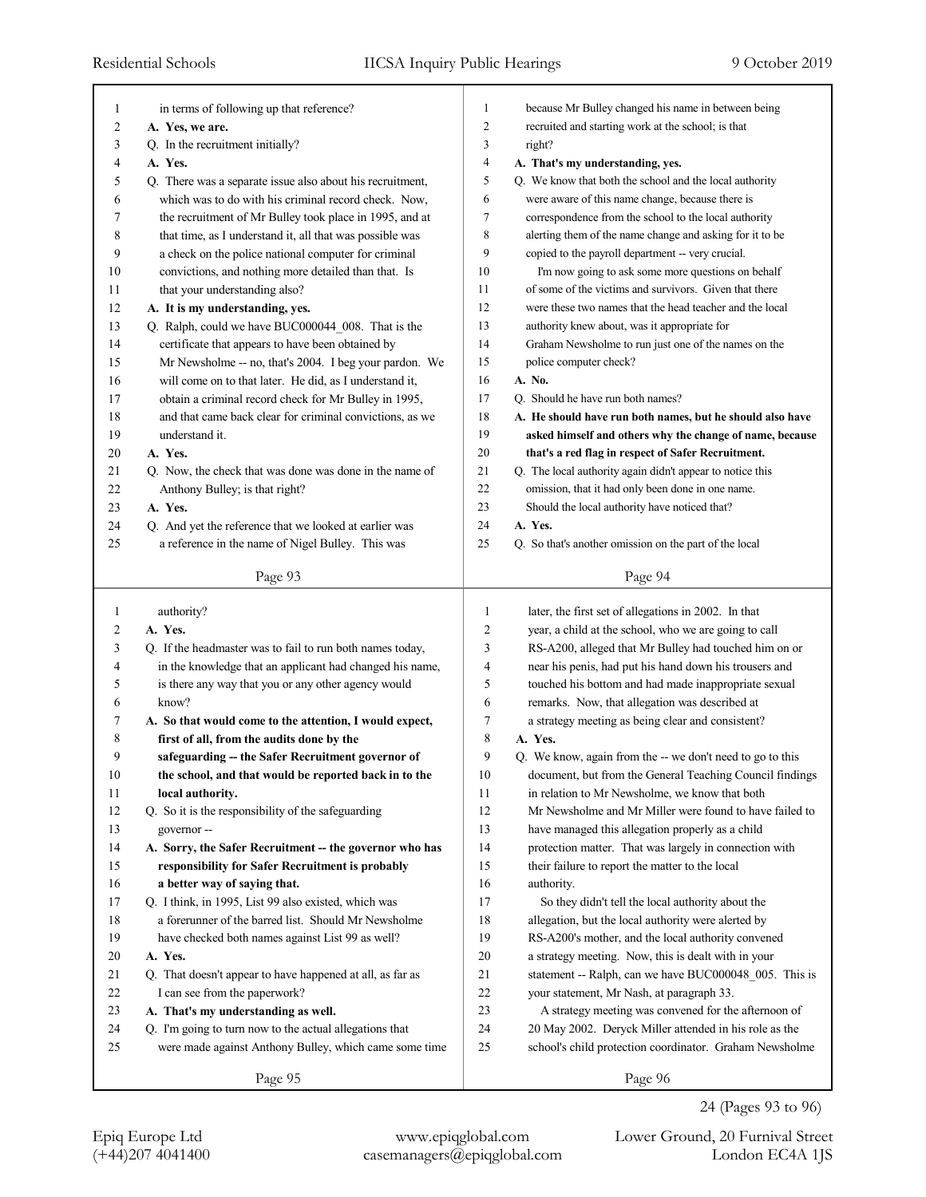| 1                       | in terms of following up that reference?                  | 1                       | because Mr Bulley changed his name in between being       |
|-------------------------|-----------------------------------------------------------|-------------------------|-----------------------------------------------------------|
| $\overline{\mathbf{c}}$ | A. Yes, we are.                                           | $\overline{c}$          | recruited and starting work at the school; is that        |
| 3                       | Q. In the recruitment initially?                          | 3                       | right?                                                    |
| 4                       | A. Yes.                                                   | $\overline{\mathbf{4}}$ | A. That's my understanding, yes.                          |
| 5                       | Q. There was a separate issue also about his recruitment, | 5                       | Q. We know that both the school and the local authority   |
| 6                       | which was to do with his criminal record check. Now,      | 6                       | were aware of this name change, because there is          |
| 7                       | the recruitment of Mr Bulley took place in 1995, and at   | 7                       | correspondence from the school to the local authority     |
| 8                       | that time, as I understand it, all that was possible was  | 8                       | alerting them of the name change and asking for it to be  |
| 9                       | a check on the police national computer for criminal      | 9                       | copied to the payroll department -- very crucial.         |
| 10                      | convictions, and nothing more detailed than that. Is      | 10                      | I'm now going to ask some more questions on behalf        |
| 11                      | that your understanding also?                             | 11                      | of some of the victims and survivors. Given that there    |
| 12                      | A. It is my understanding, yes.                           | 12                      | were these two names that the head teacher and the local  |
| 13                      | Q. Ralph, could we have BUC000044_008. That is the        | 13                      | authority knew about, was it appropriate for              |
| 14                      | certificate that appears to have been obtained by         | 14                      | Graham Newsholme to run just one of the names on the      |
| 15                      | Mr Newsholme -- no, that's 2004. I beg your pardon. We    | 15                      | police computer check?                                    |
| 16                      | will come on to that later. He did, as I understand it,   | 16                      | A. No.                                                    |
| 17                      | obtain a criminal record check for Mr Bulley in 1995,     | 17                      | Q. Should he have run both names?                         |
| 18                      | and that came back clear for criminal convictions, as we  | 18                      | A. He should have run both names, but he should also have |
| 19                      | understand it.                                            | 19                      | asked himself and others why the change of name, because  |
| 20                      | A. Yes.                                                   | 20                      | that's a red flag in respect of Safer Recruitment.        |
| 21                      | Q. Now, the check that was done was done in the name of   | 21                      | Q. The local authority again didn't appear to notice this |
| 22                      | Anthony Bulley; is that right?                            | 22                      | omission, that it had only been done in one name.         |
| 23                      | A. Yes.                                                   | 23                      | Should the local authority have noticed that?             |
| 24                      | Q. And yet the reference that we looked at earlier was    | 24                      | A. Yes.                                                   |
|                         |                                                           | 25                      |                                                           |
| 25                      | a reference in the name of Nigel Bulley. This was         |                         | Q. So that's another omission on the part of the local    |
|                         | Page 93                                                   |                         | Page 94                                                   |
|                         |                                                           |                         |                                                           |
|                         |                                                           |                         |                                                           |
| $\mathbf{1}$            | authority?                                                | 1                       | later, the first set of allegations in 2002. In that      |
| 2                       | A. Yes.                                                   | $\overline{2}$          | year, a child at the school, who we are going to call     |
| 3                       | Q. If the headmaster was to fail to run both names today, | 3                       | RS-A200, alleged that Mr Bulley had touched him on or     |
| 4                       | in the knowledge that an applicant had changed his name,  | 4                       | near his penis, had put his hand down his trousers and    |
| 5                       | is there any way that you or any other agency would       | 5                       | touched his bottom and had made inappropriate sexual      |
| 6                       | know?                                                     | 6                       | remarks. Now, that allegation was described at            |
| 7                       | A. So that would come to the attention, I would expect,   | 7                       | a strategy meeting as being clear and consistent?         |
| 8                       | first of all, from the audits done by the                 | 8                       | A. Yes.                                                   |
| 9                       | safeguarding -- the Safer Recruitment governor of         | 9                       | Q. We know, again from the -- we don't need to go to this |
| 10                      | the school, and that would be reported back in to the     | 10                      | document, but from the General Teaching Council findings  |
| 11                      | local authority.                                          | 11                      | in relation to Mr Newsholme, we know that both            |
| 12                      | Q. So it is the responsibility of the safeguarding        | 12                      | Mr Newsholme and Mr Miller were found to have failed to   |
| 13                      | governor-                                                 | 13                      | have managed this allegation properly as a child          |
| 14                      | A. Sorry, the Safer Recruitment -- the governor who has   | 14                      | protection matter. That was largely in connection with    |
| 15                      | responsibility for Safer Recruitment is probably          | 15                      | their failure to report the matter to the local           |
| 16                      | a better way of saying that.                              | 16                      | authority.                                                |
| 17                      | Q. I think, in 1995, List 99 also existed, which was      | 17                      | So they didn't tell the local authority about the         |
| 18                      | a forerunner of the barred list. Should Mr Newsholme      | 18                      | allegation, but the local authority were alerted by       |
| 19                      | have checked both names against List 99 as well?          | 19                      | RS-A200's mother, and the local authority convened        |
| 20                      | A. Yes.                                                   | 20                      | a strategy meeting. Now, this is dealt with in your       |
|                         |                                                           |                         |                                                           |
| 21<br>22                | Q. That doesn't appear to have happened at all, as far as | $21\,$<br>22            | statement -- Ralph, can we have BUC000048_005. This is    |
|                         | I can see from the paperwork?                             |                         | your statement, Mr Nash, at paragraph 33.                 |
| 23                      | A. That's my understanding as well.                       | 23                      | A strategy meeting was convened for the afternoon of      |
| 24                      | Q. I'm going to turn now to the actual allegations that   | 24                      | 20 May 2002. Deryck Miller attended in his role as the    |
| 25                      | were made against Anthony Bulley, which came some time    | 25                      | school's child protection coordinator. Graham Newsholme   |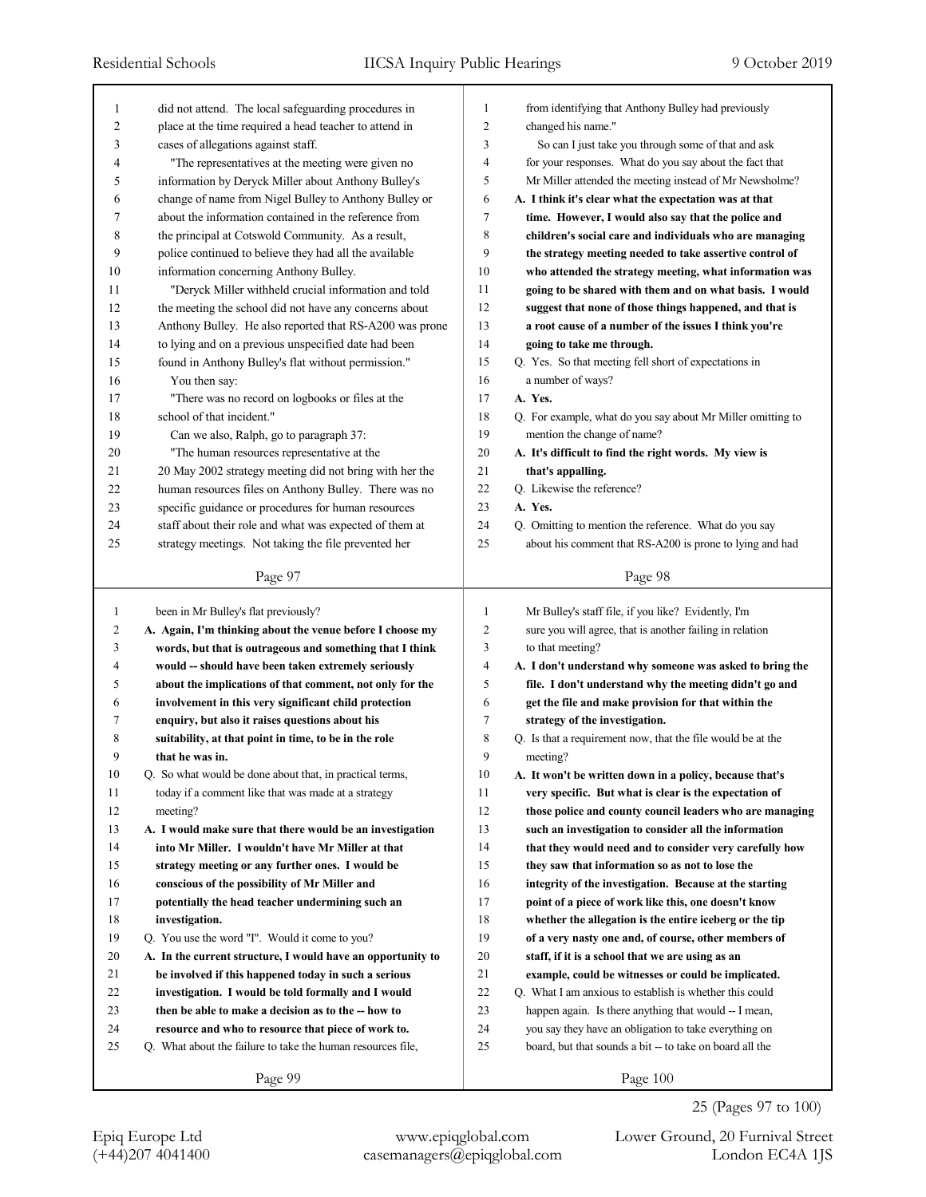| 1              | did not attend. The local safeguarding procedures in                                                            | $\mathbf{1}$        | from identifying that Anthony Bulley had previously                                                             |
|----------------|-----------------------------------------------------------------------------------------------------------------|---------------------|-----------------------------------------------------------------------------------------------------------------|
| 2              | place at the time required a head teacher to attend in                                                          | $\overline{c}$      | changed his name."                                                                                              |
| 3              | cases of allegations against staff.                                                                             | 3                   | So can I just take you through some of that and ask                                                             |
| 4              | "The representatives at the meeting were given no                                                               | $\overline{4}$      | for your responses. What do you say about the fact that                                                         |
| 5              | information by Deryck Miller about Anthony Bulley's                                                             | 5                   | Mr Miller attended the meeting instead of Mr Newsholme?                                                         |
| 6              | change of name from Nigel Bulley to Anthony Bulley or                                                           | 6                   | A. I think it's clear what the expectation was at that                                                          |
| 7              | about the information contained in the reference from                                                           | 7                   | time. However, I would also say that the police and                                                             |
| 8              | the principal at Cotswold Community. As a result,                                                               | 8                   | children's social care and individuals who are managing                                                         |
| 9              | police continued to believe they had all the available                                                          | 9                   | the strategy meeting needed to take assertive control of                                                        |
| 10             | information concerning Anthony Bulley.                                                                          | 10                  | who attended the strategy meeting, what information was                                                         |
| 11             | "Deryck Miller withheld crucial information and told                                                            | 11                  | going to be shared with them and on what basis. I would                                                         |
| 12             | the meeting the school did not have any concerns about                                                          | 12                  | suggest that none of those things happened, and that is                                                         |
| 13             | Anthony Bulley. He also reported that RS-A200 was prone                                                         | 13                  | a root cause of a number of the issues I think you're                                                           |
| 14             | to lying and on a previous unspecified date had been                                                            | 14                  | going to take me through.                                                                                       |
| 15             | found in Anthony Bulley's flat without permission."                                                             | 15                  | Q. Yes. So that meeting fell short of expectations in                                                           |
| 16             | You then say:                                                                                                   | 16                  | a number of ways?                                                                                               |
| 17             | "There was no record on logbooks or files at the                                                                | 17                  | A. Yes.                                                                                                         |
| 18             | school of that incident."                                                                                       | 18                  | Q. For example, what do you say about Mr Miller omitting to                                                     |
| 19             | Can we also, Ralph, go to paragraph 37:                                                                         | 19                  | mention the change of name?                                                                                     |
| 20             | "The human resources representative at the                                                                      | 20                  | A. It's difficult to find the right words. My view is                                                           |
| 21             | 20 May 2002 strategy meeting did not bring with her the                                                         | 21                  | that's appalling.                                                                                               |
| 22             | human resources files on Anthony Bulley. There was no                                                           | 22                  | Q. Likewise the reference?                                                                                      |
| 23             | specific guidance or procedures for human resources                                                             | 23                  | A. Yes.                                                                                                         |
| 24             | staff about their role and what was expected of them at                                                         | 24                  | Q. Omitting to mention the reference. What do you say                                                           |
| 25             | strategy meetings. Not taking the file prevented her                                                            | 25                  | about his comment that RS-A200 is prone to lying and had                                                        |
|                |                                                                                                                 |                     |                                                                                                                 |
|                | Page 97                                                                                                         |                     | Page 98                                                                                                         |
|                |                                                                                                                 |                     |                                                                                                                 |
|                |                                                                                                                 |                     |                                                                                                                 |
| $\mathbf{1}$   | been in Mr Bulley's flat previously?                                                                            | $\mathbf{1}$        | Mr Bulley's staff file, if you like? Evidently, I'm                                                             |
| $\overline{c}$ | A. Again, I'm thinking about the venue before I choose my                                                       | $\overline{c}$      | sure you will agree, that is another failing in relation                                                        |
| 3<br>4         | words, but that is outrageous and something that I think                                                        | 3<br>$\overline{4}$ | to that meeting?                                                                                                |
|                | would -- should have been taken extremely seriously                                                             |                     | A. I don't understand why someone was asked to bring the                                                        |
| 5              | about the implications of that comment, not only for the                                                        | 5                   | file. I don't understand why the meeting didn't go and                                                          |
| 6              | involvement in this very significant child protection                                                           | 6                   | get the file and make provision for that within the                                                             |
| 7              | enquiry, but also it raises questions about his                                                                 | 7                   | strategy of the investigation.                                                                                  |
| 8<br>9         | suitability, at that point in time, to be in the role<br>that he was in.                                        | 8<br>9              | Q. Is that a requirement now, that the file would be at the<br>meeting?                                         |
| 10             |                                                                                                                 |                     | A. It won't be written down in a policy, because that's                                                         |
| 11             | Q. So what would be done about that, in practical terms,<br>today if a comment like that was made at a strategy | $10\,$<br>11        | very specific. But what is clear is the expectation of                                                          |
| 12             | meeting?                                                                                                        | 12                  | those police and county council leaders who are managing                                                        |
| 13             | A. I would make sure that there would be an investigation                                                       | 13                  | such an investigation to consider all the information                                                           |
| 14             | into Mr Miller. I wouldn't have Mr Miller at that                                                               | 14                  | that they would need and to consider very carefully how                                                         |
| 15             | strategy meeting or any further ones. I would be                                                                | 15                  |                                                                                                                 |
|                |                                                                                                                 |                     | they saw that information so as not to lose the                                                                 |
| 16             | conscious of the possibility of Mr Miller and                                                                   | 16                  | integrity of the investigation. Because at the starting                                                         |
| 17             | potentially the head teacher undermining such an                                                                | 17                  | point of a piece of work like this, one doesn't know                                                            |
| 18<br>19       | investigation.<br>Q. You use the word "I". Would it come to you?                                                | 18<br>19            | whether the allegation is the entire iceberg or the tip<br>of a very nasty one and, of course, other members of |
| 20             |                                                                                                                 | 20                  |                                                                                                                 |
|                | A. In the current structure, I would have an opportunity to                                                     |                     | staff, if it is a school that we are using as an                                                                |
| 21             | be involved if this happened today in such a serious                                                            | 21                  | example, could be witnesses or could be implicated.                                                             |
| 22             | investigation. I would be told formally and I would                                                             | 22                  | Q. What I am anxious to establish is whether this could                                                         |
| 23             | then be able to make a decision as to the -- how to                                                             | 23                  | happen again. Is there anything that would -- I mean,                                                           |
| 24             | resource and who to resource that piece of work to.                                                             | 24                  | you say they have an obligation to take everything on                                                           |
| 25             | Q. What about the failure to take the human resources file,<br>Page 99                                          | 25                  | board, but that sounds a bit -- to take on board all the<br>Page 100                                            |

25 (Pages 97 to 100)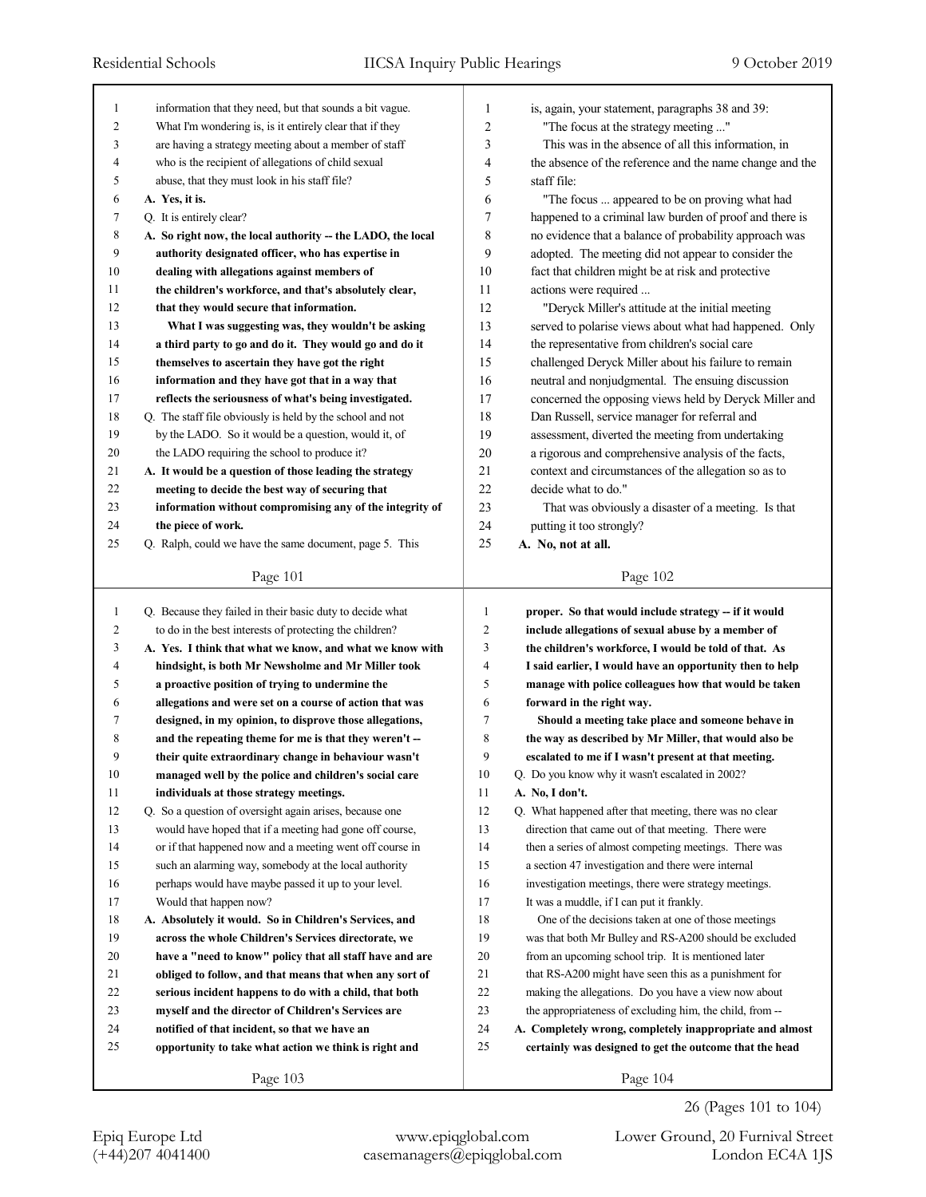| 1              | information that they need, but that sounds a bit vague.    | 1              | is, again, your statement, paragraphs 38 and 39:         |
|----------------|-------------------------------------------------------------|----------------|----------------------------------------------------------|
| $\overline{c}$ | What I'm wondering is, is it entirely clear that if they    | $\overline{2}$ | "The focus at the strategy meeting "                     |
| 3              | are having a strategy meeting about a member of staff       | 3              | This was in the absence of all this information, in      |
| 4              | who is the recipient of allegations of child sexual         | 4              | the absence of the reference and the name change and the |
| 5              | abuse, that they must look in his staff file?               | 5              | staff file:                                              |
| 6              | A. Yes, it is.                                              | 6              | "The focus  appeared to be on proving what had           |
| 7              | Q. It is entirely clear?                                    | 7              | happened to a criminal law burden of proof and there is  |
| $\,$ 8 $\,$    | A. So right now, the local authority -- the LADO, the local | 8              | no evidence that a balance of probability approach was   |
| 9              | authority designated officer, who has expertise in          | 9              | adopted. The meeting did not appear to consider the      |
| 10             | dealing with allegations against members of                 | 10             | fact that children might be at risk and protective       |
| 11             | the children's workforce, and that's absolutely clear,      | 11             | actions were required                                    |
| 12             | that they would secure that information.                    | 12             | "Deryck Miller's attitude at the initial meeting         |
| 13             | What I was suggesting was, they wouldn't be asking          | 13             | served to polarise views about what had happened. Only   |
| 14             | a third party to go and do it. They would go and do it      | 14             | the representative from children's social care           |
| 15             | themselves to ascertain they have got the right             | 15             | challenged Deryck Miller about his failure to remain     |
| 16             | information and they have got that in a way that            | 16             | neutral and nonjudgmental. The ensuing discussion        |
| 17             | reflects the seriousness of what's being investigated.      | 17             | concerned the opposing views held by Deryck Miller and   |
| 18             | Q. The staff file obviously is held by the school and not   | 18             | Dan Russell, service manager for referral and            |
| 19             | by the LADO. So it would be a question, would it, of        | 19             | assessment, diverted the meeting from undertaking        |
| 20             | the LADO requiring the school to produce it?                | 20             | a rigorous and comprehensive analysis of the facts,      |
| 21             | A. It would be a question of those leading the strategy     | 21             | context and circumstances of the allegation so as to     |
| 22             | meeting to decide the best way of securing that             | 22             | decide what to do."                                      |
| 23             | information without compromising any of the integrity of    | 23             | That was obviously a disaster of a meeting. Is that      |
| 24             | the piece of work.                                          | 24             | putting it too strongly?                                 |
| 25             | Q. Ralph, could we have the same document, page 5. This     | 25             | A. No, not at all.                                       |
|                |                                                             |                |                                                          |
|                | Page 101                                                    |                | Page 102                                                 |
|                |                                                             |                |                                                          |
|                |                                                             |                |                                                          |
| $\mathbf{1}$   | Q. Because they failed in their basic duty to decide what   | 1              | proper. So that would include strategy -- if it would    |
| $\overline{c}$ | to do in the best interests of protecting the children?     | $\overline{c}$ | include allegations of sexual abuse by a member of       |
| 3              | A. Yes. I think that what we know, and what we know with    | 3              | the children's workforce, I would be told of that. As    |
| 4              | hindsight, is both Mr Newsholme and Mr Miller took          | 4              | I said earlier, I would have an opportunity then to help |
| 5              | a proactive position of trying to undermine the             | 5              | manage with police colleagues how that would be taken    |
| 6              | allegations and were set on a course of action that was     | 6              | forward in the right way.                                |
| 7              | designed, in my opinion, to disprove those allegations,     | 7              | Should a meeting take place and someone behave in        |
| 8              | and the repeating theme for me is that they weren't-        | 8              | the way as described by Mr Miller, that would also be    |
| 9              | their quite extraordinary change in behaviour wasn't        | 9              | escalated to me if I wasn't present at that meeting.     |
| $10\,$         | managed well by the police and children's social care       | 10             | Q. Do you know why it wasn't escalated in 2002?          |
| 11             | individuals at those strategy meetings.                     | 11             | A. No, I don't.                                          |
| 12             | Q. So a question of oversight again arises, because one     | 12             | Q. What happened after that meeting, there was no clear  |
| 13             | would have hoped that if a meeting had gone off course,     | 13             | direction that came out of that meeting. There were      |
| 14             | or if that happened now and a meeting went off course in    | 14             | then a series of almost competing meetings. There was    |
| 15             | such an alarming way, somebody at the local authority       | 15             | a section 47 investigation and there were internal       |
| 16             | perhaps would have maybe passed it up to your level.        | 16             | investigation meetings, there were strategy meetings.    |
| 17             | Would that happen now?                                      | 17             | It was a muddle, if I can put it frankly.                |
| 18             | A. Absolutely it would. So in Children's Services, and      | 18             | One of the decisions taken at one of those meetings      |
| 19             | across the whole Children's Services directorate, we        | 19             | was that both Mr Bulley and RS-A200 should be excluded   |
| 20             | have a "need to know" policy that all staff have and are    | 20             | from an upcoming school trip. It is mentioned later      |
| 21             | obliged to follow, and that means that when any sort of     | 21             | that RS-A200 might have seen this as a punishment for    |
| 22             | serious incident happens to do with a child, that both      | 22             | making the allegations. Do you have a view now about     |
| 23             | myself and the director of Children's Services are          | 23             | the appropriateness of excluding him, the child, from -- |
| 24             | notified of that incident, so that we have an               | 24             | A. Completely wrong, completely inappropriate and almost |
| 25             | opportunity to take what action we think is right and       | 25             | certainly was designed to get the outcome that the head  |
|                | Page 103                                                    |                | Page 104                                                 |

Epiq Europe Ltd www.epiqglobal.com Lower Ground, 20 Furnival Street

26 (Pages 101 to 104)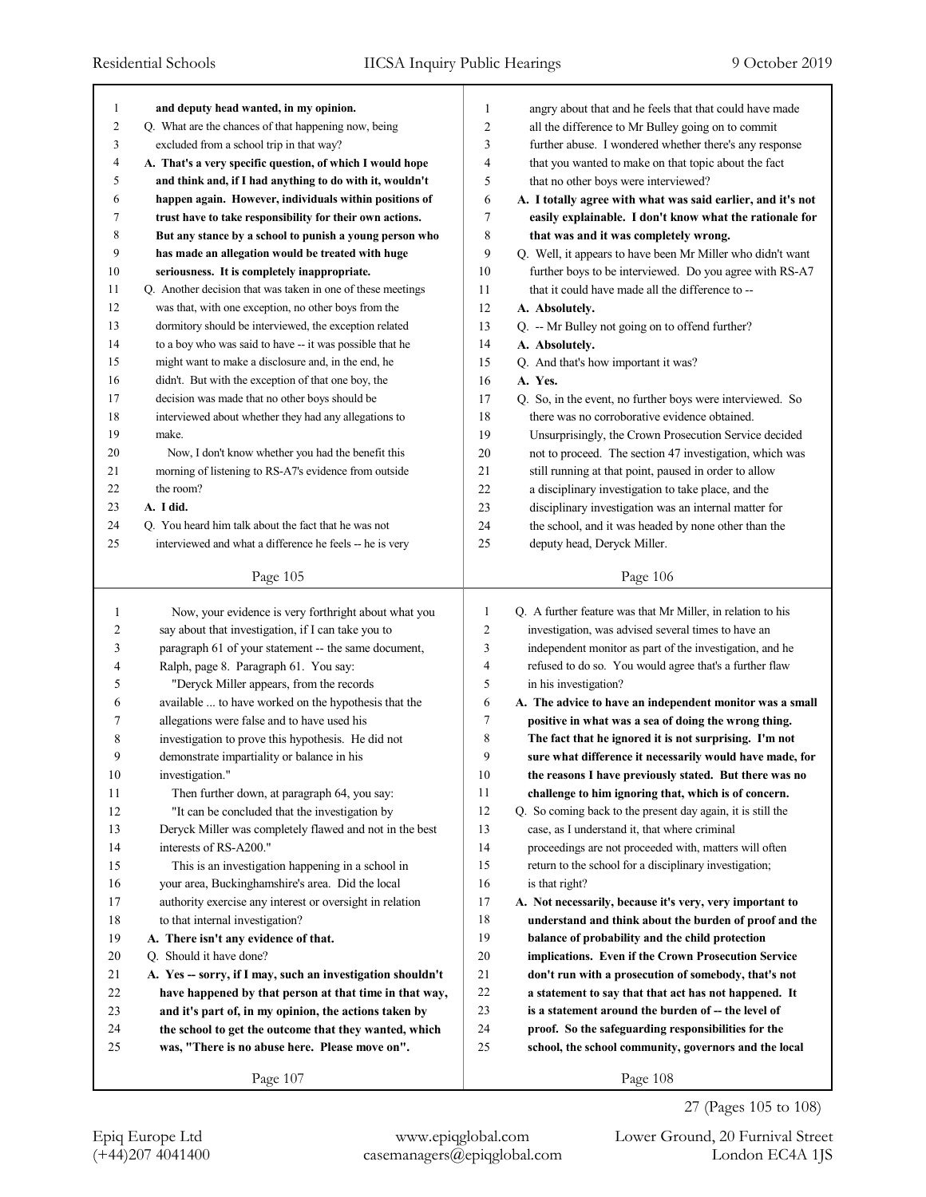| 1              | and deputy head wanted, in my opinion.                      | 1              | angry about that and he feels that that could have made     |
|----------------|-------------------------------------------------------------|----------------|-------------------------------------------------------------|
| $\overline{c}$ | Q. What are the chances of that happening now, being        | $\overline{c}$ | all the difference to Mr Bulley going on to commit          |
| 3              | excluded from a school trip in that way?                    | 3              | further abuse. I wondered whether there's any response      |
| 4              | A. That's a very specific question, of which I would hope   | 4              | that you wanted to make on that topic about the fact        |
| 5              | and think and, if I had anything to do with it, wouldn't    | 5              | that no other boys were interviewed?                        |
| 6              | happen again. However, individuals within positions of      | 6              | A. I totally agree with what was said earlier, and it's not |
| 7              | trust have to take responsibility for their own actions.    | 7              | easily explainable. I don't know what the rationale for     |
| 8              | But any stance by a school to punish a young person who     | 8              | that was and it was completely wrong.                       |
| 9              | has made an allegation would be treated with huge           | 9              | Q. Well, it appears to have been Mr Miller who didn't want  |
| 10             | seriousness. It is completely inappropriate.                | 10             | further boys to be interviewed. Do you agree with RS-A7     |
| 11             | Q. Another decision that was taken in one of these meetings | 11             | that it could have made all the difference to --            |
| 12             | was that, with one exception, no other boys from the        | 12             | A. Absolutely.                                              |
| 13             | dormitory should be interviewed, the exception related      | 13             | Q. -- Mr Bulley not going on to offend further?             |
| 14             | to a boy who was said to have -- it was possible that he    | 14             | A. Absolutely.                                              |
| 15             | might want to make a disclosure and, in the end, he         | 15             | Q. And that's how important it was?                         |
| 16             | didn't. But with the exception of that one boy, the         | 16             | A. Yes.                                                     |
| 17             | decision was made that no other boys should be              | 17             | Q. So, in the event, no further boys were interviewed. So   |
| 18             | interviewed about whether they had any allegations to       | 18             | there was no corroborative evidence obtained.               |
| 19             | make.                                                       | 19             | Unsurprisingly, the Crown Prosecution Service decided       |
| 20             | Now, I don't know whether you had the benefit this          | 20             | not to proceed. The section 47 investigation, which was     |
| 21             | morning of listening to RS-A7's evidence from outside       | 21             | still running at that point, paused in order to allow       |
| 22             | the room?                                                   | 22             | a disciplinary investigation to take place, and the         |
| 23             | A. I did.                                                   | 23             | disciplinary investigation was an internal matter for       |
| 24             | Q. You heard him talk about the fact that he was not        | 24             | the school, and it was headed by none other than the        |
| 25             | interviewed and what a difference he feels -- he is very    | 25             | deputy head, Deryck Miller.                                 |
|                |                                                             |                |                                                             |
|                | Page 105                                                    |                | Page 106                                                    |
|                |                                                             |                |                                                             |
|                |                                                             |                |                                                             |
| $\mathbf{1}$   | Now, your evidence is very forthright about what you        | 1              | Q. A further feature was that Mr Miller, in relation to his |
| 2              | say about that investigation, if I can take you to          | $\overline{2}$ | investigation, was advised several times to have an         |
| 3              | paragraph 61 of your statement -- the same document,        | 3              | independent monitor as part of the investigation, and he    |
| 4              | Ralph, page 8. Paragraph 61. You say:                       | 4              | refused to do so. You would agree that's a further flaw     |
| 5              | "Deryck Miller appears, from the records                    | 5              | in his investigation?                                       |
| 6              | available  to have worked on the hypothesis that the        | 6              | A. The advice to have an independent monitor was a small    |
| 7              | allegations were false and to have used his                 | 7              | positive in what was a sea of doing the wrong thing.        |
| 8              | investigation to prove this hypothesis. He did not          | 8              | The fact that he ignored it is not surprising. I'm not      |
| 9              | demonstrate impartiality or balance in his                  | 9              | sure what difference it necessarily would have made, for    |
| 10             | investigation."                                             | 10             | the reasons I have previously stated. But there was no      |
| 11             | Then further down, at paragraph 64, you say:                | 11             | challenge to him ignoring that, which is of concern.        |
| 12             | "It can be concluded that the investigation by              | 12             | Q. So coming back to the present day again, it is still the |
| 13             | Deryck Miller was completely flawed and not in the best     | 13             | case, as I understand it, that where criminal               |
| 14             | interests of RS-A200."                                      | 14             | proceedings are not proceeded with, matters will often      |
| 15             | This is an investigation happening in a school in           | 15             | return to the school for a disciplinary investigation;      |
| 16             | your area, Buckinghamshire's area. Did the local            | 16             | is that right?                                              |
| 17             | authority exercise any interest or oversight in relation    | 17             | A. Not necessarily, because it's very, very important to    |
| 18             | to that internal investigation?                             | 18             | understand and think about the burden of proof and the      |
| 19             | A. There isn't any evidence of that.                        | 19             | balance of probability and the child protection             |
| 20             | Q. Should it have done?                                     | 20             | implications. Even if the Crown Prosecution Service         |
| 21             | A. Yes -- sorry, if I may, such an investigation shouldn't  | 21             | don't run with a prosecution of somebody, that's not        |
| 22             | have happened by that person at that time in that way,      | 22             | a statement to say that that act has not happened. It       |
| 23             | and it's part of, in my opinion, the actions taken by       | 23             | is a statement around the burden of -- the level of         |
| 24             | the school to get the outcome that they wanted, which       | 24             | proof. So the safeguarding responsibilities for the         |
| 25             | was, "There is no abuse here. Please move on".              | 25             | school, the school community, governors and the local       |
|                | Page 107                                                    |                | Page 108                                                    |

27 (Pages 105 to 108)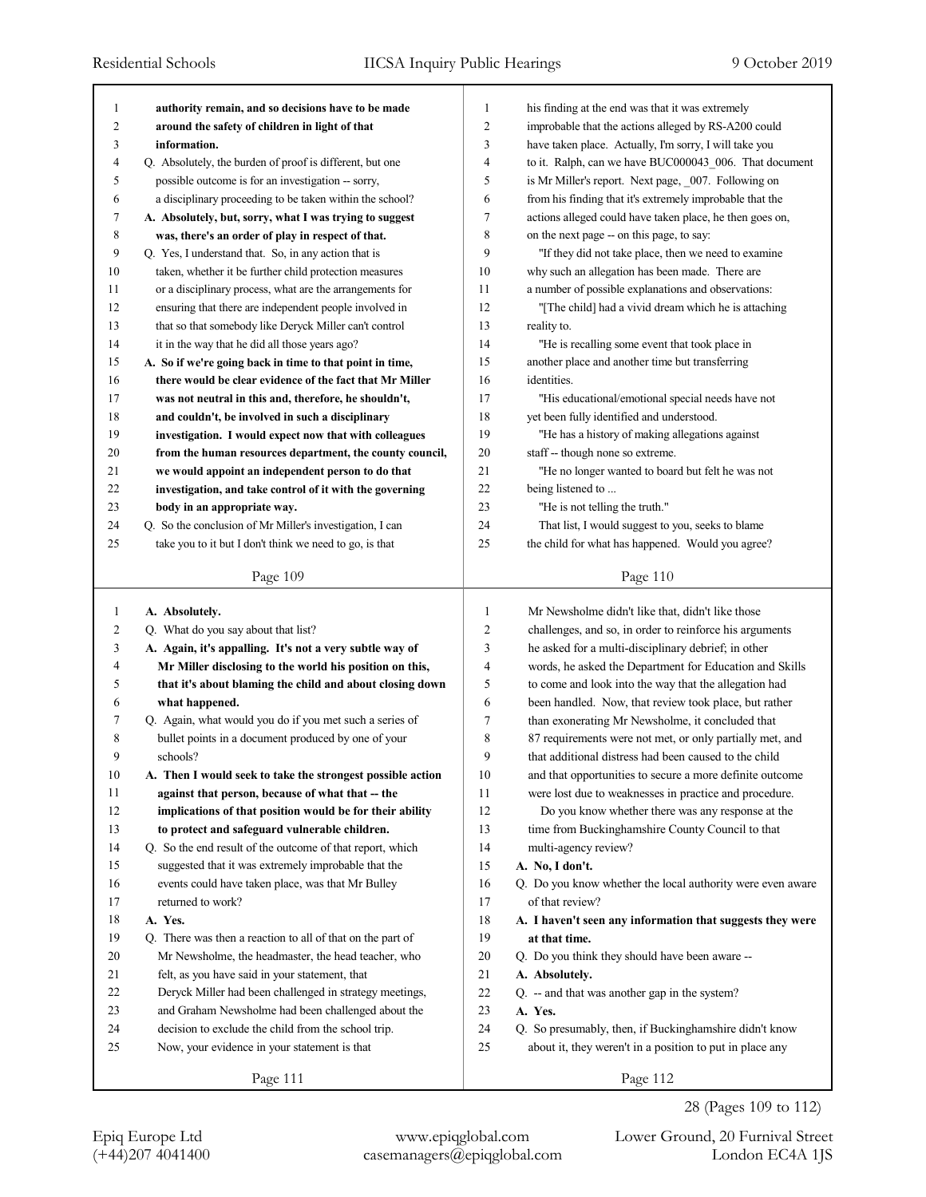| 1              | authority remain, and so decisions have to be made         | 1      | his finding at the end was that it was extremely           |
|----------------|------------------------------------------------------------|--------|------------------------------------------------------------|
| $\overline{c}$ | around the safety of children in light of that             | 2      | improbable that the actions alleged by RS-A200 could       |
| 3              | information.                                               | 3      | have taken place. Actually, I'm sorry, I will take you     |
| 4              | Q. Absolutely, the burden of proof is different, but one   | 4      | to it. Ralph, can we have BUC000043 006. That document     |
| 5              | possible outcome is for an investigation -- sorry,         | 5      | is Mr Miller's report. Next page, 007. Following on        |
| 6              | a disciplinary proceeding to be taken within the school?   | 6      | from his finding that it's extremely improbable that the   |
| 7              | A. Absolutely, but, sorry, what I was trying to suggest    | 7      | actions alleged could have taken place, he then goes on,   |
| 8              | was, there's an order of play in respect of that.          | 8      | on the next page -- on this page, to say:                  |
| 9              | Q. Yes, I understand that. So, in any action that is       | 9      | "If they did not take place, then we need to examine       |
| 10             | taken, whether it be further child protection measures     | 10     | why such an allegation has been made. There are            |
| 11             | or a disciplinary process, what are the arrangements for   | 11     | a number of possible explanations and observations:        |
| 12             | ensuring that there are independent people involved in     | 12     | "[The child] had a vivid dream which he is attaching       |
| 13             | that so that somebody like Deryck Miller can't control     | 13     | reality to.                                                |
| 14             | it in the way that he did all those years ago?             | 14     | "He is recalling some event that took place in             |
| 15             | A. So if we're going back in time to that point in time,   | 15     | another place and another time but transferring            |
| 16             | there would be clear evidence of the fact that Mr Miller   | 16     | identities.                                                |
| 17             | was not neutral in this and, therefore, he shouldn't,      | 17     | "His educational/emotional special needs have not          |
| 18             | and couldn't, be involved in such a disciplinary           | 18     | yet been fully identified and understood.                  |
| 19             | investigation. I would expect now that with colleagues     | 19     | "He has a history of making allegations against            |
| 20             | from the human resources department, the county council,   | 20     | staff -- though none so extreme.                           |
| 21             | we would appoint an independent person to do that          | 21     | "He no longer wanted to board but felt he was not          |
| 22             | investigation, and take control of it with the governing   | 22     | being listened to                                          |
| 23             | body in an appropriate way.                                | 23     | "He is not telling the truth."                             |
| 24             | Q. So the conclusion of Mr Miller's investigation, I can   | 24     | That list, I would suggest to you, seeks to blame          |
| 25             | take you to it but I don't think we need to go, is that    | 25     | the child for what has happened. Would you agree?          |
|                |                                                            |        |                                                            |
|                | Page 109                                                   |        | Page 110                                                   |
|                |                                                            |        |                                                            |
|                |                                                            |        |                                                            |
| 1              | A. Absolutely.                                             | 1      | Mr Newsholme didn't like that, didn't like those           |
| 2              | Q. What do you say about that list?                        | 2      | challenges, and so, in order to reinforce his arguments    |
| 3              | A. Again, it's appalling. It's not a very subtle way of    | 3      | he asked for a multi-disciplinary debrief; in other        |
| 4              | Mr Miller disclosing to the world his position on this,    | 4      | words, he asked the Department for Education and Skills    |
| 5              | that it's about blaming the child and about closing down   | 5      | to come and look into the way that the allegation had      |
| 6              | what happened.                                             | 6      | been handled. Now, that review took place, but rather      |
| 7              | Q. Again, what would you do if you met such a series of    | 7      | than exonerating Mr Newsholme, it concluded that           |
| 8              | bullet points in a document produced by one of your        | 8      | 87 requirements were not met, or only partially met, and   |
| 9              | schools?                                                   | 9      | that additional distress had been caused to the child      |
| 10             | A. Then I would seek to take the strongest possible action | 10     | and that opportunities to secure a more definite outcome   |
| 11             | against that person, because of what that -- the           | 11     | were lost due to weaknesses in practice and procedure.     |
| 12             | implications of that position would be for their ability   | 12     | Do you know whether there was any response at the          |
| 13             | to protect and safeguard vulnerable children.              | 13     | time from Buckinghamshire County Council to that           |
| 14             | Q. So the end result of the outcome of that report, which  | 14     | multi-agency review?                                       |
| 15             | suggested that it was extremely improbable that the        | 15     | A. No, I don't.                                            |
| 16             | events could have taken place, was that Mr Bulley          | 16     | Q. Do you know whether the local authority were even aware |
| 17             | returned to work?                                          | 17     | of that review?                                            |
| 18             | A. Yes.                                                    | 18     | A. I haven't seen any information that suggests they were  |
| 19             | Q. There was then a reaction to all of that on the part of | 19     | at that time.                                              |
| 20             | Mr Newsholme, the headmaster, the head teacher, who        | 20     | Q. Do you think they should have been aware --             |
| 21             | felt, as you have said in your statement, that             | 21     | A. Absolutely.                                             |
| 22             | Deryck Miller had been challenged in strategy meetings,    | $22\,$ | Q. -- and that was another gap in the system?              |
| 23             | and Graham Newsholme had been challenged about the         | 23     | A. Yes.                                                    |
| 24             | decision to exclude the child from the school trip.        | 24     | Q. So presumably, then, if Buckinghamshire didn't know     |
| 25             | Now, your evidence in your statement is that               | 25     | about it, they weren't in a position to put in place any   |
|                | Page 111                                                   |        | Page 112                                                   |

28 (Pages 109 to 112)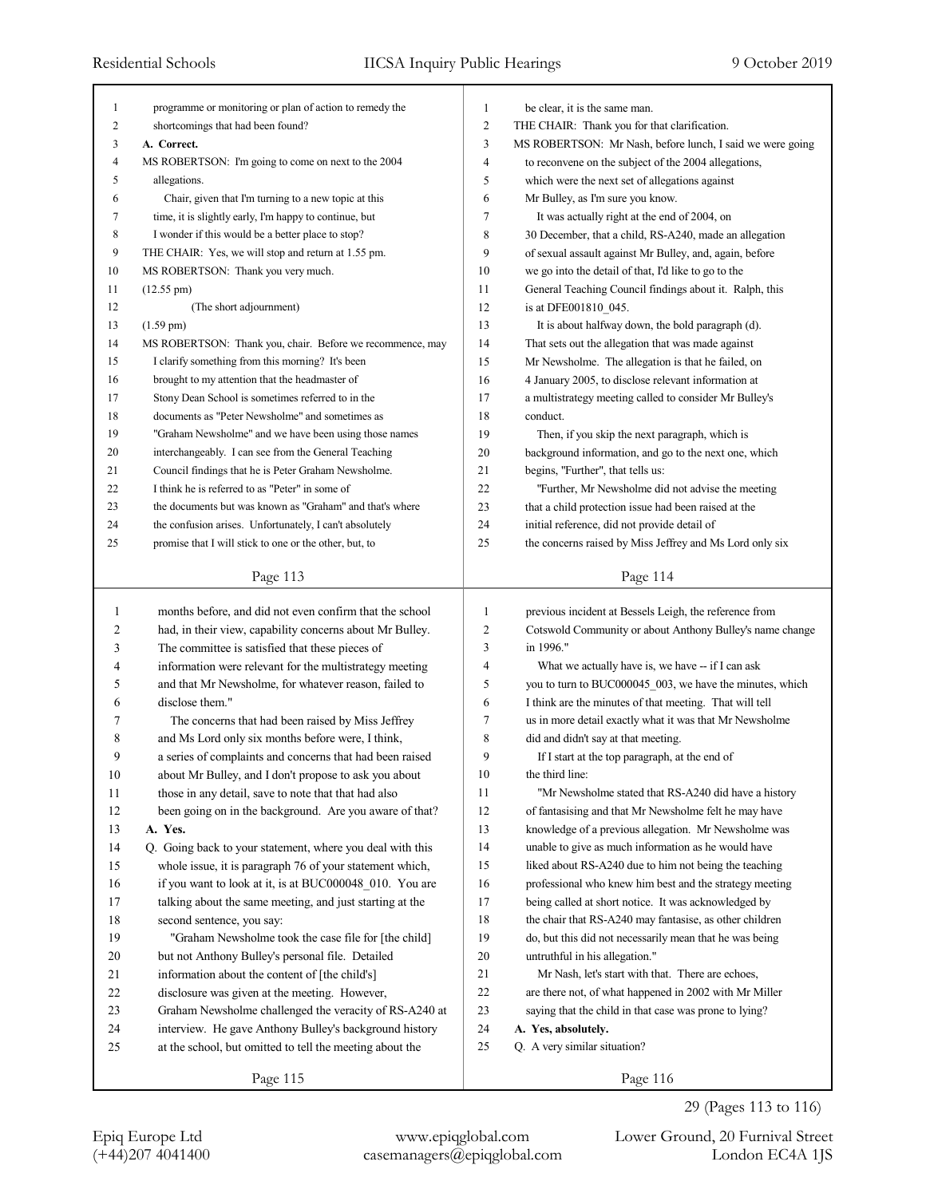| 1      | programme or monitoring or plan of action to remedy the                                                | $\mathbf{1}$   | be clear, it is the same man.                                                              |
|--------|--------------------------------------------------------------------------------------------------------|----------------|--------------------------------------------------------------------------------------------|
| 2      | shortcomings that had been found?                                                                      | $\overline{2}$ | THE CHAIR: Thank you for that clarification.                                               |
| 3      | A. Correct.                                                                                            | 3              | MS ROBERTSON: Mr Nash, before lunch, I said we were going                                  |
| 4      | MS ROBERTSON: I'm going to come on next to the 2004                                                    | 4              | to reconvene on the subject of the 2004 allegations,                                       |
| 5      | allegations.                                                                                           | 5              | which were the next set of allegations against                                             |
| 6      | Chair, given that I'm turning to a new topic at this                                                   | 6              | Mr Bulley, as I'm sure you know.                                                           |
| 7      | time, it is slightly early, I'm happy to continue, but                                                 | $\tau$         | It was actually right at the end of 2004, on                                               |
| 8      | I wonder if this would be a better place to stop?                                                      | 8              | 30 December, that a child, RS-A240, made an allegation                                     |
| 9      | THE CHAIR: Yes, we will stop and return at 1.55 pm.                                                    | 9              | of sexual assault against Mr Bulley, and, again, before                                    |
| 10     | MS ROBERTSON: Thank you very much.                                                                     | 10             | we go into the detail of that, I'd like to go to the                                       |
| 11     | $(12.55 \text{ pm})$                                                                                   | 11             | General Teaching Council findings about it. Ralph, this                                    |
| 12     | (The short adjournment)                                                                                | 12             | is at DFE001810 045.                                                                       |
| 13     | $(1.59 \text{ pm})$                                                                                    | 13             | It is about halfway down, the bold paragraph (d).                                          |
| 14     | MS ROBERTSON: Thank you, chair. Before we recommence, may                                              | 14             | That sets out the allegation that was made against                                         |
| 15     | I clarify something from this morning? It's been                                                       | 15             | Mr Newsholme. The allegation is that he failed, on                                         |
| 16     | brought to my attention that the headmaster of                                                         | 16             | 4 January 2005, to disclose relevant information at                                        |
| 17     | Stony Dean School is sometimes referred to in the                                                      | 17             | a multistrategy meeting called to consider Mr Bulley's                                     |
| 18     | documents as "Peter Newsholme" and sometimes as                                                        | 18             | conduct.                                                                                   |
| 19     | "Graham Newsholme" and we have been using those names                                                  | 19             | Then, if you skip the next paragraph, which is                                             |
| 20     |                                                                                                        | 20             |                                                                                            |
| 21     | interchangeably. I can see from the General Teaching                                                   | 21             | background information, and go to the next one, which<br>begins, "Further", that tells us: |
| 22     | Council findings that he is Peter Graham Newsholme.<br>I think he is referred to as "Peter" in some of | 22             |                                                                                            |
| 23     | the documents but was known as "Graham" and that's where                                               | 23             | "Further, Mr Newsholme did not advise the meeting                                          |
|        |                                                                                                        | 24             | that a child protection issue had been raised at the                                       |
| 24     | the confusion arises. Unfortunately, I can't absolutely                                                | 25             | initial reference, did not provide detail of                                               |
| 25     | promise that I will stick to one or the other, but, to                                                 |                | the concerns raised by Miss Jeffrey and Ms Lord only six                                   |
|        | Page 113                                                                                               |                | Page 114                                                                                   |
|        |                                                                                                        |                |                                                                                            |
|        |                                                                                                        |                |                                                                                            |
| 1      | months before, and did not even confirm that the school                                                | $\mathbf{1}$   | previous incident at Bessels Leigh, the reference from                                     |
| 2      | had, in their view, capability concerns about Mr Bulley.                                               | $\overline{c}$ | Cotswold Community or about Anthony Bulley's name change                                   |
| 3      | The committee is satisfied that these pieces of                                                        | 3              | in 1996."                                                                                  |
| 4      | information were relevant for the multistrategy meeting                                                | $\overline{4}$ | What we actually have is, we have -- if I can ask                                          |
| 5      | and that Mr Newsholme, for whatever reason, failed to                                                  | 5              | you to turn to BUC000045_003, we have the minutes, which                                   |
| 6      | disclose them."                                                                                        | 6              | I think are the minutes of that meeting. That will tell                                    |
| 7      | The concerns that had been raised by Miss Jeffrey                                                      | $\overline{7}$ | us in more detail exactly what it was that Mr Newsholme                                    |
| 8      | and Ms Lord only six months before were, I think,                                                      | 8              | did and didn't say at that meeting.                                                        |
| 9      | a series of complaints and concerns that had been raised                                               | 9              | If I start at the top paragraph, at the end of                                             |
| 10     | about Mr Bulley, and I don't propose to ask you about                                                  | 10             | the third line:                                                                            |
| 11     | those in any detail, save to note that that had also                                                   | 11             | "Mr Newsholme stated that RS-A240 did have a history"                                      |
| 12     | been going on in the background. Are you aware of that?                                                | 12             | of fantasising and that Mr Newsholme felt he may have                                      |
| 13     | A. Yes.                                                                                                | 13             | knowledge of a previous allegation. Mr Newsholme was                                       |
| 14     | Q. Going back to your statement, where you deal with this                                              | 14             | unable to give as much information as he would have                                        |
| 15     | whole issue, it is paragraph 76 of your statement which,                                               | 15             | liked about RS-A240 due to him not being the teaching                                      |
| 16     | if you want to look at it, is at BUC000048_010. You are                                                | 16             | professional who knew him best and the strategy meeting                                    |
| 17     | talking about the same meeting, and just starting at the                                               | 17             | being called at short notice. It was acknowledged by                                       |
| $18\,$ | second sentence, you say:                                                                              | 18             | the chair that RS-A240 may fantasise, as other children                                    |
| 19     | "Graham Newsholme took the case file for [the child]                                                   | 19             | do, but this did not necessarily mean that he was being                                    |
| 20     | but not Anthony Bulley's personal file. Detailed                                                       | 20             | untruthful in his allegation."                                                             |
| 21     | information about the content of [the child's]                                                         | 21             | Mr Nash, let's start with that. There are echoes,                                          |
| 22     | disclosure was given at the meeting. However,                                                          | 22             | are there not, of what happened in 2002 with Mr Miller                                     |
| 23     | Graham Newsholme challenged the veracity of RS-A240 at                                                 | 23             | saying that the child in that case was prone to lying?                                     |
| 24     | interview. He gave Anthony Bulley's background history                                                 | $24\,$         | A. Yes, absolutely.                                                                        |
| 25     | at the school, but omitted to tell the meeting about the                                               | 25             | Q. A very similar situation?                                                               |

29 (Pages 113 to 116)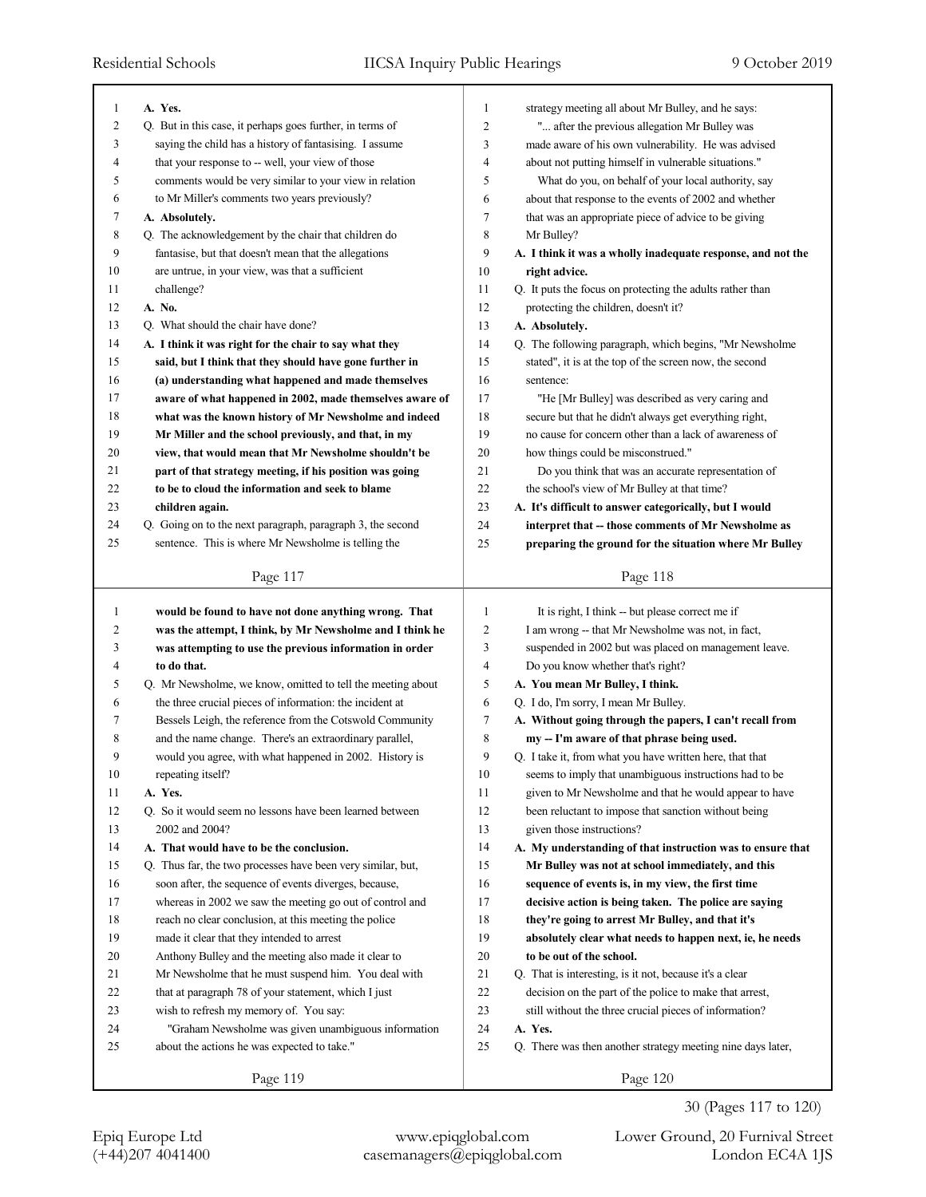| 1            | A. Yes.                                                     | $\mathbf{1}$   | strategy meeting all about Mr Bulley, and he says:          |
|--------------|-------------------------------------------------------------|----------------|-------------------------------------------------------------|
| 2            | Q. But in this case, it perhaps goes further, in terms of   | $\overline{2}$ | " after the previous allegation Mr Bulley was               |
| 3            | saying the child has a history of fantasising. I assume     | 3              | made aware of his own vulnerability. He was advised         |
| 4            | that your response to -- well, your view of those           | 4              | about not putting himself in vulnerable situations."        |
| 5            | comments would be very similar to your view in relation     | 5              | What do you, on behalf of your local authority, say         |
| 6            | to Mr Miller's comments two years previously?               | 6              | about that response to the events of 2002 and whether       |
| 7            | A. Absolutely.                                              | 7              | that was an appropriate piece of advice to be giving        |
| 8            | Q. The acknowledgement by the chair that children do        | 8              | Mr Bulley?                                                  |
| 9            | fantasise, but that doesn't mean that the allegations       | 9              | A. I think it was a wholly inadequate response, and not the |
| 10           | are untrue, in your view, was that a sufficient             | 10             | right advice.                                               |
| 11           | challenge?                                                  | 11             | Q. It puts the focus on protecting the adults rather than   |
| 12           | A. No.                                                      | 12             | protecting the children, doesn't it?                        |
| 13           | Q. What should the chair have done?                         | 13             | A. Absolutely.                                              |
| 14           | A. I think it was right for the chair to say what they      | 14             | Q. The following paragraph, which begins, "Mr Newsholme     |
| 15           | said, but I think that they should have gone further in     | 15             | stated", it is at the top of the screen now, the second     |
| 16           | (a) understanding what happened and made themselves         | 16             | sentence:                                                   |
| 17           | aware of what happened in 2002, made themselves aware of    | 17             | "He [Mr Bulley] was described as very caring and            |
| 18           | what was the known history of Mr Newsholme and indeed       | 18             | secure but that he didn't always get everything right,      |
| 19           | Mr Miller and the school previously, and that, in my        | 19             | no cause for concern other than a lack of awareness of      |
| 20           | view, that would mean that Mr Newsholme shouldn't be        | 20             | how things could be misconstrued."                          |
| 21           | part of that strategy meeting, if his position was going    | 21             | Do you think that was an accurate representation of         |
| 22           | to be to cloud the information and seek to blame            | 22             | the school's view of Mr Bulley at that time?                |
| 23           | children again.                                             | 23             | A. It's difficult to answer categorically, but I would      |
| 24           | Q. Going on to the next paragraph, paragraph 3, the second  | 24             | interpret that -- those comments of Mr Newsholme as         |
| 25           | sentence. This is where Mr Newsholme is telling the         | 25             | preparing the ground for the situation where Mr Bulley      |
|              |                                                             |                |                                                             |
|              | Page 117                                                    |                | Page 118                                                    |
|              |                                                             |                |                                                             |
|              |                                                             |                |                                                             |
| $\mathbf{1}$ | would be found to have not done anything wrong. That        | $\mathbf{1}$   | It is right, I think -- but please correct me if            |
| 2            | was the attempt, I think, by Mr Newsholme and I think he    | $\overline{2}$ | I am wrong -- that Mr Newsholme was not, in fact,           |
| 3            | was attempting to use the previous information in order     | 3              | suspended in 2002 but was placed on management leave.       |
| 4            | to do that.                                                 | 4              | Do you know whether that's right?                           |
| 5            | Q. Mr Newsholme, we know, omitted to tell the meeting about | 5              | A. You mean Mr Bulley, I think.                             |
| 6            | the three crucial pieces of information: the incident at    | 6              | Q. I do, I'm sorry, I mean Mr Bulley.                       |
| 7            | Bessels Leigh, the reference from the Cotswold Community    | 7              | A. Without going through the papers, I can't recall from    |
| 8            | and the name change. There's an extraordinary parallel,     | 8              | my -- I'm aware of that phrase being used.                  |
| 9            | would you agree, with what happened in 2002. History is     | 9              | Q. I take it, from what you have written here, that that    |
| $10\,$       | repeating itself?                                           | $10\,$         | seems to imply that unambiguous instructions had to be      |
| 11           | A. Yes.                                                     | 11             | given to Mr Newsholme and that he would appear to have      |
| 12           | Q. So it would seem no lessons have been learned between    | 12             | been reluctant to impose that sanction without being        |
| 13           | 2002 and 2004?                                              | 13             | given those instructions?                                   |
| 14           | A. That would have to be the conclusion.                    | 14             | A. My understanding of that instruction was to ensure that  |
| 15           | Q. Thus far, the two processes have been very similar, but, | 15             | Mr Bulley was not at school immediately, and this           |
| 16           | soon after, the sequence of events diverges, because,       | 16             | sequence of events is, in my view, the first time           |
| 17           | whereas in 2002 we saw the meeting go out of control and    | 17             | decisive action is being taken. The police are saying       |
| 18           | reach no clear conclusion, at this meeting the police       | 18             | they're going to arrest Mr Bulley, and that it's            |
| 19           | made it clear that they intended to arrest                  | 19             | absolutely clear what needs to happen next, ie, he needs    |
| 20           | Anthony Bulley and the meeting also made it clear to        | 20             | to be out of the school.                                    |
| 21           | Mr Newsholme that he must suspend him. You deal with        | 21             | Q. That is interesting, is it not, because it's a clear     |
| 22           | that at paragraph 78 of your statement, which I just        | 22             | decision on the part of the police to make that arrest,     |
| 23           | wish to refresh my memory of. You say:                      | 23             | still without the three crucial pieces of information?      |
| 24<br>25     | "Graham Newsholme was given unambiguous information         | 24<br>25       | A. Yes.                                                     |
|              | about the actions he was expected to take."                 |                | Q. There was then another strategy meeting nine days later, |

30 (Pages 117 to 120)

(+44)207 4041400 casemanagers@epiqglobal.com London EC4A 1JS Epiq Europe Ltd www.epiqglobal.com Lower Ground, 20 Furnival Street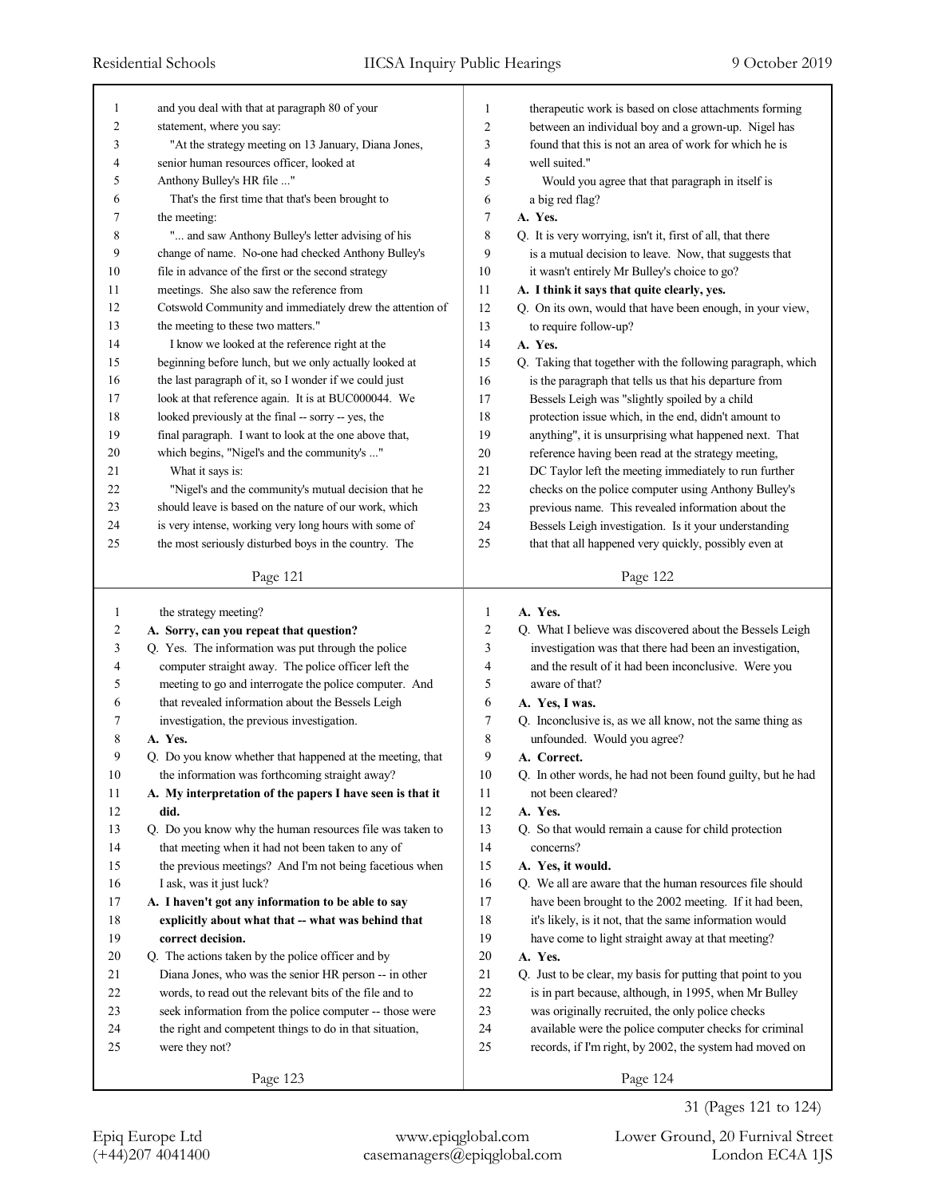| 1                | and you deal with that at paragraph 80 of your            | 1              | therapeutic work is based on close attachments forming      |
|------------------|-----------------------------------------------------------|----------------|-------------------------------------------------------------|
| $\boldsymbol{2}$ | statement, where you say:                                 | $\sqrt{2}$     | between an individual boy and a grown-up. Nigel has         |
| 3                | "At the strategy meeting on 13 January, Diana Jones,      | 3              | found that this is not an area of work for which he is      |
| 4                | senior human resources officer, looked at                 | $\overline{4}$ | well suited."                                               |
| 5                | Anthony Bulley's HR file "                                | 5              | Would you agree that that paragraph in itself is            |
| 6                | That's the first time that that's been brought to         | 6              | a big red flag?                                             |
| 7                | the meeting:                                              | $\overline{7}$ | A. Yes.                                                     |
| 8                | " and saw Anthony Bulley's letter advising of his         | $\,$ 8 $\,$    | Q. It is very worrying, isn't it, first of all, that there  |
| 9                | change of name. No-one had checked Anthony Bulley's       | 9              | is a mutual decision to leave. Now, that suggests that      |
| 10               | file in advance of the first or the second strategy       | 10             | it wasn't entirely Mr Bulley's choice to go?                |
| 11               | meetings. She also saw the reference from                 | 11             | A. I think it says that quite clearly, yes.                 |
| 12               | Cotswold Community and immediately drew the attention of  | 12             | Q. On its own, would that have been enough, in your view,   |
| 13               | the meeting to these two matters."                        | 13             | to require follow-up?                                       |
| 14               | I know we looked at the reference right at the            | 14             | A. Yes.                                                     |
| 15               | beginning before lunch, but we only actually looked at    | 15             | Q. Taking that together with the following paragraph, which |
| 16               | the last paragraph of it, so I wonder if we could just    | 16             | is the paragraph that tells us that his departure from      |
| 17               | look at that reference again. It is at BUC000044. We      | 17             | Bessels Leigh was "slightly spoiled by a child              |
| 18               | looked previously at the final -- sorry -- yes, the       | 18             | protection issue which, in the end, didn't amount to        |
| 19               | final paragraph. I want to look at the one above that,    | 19             | anything", it is unsurprising what happened next. That      |
| 20               | which begins, "Nigel's and the community's "              | 20             | reference having been read at the strategy meeting,         |
| 21               | What it says is:                                          | 21             | DC Taylor left the meeting immediately to run further       |
| 22               | "Nigel's and the community's mutual decision that he      | 22             | checks on the police computer using Anthony Bulley's        |
| 23               | should leave is based on the nature of our work, which    | 23             | previous name. This revealed information about the          |
| 24               | is very intense, working very long hours with some of     | 24             | Bessels Leigh investigation. Is it your understanding       |
| 25               | the most seriously disturbed boys in the country. The     | 25             | that that all happened very quickly, possibly even at       |
|                  |                                                           |                |                                                             |
|                  | Page 121                                                  |                | Page 122                                                    |
|                  |                                                           |                |                                                             |
|                  |                                                           |                |                                                             |
| 1                | the strategy meeting?                                     | 1              | A. Yes.                                                     |
| $\overline{c}$   | A. Sorry, can you repeat that question?                   | 2              | Q. What I believe was discovered about the Bessels Leigh    |
| 3                | Q. Yes. The information was put through the police        | 3              | investigation was that there had been an investigation,     |
| 4                | computer straight away. The police officer left the       | 4              | and the result of it had been inconclusive. Were you        |
| 5                | meeting to go and interrogate the police computer. And    | 5              | aware of that?                                              |
| 6                | that revealed information about the Bessels Leigh         | 6              | A. Yes, I was.                                              |
| 7                | investigation, the previous investigation.                | 7              | Q. Inconclusive is, as we all know, not the same thing as   |
| 8                | A. Yes.                                                   | 8              | unfounded. Would you agree?                                 |
| 9                | Q. Do you know whether that happened at the meeting, that | 9              | A. Correct.                                                 |
| $10\,$           | the information was forthcoming straight away?            | $10\,$         | Q. In other words, he had not been found guilty, but he had |
| 11               | A. My interpretation of the papers I have seen is that it | 11             | not been cleared?                                           |
| 12               | did.                                                      | 12             | A. Yes.                                                     |
| 13               | Q. Do you know why the human resources file was taken to  | 13             | Q. So that would remain a cause for child protection        |
| 14               | that meeting when it had not been taken to any of         | 14             | concerns?                                                   |
| 15               | the previous meetings? And I'm not being facetious when   | 15             | A. Yes, it would.                                           |
| 16               | I ask, was it just luck?                                  | 16             | Q. We all are aware that the human resources file should    |
| 17               | A. I haven't got any information to be able to say        | 17             | have been brought to the 2002 meeting. If it had been,      |
| $18\,$           | explicitly about what that -- what was behind that        | 18             | it's likely, is it not, that the same information would     |
| 19               | correct decision.                                         | 19             | have come to light straight away at that meeting?           |
| 20               | Q. The actions taken by the police officer and by         | $20\,$         | A. Yes.                                                     |
| 21               | Diana Jones, who was the senior HR person -- in other     | 21             | Q. Just to be clear, my basis for putting that point to you |
| 22               | words, to read out the relevant bits of the file and to   | $22\,$         | is in part because, although, in 1995, when Mr Bulley       |
| 23               | seek information from the police computer -- those were   | 23             | was originally recruited, the only police checks            |
| 24               | the right and competent things to do in that situation,   | 24             | available were the police computer checks for criminal      |
| 25               | were they not?                                            | 25             | records, if I'm right, by 2002, the system had moved on     |
|                  | Page 123                                                  |                | Page 124                                                    |

(+44)207 4041400 casemanagers@epiqglobal.com London EC4A 1JS Epiq Europe Ltd www.epiqglobal.com Lower Ground, 20 Furnival Street

31 (Pages 121 to 124)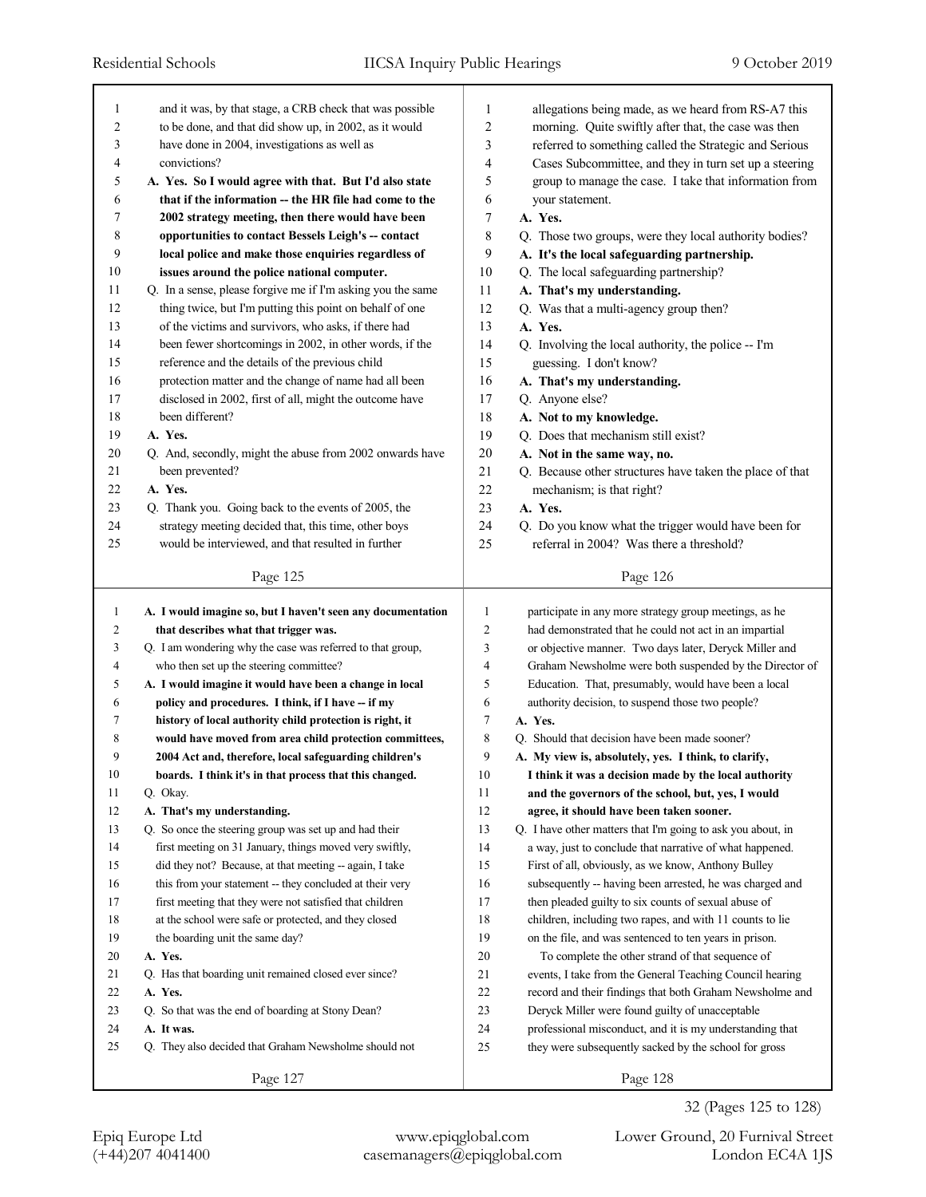| 1              | and it was, by that stage, a CRB check that was possible    | 1              | allegations being made, as we heard from RS-A7 this         |
|----------------|-------------------------------------------------------------|----------------|-------------------------------------------------------------|
| 2              | to be done, and that did show up, in 2002, as it would      | 2              | morning. Quite swiftly after that, the case was then        |
| 3              | have done in 2004, investigations as well as                | 3              | referred to something called the Strategic and Serious      |
| 4              | convictions?                                                | 4              | Cases Subcommittee, and they in turn set up a steering      |
| 5              | A. Yes. So I would agree with that. But I'd also state      | 5              | group to manage the case. I take that information from      |
| 6              | that if the information -- the HR file had come to the      | 6              | your statement.                                             |
| 7              | 2002 strategy meeting, then there would have been           | 7              | A. Yes.                                                     |
| 8              | opportunities to contact Bessels Leigh's -- contact         | 8              | Q. Those two groups, were they local authority bodies?      |
| 9              | local police and make those enquiries regardless of         | 9              | A. It's the local safeguarding partnership.                 |
| 10             | issues around the police national computer.                 | 10             | Q. The local safeguarding partnership?                      |
| 11             | Q. In a sense, please forgive me if I'm asking you the same | 11             | A. That's my understanding.                                 |
| 12             | thing twice, but I'm putting this point on behalf of one    | 12             | Q. Was that a multi-agency group then?                      |
| 13             | of the victims and survivors, who asks, if there had        | 13             | A. Yes.                                                     |
| 14             | been fewer shortcomings in 2002, in other words, if the     | 14             | Q. Involving the local authority, the police -- I'm         |
| 15             | reference and the details of the previous child             | 15             | guessing. I don't know?                                     |
| 16             | protection matter and the change of name had all been       | 16             | A. That's my understanding.                                 |
| 17             | disclosed in 2002, first of all, might the outcome have     | 17             | Q. Anyone else?                                             |
| 18             | been different?                                             | 18             | A. Not to my knowledge.                                     |
| 19             | A. Yes.                                                     | 19             | Q. Does that mechanism still exist?                         |
| 20             | Q. And, secondly, might the abuse from 2002 onwards have    | 20             | A. Not in the same way, no.                                 |
| 21             | been prevented?                                             | 21             | Q. Because other structures have taken the place of that    |
| 22             | A. Yes.                                                     | 22             | mechanism; is that right?                                   |
| 23             | Q. Thank you. Going back to the events of 2005, the         | 23             | A. Yes.                                                     |
| 24             | strategy meeting decided that, this time, other boys        | 24             | Q. Do you know what the trigger would have been for         |
| 25             | would be interviewed, and that resulted in further          | 25             | referral in 2004? Was there a threshold?                    |
|                |                                                             |                |                                                             |
|                | Page 125                                                    |                | Page 126                                                    |
|                |                                                             |                |                                                             |
|                |                                                             |                |                                                             |
| $\mathbf{1}$   | A. I would imagine so, but I haven't seen any documentation | $\mathbf{1}$   | participate in any more strategy group meetings, as he      |
| $\overline{c}$ | that describes what that trigger was.                       | $\overline{2}$ | had demonstrated that he could not act in an impartial      |
| 3              | Q. I am wondering why the case was referred to that group,  | 3              | or objective manner. Two days later, Deryck Miller and      |
| 4              | who then set up the steering committee?                     | 4              | Graham Newsholme were both suspended by the Director of     |
| 5              | A. I would imagine it would have been a change in local     | 5              | Education. That, presumably, would have been a local        |
| 6              | policy and procedures. I think, if I have -- if my          | 6              | authority decision, to suspend those two people?            |
| 7              | history of local authority child protection is right, it    | 7              | A. Yes.                                                     |
| 8              | would have moved from area child protection committees,     | 8              | Q. Should that decision have been made sooner?              |
| 9              | 2004 Act and, therefore, local safeguarding children's      | 9              | A. My view is, absolutely, yes. I think, to clarify,        |
| 10             | boards. I think it's in that process that this changed.     | 10             | I think it was a decision made by the local authority       |
| 11             | Q. Okay.                                                    | 11             | and the governors of the school, but, yes, I would          |
| 12             | A. That's my understanding.                                 | 12             | agree, it should have been taken sooner.                    |
| 13             | Q. So once the steering group was set up and had their      | 13             | Q. I have other matters that I'm going to ask you about, in |
| 14             | first meeting on 31 January, things moved very swiftly,     | 14             | a way, just to conclude that narrative of what happened.    |
| 15             | did they not? Because, at that meeting -- again, I take     | 15             | First of all, obviously, as we know, Anthony Bulley         |
| 16             | this from your statement -- they concluded at their very    | 16             | subsequently -- having been arrested, he was charged and    |
| 17             | first meeting that they were not satisfied that children    | 17             | then pleaded guilty to six counts of sexual abuse of        |
| 18             | at the school were safe or protected, and they closed       | 18             | children, including two rapes, and with 11 counts to lie    |
| 19             | the boarding unit the same day?                             | 19             | on the file, and was sentenced to ten years in prison.      |
| 20             | A. Yes.                                                     | $20\,$         | To complete the other strand of that sequence of            |
| 21             | Q. Has that boarding unit remained closed ever since?       | 21             | events, I take from the General Teaching Council hearing    |
| 22             | A. Yes.                                                     | $22\,$         | record and their findings that both Graham Newsholme and    |
| 23             | Q. So that was the end of boarding at Stony Dean?           | 23             | Deryck Miller were found guilty of unacceptable             |
| 24             | A. It was.                                                  | 24             | professional misconduct, and it is my understanding that    |
| 25             | Q. They also decided that Graham Newsholme should not       | 25             | they were subsequently sacked by the school for gross       |

Epiq Europe Ltd www.epiqglobal.com Lower Ground, 20 Furnival Street

32 (Pages 125 to 128)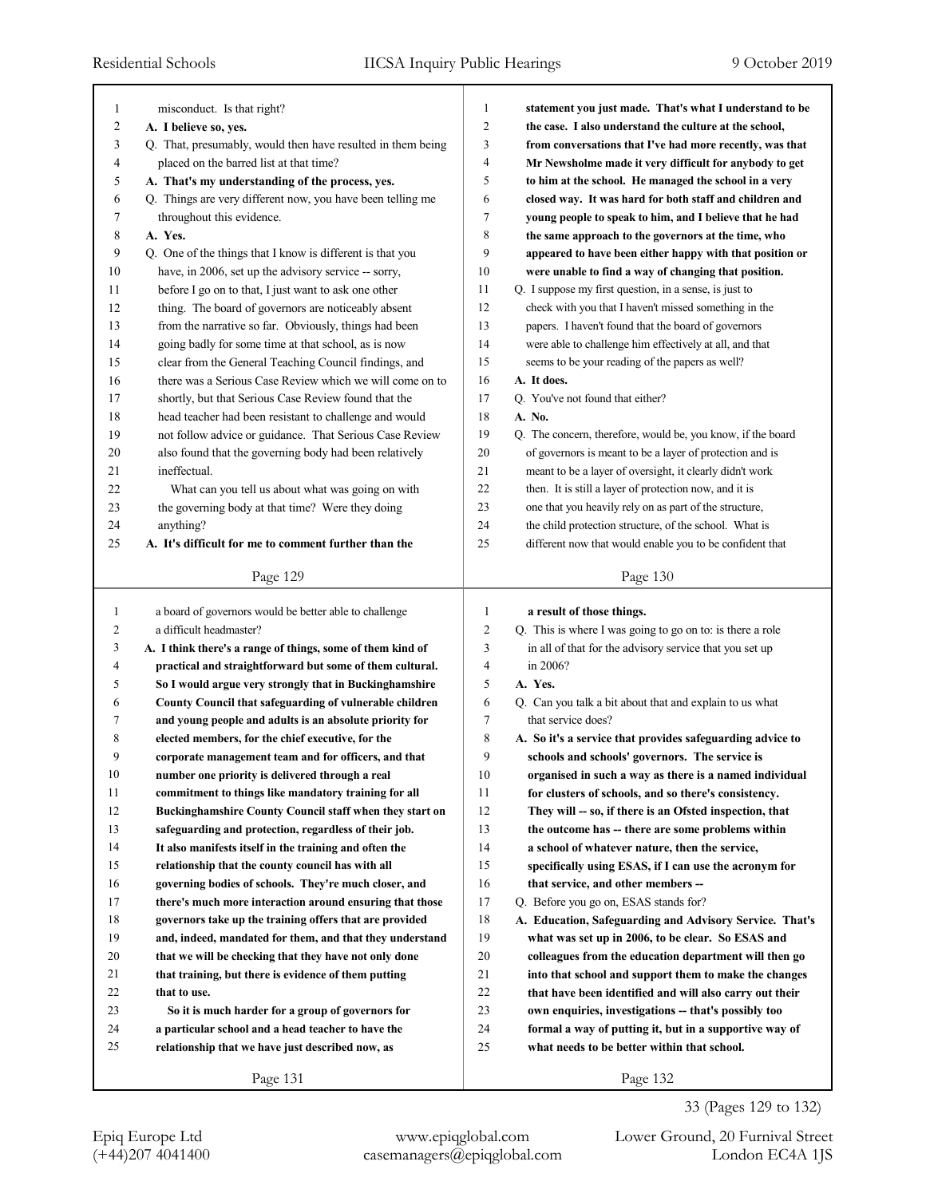| 1              | misconduct. Is that right?                                  | 1              | statement you just made. That's what I understand to be     |
|----------------|-------------------------------------------------------------|----------------|-------------------------------------------------------------|
| 2              | A. I believe so, yes.                                       | $\overline{c}$ | the case. I also understand the culture at the school,      |
| 3              | Q. That, presumably, would then have resulted in them being | 3              | from conversations that I've had more recently, was that    |
| 4              | placed on the barred list at that time?                     | 4              | Mr Newsholme made it very difficult for anybody to get      |
| 5              | A. That's my understanding of the process, yes.             | 5              | to him at the school. He managed the school in a very       |
| 6              | Q. Things are very different now, you have been telling me  | 6              | closed way. It was hard for both staff and children and     |
| 7              | throughout this evidence.                                   | 7              | young people to speak to him, and I believe that he had     |
| 8              | A. Yes.                                                     | 8              | the same approach to the governors at the time, who         |
| 9              | Q. One of the things that I know is different is that you   | 9              | appeared to have been either happy with that position or    |
| 10             | have, in 2006, set up the advisory service -- sorry,        | 10             | were unable to find a way of changing that position.        |
| 11             | before I go on to that, I just want to ask one other        | 11             | Q. I suppose my first question, in a sense, is just to      |
| 12             | thing. The board of governors are noticeably absent         | 12             | check with you that I haven't missed something in the       |
| 13             | from the narrative so far. Obviously, things had been       | 13             | papers. I haven't found that the board of governors         |
| 14             | going badly for some time at that school, as is now         | 14             | were able to challenge him effectively at all, and that     |
| 15             | clear from the General Teaching Council findings, and       | 15             | seems to be your reading of the papers as well?             |
| 16             | there was a Serious Case Review which we will come on to    | 16             | A. It does.                                                 |
| 17             | shortly, but that Serious Case Review found that the        | 17             | Q. You've not found that either?                            |
| 18             | head teacher had been resistant to challenge and would      | 18             | A. No.                                                      |
| 19             | not follow advice or guidance. That Serious Case Review     | 19             | Q. The concern, therefore, would be, you know, if the board |
| 20             | also found that the governing body had been relatively      | 20             | of governors is meant to be a layer of protection and is    |
| 21             | ineffectual.                                                | 21             | meant to be a layer of oversight, it clearly didn't work    |
| 22             | What can you tell us about what was going on with           | 22             | then. It is still a layer of protection now, and it is      |
| 23             | the governing body at that time? Were they doing            | 23             | one that you heavily rely on as part of the structure,      |
| 24             | anything?                                                   | 24             | the child protection structure, of the school. What is      |
| 25             | A. It's difficult for me to comment further than the        | 25             | different now that would enable you to be confident that    |
|                |                                                             |                |                                                             |
|                | Page 129                                                    |                | Page 130                                                    |
|                |                                                             |                |                                                             |
|                |                                                             |                |                                                             |
| $\mathbf{1}$   | a board of governors would be better able to challenge      | $\mathbf{1}$   | a result of those things.                                   |
| $\overline{c}$ | a difficult headmaster?                                     | 2              | Q. This is where I was going to go on to: is there a role   |
| 3              | A. I think there's a range of things, some of them kind of  | 3              | in all of that for the advisory service that you set up     |
| 4              | practical and straightforward but some of them cultural.    | 4              | in 2006?                                                    |
| 5              | So I would argue very strongly that in Buckinghamshire      | 5              | A. Yes.                                                     |
| 6              | County Council that safeguarding of vulnerable children     | 6              | Q. Can you talk a bit about that and explain to us what     |
| 7              | and young people and adults is an absolute priority for     | 7              | that service does?                                          |
| 8              | elected members, for the chief executive, for the           | 8              | A. So it's a service that provides safeguarding advice to   |
| 9              | corporate management team and for officers, and that        | 9              | schools and schools' governors. The service is              |
| 10             | number one priority is delivered through a real             | 10             | organised in such a way as there is a named individual      |
| 11             | commitment to things like mandatory training for all        | 11             | for clusters of schools, and so there's consistency.        |
| 12             | Buckinghamshire County Council staff when they start on     | 12             | They will -- so, if there is an Ofsted inspection, that     |
| 13             | safeguarding and protection, regardless of their job.       | 13             | the outcome has -- there are some problems within           |
| 14             | It also manifests itself in the training and often the      | 14             | a school of whatever nature, then the service,              |
| 15             | relationship that the county council has with all           | 15             | specifically using ESAS, if I can use the acronym for       |
| 16             | governing bodies of schools. They're much closer, and       | 16             | that service, and other members --                          |
| 17             | there's much more interaction around ensuring that those    | 17             | Q. Before you go on, ESAS stands for?                       |
| 18             | governors take up the training offers that are provided     | 18             | A. Education, Safeguarding and Advisory Service. That's     |
| 19             | and, indeed, mandated for them, and that they understand    | 19             | what was set up in 2006, to be clear. So ESAS and           |
| 20             | that we will be checking that they have not only done       | 20             | colleagues from the education department will then go       |
| 21             | that training, but there is evidence of them putting        | 21             | into that school and support them to make the changes       |
| 22             | that to use.                                                | $22\,$         | that have been identified and will also carry out their     |
| 23             | So it is much harder for a group of governors for           | 23             | own enquiries, investigations -- that's possibly too        |
| 24             | a particular school and a head teacher to have the          | 24             | formal a way of putting it, but in a supportive way of      |
| 25             | relationship that we have just described now, as            | 25             | what needs to be better within that school.                 |
|                | Page 131                                                    |                | Page 132                                                    |

33 (Pages 129 to 132)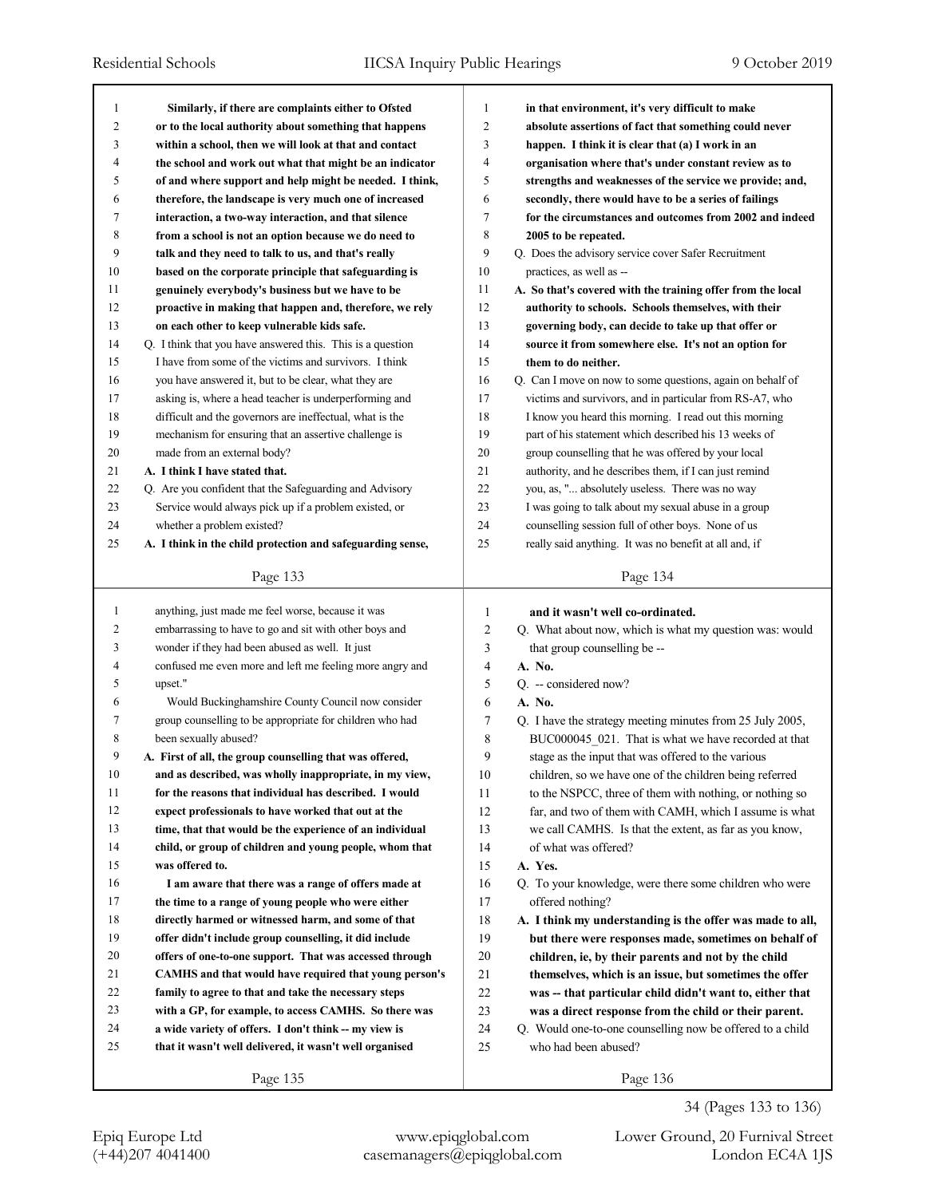| 1              | Similarly, if there are complaints either to Ofsted        | 1              | in that environment, it's very difficult to make            |
|----------------|------------------------------------------------------------|----------------|-------------------------------------------------------------|
| $\overline{c}$ | or to the local authority about something that happens     | $\overline{c}$ | absolute assertions of fact that something could never      |
| 3              | within a school, then we will look at that and contact     | 3              | happen. I think it is clear that (a) I work in an           |
| 4              | the school and work out what that might be an indicator    | $\overline{4}$ | organisation where that's under constant review as to       |
| 5              | of and where support and help might be needed. I think,    | 5              | strengths and weaknesses of the service we provide; and,    |
| 6              | therefore, the landscape is very much one of increased     | 6              | secondly, there would have to be a series of failings       |
| 7              | interaction, a two-way interaction, and that silence       | $\overline{7}$ | for the circumstances and outcomes from 2002 and indeed     |
| 8              | from a school is not an option because we do need to       | 8              | 2005 to be repeated.                                        |
| 9              | talk and they need to talk to us, and that's really        | 9              | Q. Does the advisory service cover Safer Recruitment        |
| 10             | based on the corporate principle that safeguarding is      | 10             | practices, as well as --                                    |
| 11             | genuinely everybody's business but we have to be           | 11             | A. So that's covered with the training offer from the local |
| 12             | proactive in making that happen and, therefore, we rely    | 12             | authority to schools. Schools themselves, with their        |
| 13             | on each other to keep vulnerable kids safe.                | 13             | governing body, can decide to take up that offer or         |
| 14             | Q. I think that you have answered this. This is a question | 14             | source it from somewhere else. It's not an option for       |
| 15             | I have from some of the victims and survivors. I think     | 15             | them to do neither.                                         |
| 16             | you have answered it, but to be clear, what they are       | 16             | Q. Can I move on now to some questions, again on behalf of  |
| 17             | asking is, where a head teacher is underperforming and     | 17             | victims and survivors, and in particular from RS-A7, who    |
| 18             | difficult and the governors are ineffectual, what is the   | 18             | I know you heard this morning. I read out this morning      |
| 19             | mechanism for ensuring that an assertive challenge is      | 19             | part of his statement which described his 13 weeks of       |
| 20             | made from an external body?                                | 20             | group counselling that he was offered by your local         |
| 21             | A. I think I have stated that.                             | 21             | authority, and he describes them, if I can just remind      |
| 22             | Q. Are you confident that the Safeguarding and Advisory    | 22             | you, as, " absolutely useless. There was no way             |
| 23             | Service would always pick up if a problem existed, or      | 23             | I was going to talk about my sexual abuse in a group        |
| 24             | whether a problem existed?                                 | 24             | counselling session full of other boys. None of us          |
| 25             | A. I think in the child protection and safeguarding sense, | 25             | really said anything. It was no benefit at all and, if      |
|                |                                                            |                |                                                             |
|                | Page 133                                                   |                | Page 134                                                    |
|                |                                                            |                |                                                             |
|                |                                                            |                |                                                             |
| 1              | anything, just made me feel worse, because it was          | 1              | and it wasn't well co-ordinated.                            |
| 2              | embarrassing to have to go and sit with other boys and     | $\overline{c}$ | Q. What about now, which is what my question was: would     |
| 3              | wonder if they had been abused as well. It just            | 3              | that group counselling be --                                |
| 4              | confused me even more and left me feeling more angry and   | 4              | A. No.                                                      |
| 5              | upset."                                                    | 5              | Q. -- considered now?                                       |
| 6              | Would Buckinghamshire County Council now consider          | 6              | A. No.                                                      |
| 7              | group counselling to be appropriate for children who had   | 7              | Q. I have the strategy meeting minutes from 25 July 2005,   |
| 8              | been sexually abused?                                      | 8              | BUC000045_021. That is what we have recorded at that        |
| 9              | A. First of all, the group counselling that was offered,   | 9              | stage as the input that was offered to the various          |
| $10\,$         | and as described, was wholly inappropriate, in my view,    | 10             | children, so we have one of the children being referred     |
| 11             | for the reasons that individual has described. I would     | 11             | to the NSPCC, three of them with nothing, or nothing so     |
| 12             | expect professionals to have worked that out at the        | 12             | far, and two of them with CAMH, which I assume is what      |
| 13             | time, that that would be the experience of an individual   | 13             | we call CAMHS. Is that the extent, as far as you know,      |
| 14             | child, or group of children and young people, whom that    | 14             | of what was offered?                                        |
| 15             | was offered to.                                            | 15             | A. Yes.                                                     |
| 16             | I am aware that there was a range of offers made at        | 16             | Q. To your knowledge, were there some children who were     |
| 17             | the time to a range of young people who were either        | 17             | offered nothing?                                            |
| 18             | directly harmed or witnessed harm, and some of that        | 18             | A. I think my understanding is the offer was made to all,   |
| 19             | offer didn't include group counselling, it did include     | 19             | but there were responses made, sometimes on behalf of       |
| $20\,$         | offers of one-to-one support. That was accessed through    | 20             | children, ie, by their parents and not by the child         |
| 21             | CAMHS and that would have required that young person's     | 21             | themselves, which is an issue, but sometimes the offer      |
| 22             | family to agree to that and take the necessary steps       | $22\,$         | was -- that particular child didn't want to, either that    |
| 23             | with a GP, for example, to access CAMHS. So there was      | 23             | was a direct response from the child or their parent.       |
| 24             | a wide variety of offers. I don't think -- my view is      | 24             | Q. Would one-to-one counselling now be offered to a child   |
| 25             | that it wasn't well delivered, it wasn't well organised    | 25             | who had been abused?                                        |
|                | Page 135                                                   |                | Page 136                                                    |

34 (Pages 133 to 136)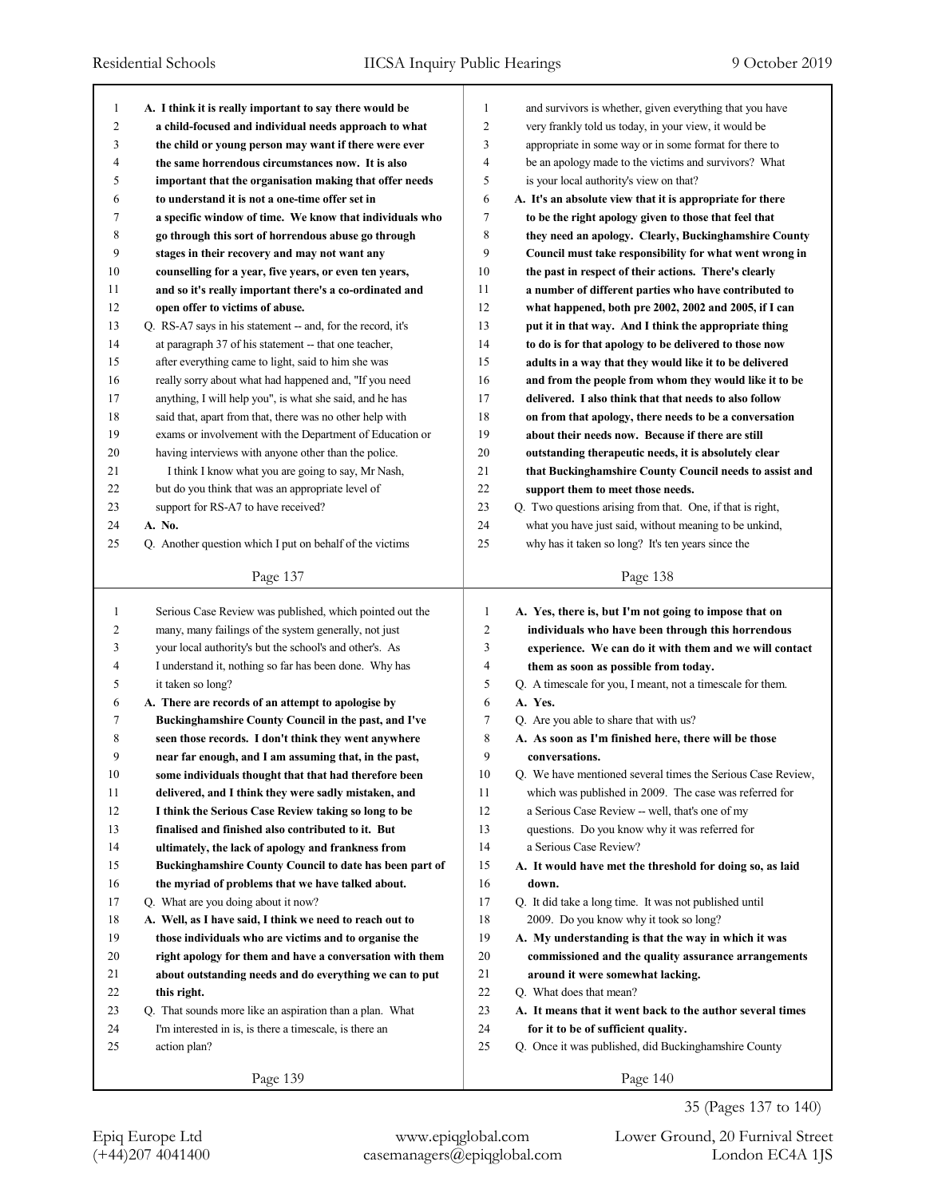| $\mathbf{1}$   | A. I think it is really important to say there would be     | 1<br>and survivors is whether, given everything that you have           |  |
|----------------|-------------------------------------------------------------|-------------------------------------------------------------------------|--|
| $\overline{2}$ | a child-focused and individual needs approach to what       | $\overline{2}$<br>very frankly told us today, in your view, it would be |  |
| 3              | the child or young person may want if there were ever       | 3<br>appropriate in some way or in some format for there to             |  |
| 4              | the same horrendous circumstances now. It is also           | 4<br>be an apology made to the victims and survivors? What              |  |
| 5              | important that the organisation making that offer needs     | 5<br>is your local authority's view on that?                            |  |
| 6              | to understand it is not a one-time offer set in             | 6<br>A. It's an absolute view that it is appropriate for there          |  |
| 7              | a specific window of time. We know that individuals who     | 7<br>to be the right apology given to those that feel that              |  |
| 8              | go through this sort of horrendous abuse go through         | 8<br>they need an apology. Clearly, Buckinghamshire County              |  |
| 9              | stages in their recovery and may not want any               | 9<br>Council must take responsibility for what went wrong in            |  |
| 10             | counselling for a year, five years, or even ten years,      | 10<br>the past in respect of their actions. There's clearly             |  |
| 11             | and so it's really important there's a co-ordinated and     | 11<br>a number of different parties who have contributed to             |  |
| 12             | open offer to victims of abuse.                             | 12<br>what happened, both pre 2002, 2002 and 2005, if I can             |  |
| 13             | Q. RS-A7 says in his statement -- and, for the record, it's | 13<br>put it in that way. And I think the appropriate thing             |  |
| 14             | at paragraph 37 of his statement -- that one teacher,       | 14<br>to do is for that apology to be delivered to those now            |  |
| 15             | after everything came to light, said to him she was         | 15<br>adults in a way that they would like it to be delivered           |  |
| 16             | really sorry about what had happened and, "If you need      | 16<br>and from the people from whom they would like it to be            |  |
| 17             | anything, I will help you", is what she said, and he has    | 17<br>delivered. I also think that that needs to also follow            |  |
| 18             | said that, apart from that, there was no other help with    | 18<br>on from that apology, there needs to be a conversation            |  |
| 19             | exams or involvement with the Department of Education or    | 19<br>about their needs now. Because if there are still                 |  |
| 20             | having interviews with anyone other than the police.        | 20<br>outstanding therapeutic needs, it is absolutely clear             |  |
| 21             | I think I know what you are going to say, Mr Nash,          | 21<br>that Buckinghamshire County Council needs to assist and           |  |
| 22             | but do you think that was an appropriate level of           | 22<br>support them to meet those needs.                                 |  |
| 23             | support for RS-A7 to have received?                         | 23<br>Q. Two questions arising from that. One, if that is right,        |  |
| 24             | A. No.                                                      | 24<br>what you have just said, without meaning to be unkind,            |  |
| 25             | Q. Another question which I put on behalf of the victims    | 25<br>why has it taken so long? It's ten years since the                |  |
|                | Page 137                                                    | Page 138                                                                |  |
|                |                                                             |                                                                         |  |
|                |                                                             |                                                                         |  |
| $\mathbf{1}$   | Serious Case Review was published, which pointed out the    | 1<br>A. Yes, there is, but I'm not going to impose that on              |  |
| 2              | many, many failings of the system generally, not just       | $\overline{2}$<br>individuals who have been through this horrendous     |  |
| 3              | your local authority's but the school's and other's. As     | 3<br>experience. We can do it with them and we will contact             |  |
| 4              | I understand it, nothing so far has been done. Why has      | 4<br>them as soon as possible from today.                               |  |
| 5              | it taken so long?                                           | 5<br>Q. A timescale for you, I meant, not a timescale for them.         |  |
| 6              | A. There are records of an attempt to apologise by          | 6<br>A. Yes.                                                            |  |
| 7              | Buckinghamshire County Council in the past, and I've        | 7<br>Q. Are you able to share that with us?                             |  |
| 8              | seen those records. I don't think they went anywhere        | 8<br>A. As soon as I'm finished here, there will be those               |  |
| 9              | near far enough, and I am assuming that, in the past,       | 9<br>conversations.                                                     |  |
| 10             | some individuals thought that that had therefore been       | 10<br>Q. We have mentioned several times the Serious Case Review,       |  |
| 11             | delivered, and I think they were sadly mistaken, and        | 11<br>which was published in 2009. The case was referred for            |  |
| 12             | I think the Serious Case Review taking so long to be        | 12<br>a Serious Case Review -- well, that's one of my                   |  |
| 13             | finalised and finished also contributed to it. But          | 13<br>questions. Do you know why it was referred for                    |  |
| 14             | ultimately, the lack of apology and frankness from          | 14<br>a Serious Case Review?                                            |  |
| 15             | Buckinghamshire County Council to date has been part of     | 15<br>A. It would have met the threshold for doing so, as laid          |  |
| 16             | the myriad of problems that we have talked about.           | 16<br>down.                                                             |  |
| 17             | Q. What are you doing about it now?                         | 17<br>Q. It did take a long time. It was not published until            |  |
| 18             | A. Well, as I have said, I think we need to reach out to    | 18<br>2009. Do you know why it took so long?                            |  |
| 19             | those individuals who are victims and to organise the       | 19<br>A. My understanding is that the way in which it was               |  |
| 20             | right apology for them and have a conversation with them    | 20<br>commissioned and the quality assurance arrangements               |  |
| 21             | about outstanding needs and do everything we can to put     | 21<br>around it were somewhat lacking.                                  |  |
| 22             | this right.                                                 | 22<br>Q. What does that mean?                                           |  |
| 23             | Q. That sounds more like an aspiration than a plan. What    | 23<br>A. It means that it went back to the author several times         |  |
| 24             | I'm interested in is, is there a timescale, is there an     | 24<br>for it to be of sufficient quality.                               |  |
| 25             | action plan?                                                | 25<br>Q. Once it was published, did Buckinghamshire County              |  |

Epiq Europe Ltd www.epiqglobal.com Lower Ground, 20 Furnival Street

35 (Pages 137 to 140)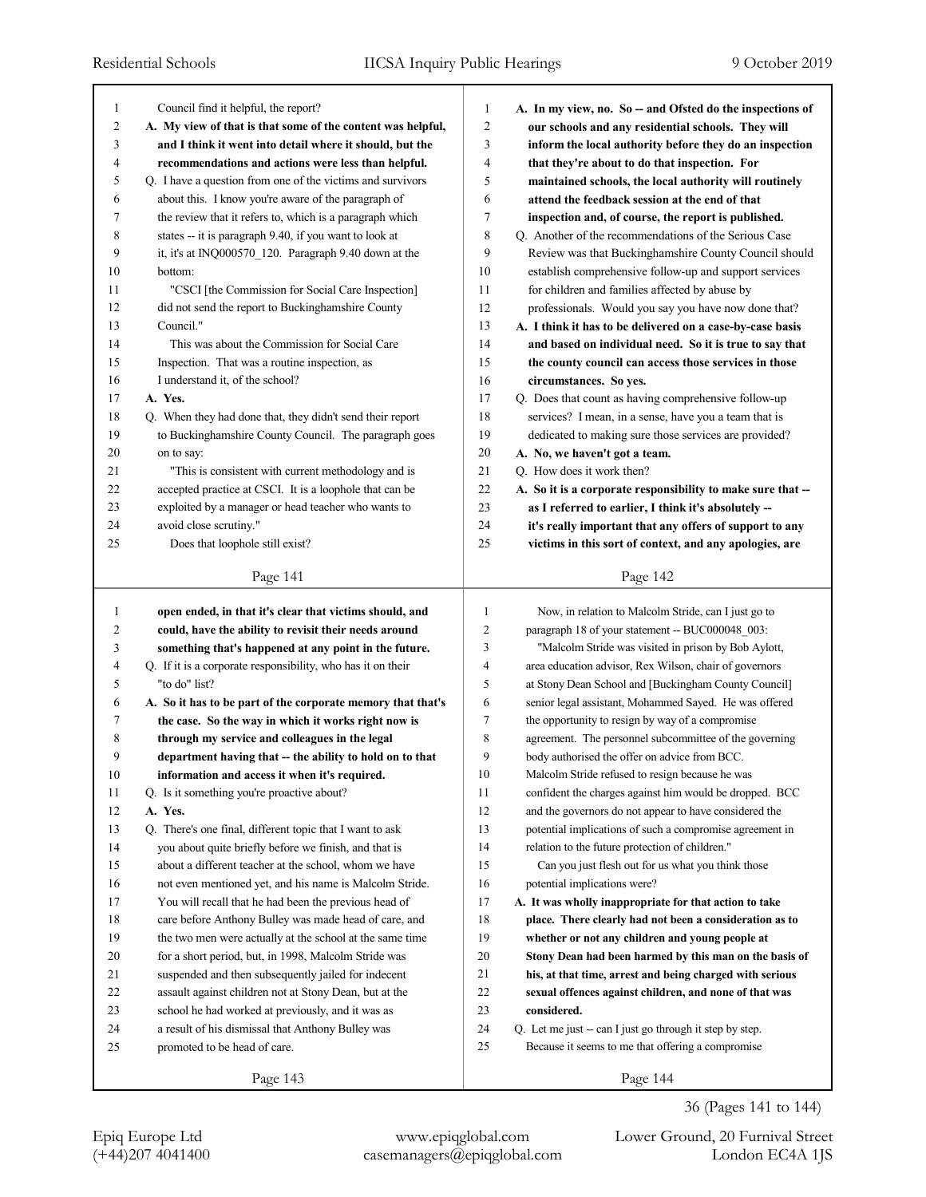| 1      | Council find it helpful, the report?                                                                             | 1              | A. In my view, no. So -- and Ofsted do the inspections of                                                      |
|--------|------------------------------------------------------------------------------------------------------------------|----------------|----------------------------------------------------------------------------------------------------------------|
| 2      | A. My view of that is that some of the content was helpful,                                                      | 2              | our schools and any residential schools. They will                                                             |
| 3      | and I think it went into detail where it should, but the                                                         | 3              | inform the local authority before they do an inspection                                                        |
| 4      | recommendations and actions were less than helpful.                                                              | 4              | that they're about to do that inspection. For                                                                  |
| 5      | Q. I have a question from one of the victims and survivors                                                       | 5              | maintained schools, the local authority will routinely                                                         |
| 6      | about this. I know you're aware of the paragraph of                                                              | 6              | attend the feedback session at the end of that                                                                 |
| 7      | the review that it refers to, which is a paragraph which                                                         | 7              | inspection and, of course, the report is published.                                                            |
| 8      | states -- it is paragraph 9.40, if you want to look at                                                           | 8              | Q. Another of the recommendations of the Serious Case                                                          |
| 9      | it, it's at INQ000570_120. Paragraph 9.40 down at the                                                            | 9              | Review was that Buckinghamshire County Council should                                                          |
| 10     | bottom:                                                                                                          | 10             | establish comprehensive follow-up and support services                                                         |
| 11     | "CSCI [the Commission for Social Care Inspection]                                                                | 11             | for children and families affected by abuse by                                                                 |
| 12     | did not send the report to Buckinghamshire County                                                                | 12             | professionals. Would you say you have now done that?                                                           |
| 13     | Council."                                                                                                        | 13             | A. I think it has to be delivered on a case-by-case basis                                                      |
| 14     | This was about the Commission for Social Care                                                                    | 14             | and based on individual need. So it is true to say that                                                        |
| 15     | Inspection. That was a routine inspection, as                                                                    | 15             | the county council can access those services in those                                                          |
| 16     | I understand it, of the school?                                                                                  | 16             | circumstances. So yes.                                                                                         |
| 17     | A. Yes.                                                                                                          | 17             | Q. Does that count as having comprehensive follow-up                                                           |
| 18     | Q. When they had done that, they didn't send their report                                                        | 18             | services? I mean, in a sense, have you a team that is                                                          |
| 19     | to Buckinghamshire County Council. The paragraph goes                                                            | 19             | dedicated to making sure those services are provided?                                                          |
| 20     | on to say:                                                                                                       | 20             | A. No, we haven't got a team.                                                                                  |
| 21     | "This is consistent with current methodology and is                                                              | 21             | Q. How does it work then?                                                                                      |
| 22     | accepted practice at CSCI. It is a loophole that can be                                                          | 22             | A. So it is a corporate responsibility to make sure that --                                                    |
| 23     | exploited by a manager or head teacher who wants to                                                              | 23             | as I referred to earlier, I think it's absolutely --                                                           |
| 24     | avoid close scrutiny."                                                                                           | 24             | it's really important that any offers of support to any                                                        |
| 25     | Does that loophole still exist?                                                                                  | 25             | victims in this sort of context, and any apologies, are                                                        |
|        | Page 141                                                                                                         |                | Page 142                                                                                                       |
|        |                                                                                                                  |                |                                                                                                                |
| 1      | open ended, in that it's clear that victims should, and                                                          | 1              | Now, in relation to Malcolm Stride, can I just go to                                                           |
| 2<br>3 | could, have the ability to revisit their needs around                                                            | 2<br>3         | paragraph 18 of your statement -- BUC000048 003:                                                               |
| 4      | something that's happened at any point in the future.                                                            | $\overline{4}$ | "Malcolm Stride was visited in prison by Bob Aylott,                                                           |
| 5      | Q. If it is a corporate responsibility, who has it on their<br>"to do" list?                                     | 5              | area education advisor, Rex Wilson, chair of governors<br>at Stony Dean School and [Buckingham County Council] |
| 6      |                                                                                                                  | 6              | senior legal assistant, Mohammed Sayed. He was offered                                                         |
| 7      | A. So it has to be part of the corporate memory that that's                                                      | 7              | the opportunity to resign by way of a compromise                                                               |
| 8      | the case. So the way in which it works right now is<br>through my service and colleagues in the legal            | 8              | agreement. The personnel subcommittee of the governing                                                         |
| 9      | department having that -- the ability to hold on to that                                                         | 9              | body authorised the offer on advice from BCC.                                                                  |
| 10     |                                                                                                                  | 10             | Malcolm Stride refused to resign because he was                                                                |
| 11     | information and access it when it's required.<br>Q. Is it something you're proactive about?                      | 11             | confident the charges against him would be dropped. BCC                                                        |
| 12     | A. Yes.                                                                                                          | 12             | and the governors do not appear to have considered the                                                         |
| 13     | Q. There's one final, different topic that I want to ask                                                         | 13             | potential implications of such a compromise agreement in                                                       |
| 14     |                                                                                                                  | 14             |                                                                                                                |
| 15     | you about quite briefly before we finish, and that is                                                            |                | relation to the future protection of children."<br>Can you just flesh out for us what you think those          |
| 16     | about a different teacher at the school, whom we have                                                            | 15             | potential implications were?                                                                                   |
|        | not even mentioned yet, and his name is Malcolm Stride.<br>You will recall that he had been the previous head of | 16             |                                                                                                                |
|        |                                                                                                                  |                | A. It was wholly inappropriate for that action to take                                                         |
| 17     |                                                                                                                  | 17             |                                                                                                                |
| 18     | care before Anthony Bulley was made head of care, and                                                            | 18             | place. There clearly had not been a consideration as to                                                        |
| 19     | the two men were actually at the school at the same time                                                         | 19             | whether or not any children and young people at                                                                |
| 20     | for a short period, but, in 1998, Malcolm Stride was                                                             | 20             | Stony Dean had been harmed by this man on the basis of                                                         |
| 21     | suspended and then subsequently jailed for indecent                                                              | 21             | his, at that time, arrest and being charged with serious                                                       |
| 22     | assault against children not at Stony Dean, but at the                                                           | 22             | sexual offences against children, and none of that was                                                         |
| 23     | school he had worked at previously, and it was as                                                                | 23             | considered.                                                                                                    |
| 24     | a result of his dismissal that Anthony Bulley was                                                                | 24             | Q. Let me just -- can I just go through it step by step.                                                       |
| 25     | promoted to be head of care.                                                                                     | 25             | Because it seems to me that offering a compromise                                                              |

36 (Pages 141 to 144)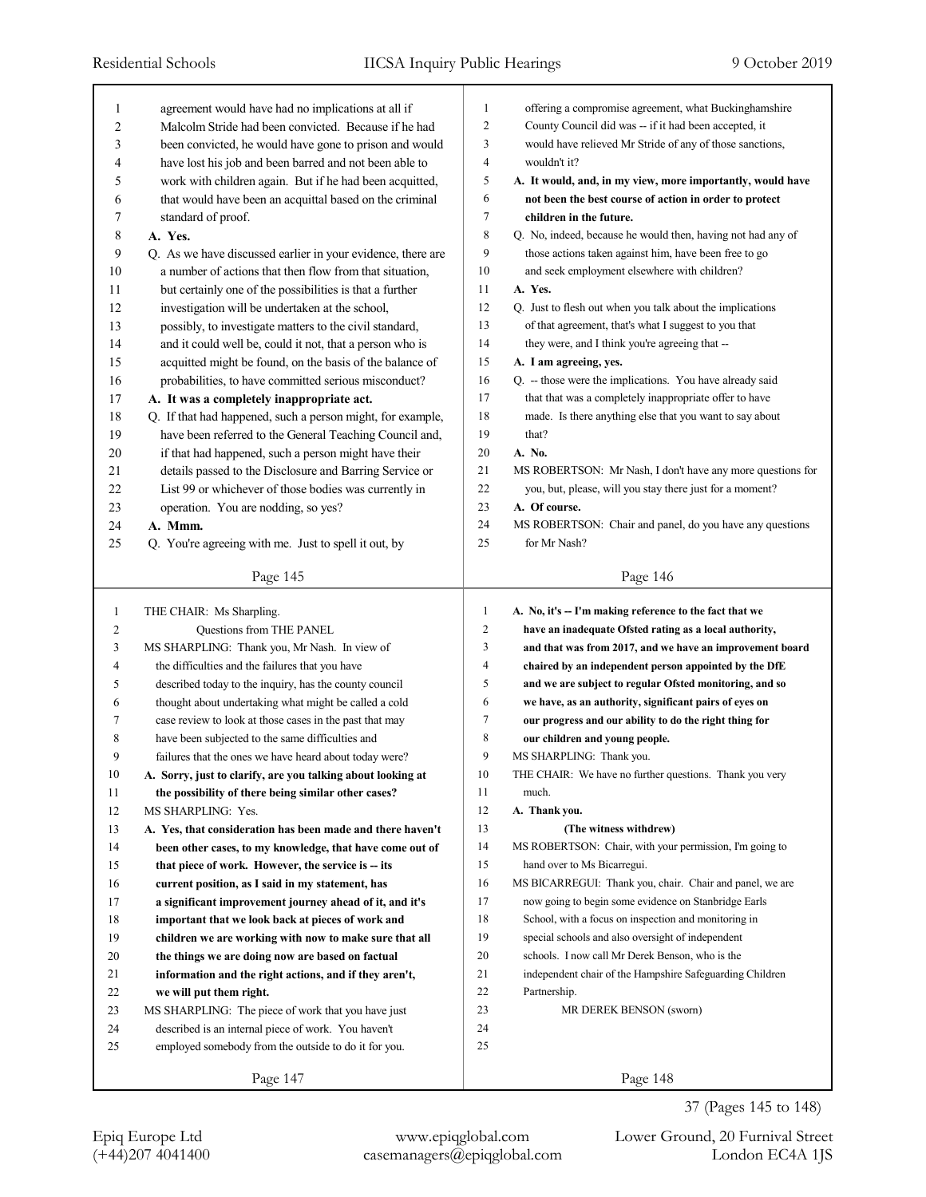| 1            | agreement would have had no implications at all if          | $\mathbf{1}$            | offering a compromise agreement, what Buckinghamshire       |
|--------------|-------------------------------------------------------------|-------------------------|-------------------------------------------------------------|
| 2            | Malcolm Stride had been convicted. Because if he had        | $\overline{c}$          | County Council did was -- if it had been accepted, it       |
| 3            | been convicted, he would have gone to prison and would      | 3                       | would have relieved Mr Stride of any of those sanctions,    |
| 4            | have lost his job and been barred and not been able to      | $\overline{\mathbf{4}}$ | wouldn't it?                                                |
| 5            | work with children again. But if he had been acquitted,     | 5                       | A. It would, and, in my view, more importantly, would have  |
| 6            | that would have been an acquittal based on the criminal     | 6                       | not been the best course of action in order to protect      |
| 7            | standard of proof.                                          | 7                       | children in the future.                                     |
| 8            | A. Yes.                                                     | 8                       | Q. No, indeed, because he would then, having not had any of |
| 9            | Q. As we have discussed earlier in your evidence, there are | 9                       | those actions taken against him, have been free to go       |
| 10           | a number of actions that then flow from that situation,     | 10                      | and seek employment elsewhere with children?                |
| 11           | but certainly one of the possibilities is that a further    | 11                      | A. Yes.                                                     |
| 12           | investigation will be undertaken at the school,             | 12                      | Q. Just to flesh out when you talk about the implications   |
| 13           | possibly, to investigate matters to the civil standard,     | 13                      | of that agreement, that's what I suggest to you that        |
| 14           | and it could well be, could it not, that a person who is    | 14                      | they were, and I think you're agreeing that --              |
| 15           | acquitted might be found, on the basis of the balance of    | 15                      | A. I am agreeing, yes.                                      |
| 16           | probabilities, to have committed serious misconduct?        | 16                      | Q. -- those were the implications. You have already said    |
| 17           | A. It was a completely inappropriate act.                   | 17                      | that that was a completely inappropriate offer to have      |
| 18           | Q. If that had happened, such a person might, for example,  | 18                      | made. Is there anything else that you want to say about     |
| 19           | have been referred to the General Teaching Council and,     | 19                      | that?                                                       |
| 20           | if that had happened, such a person might have their        | 20                      | A. No.                                                      |
| 21           | details passed to the Disclosure and Barring Service or     | 21                      | MS ROBERTSON: Mr Nash, I don't have any more questions for  |
| 22           | List 99 or whichever of those bodies was currently in       | 22                      | you, but, please, will you stay there just for a moment?    |
| 23           | operation. You are nodding, so yes?                         | 23                      | A. Of course.                                               |
| 24           | A. Mmm.                                                     | 24                      | MS ROBERTSON: Chair and panel, do you have any questions    |
| 25           | Q. You're agreeing with me. Just to spell it out, by        | 25                      | for Mr Nash?                                                |
|              |                                                             |                         |                                                             |
|              | Page 145                                                    |                         | Page 146                                                    |
|              |                                                             |                         |                                                             |
|              |                                                             |                         |                                                             |
| $\mathbf{1}$ | THE CHAIR: Ms Sharpling.                                    | $\mathbf{1}$            | A. No, it's -- I'm making reference to the fact that we     |
| 2            | Questions from THE PANEL                                    | 2                       | have an inadequate Ofsted rating as a local authority,      |
| 3            | MS SHARPLING: Thank you, Mr Nash. In view of                | 3                       | and that was from 2017, and we have an improvement board    |
| 4            | the difficulties and the failures that you have             | 4                       | chaired by an independent person appointed by the DfE       |
| 5            | described today to the inquiry, has the county council      | 5                       | and we are subject to regular Ofsted monitoring, and so     |
| 6            | thought about undertaking what might be called a cold       | 6                       | we have, as an authority, significant pairs of eyes on      |
| 7            | case review to look at those cases in the past that may     | $\boldsymbol{7}$        | our progress and our ability to do the right thing for      |
| 8            | have been subjected to the same difficulties and            | 8                       | our children and young people.                              |
| 9            | failures that the ones we have heard about today were?      | 9                       | MS SHARPLING: Thank you.                                    |
| 10           | A. Sorry, just to clarify, are you talking about looking at | 10                      | THE CHAIR: We have no further questions. Thank you very     |
| 11           | the possibility of there being similar other cases?         | 11                      | much.                                                       |
| 12           | MS SHARPLING: Yes.                                          | 12                      | A. Thank you.                                               |
| 13           | A. Yes, that consideration has been made and there haven't  | 13                      | (The witness withdrew)                                      |
| 14           | been other cases, to my knowledge, that have come out of    | 14                      | MS ROBERTSON: Chair, with your permission, I'm going to     |
| 15           | that piece of work. However, the service is -- its          | 15                      | hand over to Ms Bicarregui.                                 |
| 16           | current position, as I said in my statement, has            | 16                      | MS BICARREGUI: Thank you, chair. Chair and panel, we are    |
| 17           | a significant improvement journey ahead of it, and it's     | 17                      | now going to begin some evidence on Stanbridge Earls        |
| 18           | important that we look back at pieces of work and           | 18                      | School, with a focus on inspection and monitoring in        |
| 19           | children we are working with now to make sure that all      | 19                      | special schools and also oversight of independent           |
| 20           | the things we are doing now are based on factual            | 20                      | schools. I now call Mr Derek Benson, who is the             |
| 21           | information and the right actions, and if they aren't,      | 21                      | independent chair of the Hampshire Safeguarding Children    |
| 22           | we will put them right.                                     | 22                      | Partnership.                                                |
| 23           | MS SHARPLING: The piece of work that you have just          | 23                      | MR DEREK BENSON (sworn)                                     |
| 24           | described is an internal piece of work. You haven't         | 24                      |                                                             |
| 25           | employed somebody from the outside to do it for you.        | 25                      |                                                             |

37 (Pages 145 to 148)

Epiq Europe Ltd www.epiqglobal.com Lower Ground, 20 Furnival Street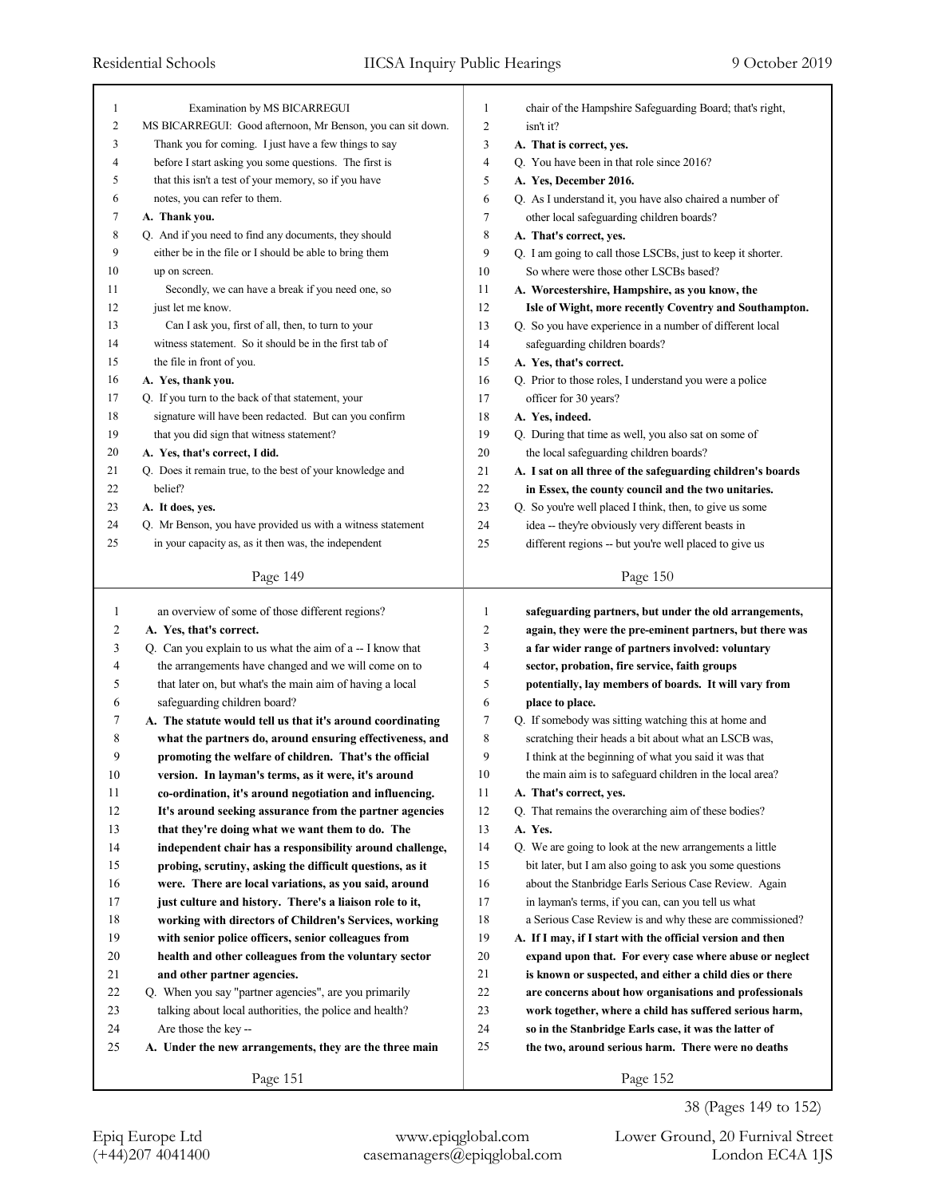| $\mathbf{1}$   | Examination by MS BICARREGUI                                | 1              | chair of the Hampshire Safeguarding Board; that's right,    |
|----------------|-------------------------------------------------------------|----------------|-------------------------------------------------------------|
| $\overline{c}$ | MS BICARREGUI: Good afternoon, Mr Benson, you can sit down. | $\overline{c}$ | isn't it?                                                   |
| 3              | Thank you for coming. I just have a few things to say       | 3              | A. That is correct, yes.                                    |
| 4              | before I start asking you some questions. The first is      | 4              | Q. You have been in that role since 2016?                   |
| 5              | that this isn't a test of your memory, so if you have       | 5              | A. Yes, December 2016.                                      |
| 6              | notes, you can refer to them.                               | 6              | Q. As I understand it, you have also chaired a number of    |
| 7              | A. Thank you.                                               | 7              | other local safeguarding children boards?                   |
| 8              | Q. And if you need to find any documents, they should       | 8              | A. That's correct, yes.                                     |
| 9              | either be in the file or I should be able to bring them     | 9              | Q. I am going to call those LSCBs, just to keep it shorter. |
| 10             | up on screen.                                               | 10             | So where were those other LSCBs based?                      |
| 11             | Secondly, we can have a break if you need one, so           | 11             | A. Worcestershire, Hampshire, as you know, the              |
| 12             | just let me know.                                           | 12             | Isle of Wight, more recently Coventry and Southampton.      |
| 13             | Can I ask you, first of all, then, to turn to your          | 13             | Q. So you have experience in a number of different local    |
| 14             | witness statement. So it should be in the first tab of      | 14             | safeguarding children boards?                               |
| 15             | the file in front of you.                                   | 15             | A. Yes, that's correct.                                     |
| 16             | A. Yes, thank you.                                          | 16             | Q. Prior to those roles, I understand you were a police     |
| 17             | Q. If you turn to the back of that statement, your          | 17             | officer for 30 years?                                       |
| 18             | signature will have been redacted. But can you confirm      | 18             | A. Yes, indeed.                                             |
| 19             | that you did sign that witness statement?                   | 19             | Q. During that time as well, you also sat on some of        |
| 20             | A. Yes, that's correct, I did.                              | 20             | the local safeguarding children boards?                     |
| 21             | Q. Does it remain true, to the best of your knowledge and   | 21             | A. I sat on all three of the safeguarding children's boards |
| 22             | belief?                                                     | 22             | in Essex, the county council and the two unitaries.         |
| 23             | A. It does, yes.                                            | 23             | Q. So you're well placed I think, then, to give us some     |
| 24             | Q. Mr Benson, you have provided us with a witness statement | 24             | idea -- they're obviously very different beasts in          |
| 25             | in your capacity as, as it then was, the independent        | 25             | different regions -- but you're well placed to give us      |
|                |                                                             |                |                                                             |
|                | Page 149                                                    |                | Page 150                                                    |
|                |                                                             |                |                                                             |
|                |                                                             |                |                                                             |
| -1             | an overview of some of those different regions?             | 1              | safeguarding partners, but under the old arrangements,      |
| 2              | A. Yes, that's correct.                                     | 2              | again, they were the pre-eminent partners, but there was    |
| 3              | Q. Can you explain to us what the aim of a -- I know that   | 3              | a far wider range of partners involved: voluntary           |
| 4              | the arrangements have changed and we will come on to        | 4              | sector, probation, fire service, faith groups               |
| 5              | that later on, but what's the main aim of having a local    | 5              | potentially, lay members of boards. It will vary from       |
| 6              | safeguarding children board?                                | 6              | place to place.                                             |
| 7              | A. The statute would tell us that it's around coordinating  | 7              | Q. If somebody was sitting watching this at home and        |
| 8              | what the partners do, around ensuring effectiveness, and    | 8              | scratching their heads a bit about what an LSCB was,        |
| 9              | promoting the welfare of children. That's the official      | 9              | I think at the beginning of what you said it was that       |
| $10\,$         | version. In layman's terms, as it were, it's around         | 10             | the main aim is to safeguard children in the local area?    |
| 11             | co-ordination, it's around negotiation and influencing.     | 11             | A. That's correct, yes.                                     |
| 12             | It's around seeking assurance from the partner agencies     | 12             | Q. That remains the overarching aim of these bodies?        |
| 13             | that they're doing what we want them to do. The             | 13             | A. Yes.                                                     |
| 14             | independent chair has a responsibility around challenge,    | 14             | Q. We are going to look at the new arrangements a little    |
| 15             | probing, scrutiny, asking the difficult questions, as it    | 15             | bit later, but I am also going to ask you some questions    |
| 16             | were. There are local variations, as you said, around       | 16             | about the Stanbridge Earls Serious Case Review. Again       |
| 17             | just culture and history. There's a liaison role to it,     | 17             | in layman's terms, if you can, can you tell us what         |
| 18             | working with directors of Children's Services, working      | 18             | a Serious Case Review is and why these are commissioned?    |
| 19             | with senior police officers, senior colleagues from         | 19             | A. If I may, if I start with the official version and then  |
| 20             | health and other colleagues from the voluntary sector       | 20             | expand upon that. For every case where abuse or neglect     |
| 21             | and other partner agencies.                                 | 21             | is known or suspected, and either a child dies or there     |
| 22             | Q. When you say "partner agencies", are you primarily       | 22             | are concerns about how organisations and professionals      |
| 23             |                                                             | 23             | work together, where a child has suffered serious harm,     |
| 24             | talking about local authorities, the police and health?     | 24             |                                                             |
|                | Are those the key --                                        |                | so in the Stanbridge Earls case, it was the latter of       |
| 25             | A. Under the new arrangements, they are the three main      | 25             | the two, around serious harm. There were no deaths          |

38 (Pages 149 to 152)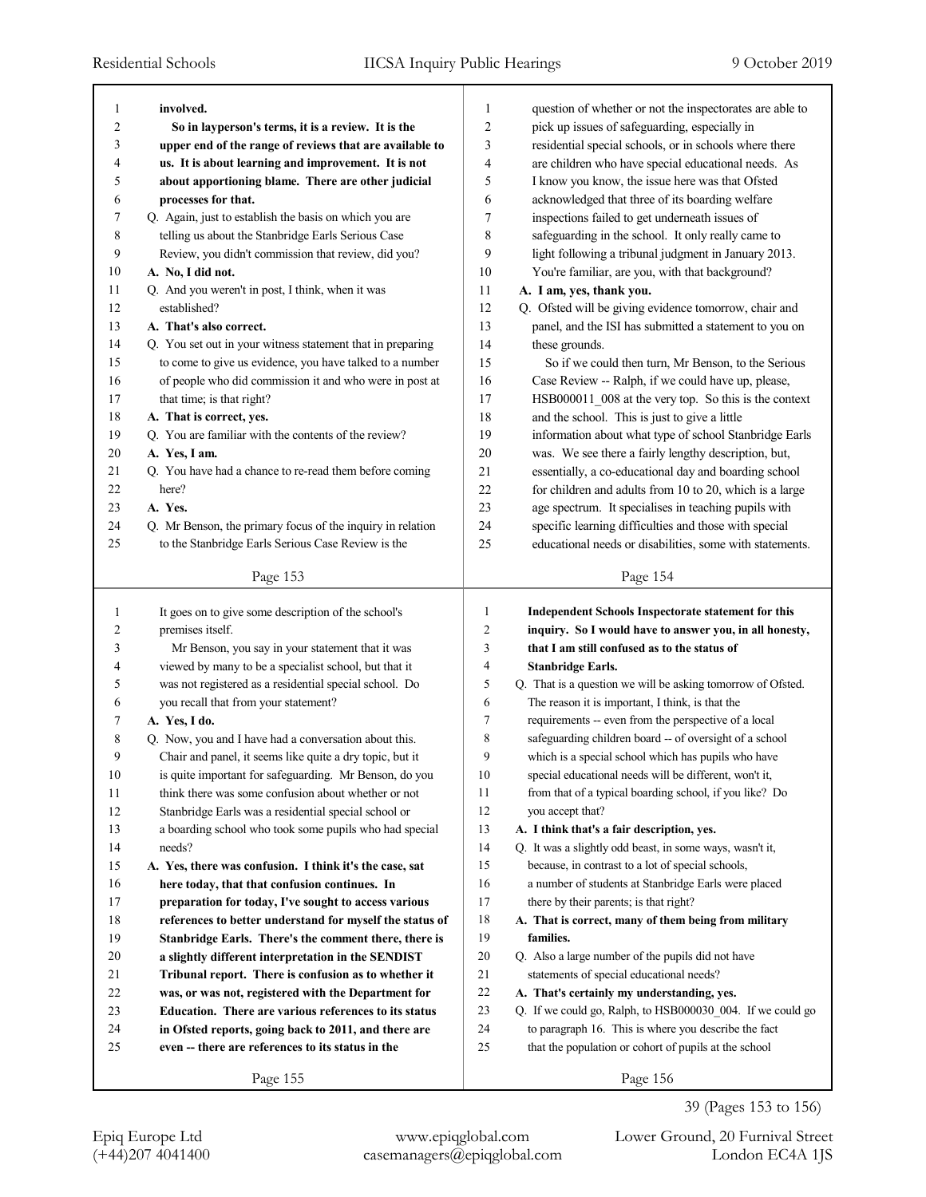| 1  | involved.                                                  | 1              | question of whether or not the inspectorates are able to    |
|----|------------------------------------------------------------|----------------|-------------------------------------------------------------|
| 2  | So in layperson's terms, it is a review. It is the         | $\overline{c}$ | pick up issues of safeguarding, especially in               |
| 3  | upper end of the range of reviews that are available to    | 3              | residential special schools, or in schools where there      |
| 4  | us. It is about learning and improvement. It is not        | 4              | are children who have special educational needs. As         |
| 5  | about apportioning blame. There are other judicial         | 5              | I know you know, the issue here was that Ofsted             |
| 6  | processes for that.                                        | 6              | acknowledged that three of its boarding welfare             |
| 7  | Q. Again, just to establish the basis on which you are     | 7              | inspections failed to get underneath issues of              |
| 8  | telling us about the Stanbridge Earls Serious Case         | 8              | safeguarding in the school. It only really came to          |
| 9  | Review, you didn't commission that review, did you?        | 9              | light following a tribunal judgment in January 2013.        |
| 10 | A. No, I did not.                                          | 10             | You're familiar, are you, with that background?             |
| 11 | Q. And you weren't in post, I think, when it was           | 11             | A. I am, yes, thank you.                                    |
| 12 | established?                                               | 12             | Q. Ofsted will be giving evidence tomorrow, chair and       |
| 13 | A. That's also correct.                                    | 13             | panel, and the ISI has submitted a statement to you on      |
| 14 | Q. You set out in your witness statement that in preparing | 14             | these grounds.                                              |
| 15 | to come to give us evidence, you have talked to a number   | 15             | So if we could then turn, Mr Benson, to the Serious         |
| 16 | of people who did commission it and who were in post at    | 16             | Case Review -- Ralph, if we could have up, please,          |
| 17 | that time; is that right?                                  | 17             | HSB000011_008 at the very top. So this is the context       |
| 18 | A. That is correct, yes.                                   | 18             | and the school. This is just to give a little               |
| 19 | Q. You are familiar with the contents of the review?       | 19             | information about what type of school Stanbridge Earls      |
| 20 | A. Yes, I am.                                              | 20             | was. We see there a fairly lengthy description, but,        |
| 21 | Q. You have had a chance to re-read them before coming     | 21             | essentially, a co-educational day and boarding school       |
| 22 | here?                                                      | 22             | for children and adults from 10 to 20, which is a large     |
| 23 | A. Yes.                                                    | 23             | age spectrum. It specialises in teaching pupils with        |
| 24 | Q. Mr Benson, the primary focus of the inquiry in relation | 24             | specific learning difficulties and those with special       |
| 25 | to the Stanbridge Earls Serious Case Review is the         | 25             | educational needs or disabilities, some with statements.    |
|    |                                                            |                |                                                             |
|    | Page 153                                                   |                | Page 154                                                    |
|    |                                                            |                |                                                             |
| 1  | It goes on to give some description of the school's        | 1              | <b>Independent Schools Inspectorate statement for this</b>  |
| 2  | premises itself.                                           | 2              | inquiry. So I would have to answer you, in all honesty,     |
| 3  | Mr Benson, you say in your statement that it was           | 3              | that I am still confused as to the status of                |
| 4  | viewed by many to be a specialist school, but that it      | 4              | <b>Stanbridge Earls.</b>                                    |
| 5  | was not registered as a residential special school. Do     | 5              | Q. That is a question we will be asking tomorrow of Ofsted. |
| 6  | you recall that from your statement?                       | 6              | The reason it is important, I think, is that the            |
| 7  | A. Yes, I do.                                              | 7              | requirements -- even from the perspective of a local        |
| 8  | Q. Now, you and I have had a conversation about this.      | 8              | safeguarding children board -- of oversight of a school     |
| 9  | Chair and panel, it seems like quite a dry topic, but it   | 9              | which is a special school which has pupils who have         |
| 10 | is quite important for safeguarding. Mr Benson, do you     | 10             | special educational needs will be different, won't it,      |
| 11 | think there was some confusion about whether or not        | 11             | from that of a typical boarding school, if you like? Do     |
| 12 | Stanbridge Earls was a residential special school or       | 12             | you accept that?                                            |
| 13 | a boarding school who took some pupils who had special     | 13             | A. I think that's a fair description, yes.                  |
| 14 | needs?                                                     | 14             | Q. It was a slightly odd beast, in some ways, wasn't it,    |
| 15 | A. Yes, there was confusion. I think it's the case, sat    | 15             | because, in contrast to a lot of special schools,           |
| 16 | here today, that that confusion continues. In              | 16             | a number of students at Stanbridge Earls were placed        |
| 17 | preparation for today, I've sought to access various       | 17             | there by their parents; is that right?                      |
| 18 | references to better understand for myself the status of   | 18             | A. That is correct, many of them being from military        |
| 19 | Stanbridge Earls. There's the comment there, there is      | 19             | families.                                                   |
| 20 | a slightly different interpretation in the SENDIST         | $20\,$         | Q. Also a large number of the pupils did not have           |
| 21 | Tribunal report. There is confusion as to whether it       | 21             | statements of special educational needs?                    |
| 22 | was, or was not, registered with the Department for        | $22\,$         | A. That's certainly my understanding, yes.                  |
| 23 | Education. There are various references to its status      | 23             | Q. If we could go, Ralph, to HSB000030_004. If we could go  |
| 24 | in Ofsted reports, going back to 2011, and there are       | 24             | to paragraph 16. This is where you describe the fact        |
| 25 | even -- there are references to its status in the          | 25             | that the population or cohort of pupils at the school       |

39 (Pages 153 to 156)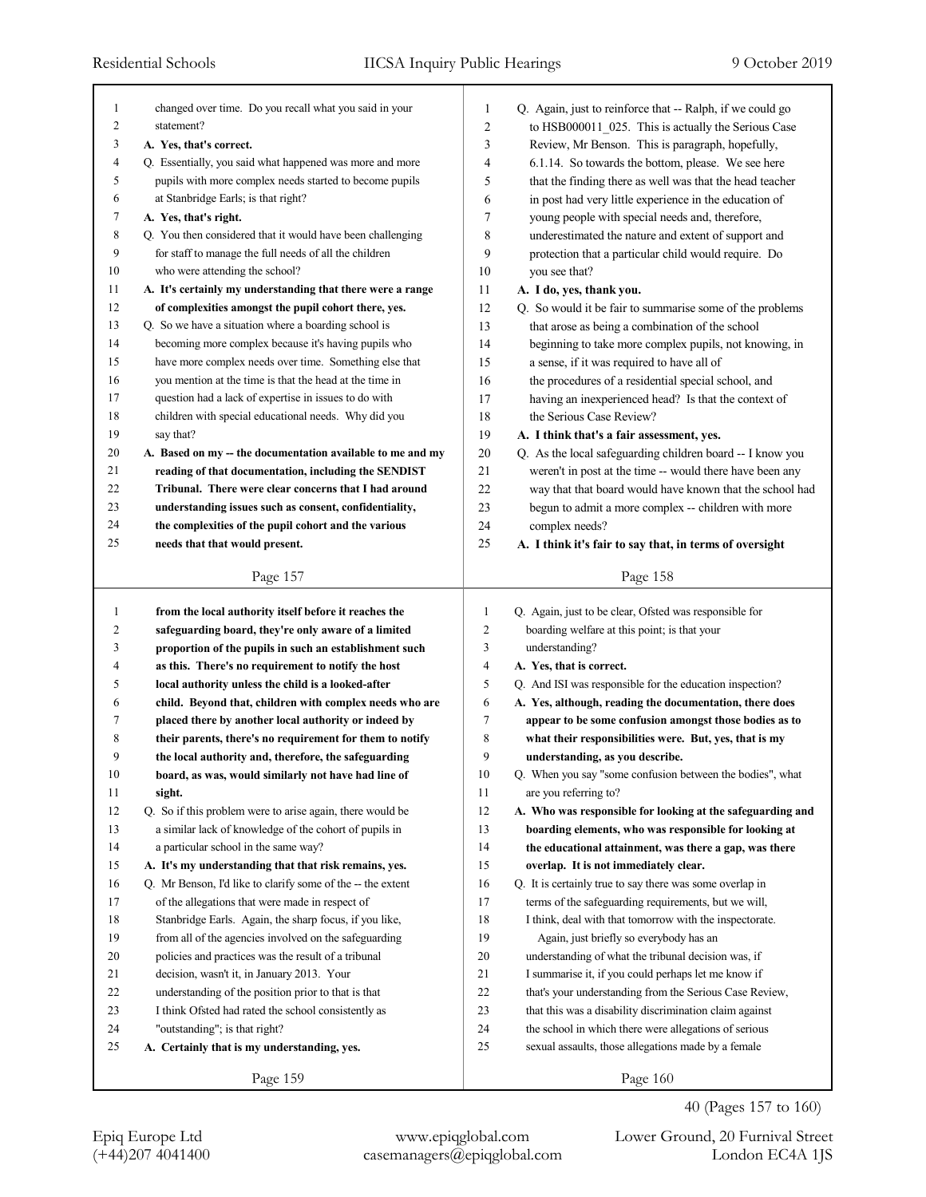| 1<br>2<br>3<br>4<br>5<br>6<br>7<br>8<br>9<br>10<br>11<br>12<br>13<br>14<br>15<br>16<br>17<br>18<br>19<br>20<br>21<br>22<br>23<br>24 | changed over time. Do you recall what you said in your<br>statement?<br>A. Yes, that's correct.<br>Q. Essentially, you said what happened was more and more<br>pupils with more complex needs started to become pupils<br>at Stanbridge Earls; is that right?<br>A. Yes, that's right.<br>Q. You then considered that it would have been challenging<br>for staff to manage the full needs of all the children<br>who were attending the school?<br>A. It's certainly my understanding that there were a range<br>of complexities amongst the pupil cohort there, yes.<br>Q. So we have a situation where a boarding school is<br>becoming more complex because it's having pupils who<br>have more complex needs over time. Something else that<br>you mention at the time is that the head at the time in<br>question had a lack of expertise in issues to do with<br>children with special educational needs. Why did you<br>say that?<br>A. Based on my -- the documentation available to me and my<br>reading of that documentation, including the SENDIST<br>Tribunal. There were clear concerns that I had around<br>understanding issues such as consent, confidentiality,<br>the complexities of the pupil cohort and the various | $\mathbf{1}$<br>2<br>3<br>4<br>5<br>6<br>7<br>8<br>9<br>10<br>11<br>12<br>13<br>14<br>15<br>16<br>17<br>18<br>19<br>20<br>21<br>22<br>23<br>24 | Q. Again, just to reinforce that -- Ralph, if we could go<br>to HSB000011_025. This is actually the Serious Case<br>Review, Mr Benson. This is paragraph, hopefully,<br>6.1.14. So towards the bottom, please. We see here<br>that the finding there as well was that the head teacher<br>in post had very little experience in the education of<br>young people with special needs and, therefore,<br>underestimated the nature and extent of support and<br>protection that a particular child would require. Do<br>you see that?<br>A. I do, yes, thank you.<br>Q. So would it be fair to summarise some of the problems<br>that arose as being a combination of the school<br>beginning to take more complex pupils, not knowing, in<br>a sense, if it was required to have all of<br>the procedures of a residential special school, and<br>having an inexperienced head? Is that the context of<br>the Serious Case Review?<br>A. I think that's a fair assessment, yes.<br>Q. As the local safeguarding children board -- I know you<br>weren't in post at the time -- would there have been any<br>way that that board would have known that the school had<br>begun to admit a more complex -- children with more<br>complex needs? |
|-------------------------------------------------------------------------------------------------------------------------------------|--------------------------------------------------------------------------------------------------------------------------------------------------------------------------------------------------------------------------------------------------------------------------------------------------------------------------------------------------------------------------------------------------------------------------------------------------------------------------------------------------------------------------------------------------------------------------------------------------------------------------------------------------------------------------------------------------------------------------------------------------------------------------------------------------------------------------------------------------------------------------------------------------------------------------------------------------------------------------------------------------------------------------------------------------------------------------------------------------------------------------------------------------------------------------------------------------------------------------------------------|------------------------------------------------------------------------------------------------------------------------------------------------|----------------------------------------------------------------------------------------------------------------------------------------------------------------------------------------------------------------------------------------------------------------------------------------------------------------------------------------------------------------------------------------------------------------------------------------------------------------------------------------------------------------------------------------------------------------------------------------------------------------------------------------------------------------------------------------------------------------------------------------------------------------------------------------------------------------------------------------------------------------------------------------------------------------------------------------------------------------------------------------------------------------------------------------------------------------------------------------------------------------------------------------------------------------------------------------------------------------------------------------------|
| 25                                                                                                                                  | needs that that would present.                                                                                                                                                                                                                                                                                                                                                                                                                                                                                                                                                                                                                                                                                                                                                                                                                                                                                                                                                                                                                                                                                                                                                                                                             | 25                                                                                                                                             | A. I think it's fair to say that, in terms of oversight                                                                                                                                                                                                                                                                                                                                                                                                                                                                                                                                                                                                                                                                                                                                                                                                                                                                                                                                                                                                                                                                                                                                                                                      |
|                                                                                                                                     | Page 157                                                                                                                                                                                                                                                                                                                                                                                                                                                                                                                                                                                                                                                                                                                                                                                                                                                                                                                                                                                                                                                                                                                                                                                                                                   |                                                                                                                                                | Page 158                                                                                                                                                                                                                                                                                                                                                                                                                                                                                                                                                                                                                                                                                                                                                                                                                                                                                                                                                                                                                                                                                                                                                                                                                                     |
|                                                                                                                                     |                                                                                                                                                                                                                                                                                                                                                                                                                                                                                                                                                                                                                                                                                                                                                                                                                                                                                                                                                                                                                                                                                                                                                                                                                                            |                                                                                                                                                |                                                                                                                                                                                                                                                                                                                                                                                                                                                                                                                                                                                                                                                                                                                                                                                                                                                                                                                                                                                                                                                                                                                                                                                                                                              |
|                                                                                                                                     |                                                                                                                                                                                                                                                                                                                                                                                                                                                                                                                                                                                                                                                                                                                                                                                                                                                                                                                                                                                                                                                                                                                                                                                                                                            |                                                                                                                                                |                                                                                                                                                                                                                                                                                                                                                                                                                                                                                                                                                                                                                                                                                                                                                                                                                                                                                                                                                                                                                                                                                                                                                                                                                                              |
| 1                                                                                                                                   | from the local authority itself before it reaches the                                                                                                                                                                                                                                                                                                                                                                                                                                                                                                                                                                                                                                                                                                                                                                                                                                                                                                                                                                                                                                                                                                                                                                                      | 1                                                                                                                                              | Q. Again, just to be clear, Ofsted was responsible for                                                                                                                                                                                                                                                                                                                                                                                                                                                                                                                                                                                                                                                                                                                                                                                                                                                                                                                                                                                                                                                                                                                                                                                       |
| 2                                                                                                                                   | safeguarding board, they're only aware of a limited                                                                                                                                                                                                                                                                                                                                                                                                                                                                                                                                                                                                                                                                                                                                                                                                                                                                                                                                                                                                                                                                                                                                                                                        | 2                                                                                                                                              | boarding welfare at this point; is that your                                                                                                                                                                                                                                                                                                                                                                                                                                                                                                                                                                                                                                                                                                                                                                                                                                                                                                                                                                                                                                                                                                                                                                                                 |
| 3                                                                                                                                   | proportion of the pupils in such an establishment such                                                                                                                                                                                                                                                                                                                                                                                                                                                                                                                                                                                                                                                                                                                                                                                                                                                                                                                                                                                                                                                                                                                                                                                     | 3                                                                                                                                              | understanding?                                                                                                                                                                                                                                                                                                                                                                                                                                                                                                                                                                                                                                                                                                                                                                                                                                                                                                                                                                                                                                                                                                                                                                                                                               |
| 4                                                                                                                                   | as this. There's no requirement to notify the host                                                                                                                                                                                                                                                                                                                                                                                                                                                                                                                                                                                                                                                                                                                                                                                                                                                                                                                                                                                                                                                                                                                                                                                         | 4                                                                                                                                              | A. Yes, that is correct.                                                                                                                                                                                                                                                                                                                                                                                                                                                                                                                                                                                                                                                                                                                                                                                                                                                                                                                                                                                                                                                                                                                                                                                                                     |
| 5                                                                                                                                   | local authority unless the child is a looked-after                                                                                                                                                                                                                                                                                                                                                                                                                                                                                                                                                                                                                                                                                                                                                                                                                                                                                                                                                                                                                                                                                                                                                                                         | 5                                                                                                                                              | Q. And ISI was responsible for the education inspection?                                                                                                                                                                                                                                                                                                                                                                                                                                                                                                                                                                                                                                                                                                                                                                                                                                                                                                                                                                                                                                                                                                                                                                                     |
| 6                                                                                                                                   | child. Beyond that, children with complex needs who are                                                                                                                                                                                                                                                                                                                                                                                                                                                                                                                                                                                                                                                                                                                                                                                                                                                                                                                                                                                                                                                                                                                                                                                    | 6                                                                                                                                              | A. Yes, although, reading the documentation, there does                                                                                                                                                                                                                                                                                                                                                                                                                                                                                                                                                                                                                                                                                                                                                                                                                                                                                                                                                                                                                                                                                                                                                                                      |
| 7                                                                                                                                   | placed there by another local authority or indeed by                                                                                                                                                                                                                                                                                                                                                                                                                                                                                                                                                                                                                                                                                                                                                                                                                                                                                                                                                                                                                                                                                                                                                                                       | 7                                                                                                                                              | appear to be some confusion amongst those bodies as to                                                                                                                                                                                                                                                                                                                                                                                                                                                                                                                                                                                                                                                                                                                                                                                                                                                                                                                                                                                                                                                                                                                                                                                       |
| 8                                                                                                                                   | their parents, there's no requirement for them to notify                                                                                                                                                                                                                                                                                                                                                                                                                                                                                                                                                                                                                                                                                                                                                                                                                                                                                                                                                                                                                                                                                                                                                                                   | 8                                                                                                                                              | what their responsibilities were. But, yes, that is my                                                                                                                                                                                                                                                                                                                                                                                                                                                                                                                                                                                                                                                                                                                                                                                                                                                                                                                                                                                                                                                                                                                                                                                       |
| 9                                                                                                                                   | the local authority and, therefore, the safeguarding                                                                                                                                                                                                                                                                                                                                                                                                                                                                                                                                                                                                                                                                                                                                                                                                                                                                                                                                                                                                                                                                                                                                                                                       | 9                                                                                                                                              | understanding, as you describe.                                                                                                                                                                                                                                                                                                                                                                                                                                                                                                                                                                                                                                                                                                                                                                                                                                                                                                                                                                                                                                                                                                                                                                                                              |
| 10                                                                                                                                  | board, as was, would similarly not have had line of                                                                                                                                                                                                                                                                                                                                                                                                                                                                                                                                                                                                                                                                                                                                                                                                                                                                                                                                                                                                                                                                                                                                                                                        | 10                                                                                                                                             | Q. When you say "some confusion between the bodies", what                                                                                                                                                                                                                                                                                                                                                                                                                                                                                                                                                                                                                                                                                                                                                                                                                                                                                                                                                                                                                                                                                                                                                                                    |
| 11                                                                                                                                  | sight.                                                                                                                                                                                                                                                                                                                                                                                                                                                                                                                                                                                                                                                                                                                                                                                                                                                                                                                                                                                                                                                                                                                                                                                                                                     | 11                                                                                                                                             | are you referring to?                                                                                                                                                                                                                                                                                                                                                                                                                                                                                                                                                                                                                                                                                                                                                                                                                                                                                                                                                                                                                                                                                                                                                                                                                        |
| 12                                                                                                                                  | Q. So if this problem were to arise again, there would be                                                                                                                                                                                                                                                                                                                                                                                                                                                                                                                                                                                                                                                                                                                                                                                                                                                                                                                                                                                                                                                                                                                                                                                  | 12                                                                                                                                             | A. Who was responsible for looking at the safeguarding and                                                                                                                                                                                                                                                                                                                                                                                                                                                                                                                                                                                                                                                                                                                                                                                                                                                                                                                                                                                                                                                                                                                                                                                   |
| 13                                                                                                                                  | a similar lack of knowledge of the cohort of pupils in                                                                                                                                                                                                                                                                                                                                                                                                                                                                                                                                                                                                                                                                                                                                                                                                                                                                                                                                                                                                                                                                                                                                                                                     | 13                                                                                                                                             | boarding elements, who was responsible for looking at                                                                                                                                                                                                                                                                                                                                                                                                                                                                                                                                                                                                                                                                                                                                                                                                                                                                                                                                                                                                                                                                                                                                                                                        |
| 14                                                                                                                                  | a particular school in the same way?                                                                                                                                                                                                                                                                                                                                                                                                                                                                                                                                                                                                                                                                                                                                                                                                                                                                                                                                                                                                                                                                                                                                                                                                       | 14                                                                                                                                             | the educational attainment, was there a gap, was there                                                                                                                                                                                                                                                                                                                                                                                                                                                                                                                                                                                                                                                                                                                                                                                                                                                                                                                                                                                                                                                                                                                                                                                       |
| 15                                                                                                                                  | A. It's my understanding that that risk remains, yes.                                                                                                                                                                                                                                                                                                                                                                                                                                                                                                                                                                                                                                                                                                                                                                                                                                                                                                                                                                                                                                                                                                                                                                                      | 15                                                                                                                                             | overlap. It is not immediately clear.                                                                                                                                                                                                                                                                                                                                                                                                                                                                                                                                                                                                                                                                                                                                                                                                                                                                                                                                                                                                                                                                                                                                                                                                        |
| 16                                                                                                                                  | Q. Mr Benson, I'd like to clarify some of the -- the extent                                                                                                                                                                                                                                                                                                                                                                                                                                                                                                                                                                                                                                                                                                                                                                                                                                                                                                                                                                                                                                                                                                                                                                                | 16                                                                                                                                             | Q. It is certainly true to say there was some overlap in                                                                                                                                                                                                                                                                                                                                                                                                                                                                                                                                                                                                                                                                                                                                                                                                                                                                                                                                                                                                                                                                                                                                                                                     |
| 17                                                                                                                                  | of the allegations that were made in respect of                                                                                                                                                                                                                                                                                                                                                                                                                                                                                                                                                                                                                                                                                                                                                                                                                                                                                                                                                                                                                                                                                                                                                                                            | 17                                                                                                                                             | terms of the safeguarding requirements, but we will,                                                                                                                                                                                                                                                                                                                                                                                                                                                                                                                                                                                                                                                                                                                                                                                                                                                                                                                                                                                                                                                                                                                                                                                         |
| $18\,$                                                                                                                              | Stanbridge Earls. Again, the sharp focus, if you like,                                                                                                                                                                                                                                                                                                                                                                                                                                                                                                                                                                                                                                                                                                                                                                                                                                                                                                                                                                                                                                                                                                                                                                                     | 18                                                                                                                                             | I think, deal with that tomorrow with the inspectorate.                                                                                                                                                                                                                                                                                                                                                                                                                                                                                                                                                                                                                                                                                                                                                                                                                                                                                                                                                                                                                                                                                                                                                                                      |
| 19                                                                                                                                  | from all of the agencies involved on the safeguarding                                                                                                                                                                                                                                                                                                                                                                                                                                                                                                                                                                                                                                                                                                                                                                                                                                                                                                                                                                                                                                                                                                                                                                                      | 19                                                                                                                                             | Again, just briefly so everybody has an                                                                                                                                                                                                                                                                                                                                                                                                                                                                                                                                                                                                                                                                                                                                                                                                                                                                                                                                                                                                                                                                                                                                                                                                      |
| 20                                                                                                                                  | policies and practices was the result of a tribunal                                                                                                                                                                                                                                                                                                                                                                                                                                                                                                                                                                                                                                                                                                                                                                                                                                                                                                                                                                                                                                                                                                                                                                                        | 20                                                                                                                                             | understanding of what the tribunal decision was, if                                                                                                                                                                                                                                                                                                                                                                                                                                                                                                                                                                                                                                                                                                                                                                                                                                                                                                                                                                                                                                                                                                                                                                                          |
| 21                                                                                                                                  | decision, wasn't it, in January 2013. Your                                                                                                                                                                                                                                                                                                                                                                                                                                                                                                                                                                                                                                                                                                                                                                                                                                                                                                                                                                                                                                                                                                                                                                                                 | 21                                                                                                                                             | I summarise it, if you could perhaps let me know if                                                                                                                                                                                                                                                                                                                                                                                                                                                                                                                                                                                                                                                                                                                                                                                                                                                                                                                                                                                                                                                                                                                                                                                          |
| 22                                                                                                                                  | understanding of the position prior to that is that                                                                                                                                                                                                                                                                                                                                                                                                                                                                                                                                                                                                                                                                                                                                                                                                                                                                                                                                                                                                                                                                                                                                                                                        | 22                                                                                                                                             | that's your understanding from the Serious Case Review,                                                                                                                                                                                                                                                                                                                                                                                                                                                                                                                                                                                                                                                                                                                                                                                                                                                                                                                                                                                                                                                                                                                                                                                      |
| 23                                                                                                                                  | I think Ofsted had rated the school consistently as                                                                                                                                                                                                                                                                                                                                                                                                                                                                                                                                                                                                                                                                                                                                                                                                                                                                                                                                                                                                                                                                                                                                                                                        | 23                                                                                                                                             | that this was a disability discrimination claim against                                                                                                                                                                                                                                                                                                                                                                                                                                                                                                                                                                                                                                                                                                                                                                                                                                                                                                                                                                                                                                                                                                                                                                                      |
| 24<br>25                                                                                                                            | "outstanding"; is that right?<br>A. Certainly that is my understanding, yes.                                                                                                                                                                                                                                                                                                                                                                                                                                                                                                                                                                                                                                                                                                                                                                                                                                                                                                                                                                                                                                                                                                                                                               | 24<br>25                                                                                                                                       | the school in which there were allegations of serious<br>sexual assaults, those allegations made by a female                                                                                                                                                                                                                                                                                                                                                                                                                                                                                                                                                                                                                                                                                                                                                                                                                                                                                                                                                                                                                                                                                                                                 |

40 (Pages 157 to 160)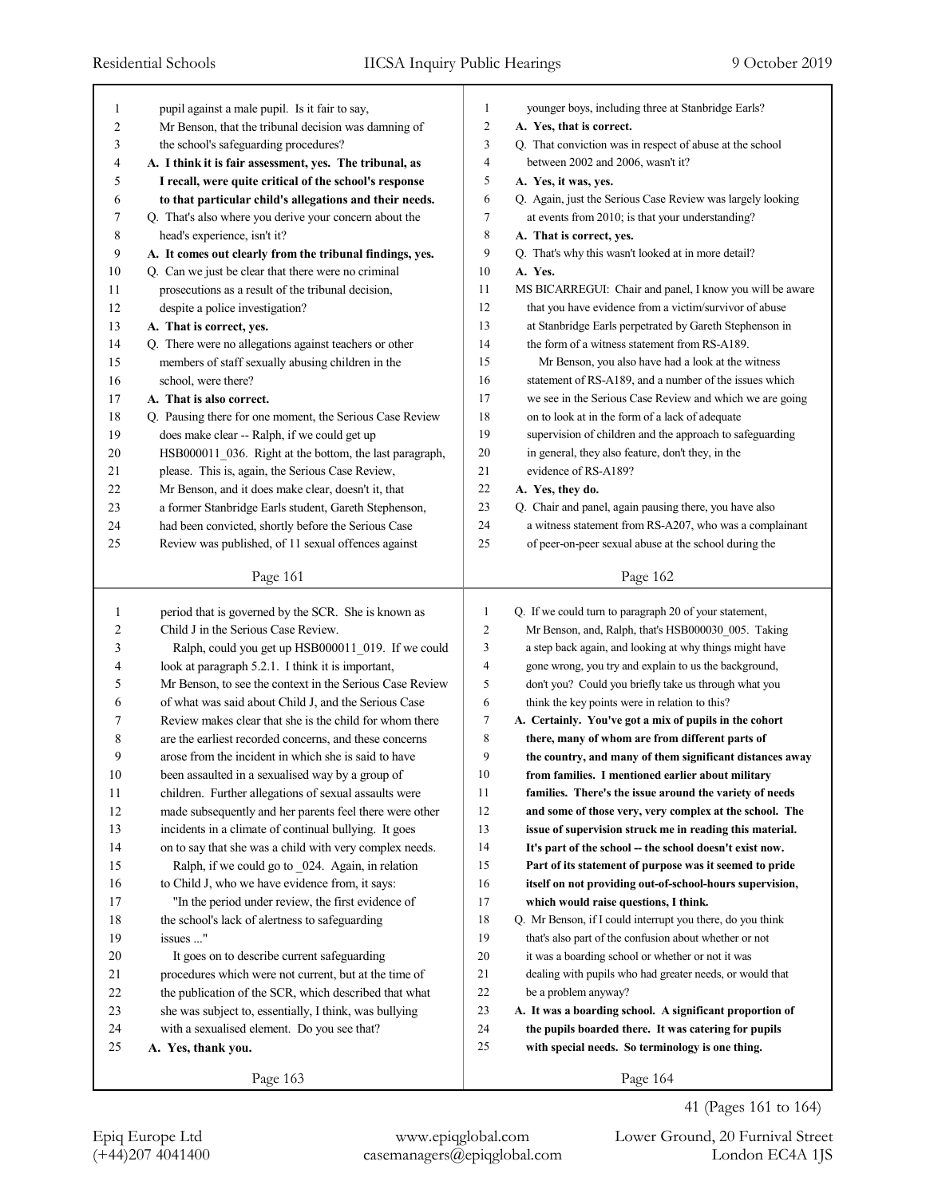| 1  | pupil against a male pupil. Is it fair to say,           | $\mathbf{1}$   | younger boys, including three at Stanbridge Earls?         |
|----|----------------------------------------------------------|----------------|------------------------------------------------------------|
| 2  | Mr Benson, that the tribunal decision was damning of     | $\overline{2}$ | A. Yes, that is correct.                                   |
| 3  | the school's safeguarding procedures?                    | 3              | Q. That conviction was in respect of abuse at the school   |
| 4  | A. I think it is fair assessment, yes. The tribunal, as  | 4              | between 2002 and 2006, wasn't it?                          |
| 5  | I recall, were quite critical of the school's response   | 5              | A. Yes, it was, yes.                                       |
| 6  | to that particular child's allegations and their needs.  | 6              | Q. Again, just the Serious Case Review was largely looking |
| 7  | Q. That's also where you derive your concern about the   | $\tau$         | at events from 2010; is that your understanding?           |
| 8  | head's experience, isn't it?                             | 8              | A. That is correct, yes.                                   |
| 9  | A. It comes out clearly from the tribunal findings, yes. | 9              | Q. That's why this wasn't looked at in more detail?        |
| 10 | Q. Can we just be clear that there were no criminal      | 10             | A. Yes.                                                    |
| 11 | prosecutions as a result of the tribunal decision,       | 11             | MS BICARREGUI: Chair and panel, I know you will be aware   |
| 12 | despite a police investigation?                          | 12             | that you have evidence from a victim/survivor of abuse     |
| 13 | A. That is correct, yes.                                 | 13             | at Stanbridge Earls perpetrated by Gareth Stephenson in    |
| 14 | Q. There were no allegations against teachers or other   | 14             | the form of a witness statement from RS-A189.              |
| 15 | members of staff sexually abusing children in the        | 15             | Mr Benson, you also have had a look at the witness         |
| 16 | school, were there?                                      | 16             | statement of RS-A189, and a number of the issues which     |
| 17 | A. That is also correct.                                 | 17             | we see in the Serious Case Review and which we are going   |
| 18 | Q. Pausing there for one moment, the Serious Case Review | 18             | on to look at in the form of a lack of adequate            |
| 19 | does make clear -- Ralph, if we could get up             | 19             | supervision of children and the approach to safeguarding   |
| 20 | HSB000011 036. Right at the bottom, the last paragraph,  | 20             | in general, they also feature, don't they, in the          |
| 21 | please. This is, again, the Serious Case Review,         | 21             | evidence of RS-A189?                                       |
| 22 | Mr Benson, and it does make clear, doesn't it, that      | 22             | A. Yes, they do.                                           |
| 23 | a former Stanbridge Earls student, Gareth Stephenson,    | 23             | Q. Chair and panel, again pausing there, you have also     |
| 24 | had been convicted, shortly before the Serious Case      | 24             | a witness statement from RS-A207, who was a complainant    |
| 25 | Review was published, of 11 sexual offences against      | 25             | of peer-on-peer sexual abuse at the school during the      |
|    |                                                          |                |                                                            |
|    | Page 161                                                 |                | Page 162                                                   |
|    |                                                          |                |                                                            |
|    |                                                          |                |                                                            |
| 1  | period that is governed by the SCR. She is known as      | $\mathbf{1}$   | Q. If we could turn to paragraph 20 of your statement,     |
| 2  | Child J in the Serious Case Review.                      | $\overline{c}$ | Mr Benson, and, Ralph, that's HSB000030_005. Taking        |
| 3  | Ralph, could you get up HSB000011_019. If we could       | 3              | a step back again, and looking at why things might have    |
| 4  | look at paragraph 5.2.1. I think it is important,        | $\overline{4}$ | gone wrong, you try and explain to us the background,      |
| 5  | Mr Benson, to see the context in the Serious Case Review | 5              | don't you? Could you briefly take us through what you      |
| 6  | of what was said about Child J, and the Serious Case     | 6              | think the key points were in relation to this?             |
| 7  | Review makes clear that she is the child for whom there  | 7              | A. Certainly. You've got a mix of pupils in the cohort     |
| 8  | are the earliest recorded concerns, and these concerns   | 8              | there, many of whom are from different parts of            |
| 9  | arose from the incident in which she is said to have     | 9              | the country, and many of them significant distances away   |
| 10 | been assaulted in a sexualised way by a group of         | 10             | from families. I mentioned earlier about military          |
| 11 | children. Further allegations of sexual assaults were    | 11             | families. There's the issue around the variety of needs    |
| 12 | made subsequently and her parents feel there were other  | 12             | and some of those very, very complex at the school. The    |
| 13 | incidents in a climate of continual bullying. It goes    | 13             | issue of supervision struck me in reading this material.   |
| 14 | on to say that she was a child with very complex needs.  | 14             | It's part of the school -- the school doesn't exist now.   |
| 15 | Ralph, if we could go to 024. Again, in relation         | 15             | Part of its statement of purpose was it seemed to pride    |
| 16 | to Child J, who we have evidence from, it says:          | 16             | itself on not providing out-of-school-hours supervision,   |
| 17 | "In the period under review, the first evidence of       | 17             | which would raise questions, I think.                      |
| 18 | the school's lack of alertness to safeguarding           | 18             | Q. Mr Benson, if I could interrupt you there, do you think |
| 19 | issues "                                                 | 19             | that's also part of the confusion about whether or not     |
| 20 | It goes on to describe current safeguarding              | 20             | it was a boarding school or whether or not it was          |
| 21 | procedures which were not current, but at the time of    | 21             | dealing with pupils who had greater needs, or would that   |
| 22 | the publication of the SCR, which described that what    | 22             | be a problem anyway?                                       |
| 23 | she was subject to, essentially, I think, was bullying   | 23             | A. It was a boarding school. A significant proportion of   |
| 24 | with a sexualised element. Do you see that?              | 24             | the pupils boarded there. It was catering for pupils       |
| 25 | A. Yes, thank you.                                       | 25             | with special needs. So terminology is one thing.           |
|    | Page 163                                                 |                | Page 164                                                   |

Epiq Europe Ltd www.epiqglobal.com Lower Ground, 20 Furnival Street

41 (Pages 161 to 164)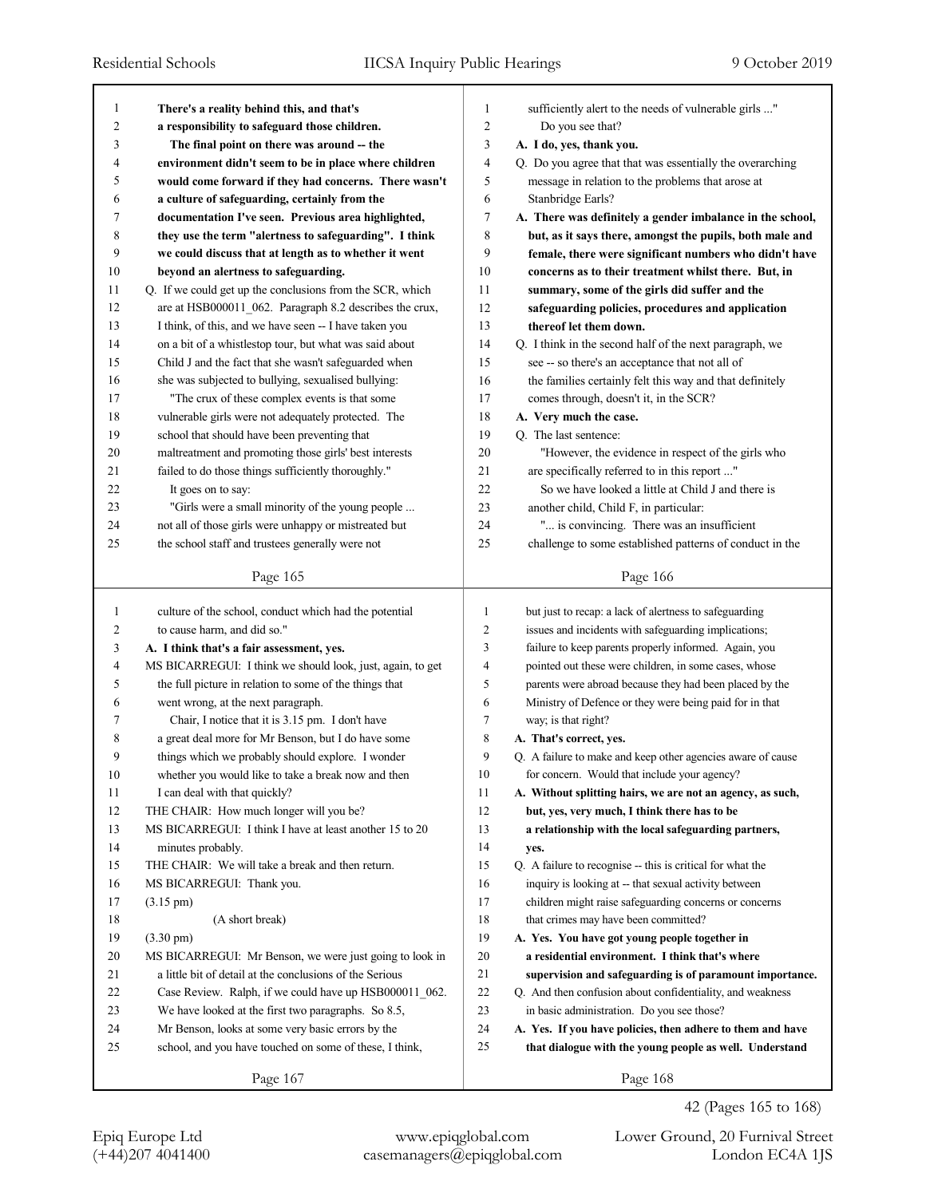| $\mathbf{1}$   | There's a reality behind this, and that's                  | 1              | sufficiently alert to the needs of vulnerable girls "       |
|----------------|------------------------------------------------------------|----------------|-------------------------------------------------------------|
| 2              | a responsibility to safeguard those children.              | $\overline{2}$ | Do you see that?                                            |
| 3              | The final point on there was around -- the                 | 3              | A. I do, yes, thank you.                                    |
| 4              | environment didn't seem to be in place where children      | 4              | Q. Do you agree that that was essentially the overarching   |
| 5              | would come forward if they had concerns. There wasn't      | 5              | message in relation to the problems that arose at           |
| 6              | a culture of safeguarding, certainly from the              | 6              | Stanbridge Earls?                                           |
| 7              | documentation I've seen. Previous area highlighted,        | 7              | A. There was definitely a gender imbalance in the school,   |
| 8              | they use the term "alertness to safeguarding". I think     | 8              | but, as it says there, amongst the pupils, both male and    |
| 9              | we could discuss that at length as to whether it went      | 9              | female, there were significant numbers who didn't have      |
| 10             | beyond an alertness to safeguarding.                       | 10             | concerns as to their treatment whilst there. But, in        |
| 11             | Q. If we could get up the conclusions from the SCR, which  | 11             | summary, some of the girls did suffer and the               |
| 12             | are at HSB000011_062. Paragraph 8.2 describes the crux,    | 12             | safeguarding policies, procedures and application           |
| 13             | I think, of this, and we have seen -- I have taken you     | 13             | thereof let them down.                                      |
| 14             | on a bit of a whistlestop tour, but what was said about    | 14             | Q. I think in the second half of the next paragraph, we     |
| 15             | Child J and the fact that she wasn't safeguarded when      | 15             | see -- so there's an acceptance that not all of             |
| 16             | she was subjected to bullying, sexualised bullying:        | 16             | the families certainly felt this way and that definitely    |
| 17             | "The crux of these complex events is that some             | 17             | comes through, doesn't it, in the SCR?                      |
| 18             | vulnerable girls were not adequately protected. The        | 18             | A. Very much the case.                                      |
| 19             | school that should have been preventing that               | 19             | Q. The last sentence:                                       |
| 20             | maltreatment and promoting those girls' best interests     | 20             | "However, the evidence in respect of the girls who          |
| 21             | failed to do those things sufficiently thoroughly."        | 21             | are specifically referred to in this report "               |
| 22             | It goes on to say:                                         | 22             | So we have looked a little at Child J and there is          |
| 23             | "Girls were a small minority of the young people           | 23             | another child, Child F, in particular:                      |
| 24             | not all of those girls were unhappy or mistreated but      | 24             | " is convincing. There was an insufficient                  |
| 25             | the school staff and trustees generally were not           | 25             | challenge to some established patterns of conduct in the    |
|                |                                                            |                |                                                             |
|                | Page 165                                                   |                | Page 166                                                    |
|                |                                                            |                |                                                             |
|                |                                                            |                |                                                             |
| $\mathbf{1}$   | culture of the school, conduct which had the potential     | 1              | but just to recap: a lack of alertness to safeguarding      |
| 2              | to cause harm, and did so."                                | 2              | issues and incidents with safeguarding implications;        |
| 3              | A. I think that's a fair assessment, yes.                  | 3              | failure to keep parents properly informed. Again, you       |
| $\overline{4}$ | MS BICARREGUI: I think we should look, just, again, to get | 4              | pointed out these were children, in some cases, whose       |
| 5              | the full picture in relation to some of the things that    | 5              | parents were abroad because they had been placed by the     |
| 6              | went wrong, at the next paragraph.                         | 6              | Ministry of Defence or they were being paid for in that     |
| 7              | Chair, I notice that it is 3.15 pm. I don't have           | 7              | way; is that right?                                         |
| 8              | a great deal more for Mr Benson, but I do have some        | 8              | A. That's correct, yes.                                     |
| 9              | things which we probably should explore. I wonder          | 9              | Q. A failure to make and keep other agencies aware of cause |
| $10\,$         | whether you would like to take a break now and then        | 10             | for concern. Would that include your agency?                |
| 11             | I can deal with that quickly?                              | 11             | A. Without splitting hairs, we are not an agency, as such,  |
| 12             | THE CHAIR: How much longer will you be?                    | 12             | but, yes, very much, I think there has to be                |
| 13             | MS BICARREGUI: I think I have at least another 15 to 20    | 13             | a relationship with the local safeguarding partners,        |
| 14             | minutes probably.                                          | 14             | yes.                                                        |
| 15             | THE CHAIR: We will take a break and then return.           | 15             | Q. A failure to recognise -- this is critical for what the  |
| 16             | MS BICARREGUI: Thank you.                                  | 16             | inquiry is looking at -- that sexual activity between       |
| 17             | $(3.15 \text{ pm})$                                        | 17             | children might raise safeguarding concerns or concerns      |
| 18             | (A short break)                                            | 18             | that crimes may have been committed?                        |
| 19             | $(3.30 \text{ pm})$                                        | 19             | A. Yes. You have got young people together in               |
| 20             | MS BICARREGUI: Mr Benson, we were just going to look in    | 20             | a residential environment. I think that's where             |
| 21             | a little bit of detail at the conclusions of the Serious   | 21             | supervision and safeguarding is of paramount importance.    |
| 22             | Case Review. Ralph, if we could have up HSB000011_062.     | 22             | Q. And then confusion about confidentiality, and weakness   |
| 23             | We have looked at the first two paragraphs. So 8.5,        | 23             | in basic administration. Do you see those?                  |
| 24             | Mr Benson, looks at some very basic errors by the          | 24             | A. Yes. If you have policies, then adhere to them and have  |
| 25             | school, and you have touched on some of these, I think,    | 25             | that dialogue with the young people as well. Understand     |
|                | Page 167                                                   |                | Page 168                                                    |

42 (Pages 165 to 168)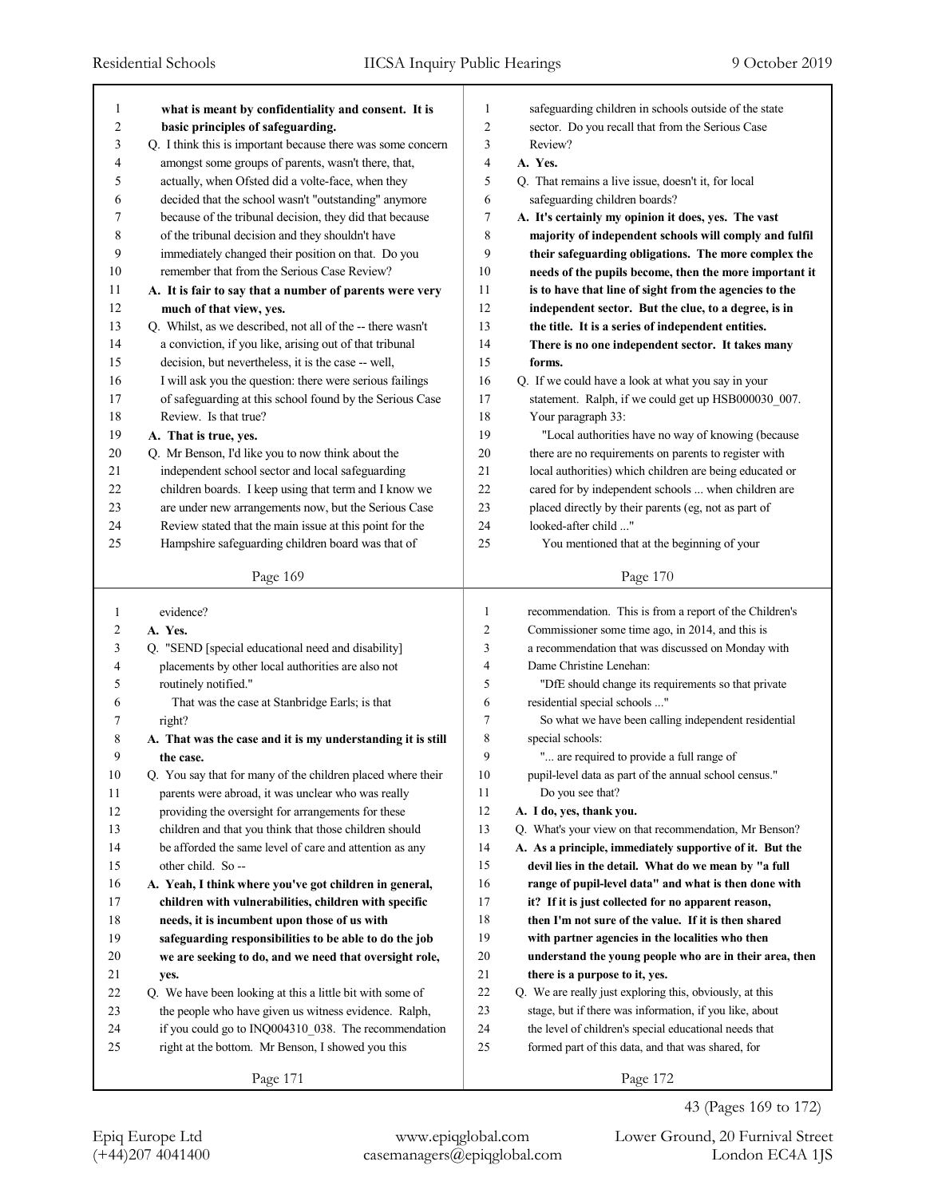| 1      | what is meant by confidentiality and consent. It is         | 1              | safeguarding children in schools outside of the state    |
|--------|-------------------------------------------------------------|----------------|----------------------------------------------------------|
| 2      | basic principles of safeguarding.                           | $\overline{2}$ | sector. Do you recall that from the Serious Case         |
| 3      | Q. I think this is important because there was some concern | 3              | Review?                                                  |
| 4      | amongst some groups of parents, wasn't there, that,         | $\overline{4}$ | A. Yes.                                                  |
| 5      | actually, when Ofsted did a volte-face, when they           | 5              | Q. That remains a live issue, doesn't it, for local      |
| 6      | decided that the school wasn't "outstanding" anymore        | 6              | safeguarding children boards?                            |
| 7      | because of the tribunal decision, they did that because     | 7              | A. It's certainly my opinion it does, yes. The vast      |
| 8      | of the tribunal decision and they shouldn't have            | 8              | majority of independent schools will comply and fulfil   |
| 9      | immediately changed their position on that. Do you          | 9              | their safeguarding obligations. The more complex the     |
| 10     | remember that from the Serious Case Review?                 | 10             | needs of the pupils become, then the more important it   |
| 11     | A. It is fair to say that a number of parents were very     | 11             | is to have that line of sight from the agencies to the   |
| 12     | much of that view, yes.                                     | 12             | independent sector. But the clue, to a degree, is in     |
| 13     | Q. Whilst, as we described, not all of the -- there wasn't  | 13             | the title. It is a series of independent entities.       |
| 14     | a conviction, if you like, arising out of that tribunal     | 14             | There is no one independent sector. It takes many        |
| 15     | decision, but nevertheless, it is the case -- well,         | 15             | forms.                                                   |
| 16     | I will ask you the question: there were serious failings    | 16             | Q. If we could have a look at what you say in your       |
| 17     | of safeguarding at this school found by the Serious Case    | 17             | statement. Ralph, if we could get up HSB000030_007.      |
| 18     | Review. Is that true?                                       | 18             | Your paragraph 33:                                       |
| 19     | A. That is true, yes.                                       | 19             | "Local authorities have no way of knowing (because       |
| 20     | Q. Mr Benson, I'd like you to now think about the           | 20             | there are no requirements on parents to register with    |
| 21     | independent school sector and local safeguarding            | 21             | local authorities) which children are being educated or  |
| 22     | children boards. I keep using that term and I know we       | 22             | cared for by independent schools  when children are      |
| 23     | are under new arrangements now, but the Serious Case        | 23             | placed directly by their parents (eg, not as part of     |
| 24     | Review stated that the main issue at this point for the     | 24             | looked-after child "                                     |
| 25     | Hampshire safeguarding children board was that of           | 25             | You mentioned that at the beginning of your              |
|        |                                                             |                |                                                          |
|        | Page 169                                                    |                | Page 170                                                 |
|        |                                                             |                |                                                          |
|        |                                                             |                |                                                          |
| 1      | evidence?                                                   | 1              | recommendation. This is from a report of the Children's  |
| 2      | A. Yes.                                                     | $\overline{2}$ | Commissioner some time ago, in 2014, and this is         |
| 3      | Q. "SEND [special educational need and disability]          | 3              | a recommendation that was discussed on Monday with       |
| 4      | placements by other local authorities are also not          | $\overline{4}$ | Dame Christine Lenehan:                                  |
| 5      | routinely notified."                                        | 5              | "DfE should change its requirements so that private      |
| 6      | That was the case at Stanbridge Earls; is that              | 6              | residential special schools "                            |
| 7      | right?                                                      | 7              | So what we have been calling independent residential     |
| 8      | A. That was the case and it is my understanding it is still | 8              | special schools:                                         |
| 9      | the case.                                                   | 9              | " are required to provide a full range of                |
| 10     | Q. You say that for many of the children placed where their | 10             | pupil-level data as part of the annual school census."   |
| 11     | parents were abroad, it was unclear who was really          | 11             | Do you see that?                                         |
| 12     | providing the oversight for arrangements for these          | 12             | A. I do, yes, thank you.                                 |
| 13     | children and that you think that those children should      | 13             | Q. What's your view on that recommendation, Mr Benson?   |
| 14     | be afforded the same level of care and attention as any     | 14             | A. As a principle, immediately supportive of it. But the |
| 15     | other child. So --                                          | 15             | devil lies in the detail. What do we mean by "a full     |
| 16     | A. Yeah, I think where you've got children in general,      | 16             | range of pupil-level data" and what is then done with    |
| 17     | children with vulnerabilities, children with specific       | 17             | it? If it is just collected for no apparent reason,      |
| 18     | needs, it is incumbent upon those of us with                | $18\,$         | then I'm not sure of the value. If it is then shared     |
| 19     | safeguarding responsibilities to be able to do the job      | 19             | with partner agencies in the localities who then         |
| $20\,$ | we are seeking to do, and we need that oversight role,      | 20             | understand the young people who are in their area, then  |
| 21     | yes.                                                        | 21             | there is a purpose to it, yes.                           |
| 22     | Q. We have been looking at this a little bit with some of   | 22             | Q. We are really just exploring this, obviously, at this |
| 23     | the people who have given us witness evidence. Ralph,       | 23             | stage, but if there was information, if you like, about  |
| 24     | if you could go to INQ004310_038. The recommendation        | 24             | the level of children's special educational needs that   |
| 25     | right at the bottom. Mr Benson, I showed you this           | 25             | formed part of this data, and that was shared, for       |
|        | Page 171                                                    |                | Page 172                                                 |

43 (Pages 169 to 172)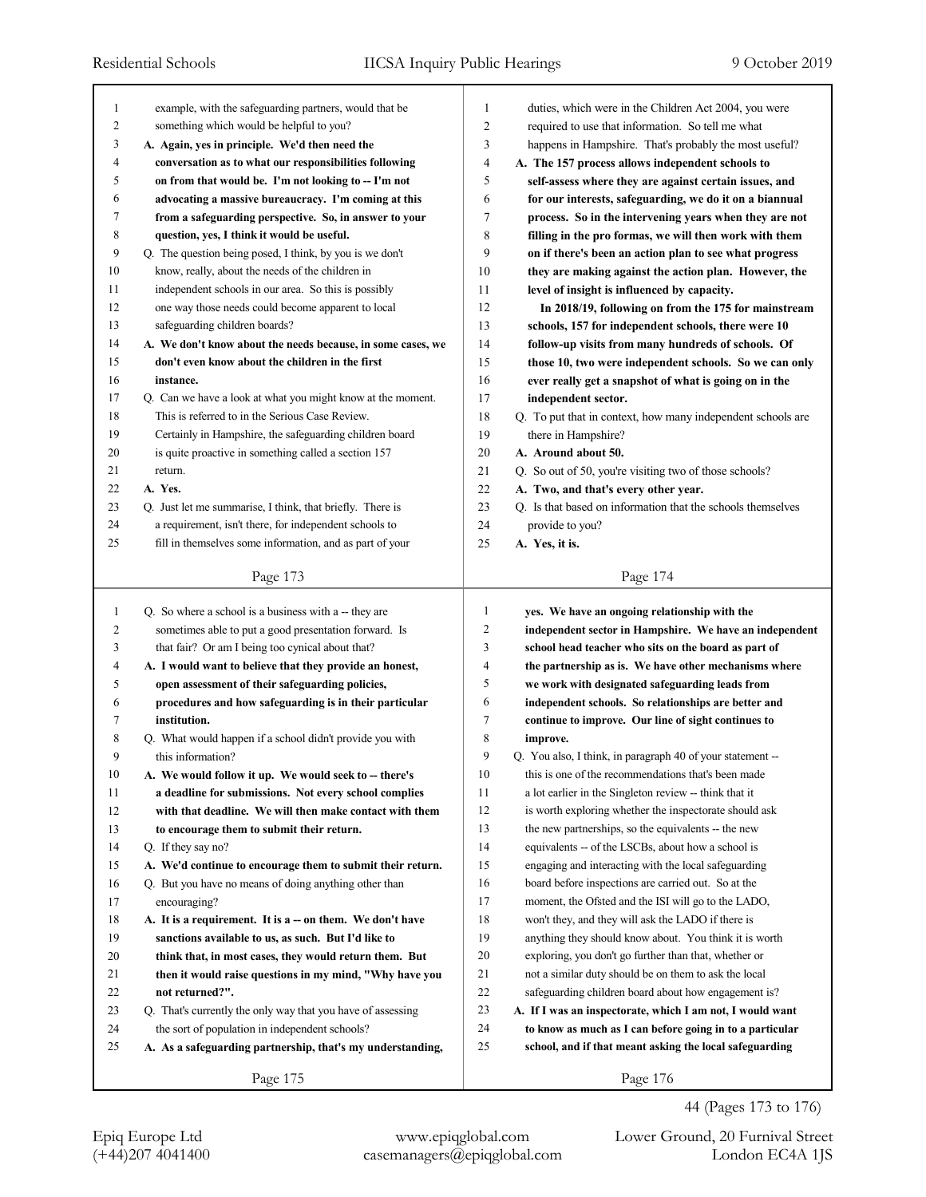| 1<br>2       |                                                             |                |                                                             |
|--------------|-------------------------------------------------------------|----------------|-------------------------------------------------------------|
|              | example, with the safeguarding partners, would that be      | 1              | duties, which were in the Children Act 2004, you were       |
|              | something which would be helpful to you?                    | $\overline{2}$ | required to use that information. So tell me what           |
| 3            | A. Again, yes in principle. We'd then need the              | 3              | happens in Hampshire. That's probably the most useful?      |
| 4            | conversation as to what our responsibilities following      | $\overline{4}$ | A. The 157 process allows independent schools to            |
| 5            | on from that would be. I'm not looking to -- I'm not        | 5              | self-assess where they are against certain issues, and      |
| 6            | advocating a massive bureaucracy. I'm coming at this        | 6              | for our interests, safeguarding, we do it on a biannual     |
| 7            | from a safeguarding perspective. So, in answer to your      | 7              | process. So in the intervening years when they are not      |
| 8            | question, yes, I think it would be useful.                  | 8              | filling in the pro formas, we will then work with them      |
| 9            | Q. The question being posed, I think, by you is we don't    | 9              | on if there's been an action plan to see what progress      |
| 10           | know, really, about the needs of the children in            | 10             | they are making against the action plan. However, the       |
| 11           | independent schools in our area. So this is possibly        | 11             | level of insight is influenced by capacity.                 |
| 12           | one way those needs could become apparent to local          | 12             | In 2018/19, following on from the 175 for mainstream        |
| 13           | safeguarding children boards?                               | 13             | schools, 157 for independent schools, there were 10         |
| 14           | A. We don't know about the needs because, in some cases, we | 14             | follow-up visits from many hundreds of schools. Of          |
| 15           | don't even know about the children in the first             | 15             | those 10, two were independent schools. So we can only      |
| 16           | instance.                                                   | 16             | ever really get a snapshot of what is going on in the       |
| 17           | Q. Can we have a look at what you might know at the moment. | 17             | independent sector.                                         |
| 18           | This is referred to in the Serious Case Review.             | 18             | Q. To put that in context, how many independent schools are |
| 19           | Certainly in Hampshire, the safeguarding children board     | 19             | there in Hampshire?                                         |
| 20           | is quite proactive in something called a section 157        | 20             | A. Around about 50.                                         |
| 21           | return.                                                     | 21             | Q. So out of 50, you're visiting two of those schools?      |
| 22           | A. Yes.                                                     | 22             | A. Two, and that's every other year.                        |
| 23           | Q. Just let me summarise, I think, that briefly. There is   | 23             | Q. Is that based on information that the schools themselves |
| 24           | a requirement, isn't there, for independent schools to      | 24             | provide to you?                                             |
| 25           | fill in themselves some information, and as part of your    | 25             | A. Yes, it is.                                              |
|              |                                                             |                |                                                             |
|              | Page 173                                                    |                | Page 174                                                    |
| $\mathbf{1}$ | Q. So where a school is a business with a -- they are       | $\mathbf{1}$   | yes. We have an ongoing relationship with the               |
| 2            | sometimes able to put a good presentation forward. Is       | 2              | independent sector in Hampshire. We have an independent     |
| 3            | that fair? Or am I being too cynical about that?            | 3              | school head teacher who sits on the board as part of        |
| 4            | A. I would want to believe that they provide an honest,     | 4              | the partnership as is. We have other mechanisms where       |
| 5            | open assessment of their safeguarding policies,             | 5              | we work with designated safeguarding leads from             |
| 6            | procedures and how safeguarding is in their particular      | 6              | independent schools. So relationships are better and        |
| 7            | institution.                                                | 7              | continue to improve. Our line of sight continues to         |
| 8            | Q. What would happen if a school didn't provide you with    |                |                                                             |
|              |                                                             |                |                                                             |
|              |                                                             | 8              | improve.                                                    |
| 9            | this information?                                           | 9              | Q. You also, I think, in paragraph 40 of your statement --  |
| 10           | A. We would follow it up. We would seek to -- there's       | 10             | this is one of the recommendations that's been made         |
| 11           | a deadline for submissions. Not every school complies       | 11             | a lot earlier in the Singleton review -- think that it      |
| 12           | with that deadline. We will then make contact with them     | 12             | is worth exploring whether the inspectorate should ask      |
| 13           | to encourage them to submit their return.                   | 13             | the new partnerships, so the equivalents -- the new         |
| 14           | Q. If they say no?                                          | 14             | equivalents -- of the LSCBs, about how a school is          |
| 15           | A. We'd continue to encourage them to submit their return.  | 15             | engaging and interacting with the local safeguarding        |
| 16           | Q. But you have no means of doing anything other than       | 16             | board before inspections are carried out. So at the         |
| 17           | encouraging?                                                | 17             | moment, the Ofsted and the ISI will go to the LADO,         |
| 18           | A. It is a requirement. It is a - on them. We don't have    | 18             | won't they, and they will ask the LADO if there is          |
| 19           | sanctions available to us, as such. But I'd like to         | 19             | anything they should know about. You think it is worth      |
| 20           | think that, in most cases, they would return them. But      | 20             | exploring, you don't go further than that, whether or       |
| 21           | then it would raise questions in my mind, "Why have you     | 21             | not a similar duty should be on them to ask the local       |
| 22           | not returned?".                                             | 22             | safeguarding children board about how engagement is?        |
| 23           | Q. That's currently the only way that you have of assessing | 23             | A. If I was an inspectorate, which I am not, I would want   |
| 24           | the sort of population in independent schools?              | 24             | to know as much as I can before going in to a particular    |
| 25           | A. As a safeguarding partnership, that's my understanding,  | 25             | school, and if that meant asking the local safeguarding     |

Epiq Europe Ltd www.epiqglobal.com Lower Ground, 20 Furnival Street

44 (Pages 173 to 176)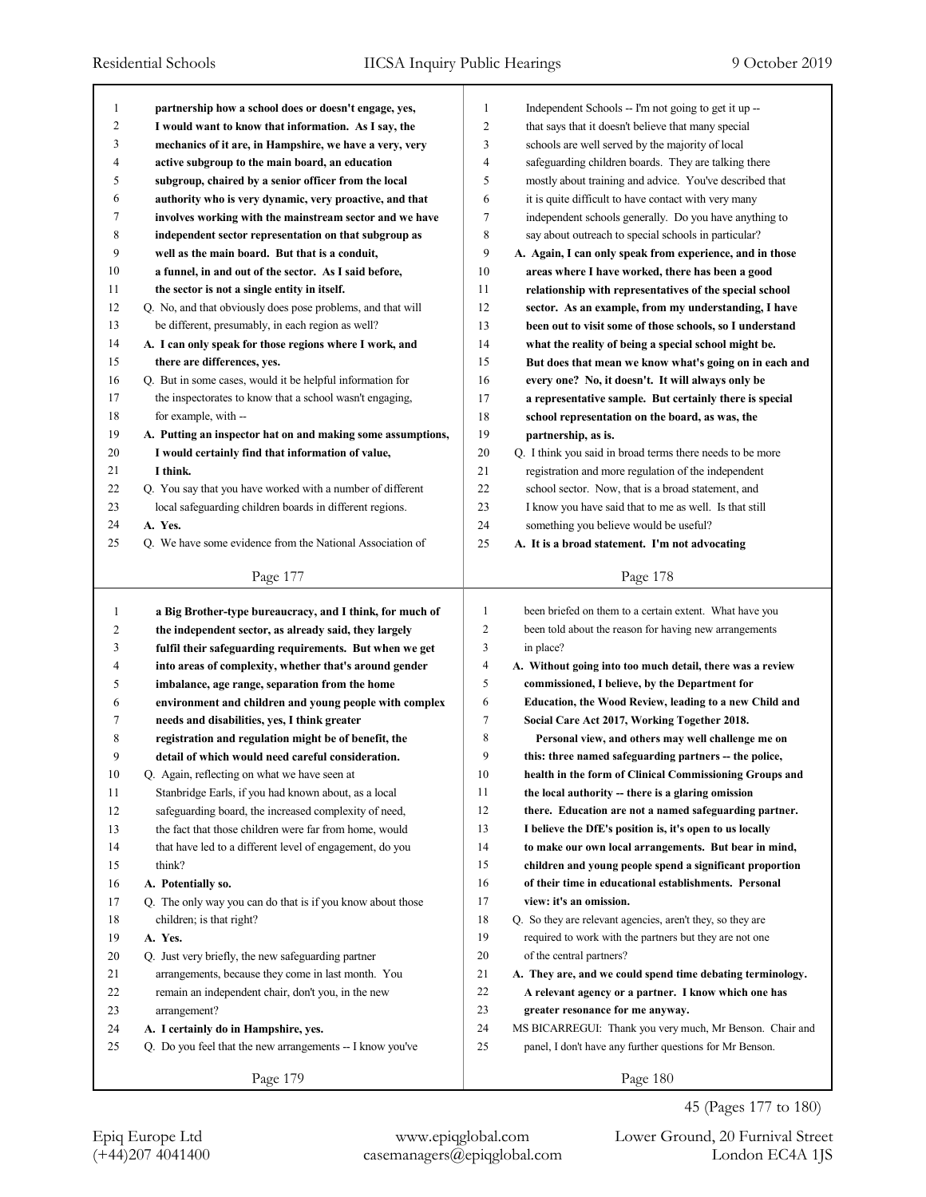| 1  | partnership how a school does or doesn't engage, yes,       | 1              | Independent Schools -- I'm not going to get it up --       |
|----|-------------------------------------------------------------|----------------|------------------------------------------------------------|
| 2  | I would want to know that information. As I say, the        | $\overline{2}$ | that says that it doesn't believe that many special        |
| 3  | mechanics of it are, in Hampshire, we have a very, very     | 3              | schools are well served by the majority of local           |
| 4  | active subgroup to the main board, an education             | $\overline{4}$ | safeguarding children boards. They are talking there       |
| 5  | subgroup, chaired by a senior officer from the local        | 5              | mostly about training and advice. You've described that    |
| 6  | authority who is very dynamic, very proactive, and that     | 6              | it is quite difficult to have contact with very many       |
| 7  | involves working with the mainstream sector and we have     | 7              | independent schools generally. Do you have anything to     |
| 8  | independent sector representation on that subgroup as       | 8              | say about outreach to special schools in particular?       |
| 9  | well as the main board. But that is a conduit,              | 9              | A. Again, I can only speak from experience, and in those   |
| 10 | a funnel, in and out of the sector. As I said before,       | 10             | areas where I have worked, there has been a good           |
| 11 | the sector is not a single entity in itself.                | 11             | relationship with representatives of the special school    |
| 12 | Q. No, and that obviously does pose problems, and that will | 12             | sector. As an example, from my understanding, I have       |
| 13 | be different, presumably, in each region as well?           | 13             | been out to visit some of those schools, so I understand   |
| 14 | A. I can only speak for those regions where I work, and     | 14             | what the reality of being a special school might be.       |
| 15 | there are differences, yes.                                 | 15             | But does that mean we know what's going on in each and     |
| 16 | Q. But in some cases, would it be helpful information for   | 16             | every one? No, it doesn't. It will always only be          |
| 17 | the inspectorates to know that a school wasn't engaging,    | 17             | a representative sample. But certainly there is special    |
| 18 | for example, with --                                        | 18             | school representation on the board, as was, the            |
| 19 | A. Putting an inspector hat on and making some assumptions, | 19             | partnership, as is.                                        |
| 20 | I would certainly find that information of value,           | 20             | Q. I think you said in broad terms there needs to be more  |
| 21 | I think.                                                    | 21             | registration and more regulation of the independent        |
| 22 | Q. You say that you have worked with a number of different  | 22             | school sector. Now, that is a broad statement, and         |
| 23 | local safeguarding children boards in different regions.    | 23             | I know you have said that to me as well. Is that still     |
| 24 | A. Yes.                                                     | 24             | something you believe would be useful?                     |
| 25 | Q. We have some evidence from the National Association of   | 25             | A. It is a broad statement. I'm not advocating             |
|    |                                                             |                |                                                            |
|    | Page 177                                                    |                | Page 178                                                   |
|    |                                                             |                |                                                            |
|    |                                                             |                |                                                            |
| 1  | a Big Brother-type bureaucracy, and I think, for much of    | 1              | been briefed on them to a certain extent. What have you    |
| 2  | the independent sector, as already said, they largely       | 2              | been told about the reason for having new arrangements     |
| 3  | fulfil their safeguarding requirements. But when we get     | 3              | in place?                                                  |
| 4  | into areas of complexity, whether that's around gender      | 4              | A. Without going into too much detail, there was a review  |
| 5  | imbalance, age range, separation from the home              | 5              | commissioned, I believe, by the Department for             |
| 6  | environment and children and young people with complex      | 6              | Education, the Wood Review, leading to a new Child and     |
| 7  | needs and disabilities, yes, I think greater                | 7              | Social Care Act 2017, Working Together 2018.               |
| 8  | registration and regulation might be of benefit, the        | 8              | Personal view, and others may well challenge me on         |
| 9  | detail of which would need careful consideration.           | 9              | this: three named safeguarding partners -- the police,     |
| 10 | Q. Again, reflecting on what we have seen at                | 10             | health in the form of Clinical Commissioning Groups and    |
| 11 | Stanbridge Earls, if you had known about, as a local        | 11             | the local authority -- there is a glaring omission         |
| 12 | safeguarding board, the increased complexity of need,       | 12             | there. Education are not a named safeguarding partner.     |
| 13 | the fact that those children were far from home, would      | 13             | I believe the DfE's position is, it's open to us locally   |
| 14 | that have led to a different level of engagement, do you    | 14             | to make our own local arrangements. But bear in mind,      |
| 15 | think?                                                      | 15             | children and young people spend a significant proportion   |
| 16 | A. Potentially so.                                          | 16             | of their time in educational establishments. Personal      |
| 17 | Q. The only way you can do that is if you know about those  | 17             | view: it's an omission.                                    |
| 18 | children; is that right?                                    | 18             | Q. So they are relevant agencies, aren't they, so they are |
| 19 | A. Yes.                                                     | 19             | required to work with the partners but they are not one    |
| 20 | Q. Just very briefly, the new safeguarding partner          | 20             | of the central partners?                                   |
| 21 | arrangements, because they come in last month. You          | 21             | A. They are, and we could spend time debating terminology. |
| 22 | remain an independent chair, don't you, in the new          | 22             | A relevant agency or a partner. I know which one has       |
| 23 | arrangement?                                                | 23             | greater resonance for me anyway.                           |
| 24 | A. I certainly do in Hampshire, yes.                        | 24             | MS BICARREGUI: Thank you very much, Mr Benson. Chair and   |
| 25 | Q. Do you feel that the new arrangements -- I know you've   | 25             | panel, I don't have any further questions for Mr Benson.   |

45 (Pages 177 to 180)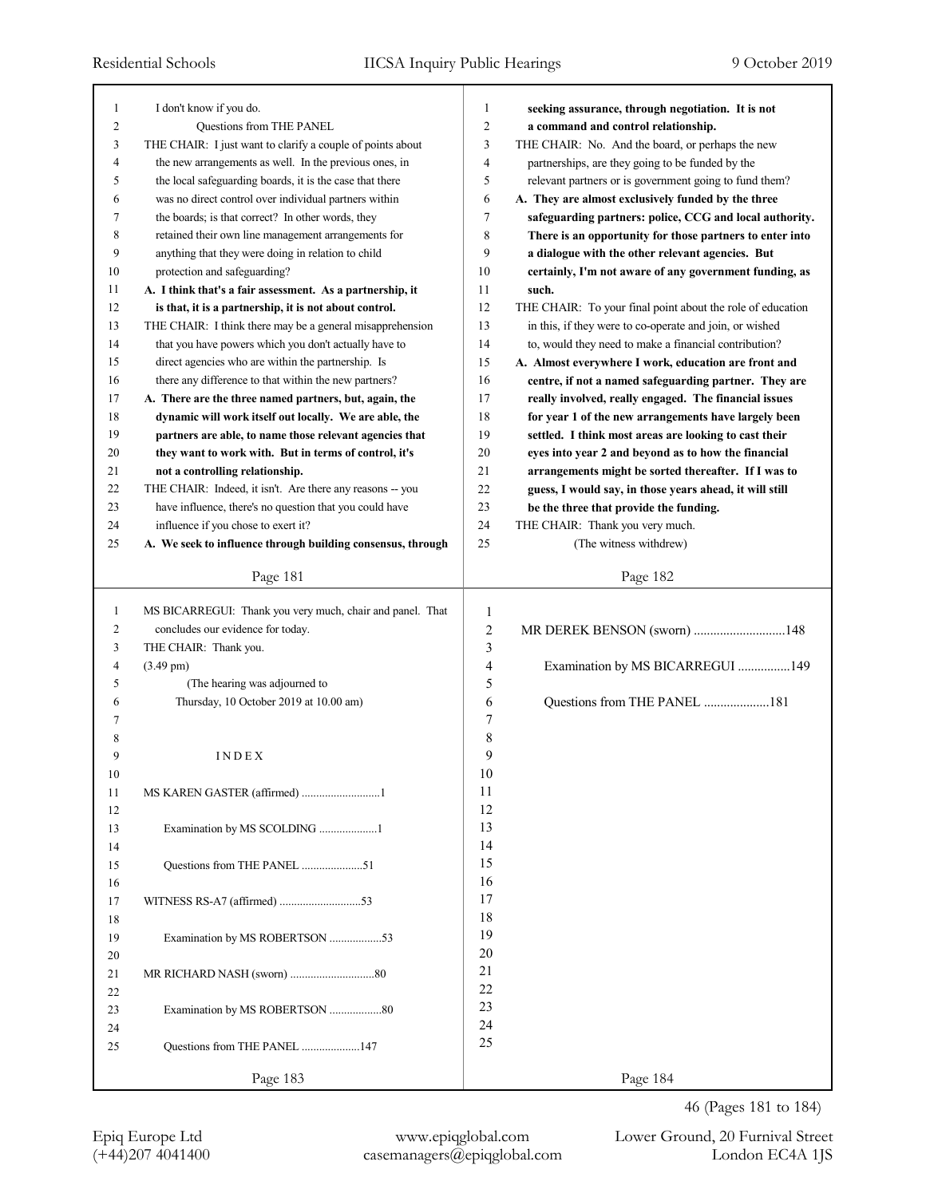| I don't know if you do.<br>1<br>1<br>seeking assurance, through negotiation. It is not<br>$\overline{2}$<br>2<br>Questions from THE PANEL<br>a command and control relationship.<br>3<br>3<br>THE CHAIR: I just want to clarify a couple of points about<br>THE CHAIR: No. And the board, or perhaps the new<br>$\overline{4}$<br>$\overline{4}$<br>the new arrangements as well. In the previous ones, in<br>partnerships, are they going to be funded by the<br>5<br>5<br>the local safeguarding boards, it is the case that there<br>relevant partners or is government going to fund them?<br>6<br>was no direct control over individual partners within<br>A. They are almost exclusively funded by the three<br>6<br>7<br>7<br>the boards; is that correct? In other words, they<br>safeguarding partners: police, CCG and local authority.<br>8<br>8<br>retained their own line management arrangements for<br>There is an opportunity for those partners to enter into<br>9<br>9<br>anything that they were doing in relation to child<br>a dialogue with the other relevant agencies. But<br>10<br>10<br>protection and safeguarding?<br>certainly, I'm not aware of any government funding, as<br>11<br>A. I think that's a fair assessment. As a partnership, it<br>11<br>such.<br>12<br>12<br>is that, it is a partnership, it is not about control.<br>THE CHAIR: To your final point about the role of education<br>13<br>13<br>THE CHAIR: I think there may be a general misapprehension<br>in this, if they were to co-operate and join, or wished<br>14<br>14<br>that you have powers which you don't actually have to<br>to, would they need to make a financial contribution?<br>15<br>15<br>direct agencies who are within the partnership. Is<br>A. Almost everywhere I work, education are front and<br>16<br>16<br>there any difference to that within the new partners?<br>centre, if not a named safeguarding partner. They are<br>17<br>17<br>A. There are the three named partners, but, again, the<br>really involved, really engaged. The financial issues<br>18<br>18<br>dynamic will work itself out locally. We are able, the<br>for year 1 of the new arrangements have largely been<br>19<br>19<br>settled. I think most areas are looking to cast their<br>partners are able, to name those relevant agencies that<br>20<br>20<br>they want to work with. But in terms of control, it's<br>eyes into year 2 and beyond as to how the financial<br>21<br>21<br>not a controlling relationship.<br>arrangements might be sorted thereafter. If I was to<br>22<br>22<br>THE CHAIR: Indeed, it isn't. Are there any reasons -- you<br>guess, I would say, in those years ahead, it will still<br>23<br>23<br>have influence, there's no question that you could have<br>be the three that provide the funding.<br>24<br>24<br>influence if you chose to exert it?<br>THE CHAIR: Thank you very much.<br>25<br>25<br>A. We seek to influence through building consensus, through<br>(The witness withdrew)<br>Page 182<br>Page 181 |
|------------------------------------------------------------------------------------------------------------------------------------------------------------------------------------------------------------------------------------------------------------------------------------------------------------------------------------------------------------------------------------------------------------------------------------------------------------------------------------------------------------------------------------------------------------------------------------------------------------------------------------------------------------------------------------------------------------------------------------------------------------------------------------------------------------------------------------------------------------------------------------------------------------------------------------------------------------------------------------------------------------------------------------------------------------------------------------------------------------------------------------------------------------------------------------------------------------------------------------------------------------------------------------------------------------------------------------------------------------------------------------------------------------------------------------------------------------------------------------------------------------------------------------------------------------------------------------------------------------------------------------------------------------------------------------------------------------------------------------------------------------------------------------------------------------------------------------------------------------------------------------------------------------------------------------------------------------------------------------------------------------------------------------------------------------------------------------------------------------------------------------------------------------------------------------------------------------------------------------------------------------------------------------------------------------------------------------------------------------------------------------------------------------------------------------------------------------------------------------------------------------------------------------------------------------------------------------------------------------------------------------------------------------------------------------------------------------------------------------------------------------------------------------------------------------------------------------------------------------------------------------------------------------------------------------------------------------------------------------------------------------------------------------------------------------------|
|                                                                                                                                                                                                                                                                                                                                                                                                                                                                                                                                                                                                                                                                                                                                                                                                                                                                                                                                                                                                                                                                                                                                                                                                                                                                                                                                                                                                                                                                                                                                                                                                                                                                                                                                                                                                                                                                                                                                                                                                                                                                                                                                                                                                                                                                                                                                                                                                                                                                                                                                                                                                                                                                                                                                                                                                                                                                                                                                                                                                                                                                  |
|                                                                                                                                                                                                                                                                                                                                                                                                                                                                                                                                                                                                                                                                                                                                                                                                                                                                                                                                                                                                                                                                                                                                                                                                                                                                                                                                                                                                                                                                                                                                                                                                                                                                                                                                                                                                                                                                                                                                                                                                                                                                                                                                                                                                                                                                                                                                                                                                                                                                                                                                                                                                                                                                                                                                                                                                                                                                                                                                                                                                                                                                  |
|                                                                                                                                                                                                                                                                                                                                                                                                                                                                                                                                                                                                                                                                                                                                                                                                                                                                                                                                                                                                                                                                                                                                                                                                                                                                                                                                                                                                                                                                                                                                                                                                                                                                                                                                                                                                                                                                                                                                                                                                                                                                                                                                                                                                                                                                                                                                                                                                                                                                                                                                                                                                                                                                                                                                                                                                                                                                                                                                                                                                                                                                  |
|                                                                                                                                                                                                                                                                                                                                                                                                                                                                                                                                                                                                                                                                                                                                                                                                                                                                                                                                                                                                                                                                                                                                                                                                                                                                                                                                                                                                                                                                                                                                                                                                                                                                                                                                                                                                                                                                                                                                                                                                                                                                                                                                                                                                                                                                                                                                                                                                                                                                                                                                                                                                                                                                                                                                                                                                                                                                                                                                                                                                                                                                  |
|                                                                                                                                                                                                                                                                                                                                                                                                                                                                                                                                                                                                                                                                                                                                                                                                                                                                                                                                                                                                                                                                                                                                                                                                                                                                                                                                                                                                                                                                                                                                                                                                                                                                                                                                                                                                                                                                                                                                                                                                                                                                                                                                                                                                                                                                                                                                                                                                                                                                                                                                                                                                                                                                                                                                                                                                                                                                                                                                                                                                                                                                  |
|                                                                                                                                                                                                                                                                                                                                                                                                                                                                                                                                                                                                                                                                                                                                                                                                                                                                                                                                                                                                                                                                                                                                                                                                                                                                                                                                                                                                                                                                                                                                                                                                                                                                                                                                                                                                                                                                                                                                                                                                                                                                                                                                                                                                                                                                                                                                                                                                                                                                                                                                                                                                                                                                                                                                                                                                                                                                                                                                                                                                                                                                  |
|                                                                                                                                                                                                                                                                                                                                                                                                                                                                                                                                                                                                                                                                                                                                                                                                                                                                                                                                                                                                                                                                                                                                                                                                                                                                                                                                                                                                                                                                                                                                                                                                                                                                                                                                                                                                                                                                                                                                                                                                                                                                                                                                                                                                                                                                                                                                                                                                                                                                                                                                                                                                                                                                                                                                                                                                                                                                                                                                                                                                                                                                  |
|                                                                                                                                                                                                                                                                                                                                                                                                                                                                                                                                                                                                                                                                                                                                                                                                                                                                                                                                                                                                                                                                                                                                                                                                                                                                                                                                                                                                                                                                                                                                                                                                                                                                                                                                                                                                                                                                                                                                                                                                                                                                                                                                                                                                                                                                                                                                                                                                                                                                                                                                                                                                                                                                                                                                                                                                                                                                                                                                                                                                                                                                  |
|                                                                                                                                                                                                                                                                                                                                                                                                                                                                                                                                                                                                                                                                                                                                                                                                                                                                                                                                                                                                                                                                                                                                                                                                                                                                                                                                                                                                                                                                                                                                                                                                                                                                                                                                                                                                                                                                                                                                                                                                                                                                                                                                                                                                                                                                                                                                                                                                                                                                                                                                                                                                                                                                                                                                                                                                                                                                                                                                                                                                                                                                  |
|                                                                                                                                                                                                                                                                                                                                                                                                                                                                                                                                                                                                                                                                                                                                                                                                                                                                                                                                                                                                                                                                                                                                                                                                                                                                                                                                                                                                                                                                                                                                                                                                                                                                                                                                                                                                                                                                                                                                                                                                                                                                                                                                                                                                                                                                                                                                                                                                                                                                                                                                                                                                                                                                                                                                                                                                                                                                                                                                                                                                                                                                  |
|                                                                                                                                                                                                                                                                                                                                                                                                                                                                                                                                                                                                                                                                                                                                                                                                                                                                                                                                                                                                                                                                                                                                                                                                                                                                                                                                                                                                                                                                                                                                                                                                                                                                                                                                                                                                                                                                                                                                                                                                                                                                                                                                                                                                                                                                                                                                                                                                                                                                                                                                                                                                                                                                                                                                                                                                                                                                                                                                                                                                                                                                  |
|                                                                                                                                                                                                                                                                                                                                                                                                                                                                                                                                                                                                                                                                                                                                                                                                                                                                                                                                                                                                                                                                                                                                                                                                                                                                                                                                                                                                                                                                                                                                                                                                                                                                                                                                                                                                                                                                                                                                                                                                                                                                                                                                                                                                                                                                                                                                                                                                                                                                                                                                                                                                                                                                                                                                                                                                                                                                                                                                                                                                                                                                  |
|                                                                                                                                                                                                                                                                                                                                                                                                                                                                                                                                                                                                                                                                                                                                                                                                                                                                                                                                                                                                                                                                                                                                                                                                                                                                                                                                                                                                                                                                                                                                                                                                                                                                                                                                                                                                                                                                                                                                                                                                                                                                                                                                                                                                                                                                                                                                                                                                                                                                                                                                                                                                                                                                                                                                                                                                                                                                                                                                                                                                                                                                  |
|                                                                                                                                                                                                                                                                                                                                                                                                                                                                                                                                                                                                                                                                                                                                                                                                                                                                                                                                                                                                                                                                                                                                                                                                                                                                                                                                                                                                                                                                                                                                                                                                                                                                                                                                                                                                                                                                                                                                                                                                                                                                                                                                                                                                                                                                                                                                                                                                                                                                                                                                                                                                                                                                                                                                                                                                                                                                                                                                                                                                                                                                  |
|                                                                                                                                                                                                                                                                                                                                                                                                                                                                                                                                                                                                                                                                                                                                                                                                                                                                                                                                                                                                                                                                                                                                                                                                                                                                                                                                                                                                                                                                                                                                                                                                                                                                                                                                                                                                                                                                                                                                                                                                                                                                                                                                                                                                                                                                                                                                                                                                                                                                                                                                                                                                                                                                                                                                                                                                                                                                                                                                                                                                                                                                  |
|                                                                                                                                                                                                                                                                                                                                                                                                                                                                                                                                                                                                                                                                                                                                                                                                                                                                                                                                                                                                                                                                                                                                                                                                                                                                                                                                                                                                                                                                                                                                                                                                                                                                                                                                                                                                                                                                                                                                                                                                                                                                                                                                                                                                                                                                                                                                                                                                                                                                                                                                                                                                                                                                                                                                                                                                                                                                                                                                                                                                                                                                  |
|                                                                                                                                                                                                                                                                                                                                                                                                                                                                                                                                                                                                                                                                                                                                                                                                                                                                                                                                                                                                                                                                                                                                                                                                                                                                                                                                                                                                                                                                                                                                                                                                                                                                                                                                                                                                                                                                                                                                                                                                                                                                                                                                                                                                                                                                                                                                                                                                                                                                                                                                                                                                                                                                                                                                                                                                                                                                                                                                                                                                                                                                  |
|                                                                                                                                                                                                                                                                                                                                                                                                                                                                                                                                                                                                                                                                                                                                                                                                                                                                                                                                                                                                                                                                                                                                                                                                                                                                                                                                                                                                                                                                                                                                                                                                                                                                                                                                                                                                                                                                                                                                                                                                                                                                                                                                                                                                                                                                                                                                                                                                                                                                                                                                                                                                                                                                                                                                                                                                                                                                                                                                                                                                                                                                  |
|                                                                                                                                                                                                                                                                                                                                                                                                                                                                                                                                                                                                                                                                                                                                                                                                                                                                                                                                                                                                                                                                                                                                                                                                                                                                                                                                                                                                                                                                                                                                                                                                                                                                                                                                                                                                                                                                                                                                                                                                                                                                                                                                                                                                                                                                                                                                                                                                                                                                                                                                                                                                                                                                                                                                                                                                                                                                                                                                                                                                                                                                  |
|                                                                                                                                                                                                                                                                                                                                                                                                                                                                                                                                                                                                                                                                                                                                                                                                                                                                                                                                                                                                                                                                                                                                                                                                                                                                                                                                                                                                                                                                                                                                                                                                                                                                                                                                                                                                                                                                                                                                                                                                                                                                                                                                                                                                                                                                                                                                                                                                                                                                                                                                                                                                                                                                                                                                                                                                                                                                                                                                                                                                                                                                  |
|                                                                                                                                                                                                                                                                                                                                                                                                                                                                                                                                                                                                                                                                                                                                                                                                                                                                                                                                                                                                                                                                                                                                                                                                                                                                                                                                                                                                                                                                                                                                                                                                                                                                                                                                                                                                                                                                                                                                                                                                                                                                                                                                                                                                                                                                                                                                                                                                                                                                                                                                                                                                                                                                                                                                                                                                                                                                                                                                                                                                                                                                  |
|                                                                                                                                                                                                                                                                                                                                                                                                                                                                                                                                                                                                                                                                                                                                                                                                                                                                                                                                                                                                                                                                                                                                                                                                                                                                                                                                                                                                                                                                                                                                                                                                                                                                                                                                                                                                                                                                                                                                                                                                                                                                                                                                                                                                                                                                                                                                                                                                                                                                                                                                                                                                                                                                                                                                                                                                                                                                                                                                                                                                                                                                  |
|                                                                                                                                                                                                                                                                                                                                                                                                                                                                                                                                                                                                                                                                                                                                                                                                                                                                                                                                                                                                                                                                                                                                                                                                                                                                                                                                                                                                                                                                                                                                                                                                                                                                                                                                                                                                                                                                                                                                                                                                                                                                                                                                                                                                                                                                                                                                                                                                                                                                                                                                                                                                                                                                                                                                                                                                                                                                                                                                                                                                                                                                  |
|                                                                                                                                                                                                                                                                                                                                                                                                                                                                                                                                                                                                                                                                                                                                                                                                                                                                                                                                                                                                                                                                                                                                                                                                                                                                                                                                                                                                                                                                                                                                                                                                                                                                                                                                                                                                                                                                                                                                                                                                                                                                                                                                                                                                                                                                                                                                                                                                                                                                                                                                                                                                                                                                                                                                                                                                                                                                                                                                                                                                                                                                  |
|                                                                                                                                                                                                                                                                                                                                                                                                                                                                                                                                                                                                                                                                                                                                                                                                                                                                                                                                                                                                                                                                                                                                                                                                                                                                                                                                                                                                                                                                                                                                                                                                                                                                                                                                                                                                                                                                                                                                                                                                                                                                                                                                                                                                                                                                                                                                                                                                                                                                                                                                                                                                                                                                                                                                                                                                                                                                                                                                                                                                                                                                  |
|                                                                                                                                                                                                                                                                                                                                                                                                                                                                                                                                                                                                                                                                                                                                                                                                                                                                                                                                                                                                                                                                                                                                                                                                                                                                                                                                                                                                                                                                                                                                                                                                                                                                                                                                                                                                                                                                                                                                                                                                                                                                                                                                                                                                                                                                                                                                                                                                                                                                                                                                                                                                                                                                                                                                                                                                                                                                                                                                                                                                                                                                  |
|                                                                                                                                                                                                                                                                                                                                                                                                                                                                                                                                                                                                                                                                                                                                                                                                                                                                                                                                                                                                                                                                                                                                                                                                                                                                                                                                                                                                                                                                                                                                                                                                                                                                                                                                                                                                                                                                                                                                                                                                                                                                                                                                                                                                                                                                                                                                                                                                                                                                                                                                                                                                                                                                                                                                                                                                                                                                                                                                                                                                                                                                  |
| MS BICARREGUI: Thank you very much, chair and panel. That<br>1<br>1                                                                                                                                                                                                                                                                                                                                                                                                                                                                                                                                                                                                                                                                                                                                                                                                                                                                                                                                                                                                                                                                                                                                                                                                                                                                                                                                                                                                                                                                                                                                                                                                                                                                                                                                                                                                                                                                                                                                                                                                                                                                                                                                                                                                                                                                                                                                                                                                                                                                                                                                                                                                                                                                                                                                                                                                                                                                                                                                                                                              |
| 2<br>concludes our evidence for today.<br>2<br>MR DEREK BENSON (sworn) 148                                                                                                                                                                                                                                                                                                                                                                                                                                                                                                                                                                                                                                                                                                                                                                                                                                                                                                                                                                                                                                                                                                                                                                                                                                                                                                                                                                                                                                                                                                                                                                                                                                                                                                                                                                                                                                                                                                                                                                                                                                                                                                                                                                                                                                                                                                                                                                                                                                                                                                                                                                                                                                                                                                                                                                                                                                                                                                                                                                                       |
| THE CHAIR: Thank you.<br>3<br>3                                                                                                                                                                                                                                                                                                                                                                                                                                                                                                                                                                                                                                                                                                                                                                                                                                                                                                                                                                                                                                                                                                                                                                                                                                                                                                                                                                                                                                                                                                                                                                                                                                                                                                                                                                                                                                                                                                                                                                                                                                                                                                                                                                                                                                                                                                                                                                                                                                                                                                                                                                                                                                                                                                                                                                                                                                                                                                                                                                                                                                  |
| Examination by MS BICARREGUI 149<br>4<br>$\overline{4}$<br>$(3.49 \text{ pm})$                                                                                                                                                                                                                                                                                                                                                                                                                                                                                                                                                                                                                                                                                                                                                                                                                                                                                                                                                                                                                                                                                                                                                                                                                                                                                                                                                                                                                                                                                                                                                                                                                                                                                                                                                                                                                                                                                                                                                                                                                                                                                                                                                                                                                                                                                                                                                                                                                                                                                                                                                                                                                                                                                                                                                                                                                                                                                                                                                                                   |
| (The hearing was adjourned to<br>5<br>5                                                                                                                                                                                                                                                                                                                                                                                                                                                                                                                                                                                                                                                                                                                                                                                                                                                                                                                                                                                                                                                                                                                                                                                                                                                                                                                                                                                                                                                                                                                                                                                                                                                                                                                                                                                                                                                                                                                                                                                                                                                                                                                                                                                                                                                                                                                                                                                                                                                                                                                                                                                                                                                                                                                                                                                                                                                                                                                                                                                                                          |
| Questions from THE PANEL 181<br>Thursday, 10 October 2019 at 10.00 am)<br>6<br>6                                                                                                                                                                                                                                                                                                                                                                                                                                                                                                                                                                                                                                                                                                                                                                                                                                                                                                                                                                                                                                                                                                                                                                                                                                                                                                                                                                                                                                                                                                                                                                                                                                                                                                                                                                                                                                                                                                                                                                                                                                                                                                                                                                                                                                                                                                                                                                                                                                                                                                                                                                                                                                                                                                                                                                                                                                                                                                                                                                                 |
| 7<br>7                                                                                                                                                                                                                                                                                                                                                                                                                                                                                                                                                                                                                                                                                                                                                                                                                                                                                                                                                                                                                                                                                                                                                                                                                                                                                                                                                                                                                                                                                                                                                                                                                                                                                                                                                                                                                                                                                                                                                                                                                                                                                                                                                                                                                                                                                                                                                                                                                                                                                                                                                                                                                                                                                                                                                                                                                                                                                                                                                                                                                                                           |
| 8<br>8                                                                                                                                                                                                                                                                                                                                                                                                                                                                                                                                                                                                                                                                                                                                                                                                                                                                                                                                                                                                                                                                                                                                                                                                                                                                                                                                                                                                                                                                                                                                                                                                                                                                                                                                                                                                                                                                                                                                                                                                                                                                                                                                                                                                                                                                                                                                                                                                                                                                                                                                                                                                                                                                                                                                                                                                                                                                                                                                                                                                                                                           |
| 9<br>9<br>INDEX                                                                                                                                                                                                                                                                                                                                                                                                                                                                                                                                                                                                                                                                                                                                                                                                                                                                                                                                                                                                                                                                                                                                                                                                                                                                                                                                                                                                                                                                                                                                                                                                                                                                                                                                                                                                                                                                                                                                                                                                                                                                                                                                                                                                                                                                                                                                                                                                                                                                                                                                                                                                                                                                                                                                                                                                                                                                                                                                                                                                                                                  |
| 10<br>10                                                                                                                                                                                                                                                                                                                                                                                                                                                                                                                                                                                                                                                                                                                                                                                                                                                                                                                                                                                                                                                                                                                                                                                                                                                                                                                                                                                                                                                                                                                                                                                                                                                                                                                                                                                                                                                                                                                                                                                                                                                                                                                                                                                                                                                                                                                                                                                                                                                                                                                                                                                                                                                                                                                                                                                                                                                                                                                                                                                                                                                         |
| 11<br>11                                                                                                                                                                                                                                                                                                                                                                                                                                                                                                                                                                                                                                                                                                                                                                                                                                                                                                                                                                                                                                                                                                                                                                                                                                                                                                                                                                                                                                                                                                                                                                                                                                                                                                                                                                                                                                                                                                                                                                                                                                                                                                                                                                                                                                                                                                                                                                                                                                                                                                                                                                                                                                                                                                                                                                                                                                                                                                                                                                                                                                                         |
| 12<br>12                                                                                                                                                                                                                                                                                                                                                                                                                                                                                                                                                                                                                                                                                                                                                                                                                                                                                                                                                                                                                                                                                                                                                                                                                                                                                                                                                                                                                                                                                                                                                                                                                                                                                                                                                                                                                                                                                                                                                                                                                                                                                                                                                                                                                                                                                                                                                                                                                                                                                                                                                                                                                                                                                                                                                                                                                                                                                                                                                                                                                                                         |
| 13<br>13<br>Examination by MS SCOLDING 1                                                                                                                                                                                                                                                                                                                                                                                                                                                                                                                                                                                                                                                                                                                                                                                                                                                                                                                                                                                                                                                                                                                                                                                                                                                                                                                                                                                                                                                                                                                                                                                                                                                                                                                                                                                                                                                                                                                                                                                                                                                                                                                                                                                                                                                                                                                                                                                                                                                                                                                                                                                                                                                                                                                                                                                                                                                                                                                                                                                                                         |
| 14<br>14                                                                                                                                                                                                                                                                                                                                                                                                                                                                                                                                                                                                                                                                                                                                                                                                                                                                                                                                                                                                                                                                                                                                                                                                                                                                                                                                                                                                                                                                                                                                                                                                                                                                                                                                                                                                                                                                                                                                                                                                                                                                                                                                                                                                                                                                                                                                                                                                                                                                                                                                                                                                                                                                                                                                                                                                                                                                                                                                                                                                                                                         |
| 15<br>15                                                                                                                                                                                                                                                                                                                                                                                                                                                                                                                                                                                                                                                                                                                                                                                                                                                                                                                                                                                                                                                                                                                                                                                                                                                                                                                                                                                                                                                                                                                                                                                                                                                                                                                                                                                                                                                                                                                                                                                                                                                                                                                                                                                                                                                                                                                                                                                                                                                                                                                                                                                                                                                                                                                                                                                                                                                                                                                                                                                                                                                         |
| 16<br>16                                                                                                                                                                                                                                                                                                                                                                                                                                                                                                                                                                                                                                                                                                                                                                                                                                                                                                                                                                                                                                                                                                                                                                                                                                                                                                                                                                                                                                                                                                                                                                                                                                                                                                                                                                                                                                                                                                                                                                                                                                                                                                                                                                                                                                                                                                                                                                                                                                                                                                                                                                                                                                                                                                                                                                                                                                                                                                                                                                                                                                                         |
| 17                                                                                                                                                                                                                                                                                                                                                                                                                                                                                                                                                                                                                                                                                                                                                                                                                                                                                                                                                                                                                                                                                                                                                                                                                                                                                                                                                                                                                                                                                                                                                                                                                                                                                                                                                                                                                                                                                                                                                                                                                                                                                                                                                                                                                                                                                                                                                                                                                                                                                                                                                                                                                                                                                                                                                                                                                                                                                                                                                                                                                                                               |
| 17<br>18                                                                                                                                                                                                                                                                                                                                                                                                                                                                                                                                                                                                                                                                                                                                                                                                                                                                                                                                                                                                                                                                                                                                                                                                                                                                                                                                                                                                                                                                                                                                                                                                                                                                                                                                                                                                                                                                                                                                                                                                                                                                                                                                                                                                                                                                                                                                                                                                                                                                                                                                                                                                                                                                                                                                                                                                                                                                                                                                                                                                                                                         |
| 18<br>19                                                                                                                                                                                                                                                                                                                                                                                                                                                                                                                                                                                                                                                                                                                                                                                                                                                                                                                                                                                                                                                                                                                                                                                                                                                                                                                                                                                                                                                                                                                                                                                                                                                                                                                                                                                                                                                                                                                                                                                                                                                                                                                                                                                                                                                                                                                                                                                                                                                                                                                                                                                                                                                                                                                                                                                                                                                                                                                                                                                                                                                         |
| 19<br>20                                                                                                                                                                                                                                                                                                                                                                                                                                                                                                                                                                                                                                                                                                                                                                                                                                                                                                                                                                                                                                                                                                                                                                                                                                                                                                                                                                                                                                                                                                                                                                                                                                                                                                                                                                                                                                                                                                                                                                                                                                                                                                                                                                                                                                                                                                                                                                                                                                                                                                                                                                                                                                                                                                                                                                                                                                                                                                                                                                                                                                                         |
| 20<br>21                                                                                                                                                                                                                                                                                                                                                                                                                                                                                                                                                                                                                                                                                                                                                                                                                                                                                                                                                                                                                                                                                                                                                                                                                                                                                                                                                                                                                                                                                                                                                                                                                                                                                                                                                                                                                                                                                                                                                                                                                                                                                                                                                                                                                                                                                                                                                                                                                                                                                                                                                                                                                                                                                                                                                                                                                                                                                                                                                                                                                                                         |
| 21<br>22                                                                                                                                                                                                                                                                                                                                                                                                                                                                                                                                                                                                                                                                                                                                                                                                                                                                                                                                                                                                                                                                                                                                                                                                                                                                                                                                                                                                                                                                                                                                                                                                                                                                                                                                                                                                                                                                                                                                                                                                                                                                                                                                                                                                                                                                                                                                                                                                                                                                                                                                                                                                                                                                                                                                                                                                                                                                                                                                                                                                                                                         |
| 22<br>23                                                                                                                                                                                                                                                                                                                                                                                                                                                                                                                                                                                                                                                                                                                                                                                                                                                                                                                                                                                                                                                                                                                                                                                                                                                                                                                                                                                                                                                                                                                                                                                                                                                                                                                                                                                                                                                                                                                                                                                                                                                                                                                                                                                                                                                                                                                                                                                                                                                                                                                                                                                                                                                                                                                                                                                                                                                                                                                                                                                                                                                         |
| 23<br>24                                                                                                                                                                                                                                                                                                                                                                                                                                                                                                                                                                                                                                                                                                                                                                                                                                                                                                                                                                                                                                                                                                                                                                                                                                                                                                                                                                                                                                                                                                                                                                                                                                                                                                                                                                                                                                                                                                                                                                                                                                                                                                                                                                                                                                                                                                                                                                                                                                                                                                                                                                                                                                                                                                                                                                                                                                                                                                                                                                                                                                                         |
| 24<br>25                                                                                                                                                                                                                                                                                                                                                                                                                                                                                                                                                                                                                                                                                                                                                                                                                                                                                                                                                                                                                                                                                                                                                                                                                                                                                                                                                                                                                                                                                                                                                                                                                                                                                                                                                                                                                                                                                                                                                                                                                                                                                                                                                                                                                                                                                                                                                                                                                                                                                                                                                                                                                                                                                                                                                                                                                                                                                                                                                                                                                                                         |
| 25<br>Questions from THE PANEL 147                                                                                                                                                                                                                                                                                                                                                                                                                                                                                                                                                                                                                                                                                                                                                                                                                                                                                                                                                                                                                                                                                                                                                                                                                                                                                                                                                                                                                                                                                                                                                                                                                                                                                                                                                                                                                                                                                                                                                                                                                                                                                                                                                                                                                                                                                                                                                                                                                                                                                                                                                                                                                                                                                                                                                                                                                                                                                                                                                                                                                               |
| Page 184<br>Page 183                                                                                                                                                                                                                                                                                                                                                                                                                                                                                                                                                                                                                                                                                                                                                                                                                                                                                                                                                                                                                                                                                                                                                                                                                                                                                                                                                                                                                                                                                                                                                                                                                                                                                                                                                                                                                                                                                                                                                                                                                                                                                                                                                                                                                                                                                                                                                                                                                                                                                                                                                                                                                                                                                                                                                                                                                                                                                                                                                                                                                                             |

46 (Pages 181 to 184)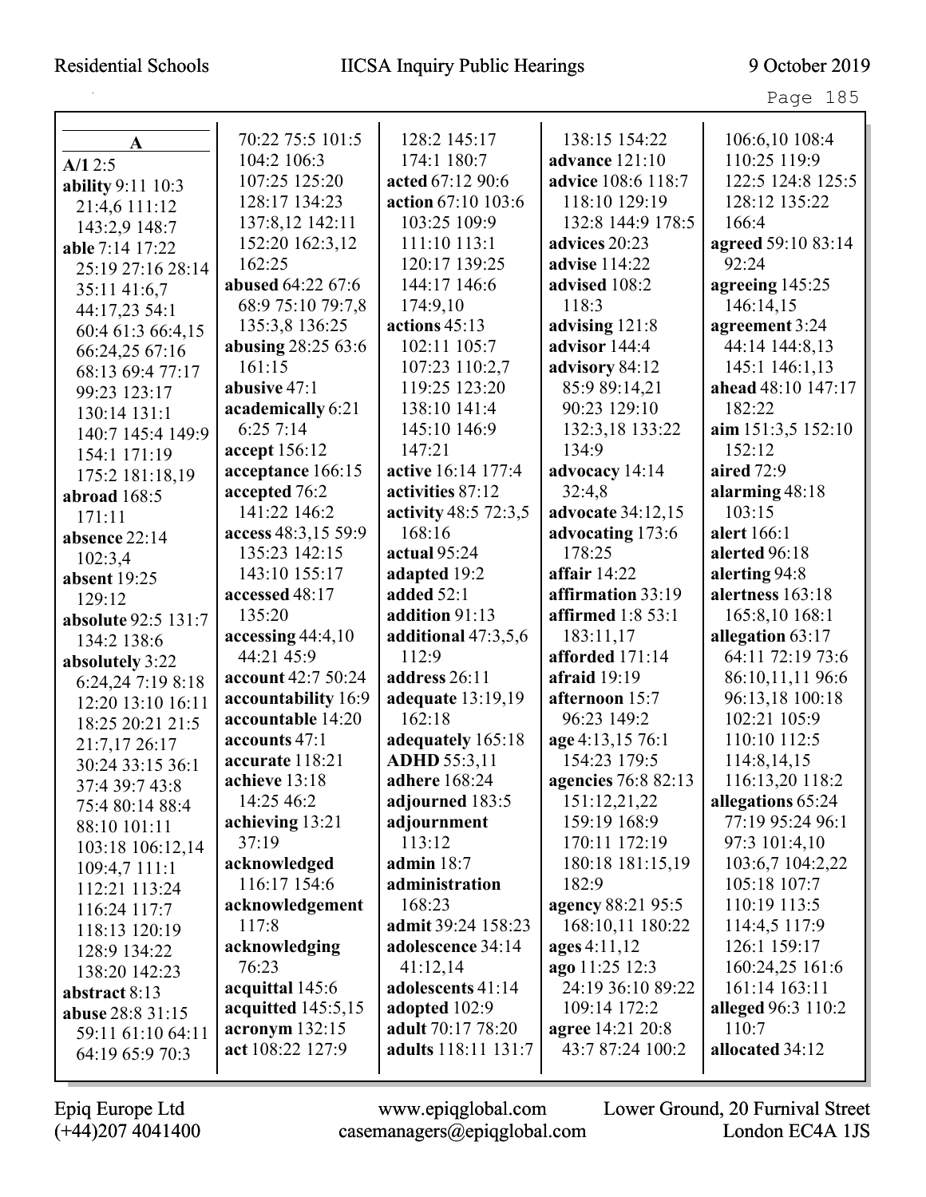Page 185

| A                          | 70:22 75:5 101:5     | 128:2 145:17               | 138:15 154:22            | 106:6,10 108:4      |
|----------------------------|----------------------|----------------------------|--------------------------|---------------------|
| A/12:5                     | 104:2 106:3          | 174:1 180:7                | advance 121:10           | 110:25 119:9        |
| ability 9:11 10:3          | 107:25 125:20        | acted 67:12 90:6           | advice 108:6 118:7       | 122:5 124:8 125:5   |
| 21:4,6 111:12              | 128:17 134:23        | action 67:10 103:6         | 118:10 129:19            | 128:12 135:22       |
| 143:2,9 148:7              | 137:8,12 142:11      | 103:25 109:9               | 132:8 144:9 178:5        | 166:4               |
| able 7:14 17:22            | 152:20 162:3,12      | 111:10 113:1               | advices 20:23            | agreed 59:10 83:14  |
| 25:19 27:16 28:14          | 162:25               | 120:17 139:25              | advise 114:22            | 92:24               |
| 35:11 41:6,7               | abused 64:22 67:6    | 144:17 146:6               | advised 108:2            | agreeing 145:25     |
| 44:17,23 54:1              | 68:9 75:10 79:7,8    | 174:9,10                   | 118:3                    | 146:14,15           |
| 60:4 61:3 66:4,15          | 135:3,8 136:25       | actions 45:13              | advising 121:8           | agreement 3:24      |
| 66:24,25 67:16             | abusing 28:25 63:6   | 102:11 105:7               | advisor 144:4            | 44:14 144:8,13      |
| 68:13 69:4 77:17           | 161:15               | 107:23 110:2,7             | advisory 84:12           | 145:1 146:1,13      |
| 99:23 123:17               | abusive 47:1         | 119:25 123:20              | 85:9 89:14,21            | ahead 48:10 147:17  |
| 130:14 131:1               | academically 6:21    | 138:10 141:4               | 90:23 129:10             | 182:22              |
| 140:7 145:4 149:9          | 6:257:14             | 145:10 146:9               | 132:3,18 133:22          | aim $151:3,5152:10$ |
| 154:1 171:19               | accept 156:12        | 147:21                     | 134:9                    | 152:12              |
| 175:2 181:18,19            | acceptance 166:15    | active 16:14 177:4         | advocacy 14:14           | aired 72:9          |
| abroad 168:5               | accepted 76:2        | activities 87:12           | 32:4,8                   | alarming 48:18      |
| 171:11                     | 141:22 146:2         | activity 48:5 72:3,5       | advocate 34:12,15        | 103:15              |
| absence 22:14              | access 48:3,15 59:9  | 168:16                     | advocating 173:6         | alert 166:1         |
| 102:3,4                    | 135:23 142:15        | actual 95:24               | 178:25                   | alerted 96:18       |
| absent 19:25               | 143:10 155:17        | adapted 19:2               | affair $14:22$           | alerting 94:8       |
| 129:12                     | accessed 48:17       | added 52:1                 | affirmation 33:19        | alertness 163:18    |
| <b>absolute 92:5 131:7</b> | 135:20               | addition 91:13             | <b>affirmed</b> 1:8 53:1 | 165:8,10 168:1      |
| 134:2 138:6                | accessing $44:4,10$  | additional 47:3,5,6        | 183:11,17                | allegation 63:17    |
| absolutely 3:22            | 44:21 45:9           | 112:9                      | afforded 171:14          | 64:11 72:19 73:6    |
| 6:24,24 7:19 8:18          | account 42:7 50:24   | address 26:11              | afraid $19:19$           | 86:10,11,11 96:6    |
| 12:20 13:10 16:11          | accountability 16:9  | adequate 13:19,19          | afternoon 15:7           | 96:13,18 100:18     |
| 18:25 20:21 21:5           | accountable 14:20    | 162:18                     | 96:23 149:2              | 102:21 105:9        |
| 21:7,17 26:17              | accounts 47:1        | adequately 165:18          | age 4:13,15 76:1         | 110:10 112:5        |
| 30:24 33:15 36:1           | accurate 118:21      | <b>ADHD</b> 55:3,11        | 154:23 179:5             | 114:8,14,15         |
| 37:4 39:7 43:8             | achieve 13:18        | adhere 168:24              | agencies 76:8 82:13      | 116:13,20 118:2     |
| 75:4 80:14 88:4            | 14:25 46:2           | adjourned 183:5            | 151:12,21,22             | allegations 65:24   |
| 88:10 101:11               | achieving 13:21      | adjournment                | 159:19 168:9             | 77:19 95:24 96:1    |
| 103:18 106:12,14           | 37:19                | 113:12                     | 170:11 172:19            | 97:3 101:4,10       |
| 109:4,7 111:1              | acknowledged         | admin $18:7$               | 180:18 181:15,19         | 103:6,7 104:2,22    |
| 112:21 113:24              | 116:17 154:6         | administration             | 182:9                    | 105:18 107:7        |
| 116:24 117:7               | acknowledgement      | 168:23                     | agency 88:21 95:5        | 110:19 113:5        |
| 118:13 120:19              | 117:8                | admit 39:24 158:23         | 168:10,11 180:22         | 114:4,5 117:9       |
| 128:9 134:22               | acknowledging        | adolescence 34:14          | ages 4:11,12             | 126:1 159:17        |
| 138:20 142:23              | 76:23                | 41:12,14                   | ago 11:25 12:3           | 160:24,25 161:6     |
| abstract $8:13$            | acquittal 145:6      | adolescents 41:14          | 24:19 36:10 89:22        | 161:14 163:11       |
| abuse 28:8 31:15           | acquitted $145:5,15$ | adopted 102:9              | 109:14 172:2             | alleged 96:3 110:2  |
| 59:11 61:10 64:11          | acronym 132:15       | adult 70:17 78:20          | agree 14:21 20:8         | 110:7               |
| 64:19 65:9 70:3            | act 108:22 127:9     | <b>adults</b> 118:11 131:7 | 43:7 87:24 100:2         | allocated 34:12     |
|                            |                      |                            |                          |                     |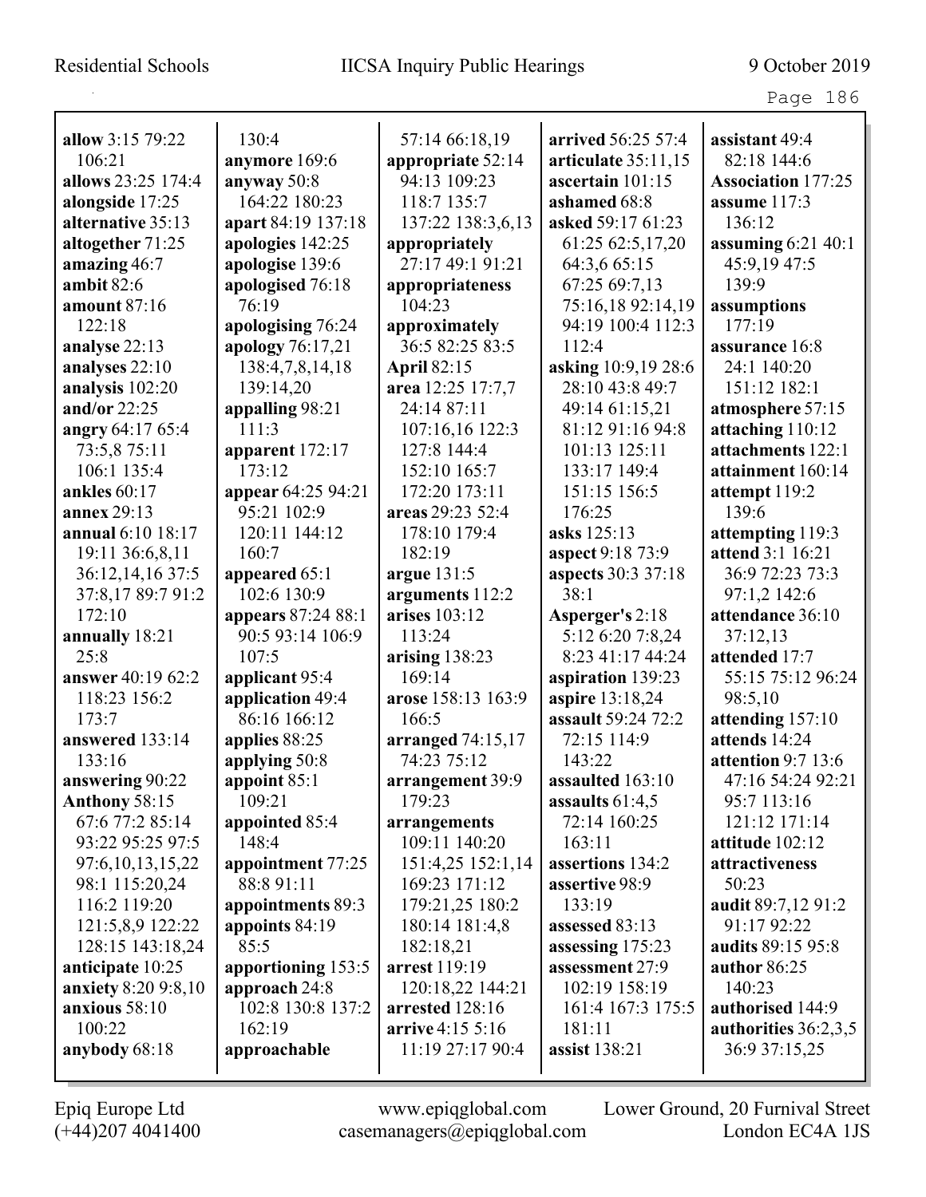|                        |                           |                     |                                      | Page 186                  |
|------------------------|---------------------------|---------------------|--------------------------------------|---------------------------|
| allow 3:15 79:22       | 130:4                     | 57:14 66:18,19      | arrived 56:25 57:4                   | assistant 49:4            |
| 106:21                 | anymore 169:6             | appropriate 52:14   | articulate $35:11,15$                | 82:18 144:6               |
| allows 23:25 174:4     | anyway 50:8               | 94:13 109:23        | ascertain 101:15                     | <b>Association 177:25</b> |
| alongside 17:25        | 164:22 180:23             | 118:7 135:7         | ashamed 68:8                         | assume 117:3              |
| alternative 35:13      | apart 84:19 137:18        | 137:22 138:3,6,13   | asked 59:17 61:23                    | 136:12                    |
| altogether 71:25       | apologies 142:25          | appropriately       | 61:25 62:5,17,20                     | assuming $6:21$ 40:1      |
| amazing 46:7           | apologise 139:6           | 27:17 49:1 91:21    | 64:3,6 65:15                         | 45:9,19 47:5              |
| ambit $82:6$           | apologised 76:18          | appropriateness     | 67:25 69:7,13                        | 139:9                     |
| <b>amount 87:16</b>    | 76:19                     | 104:23              | 75:16,18 92:14,19                    | assumptions               |
| 122:18                 | apologising 76:24         | approximately       | 94:19 100:4 112:3                    | 177:19                    |
| analyse 22:13          | apology 76:17,21          | 36:5 82:25 83:5     | 112:4                                | assurance 16:8            |
| analyses 22:10         | 138:4,7,8,14,18           | <b>April 82:15</b>  | asking 10:9,19 28:6                  | 24:1 140:20               |
| analysis 102:20        | 139:14,20                 | area 12:25 17:7,7   | 28:10 43:8 49:7                      | 151:12 182:1              |
| and/or $22:25$         | appalling 98:21           | 24:14 87:11         | 49:14 61:15,21                       | atmosphere 57:15          |
| angry 64:17 65:4       | 111:3                     | 107:16,16 122:3     | 81:12 91:16 94:8                     | attaching 110:12          |
| 73:5,8 75:11           | apparent $172:17$         | 127:8 144:4         | 101:13 125:11                        | attachments 122:1         |
| 106:1 135:4            | 173:12                    | 152:10 165:7        | 133:17 149:4                         | attainment 160:14         |
| ankles $60:17$         | appear 64:25 94:21        | 172:20 173:11       | 151:15 156:5                         | attempt $119:2$           |
| <b>annex</b> 29:13     | 95:21 102:9               | areas 29:23 52:4    | 176:25                               | 139:6                     |
| annual 6:10 18:17      | 120:11 144:12             | 178:10 179:4        | asks 125:13                          | attempting 119:3          |
| 19:11 36:6,8,11        | 160:7                     | 182:19              | aspect 9:18 73:9                     | <b>attend 3:1 16:21</b>   |
| 36:12,14,16 37:5       | appeared 65:1             | argue $131:5$       | <b>aspects</b> 30:3 37:18            | 36:9 72:23 73:3           |
| 37:8,17 89:7 91:2      | 102:6 130:9               | arguments 112:2     | 38:1                                 | 97:1,2 142:6              |
| 172:10                 | <b>appears</b> 87:24 88:1 | arises 103:12       |                                      | attendance 36:10          |
|                        | 90:5 93:14 106:9          | 113:24              | Asperger's 2:18                      |                           |
| annually 18:21<br>25:8 | 107:5                     |                     | 5:12 6:20 7:8,24<br>8:23 41:17 44:24 | 37:12,13<br>attended 17:7 |
|                        |                           | arising $138:23$    |                                      |                           |
| answer 40:19 62:2      | applicant 95:4            | 169:14              | aspiration 139:23                    | 55:15 75:12 96:24         |
| 118:23 156:2           | application 49:4          | arose 158:13 163:9  | aspire 13:18,24                      | 98:5,10                   |
| 173:7                  | 86:16 166:12              | 166:5               | assault 59:24 72:2                   | attending 157:10          |
| answered 133:14        | applies 88:25             | arranged $74:15,17$ | 72:15 114:9                          | attends 14:24             |
| 133:16                 | applying 50:8             | 74:23 75:12         | 143:22                               | attention $9:7$ 13:6      |
| answering 90:22        | appoint 85:1              | arrangement 39:9    | assaulted 163:10                     | 47:16 54:24 92:21         |
| <b>Anthony 58:15</b>   | 109:21                    | 179:23              | assaults $61:4,5$                    | 95:7 113:16               |
| 67:6 77:2 85:14        | appointed 85:4            | arrangements        | 72:14 160:25                         | 121:12 171:14             |
| 93:22 95:25 97:5       | 148:4                     | 109:11 140:20       | 163:11                               | attitude 102:12           |
| 97:6, 10, 13, 15, 22   | appointment 77:25         | 151:4,25 152:1,14   | assertions 134:2                     | attractiveness            |
| 98:1 115:20,24         | 88:8 91:11                | 169:23 171:12       | assertive 98:9                       | 50:23                     |
| 116:2 119:20           | appointments 89:3         | 179:21,25 180:2     | 133:19                               | audit 89:7,12 91:2        |
| 121:5,8,9 122:22       | appoints 84:19            | 180:14 181:4,8      | assessed 83:13                       | 91:17 92:22               |
| 128:15 143:18,24       | 85:5                      | 182:18,21           | assessing 175:23                     | audits 89:15 95:8         |
| anticipate 10:25       | apportioning 153:5        | arrest 119:19       | assessment 27:9                      | author 86:25              |
| anxiety 8:20 9:8,10    | approach 24:8             | 120:18,22 144:21    | 102:19 158:19                        | 140:23                    |
| anxious 58:10          | 102:8 130:8 137:2         | arrested 128:16     | 161:4 167:3 175:5                    | authorised 144:9          |
| 100:22                 | 162:19                    | arrive 4:15 5:16    | 181:11                               | authorities 36:2,3,5      |
| anybody 68:18          | approachable              | 11:19 27:17 90:4    | assist 138:21                        | 36:9 37:15,25             |
|                        |                           |                     |                                      |                           |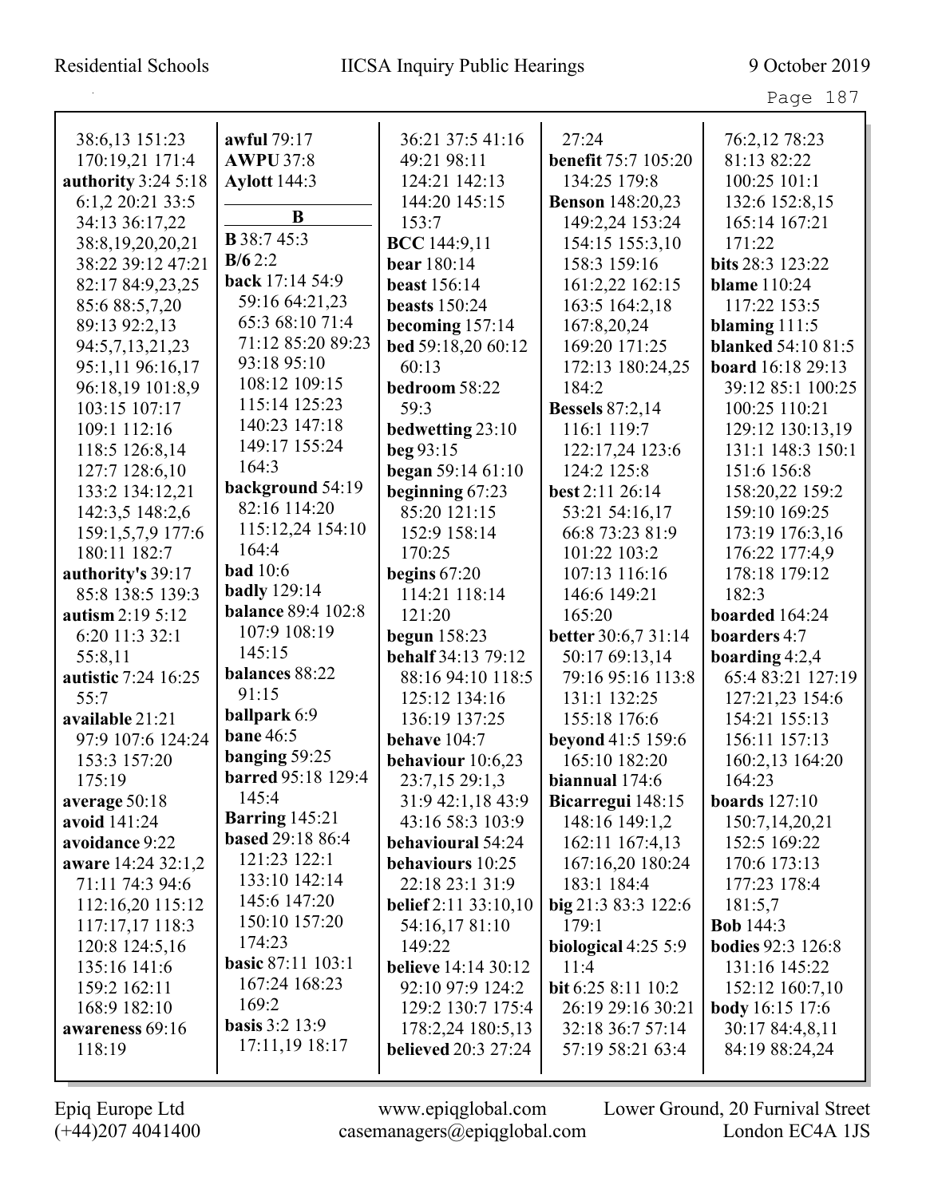| 38:6,13 151:23      | awful 79:17               | 36:21 37:5 41:16               | 27:24                      | 76:2,12 78:23             |
|---------------------|---------------------------|--------------------------------|----------------------------|---------------------------|
| 170:19,21 171:4     | <b>AWPU 37:8</b>          | 49:21 98:11                    | <b>benefit 75:7 105:20</b> | 81:13 82:22               |
| authority 3:24 5:18 | <b>Aylott</b> 144:3       | 124:21 142:13                  | 134:25 179:8               | 100:25 101:1              |
| 6:1,2 20:21 33:5    |                           | 144:20 145:15                  | <b>Benson</b> 148:20,23    | 132:6 152:8,15            |
| 34:13 36:17,22      | $\bf{B}$                  | 153:7                          | 149:2,24 153:24            | 165:14 167:21             |
| 38:8,19,20,20,21    | <b>B</b> 38:7 45:3        | <b>BCC</b> 144:9,11            | 154:15 155:3,10            | 171:22                    |
| 38:22 39:12 47:21   | B/62:2                    | bear 180:14                    | 158:3 159:16               | bits 28:3 123:22          |
| 82:17 84:9,23,25    | back 17:14 54:9           | <b>beast</b> 156:14            | 161:2,22 162:15            | <b>blame</b> 110:24       |
| 85:6 88:5,7,20      | 59:16 64:21,23            | <b>beasts</b> 150:24           | 163:5 164:2,18             | 117:22 153:5              |
| 89:13 92:2,13       | 65:3 68:10 71:4           | becoming $157:14$              | 167:8,20,24                | blaming $111:5$           |
| 94:5,7,13,21,23     | 71:12 85:20 89:23         | bed 59:18,20 60:12             | 169:20 171:25              | <b>blanked</b> 54:10 81:5 |
| 95:1,11 96:16,17    | 93:18 95:10               | 60:13                          | 172:13 180:24,25           | board 16:18 29:13         |
| 96:18,19 101:8,9    | 108:12 109:15             | bedroom 58:22                  | 184:2                      | 39:12 85:1 100:25         |
| 103:15 107:17       | 115:14 125:23             | 59:3                           | <b>Bessels</b> 87:2,14     | 100:25 110:21             |
| 109:1 112:16        | 140:23 147:18             | bedwetting 23:10               | 116:1 119:7                | 129:12 130:13,19          |
| 118:5 126:8,14      | 149:17 155:24             | beg $93:15$                    | 122:17,24 123:6            | 131:1 148:3 150:1         |
| 127:7 128:6,10      | 164:3                     | began 59:14 61:10              | 124:2 125:8                | 151:6 156:8               |
| 133:2 134:12,21     | background 54:19          | beginning 67:23                | best 2:11 26:14            | 158:20,22 159:2           |
| 142:3,5 148:2,6     | 82:16 114:20              | 85:20 121:15                   | 53:21 54:16,17             | 159:10 169:25             |
| 159:1,5,7,9 177:6   | 115:12,24 154:10          | 152:9 158:14                   | 66:8 73:23 81:9            | 173:19 176:3,16           |
| 180:11 182:7        | 164:4                     | 170:25                         | 101:22 103:2               | 176:22 177:4,9            |
| authority's 39:17   | <b>bad</b> 10:6           | begins $67:20$                 | 107:13 116:16              | 178:18 179:12             |
| 85:8 138:5 139:3    | <b>badly</b> 129:14       | 114:21 118:14                  | 146:6 149:21               | 182:3                     |
| autism 2:19 5:12    | <b>balance 89:4 102:8</b> | 121:20                         | 165:20                     | boarded 164:24            |
| 6:20 11:3 32:1      | 107:9 108:19              | begun 158:23                   | <b>better</b> 30:6,7 31:14 | boarders 4:7              |
| 55:8,11             | 145:15                    | <b>behalf</b> 34:13 79:12      | 50:17 69:13,14             | boarding 4:2,4            |
| autistic 7:24 16:25 | balances 88:22            | 88:16 94:10 118:5              | 79:16 95:16 113:8          | 65:4 83:21 127:19         |
| 55:7                | 91:15                     | 125:12 134:16                  | 131:1 132:25               | 127:21,23 154:6           |
| available 21:21     | <b>ballpark</b> 6:9       | 136:19 137:25                  | 155:18 176:6               | 154:21 155:13             |
| 97:9 107:6 124:24   | <b>bane 46:5</b>          | behave 104:7                   | beyond 41:5 159:6          | 156:11 157:13             |
| 153:3 157:20        | banging 59:25             | behaviour 10:6,23              | 165:10 182:20              | 160:2,13 164:20           |
| 175:19              | <b>barred</b> 95:18 129:4 | 23:7,15 29:1,3                 | biannual 174:6             | 164:23                    |
| average 50:18       | 145:4                     | 31:9 42:1,18 43:9              | Bicarregui 148:15          | boards $127:10$           |
| avoid 141:24        | <b>Barring</b> 145:21     | 43:16 58:3 103:9               | 148:16 149:1,2             | 150:7,14,20,21            |
| avoidance 9:22      | <b>based 29:18 86:4</b>   | behavioural 54:24              | 162:11 167:4,13            | 152:5 169:22              |
| aware 14:24 32:1,2  | 121:23 122:1              | behaviours 10:25               | 167:16,20 180:24           | 170:6 173:13              |
| 71:11 74:3 94:6     | 133:10 142:14             | 22:18 23:1 31:9                | 183:1 184:4                | 177:23 178:4              |
| 112:16,20 115:12    | 145:6 147:20              | <b>belief</b> $2:11\,33:10,10$ | big 21:3 83:3 122:6        | 181:5,7                   |
| 117:17,17 118:3     | 150:10 157:20             | 54:16,1781:10                  | 179:1                      | <b>Bob</b> 144:3          |
| 120:8 124:5,16      | 174:23                    | 149:22                         | biological 4:25 5:9        | <b>bodies</b> 92:3 126:8  |
| 135:16 141:6        | <b>basic 87:11 103:1</b>  | <b>believe</b> 14:14 30:12     | 11:4                       | 131:16 145:22             |
| 159:2 162:11        | 167:24 168:23             | 92:10 97:9 124:2               | bit 6:25 8:11 10:2         | 152:12 160:7,10           |
| 168:9 182:10        | 169:2                     | 129:2 130:7 175:4              | 26:19 29:16 30:21          | <b>body</b> 16:15 17:6    |
| awareness 69:16     | <b>basis</b> 3:2 13:9     | 178:2,24 180:5,13              | 32:18 36:7 57:14           | 30:17 84:4,8,11           |
| 118:19              | 17:11,19 18:17            | <b>believed</b> 20:3 27:24     | 57:19 58:21 63:4           | 84:19 88:24,24            |
|                     |                           |                                |                            |                           |

(+44)207 4041400 casemanagers@epiqglobal.com London EC4A 1JS

Epiq Europe Ltd www.epiqglobal.com Lower Ground, 20 Furnival Street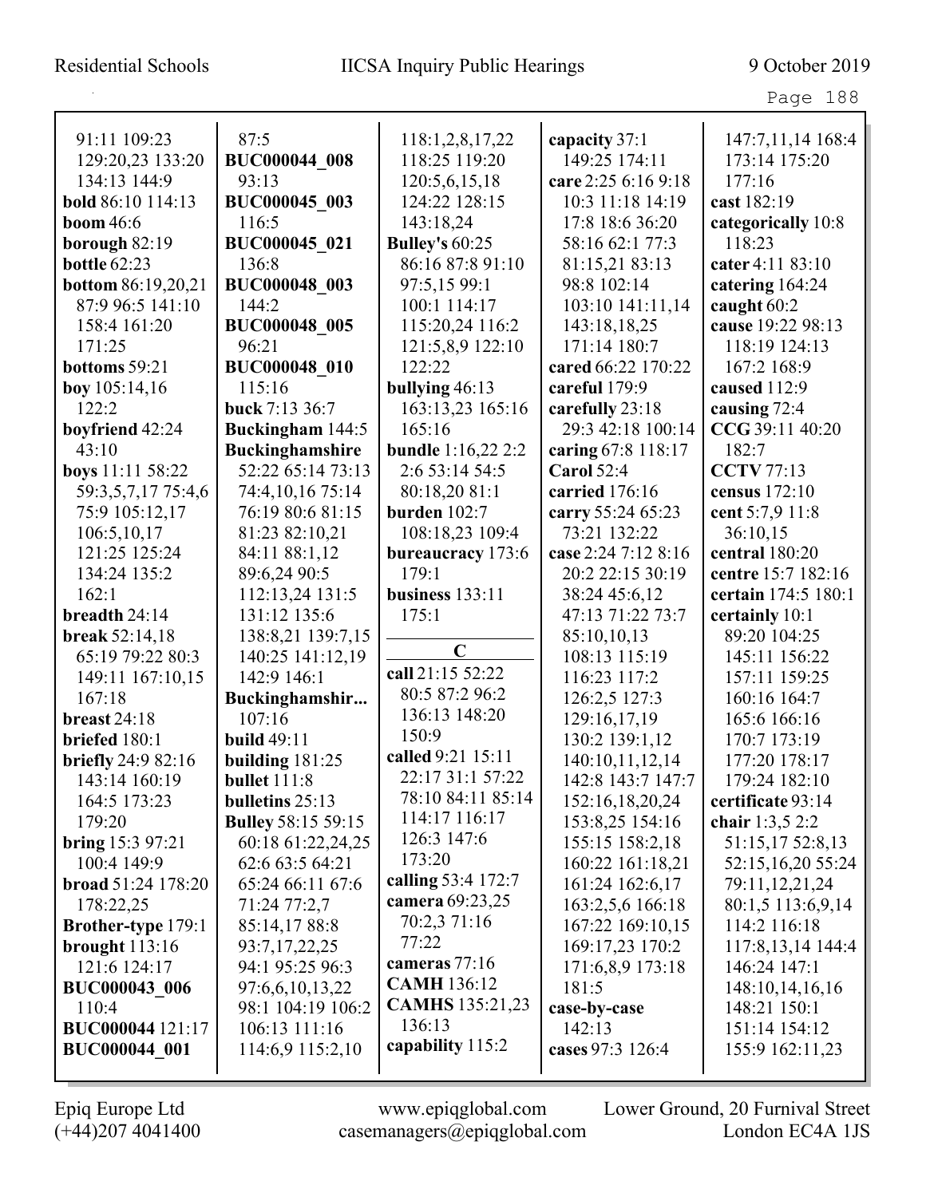| 91:11 109:23              | 87:5                      | 118:1,2,8,17,22           | capacity 37:1       | 147:7,11,14 168:4   |
|---------------------------|---------------------------|---------------------------|---------------------|---------------------|
| 129:20,23 133:20          | <b>BUC000044_008</b>      | 118:25 119:20             | 149:25 174:11       | 173:14 175:20       |
| 134:13 144:9              | 93:13                     | 120:5,6,15,18             | care 2:25 6:16 9:18 | 177:16              |
| bold 86:10 114:13         | BUC000045 003             | 124:22 128:15             | 10:3 11:18 14:19    | cast 182:19         |
| <b>boom</b> 46:6          | 116:5                     | 143:18,24                 | 17:8 18:6 36:20     | categorically 10:8  |
| borough 82:19             | BUC000045 021             | <b>Bulley's 60:25</b>     | 58:16 62:1 77:3     | 118:23              |
| <b>bottle 62:23</b>       | 136:8                     | 86:16 87:8 91:10          | 81:15,21 83:13      | cater 4:11 83:10    |
| <b>bottom</b> 86:19,20,21 | <b>BUC000048 003</b>      | 97:5,15 99:1              | 98:8 102:14         | catering 164:24     |
| 87:9 96:5 141:10          | 144:2                     | 100:1 114:17              | 103:10 141:11,14    | caught 60:2         |
| 158:4 161:20              | <b>BUC000048 005</b>      | 115:20,24 116:2           | 143:18,18,25        | cause 19:22 98:13   |
| 171:25                    | 96:21                     | 121:5,8,9 122:10          | 171:14 180:7        | 118:19 124:13       |
| bottoms 59:21             | <b>BUC000048 010</b>      | 122:22                    | cared 66:22 170:22  | 167:2 168:9         |
| boy $105:14,16$           | 115:16                    | bullying 46:13            | careful 179:9       | caused 112:9        |
| 122:2                     | buck 7:13 36:7            | 163:13,23 165:16          | carefully 23:18     | causing 72:4        |
| boyfriend 42:24           | Buckingham 144:5          | 165:16                    | 29:3 42:18 100:14   | CCG 39:11 40:20     |
| 43:10                     | <b>Buckinghamshire</b>    | <b>bundle</b> 1:16,22 2:2 | caring 67:8 118:17  | 182:7               |
| boys 11:11 58:22          | 52:22 65:14 73:13         | 2:6 53:14 54:5            | Carol $52:4$        | <b>CCTV</b> 77:13   |
| 59:3,5,7,17 75:4,6        | 74:4,10,16 75:14          | 80:18,20 81:1             | carried 176:16      | census 172:10       |
| 75:9 105:12,17            | 76:19 80:6 81:15          | burden $102:7$            | carry 55:24 65:23   | cent 5:7,9 11:8     |
| 106:5,10,17               | 81:23 82:10,21            | 108:18,23 109:4           | 73:21 132:22        | 36:10,15            |
| 121:25 125:24             | 84:11 88:1,12             | bureaucracy 173:6         | case 2:24 7:12 8:16 | central 180:20      |
| 134:24 135:2              | 89:6,24 90:5              | 179:1                     | 20:2 22:15 30:19    | centre 15:7 182:16  |
| 162:1                     | 112:13,24 131:5           | business $133:11$         | 38:24 45:6,12       | certain 174:5 180:1 |
| breadth 24:14             | 131:12 135:6              | 175:1                     | 47:13 71:22 73:7    | certainly 10:1      |
| <b>break</b> 52:14,18     | 138:8,21 139:7,15         |                           | 85:10,10,13         | 89:20 104:25        |
| 65:19 79:22 80:3          | 140:25 141:12,19          | $\mathbf C$               | 108:13 115:19       | 145:11 156:22       |
| 149:11 167:10,15          | 142:9 146:1               | call 21:15 52:22          | 116:23 117:2        | 157:11 159:25       |
| 167:18                    | Buckinghamshir            | 80:5 87:2 96:2            | 126:2,5 127:3       | 160:16 164:7        |
| breast $24:18$            | 107:16                    | 136:13 148:20             | 129:16,17,19        | 165:6 166:16        |
| briefed 180:1             | <b>build 49:11</b>        | 150:9                     | 130:2 139:1,12      | 170:7 173:19        |
| <b>briefly</b> 24:9 82:16 | building $181:25$         | called 9:21 15:11         | 140:10,11,12,14     | 177:20 178:17       |
| 143:14 160:19             | <b>bullet</b> 111:8       | 22:17 31:1 57:22          | 142:8 143:7 147:7   | 179:24 182:10       |
| 164:5 173:23              | bulletins 25:13           | 78:10 84:11 85:14         | 152:16,18,20,24     | certificate 93:14   |
| 179:20                    | <b>Bulley 58:15 59:15</b> | 114:17 116:17             | 153:8,25 154:16     | chair 1:3,5 2:2     |
| bring $15:397:21$         | 60:18 61:22,24,25         | 126:3 147:6               | 155:15 158:2,18     | 51:15,17 52:8,13    |
| 100:4 149:9               | 62:6 63:5 64:21           | 173:20                    | 160:22 161:18,21    | 52:15,16,20 55:24   |
| <b>broad</b> 51:24 178:20 | 65:24 66:11 67:6          | calling 53:4 172:7        | 161:24 162:6,17     | 79:11,12,21,24      |
| 178:22,25                 | 71:24 77:2,7              | camera 69:23,25           | 163:2,5,6 166:18    | 80:1,5 113:6,9,14   |
| Brother-type 179:1        | 85:14,1788:8              | 70:2,3 71:16              | 167:22 169:10,15    | 114:2 116:18        |
| brought $113:16$          | 93:7,17,22,25             | 77:22                     | 169:17,23 170:2     | 117:8,13,14 144:4   |
| 121:6 124:17              | 94:1 95:25 96:3           | cameras 77:16             | 171:6,8,9 173:18    | 146:24 147:1        |
| <b>BUC000043 006</b>      | 97:6,6,10,13,22           | <b>CAMH</b> 136:12        | 181:5               | 148:10,14,16,16     |
| 110:4                     | 98:1 104:19 106:2         | <b>CAMHS</b> 135:21,23    | case-by-case        | 148:21 150:1        |
| <b>BUC000044</b> 121:17   | 106:13 111:16             | 136:13                    | 142:13              | 151:14 154:12       |
| <b>BUC000044 001</b>      | 114:6,9 115:2,10          | capability 115:2          | cases 97:3 126:4    | 155:9 162:11,23     |
|                           |                           |                           |                     |                     |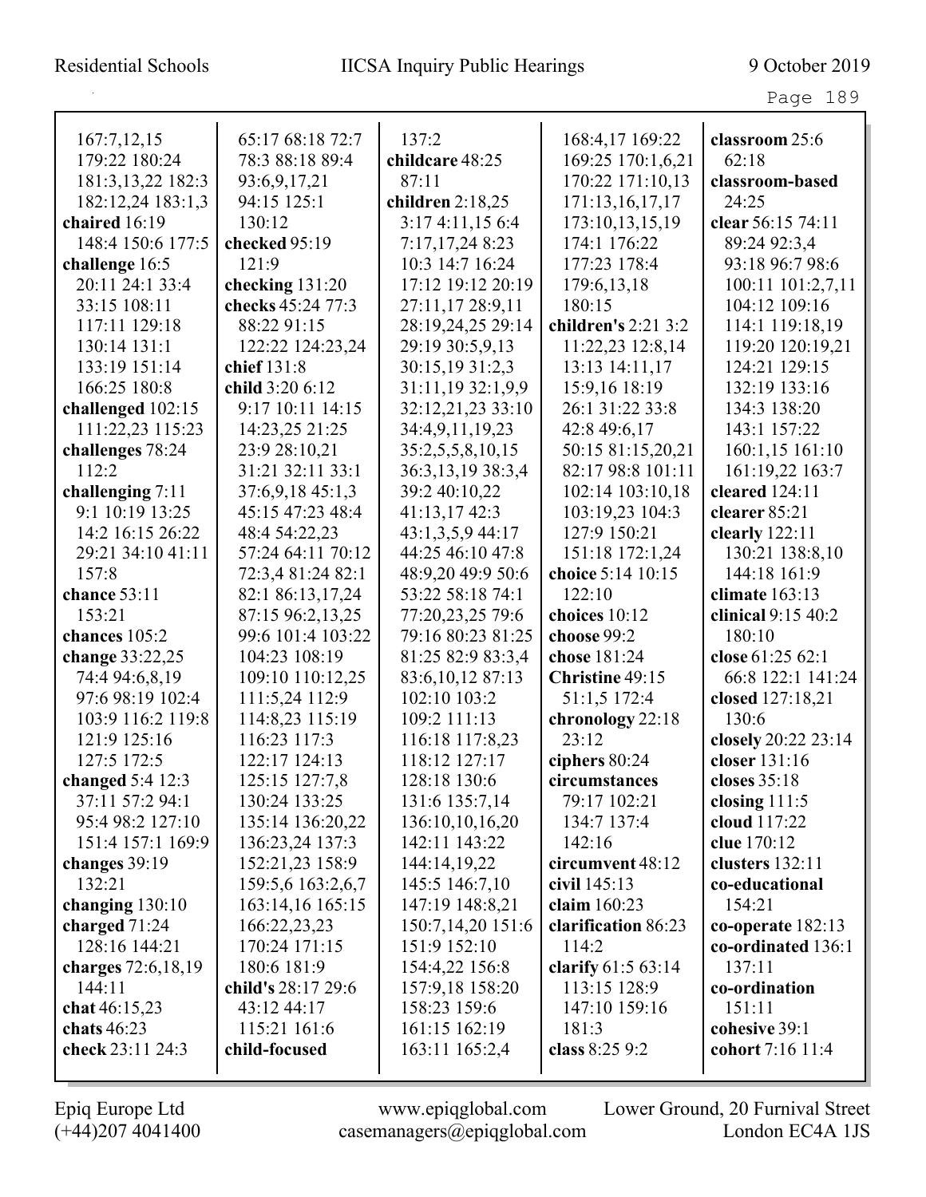| 167:7,12,15         | 65:17 68:18 72:7   | 137:2              | 168:4,17 169:22     | classroom 25:6      |
|---------------------|--------------------|--------------------|---------------------|---------------------|
| 179:22 180:24       | 78:3 88:18 89:4    | childcare 48:25    | 169:25 170:1,6,21   | 62:18               |
| 181:3, 13, 22 182:3 | 93:6,9,17,21       | 87:11              | 170:22 171:10,13    | classroom-based     |
| 182:12,24 183:1,3   | 94:15 125:1        | children $2:18,25$ | 171:13,16,17,17     | 24:25               |
| chaired 16:19       | 130:12             | 3:174:11,156:4     | 173:10,13,15,19     | clear 56:15 74:11   |
| 148:4 150:6 177:5   | checked 95:19      | 7:17,17,248:23     | 174:1 176:22        | 89:24 92:3,4        |
| challenge 16:5      | 121:9              | 10:3 14:7 16:24    | 177:23 178:4        | 93:18 96:7 98:6     |
| 20:11 24:1 33:4     | checking 131:20    | 17:12 19:12 20:19  | 179:6, 13, 18       | 100:11 101:2,7,11   |
| 33:15 108:11        | checks 45:24 77:3  | 27:11,17 28:9,11   | 180:15              | 104:12 109:16       |
| 117:11 129:18       | 88:22 91:15        | 28:19,24,25 29:14  | children's 2:21 3:2 | 114:1 119:18,19     |
| 130:14 131:1        | 122:22 124:23,24   | 29:19 30:5,9,13    | 11:22,23 12:8,14    | 119:20 120:19,21    |
| 133:19 151:14       | chief 131:8        | 30:15,19 31:2,3    | 13:13 14:11,17      | 124:21 129:15       |
| 166:25 180:8        | child 3:20 6:12    | 31:11,19 32:1,9,9  | 15:9,16 18:19       | 132:19 133:16       |
| challenged 102:15   | 9:17 10:11 14:15   | 32:12,21,23 33:10  | 26:1 31:22 33:8     | 134:3 138:20        |
| 111:22,23 115:23    | 14:23,25 21:25     | 34:4,9,11,19,23    | 42:8 49:6,17        | 143:1 157:22        |
| challenges 78:24    | 23:9 28:10,21      | 35:2,5,5,8,10,15   | 50:15 81:15,20,21   | 160:1,15 161:10     |
| 112:2               | 31:21 32:11 33:1   | 36:3,13,19 38:3,4  | 82:17 98:8 101:11   | 161:19,22 163:7     |
| challenging 7:11    | 37:6,9,1845:1,3    | 39:2 40:10,22      | 102:14 103:10,18    | cleared 124:11      |
| 9:1 10:19 13:25     | 45:15 47:23 48:4   | 41:13,17 42:3      | 103:19,23 104:3     | clearer 85:21       |
| 14:2 16:15 26:22    | 48:4 54:22,23      | 43:1,3,5,9 44:17   | 127:9 150:21        | clearly $122:11$    |
| 29:21 34:10 41:11   | 57:24 64:11 70:12  | 44:25 46:10 47:8   | 151:18 172:1,24     | 130:21 138:8,10     |
| 157:8               | 72:3,4 81:24 82:1  | 48:9,20 49:9 50:6  | choice 5:14 10:15   | 144:18 161:9        |
| chance 53:11        | 82:1 86:13,17,24   | 53:22 58:18 74:1   | 122:10              | climate 163:13      |
| 153:21              | 87:15 96:2,13,25   | 77:20,23,25 79:6   | choices 10:12       | clinical 9:15 40:2  |
| chances 105:2       | 99:6 101:4 103:22  | 79:16 80:23 81:25  | choose 99:2         | 180:10              |
| change 33:22,25     | 104:23 108:19      | 81:25 82:9 83:3,4  | chose 181:24        | close 61:25 62:1    |
| 74:4 94:6,8,19      | 109:10 110:12,25   | 83:6, 10, 12 87:13 | Christine 49:15     | 66:8 122:1 141:24   |
| 97:6 98:19 102:4    | 111:5,24 112:9     | 102:10 103:2       | 51:1,5 172:4        | closed 127:18,21    |
| 103:9 116:2 119:8   | 114:8,23 115:19    | 109:2 111:13       | chronology 22:18    | 130:6               |
| 121:9 125:16        | 116:23 117:3       | 116:18 117:8,23    | 23:12               | closely 20:22 23:14 |
| 127:5 172:5         | 122:17 124:13      | 118:12 127:17      | ciphers $80:24$     | closer 131:16       |
| changed $5:4$ 12:3  | 125:15 127:7,8     | 128:18 130:6       | circumstances       | closes 35:18        |
| 37:11 57:2 94:1     | 130:24 133:25      | 131:6 135:7,14     | 79:17 102:21        | closing $111:5$     |
| 95:4 98:2 127:10    | 135:14 136:20,22   | 136:10,10,16,20    | 134:7 137:4         | cloud 117:22        |
| 151:4 157:1 169:9   | 136:23,24 137:3    | 142:11 143:22      | 142:16              | clue 170:12         |
| changes 39:19       | 152:21,23 158:9    | 144:14,19,22       | circumvent 48:12    | clusters 132:11     |
| 132:21              | 159:5,6 163:2,6,7  | 145:5 146:7,10     | civil 145:13        | co-educational      |
| changing $130:10$   | 163:14,16 165:15   | 147:19 148:8,21    | claim 160:23        | 154:21              |
| charged $71:24$     | 166:22,23,23       | 150:7,14,20 151:6  | clarification 86:23 | co-operate $182:13$ |
| 128:16 144:21       | 170:24 171:15      | 151:9 152:10       | 114:2               | co-ordinated 136:1  |
| charges 72:6,18,19  | 180:6 181:9        | 154:4,22 156:8     | clarify $61:563:14$ | 137:11              |
| 144:11              | child's 28:17 29:6 | 157:9,18 158:20    | 113:15 128:9        | co-ordination       |
| chat $46:15,23$     | 43:12 44:17        | 158:23 159:6       | 147:10 159:16       | 151:11              |
| chats 46:23         | 115:21 161:6       | 161:15 162:19      | 181:3               | cohesive 39:1       |
| check 23:11 24:3    | child-focused      | 163:11 165:2,4     | class 8:25 9:2      | cohort 7:16 11:4    |
|                     |                    |                    |                     |                     |

(+44)207 4041400 casemanagers@epiqglobal.com London EC4A 1JS

Epiq Europe Ltd www.epiqglobal.com Lower Ground, 20 Furnival Street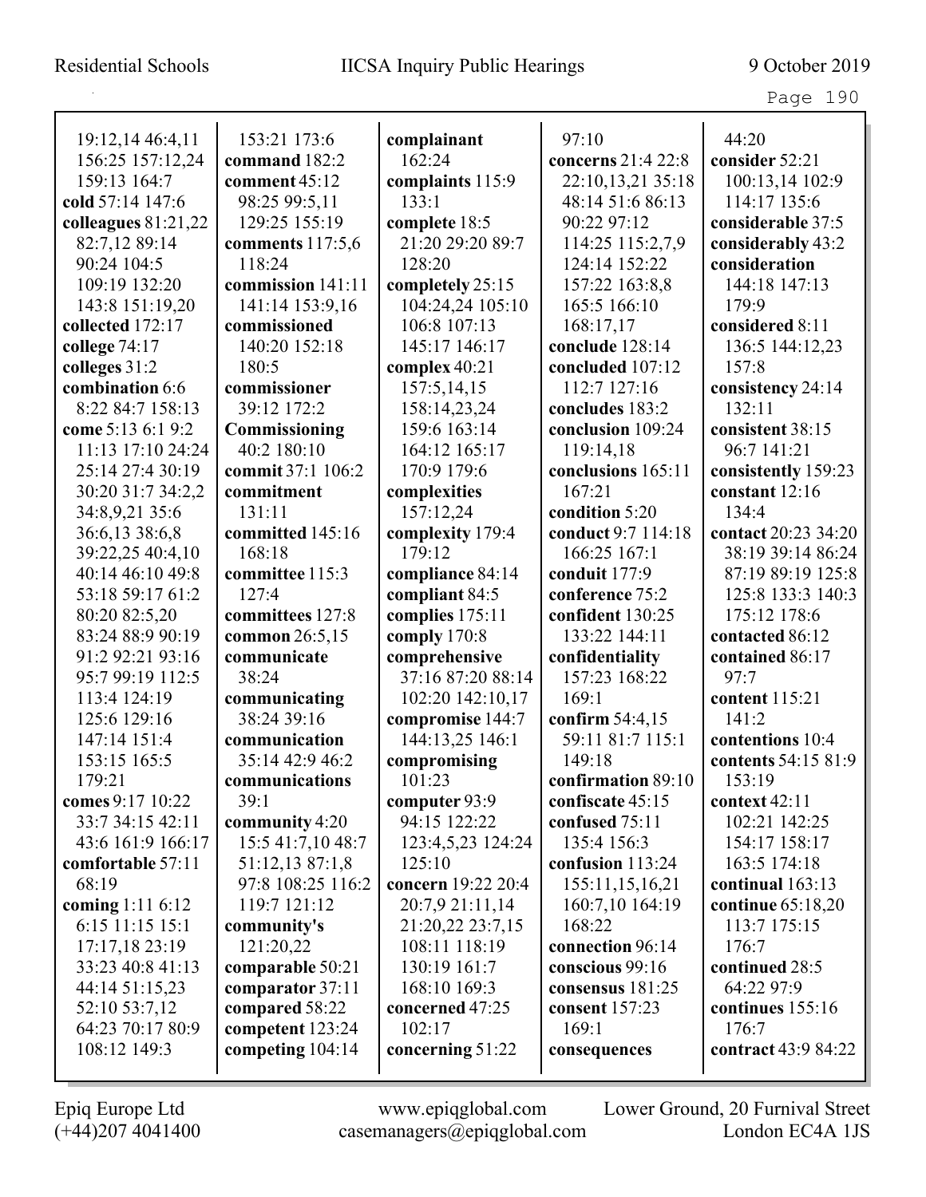| 19:12,14 46:4,11      | 153:21 173:6      | complainant        | 97:10              | 44:20               |
|-----------------------|-------------------|--------------------|--------------------|---------------------|
| 156:25 157:12,24      | command 182:2     | 162:24             | concerns 21:4 22:8 | consider 52:21      |
| 159:13 164:7          | comment 45:12     | complaints 115:9   | 22:10,13,21 35:18  | 100:13,14 102:9     |
| cold 57:14 147:6      | 98:25 99:5,11     | 133:1              | 48:14 51:6 86:13   | 114:17 135:6        |
| colleagues $81:21,22$ | 129:25 155:19     | complete 18:5      | 90:22 97:12        | considerable 37:5   |
| 82:7,12 89:14         | comments 117:5,6  | 21:20 29:20 89:7   | 114:25 115:2,7,9   | considerably 43:2   |
| 90:24 104:5           | 118:24            | 128:20             | 124:14 152:22      | consideration       |
| 109:19 132:20         | commission 141:11 | completely 25:15   | 157:22 163:8,8     | 144:18 147:13       |
| 143:8 151:19,20       | 141:14 153:9,16   | 104:24,24 105:10   | 165:5 166:10       | 179:9               |
| collected 172:17      | commissioned      | 106:8 107:13       | 168:17,17          | considered 8:11     |
| college 74:17         | 140:20 152:18     | 145:17 146:17      | conclude 128:14    | 136:5 144:12,23     |
| colleges 31:2         | 180:5             | complex 40:21      | concluded 107:12   | 157:8               |
| combination 6:6       | commissioner      | 157:5,14,15        | 112:7 127:16       | consistency 24:14   |
| 8:22 84:7 158:13      | 39:12 172:2       | 158:14,23,24       | concludes 183:2    | 132:11              |
| come 5:13 6:1 9:2     | Commissioning     | 159:6 163:14       | conclusion 109:24  | consistent 38:15    |
| 11:13 17:10 24:24     | 40:2 180:10       | 164:12 165:17      | 119:14,18          | 96:7 141:21         |
| 25:14 27:4 30:19      | commit 37:1 106:2 | 170:9 179:6        | conclusions 165:11 | consistently 159:23 |
| 30:20 31:7 34:2,2     | commitment        | complexities       | 167:21             | constant 12:16      |
| 34:8,9,21 35:6        | 131:11            | 157:12,24          | condition 5:20     | 134:4               |
| 36:6,13 38:6,8        | committed 145:16  | complexity 179:4   | conduct 9:7 114:18 | contact 20:23 34:20 |
| 39:22,25 40:4,10      | 168:18            | 179:12             | 166:25 167:1       | 38:19 39:14 86:24   |
| 40:14 46:10 49:8      | committee 115:3   | compliance 84:14   | conduit 177:9      | 87:19 89:19 125:8   |
| 53:18 59:17 61:2      | 127:4             | compliant 84:5     | conference 75:2    | 125:8 133:3 140:3   |
| 80:20 82:5,20         | committees 127:8  | complies 175:11    | confident 130:25   | 175:12 178:6        |
| 83:24 88:9 90:19      | common 26:5,15    | comply 170:8       | 133:22 144:11      | contacted 86:12     |
| 91:2 92:21 93:16      | communicate       | comprehensive      | confidentiality    | contained 86:17     |
| 95:7 99:19 112:5      | 38:24             | 37:16 87:20 88:14  | 157:23 168:22      | 97:7                |
| 113:4 124:19          | communicating     | 102:20 142:10,17   | 169:1              | content 115:21      |
| 125:6 129:16          | 38:24 39:16       | compromise 144:7   | confirm 54:4,15    | 141:2               |
| 147:14 151:4          | communication     | 144:13,25 146:1    | 59:11 81:7 115:1   | contentions 10:4    |
| 153:15 165:5          | 35:14 42:9 46:2   | compromising       | 149:18             | contents 54:15 81:9 |
| 179:21                | communications    | 101:23             | confirmation 89:10 | 153:19              |
| comes 9:17 10:22      | 39:1              | computer $93:9$    | confiscate 45:15   | context $42:11$     |
| 33:7 34:15 42:11      | community 4:20    | 94:15 122:22       | confused 75:11     | 102:21 142:25       |
| 43:6 161:9 166:17     | 15:5 41:7,10 48:7 | 123:4,5,23 124:24  | 135:4 156:3        | 154:17 158:17       |
| comfortable 57:11     | 51:12,13 87:1,8   | 125:10             | confusion 113:24   | 163:5 174:18        |
| 68:19                 | 97:8 108:25 116:2 | concern 19:22 20:4 | 155:11,15,16,21    | continual 163:13    |
| coming 1:11 6:12      | 119:7 121:12      | 20:7,9 21:11,14    | 160:7,10 164:19    | continue 65:18,20   |
| 6:15 11:15 15:1       | community's       | 21:20,22 23:7,15   | 168:22             | 113:7 175:15        |
| 17:17,18 23:19        | 121:20,22         | 108:11 118:19      | connection 96:14   | 176:7               |
| 33:23 40:8 41:13      | comparable 50:21  | 130:19 161:7       | conscious 99:16    | continued 28:5      |
| 44:14 51:15,23        | comparator 37:11  | 168:10 169:3       | consensus 181:25   | 64:22 97:9          |
| 52:10 53:7,12         | compared 58:22    | concerned 47:25    | consent 157:23     | continues 155:16    |
| 64:23 70:17 80:9      | competent 123:24  | 102:17             | 169:1              | 176:7               |
| 108:12 149:3          | competing 104:14  | concerning 51:22   | consequences       | contract 43:9 84:22 |
|                       |                   |                    |                    |                     |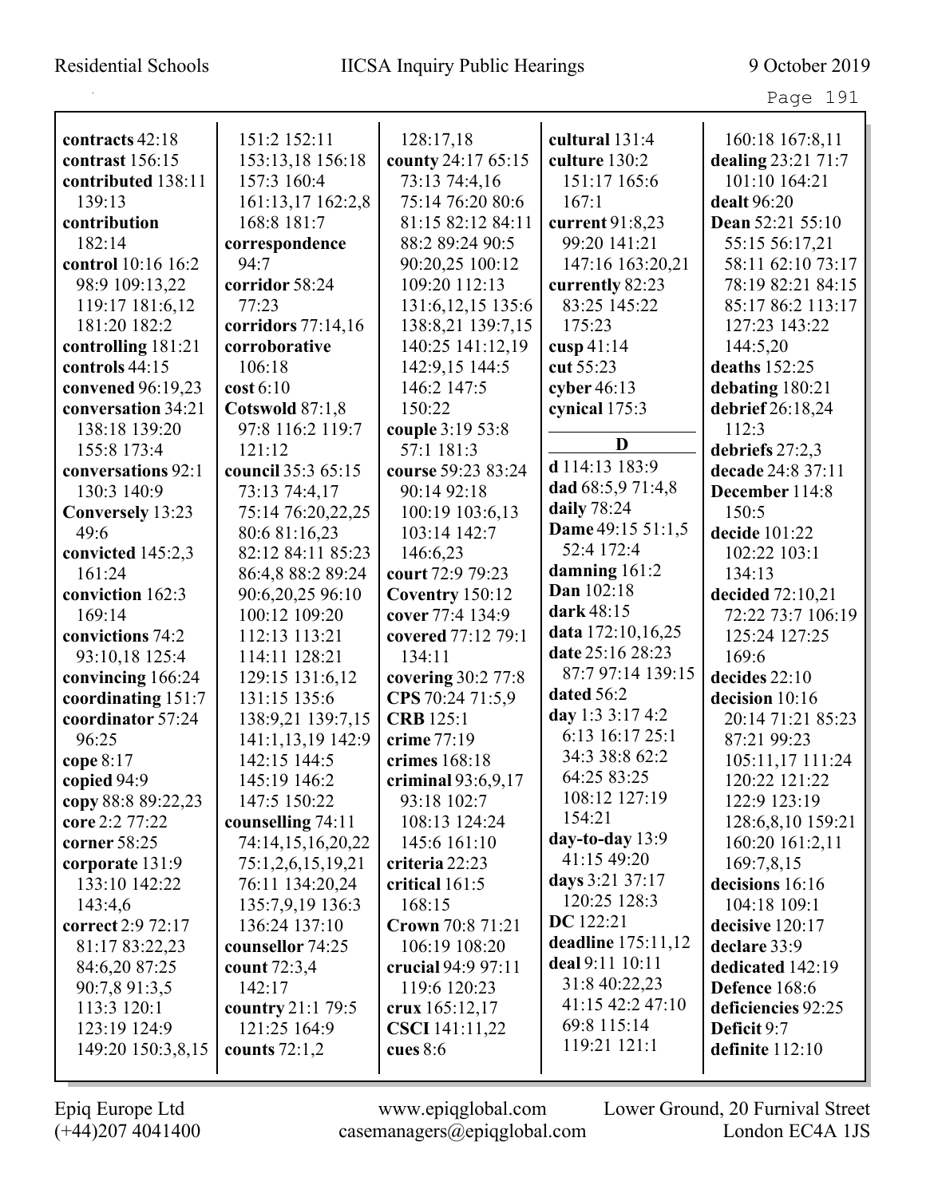Page 191

| contracts 42:18                 | 151:2 152:11       | 128:17,18            | cultural 131:4       | 160:18 167:8,11    |
|---------------------------------|--------------------|----------------------|----------------------|--------------------|
| contrast 156:15                 | 153:13,18 156:18   | county 24:17 65:15   | culture 130:2        | dealing 23:21 71:7 |
| contributed 138:11              | 157:3 160:4        | 73:13 74:4,16        | 151:17 165:6         | 101:10 164:21      |
| 139:13                          | 161:13,17 162:2,8  | 75:14 76:20 80:6     | 167:1                | dealt 96:20        |
| contribution                    | 168:8 181:7        | 81:15 82:12 84:11    | current 91:8,23      | Dean 52:21 55:10   |
| 182:14                          | correspondence     | 88:2 89:24 90:5      | 99:20 141:21         | 55:15 56:17,21     |
| control 10:16 16:2              | 94:7               | 90:20,25 100:12      | 147:16 163:20,21     | 58:11 62:10 73:17  |
| 98:9 109:13,22                  | corridor 58:24     | 109:20 112:13        | currently 82:23      | 78:19 82:21 84:15  |
| 119:17 181:6,12                 | 77:23              | 131:6, 12, 15 135:6  | 83:25 145:22         | 85:17 86:2 113:17  |
| 181:20 182:2                    | corridors 77:14,16 | 138:8,21 139:7,15    | 175:23               | 127:23 143:22      |
| controlling 181:21              | corroborative      | 140:25 141:12,19     | cusp $41:14$         | 144:5,20           |
| controls 44:15                  | 106:18             | 142:9,15 144:5       | cut 55:23            | deaths 152:25      |
| convened 96:19,23               | $\cos t 6:10$      | 146:2 147:5          | cyber $46:13$        | debating 180:21    |
| conversation 34:21              | Cotswold 87:1,8    | 150:22               | cynical 175:3        | debrief 26:18,24   |
| 138:18 139:20                   | 97:8 116:2 119:7   | couple 3:19 53:8     |                      | 112:3              |
| 155:8 173:4                     | 121:12             | 57:1 181:3           | D                    | debriefs 27:2,3    |
| conversations 92:1              | council 35:3 65:15 | course 59:23 83:24   | d 114:13 183:9       | decade 24:8 37:11  |
| 130:3 140:9                     | 73:13 74:4,17      | 90:14 92:18          | dad 68:5,9 71:4,8    | December 114:8     |
|                                 | 75:14 76:20,22,25  | 100:19 103:6,13      | daily 78:24          | 150:5              |
| <b>Conversely</b> 13:23<br>49:6 | 80:6 81:16,23      | 103:14 142:7         | Dame 49:15 51:1,5    | decide 101:22      |
|                                 | 82:12 84:11 85:23  | 146:6,23             | 52:4 172:4           | 102:22 103:1       |
| convicted 145:2,3<br>161:24     | 86:4,8 88:2 89:24  | court 72:9 79:23     | damning 161:2        | 134:13             |
|                                 |                    |                      | Dan 102:18           |                    |
| conviction 162:3                | 90:6,20,25 96:10   | Coventry 150:12      | dark 48:15           | decided 72:10,21   |
| 169:14                          | 100:12 109:20      | cover 77:4 134:9     | data 172:10,16,25    | 72:22 73:7 106:19  |
| convictions 74:2                | 112:13 113:21      | covered 77:12 79:1   | date 25:16 28:23     | 125:24 127:25      |
| 93:10,18 125:4                  | 114:11 128:21      | 134:11               | 87:7 97:14 139:15    | 169:6              |
| convincing 166:24               | 129:15 131:6,12    | covering 30:2 77:8   | dated 56:2           | decides 22:10      |
| coordinating 151:7              | 131:15 135:6       | CPS 70:24 71:5,9     | day 1:3 3:17 4:2     | decision 10:16     |
| coordinator 57:24               | 138:9,21 139:7,15  | <b>CRB</b> 125:1     | 6:13 16:17 25:1      | 20:14 71:21 85:23  |
| 96:25                           | 141:1,13,19 142:9  | crime 77:19          | 34:3 38:8 62:2       | 87:21 99:23        |
| cope 8:17                       | 142:15 144:5       | crimes 168:18        | 64:25 83:25          | 105:11,17 111:24   |
| copied 94:9                     | 145:19 146:2       | criminal $93:6,9,17$ | 108:12 127:19        | 120:22 121:22      |
| copy 88:8 89:22,23              | 147:5 150:22       | 93:18 102:7          | 154:21               | 122:9 123:19       |
| core 2:2 77:22                  | counselling 74:11  | 108:13 124:24        | day-to-day $13:9$    | 128:6,8,10 159:21  |
| corner 58:25                    | 74:14,15,16,20,22  | 145:6 161:10         | 41:15 49:20          | 160:20 161:2,11    |
| corporate 131:9                 | 75:1,2,6,15,19,21  | criteria 22:23       | days 3:21 37:17      | 169:7,8,15         |
| 133:10 142:22                   | 76:11 134:20,24    | critical $161:5$     | 120:25 128:3         | decisions 16:16    |
| 143:4,6                         | 135:7,9,19 136:3   | 168:15               | <b>DC</b> 122:21     | 104:18 109:1       |
| correct 2:9 72:17               | 136:24 137:10      | Crown 70:8 71:21     | deadline $175:11,12$ | decisive 120:17    |
| 81:17 83:22,23                  | counsellor 74:25   | 106:19 108:20        | deal 9:11 10:11      | declare 33:9       |
| 84:6,20 87:25                   | count 72:3,4       | crucial 94:9 97:11   |                      | dedicated 142:19   |
| 90:7,8 91:3,5                   | 142:17             | 119:6 120:23         | 31:8 40:22,23        | Defence 168:6      |
| 113:3 120:1                     | country 21:1 79:5  | crux $165:12,17$     | 41:15 42:2 47:10     | deficiencies 92:25 |
| 123:19 124:9                    | 121:25 164:9       | CSCI 141:11,22       | 69:8 115:14          | Deficit 9:7        |
| 149:20 150:3,8,15               | counts $72:1,2$    | cues $8:6$           | 119:21 121:1         | definite $112:10$  |
|                                 |                    |                      |                      |                    |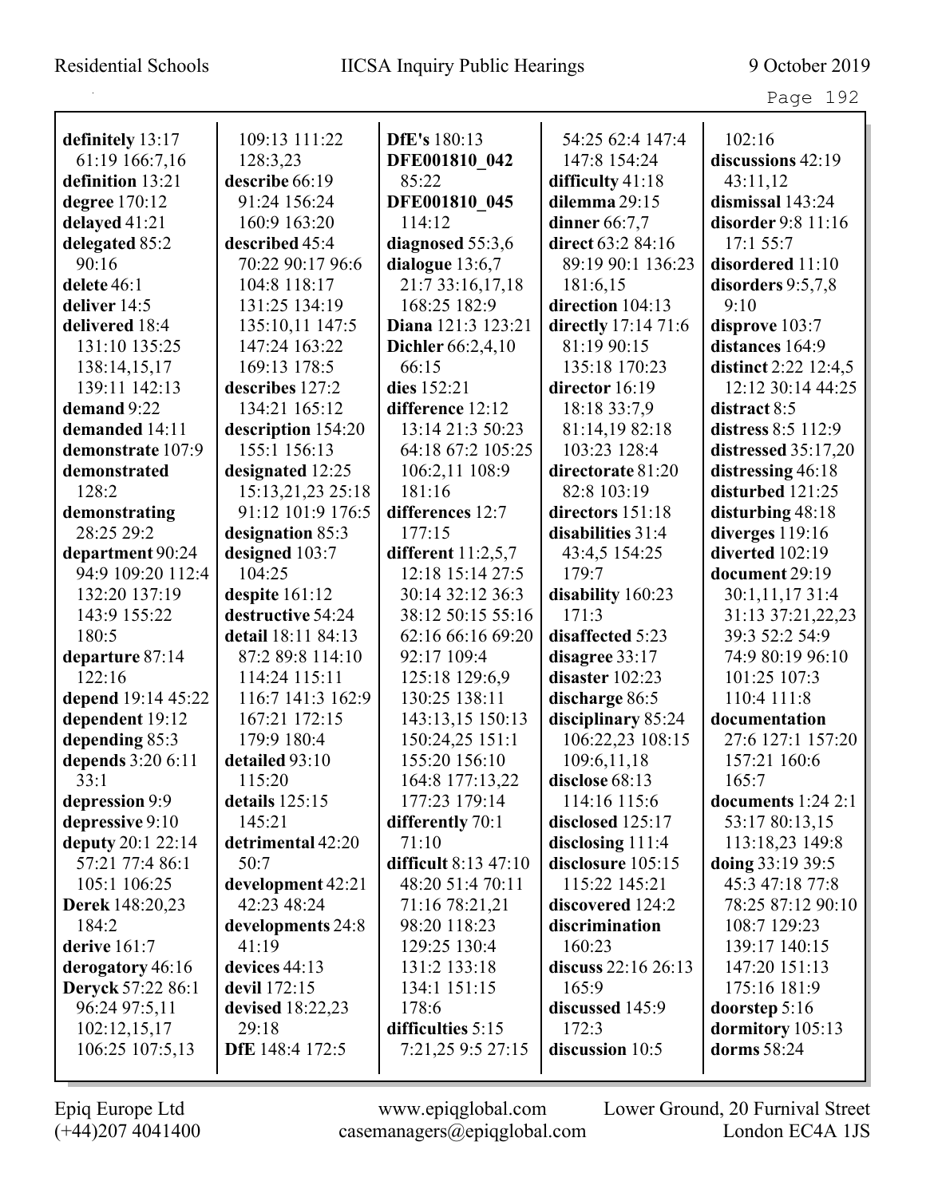| rage | ΩO |
|------|----|
|------|----|

| definitely 13:17                      | 109:13 111:22                         | <b>DfE's</b> 180:13                      | 54:25 62:4 147:4                      | 102:16                                |
|---------------------------------------|---------------------------------------|------------------------------------------|---------------------------------------|---------------------------------------|
| 61:19 166:7,16                        | 128:3,23                              | DFE001810 042                            | 147:8 154:24                          | discussions 42:19                     |
| definition 13:21                      | describe 66:19                        | 85:22                                    | difficulty 41:18                      | 43:11,12                              |
| degree 170:12                         | 91:24 156:24                          | DFE001810 045                            | dilemma 29:15                         | dismissal 143:24                      |
| delayed 41:21                         | 160:9 163:20                          | 114:12                                   | dinner 66:7,7                         | disorder 9:8 11:16                    |
| delegated 85:2                        | described 45:4                        | diagnosed 55:3,6                         | direct 63:2 84:16                     | 17:1 55:7                             |
| 90:16                                 | 70:22 90:17 96:6                      | dialogue 13:6,7                          | 89:19 90:1 136:23                     | disordered 11:10                      |
| delete 46:1                           | 104:8 118:17                          | 21:7 33:16,17,18                         | 181:6,15                              |                                       |
| deliver 14:5                          | 131:25 134:19                         | 168:25 182:9                             | direction 104:13                      | disorders $9:5,7,8$<br>9:10           |
| delivered 18:4                        | 135:10,11 147:5                       | Diana 121:3 123:21                       | directly 17:14 71:6                   | disprove 103:7                        |
| 131:10 135:25                         | 147:24 163:22                         | <b>Dichler</b> 66:2,4,10                 | 81:19 90:15                           | distances 164:9                       |
|                                       | 169:13 178:5                          | 66:15                                    | 135:18 170:23                         | distinct 2:22 12:4,5                  |
| 138:14,15,17<br>139:11 142:13         | describes 127:2                       | dies 152:21                              | director 16:19                        | 12:12 30:14 44:25                     |
| demand 9:22                           | 134:21 165:12                         | difference 12:12                         | 18:18 33:7,9                          | distract 8:5                          |
| demanded 14:11                        |                                       | 13:14 21:3 50:23                         | 81:14,19 82:18                        | distress 8:5 112:9                    |
| demonstrate 107:9                     | description 154:20<br>155:1 156:13    | 64:18 67:2 105:25                        | 103:23 128:4                          | distressed $35:17,20$                 |
| demonstrated                          |                                       |                                          | directorate 81:20                     |                                       |
| 128:2                                 | designated 12:25<br>15:13,21,23 25:18 | 106:2,11 108:9<br>181:16                 | 82:8 103:19                           | distressing 46:18<br>disturbed 121:25 |
|                                       | 91:12 101:9 176:5                     | differences 12:7                         |                                       | disturbing 48:18                      |
| demonstrating<br>28:25 29:2           |                                       | 177:15                                   | directors 151:18<br>disabilities 31:4 |                                       |
|                                       | designation 85:3<br>designed 103:7    |                                          |                                       | diverges 119:16<br>diverted 102:19    |
| department 90:24<br>94:9 109:20 112:4 | 104:25                                | different $11:2,5,7$<br>12:18 15:14 27:5 | 43:4,5 154:25<br>179:7                |                                       |
|                                       |                                       |                                          |                                       | document 29:19                        |
| 132:20 137:19                         | despite 161:12                        | 30:14 32:12 36:3                         | disability 160:23                     | 30:1,11,17 31:4                       |
| 143:9 155:22                          | destructive 54:24                     | 38:12 50:15 55:16                        | 171:3                                 | 31:13 37:21,22,23                     |
| 180:5                                 | detail 18:11 84:13                    | 62:16 66:16 69:20                        | disaffected 5:23                      | 39:3 52:2 54:9                        |
| departure 87:14                       | 87:2 89:8 114:10                      | 92:17 109:4                              | disagree 33:17                        | 74:9 80:19 96:10                      |
| 122:16                                | 114:24 115:11                         | 125:18 129:6,9                           | disaster 102:23                       | 101:25 107:3                          |
| depend 19:14 45:22                    | 116:7 141:3 162:9                     | 130:25 138:11                            | discharge 86:5                        | 110:4 111:8                           |
| dependent 19:12                       | 167:21 172:15<br>179:9 180:4          | 143:13,15 150:13                         | disciplinary 85:24                    | documentation                         |
| depending 85:3                        |                                       | 150:24,25 151:1                          | 106:22,23 108:15                      | 27:6 127:1 157:20                     |
| depends 3:20 6:11                     | detailed 93:10                        | 155:20 156:10                            | 109:6,11,18                           | 157:21 160:6                          |
| 33:1                                  | 115:20                                | 164:8 177:13,22                          | disclose 68:13                        | 165:7                                 |
| depression 9:9                        | details 125:15                        | 177:23 179:14                            | 114:16 115:6                          | documents $1:24$ 2:1                  |
| depressive 9:10                       | 145:21                                | differently 70:1                         | disclosed 125:17                      | 53:17 80:13,15                        |
| deputy 20:1 22:14                     | detrimental 42:20                     | 71:10                                    | disclosing $111:4$                    | 113:18,23 149:8                       |
| 57:21 77:4 86:1                       | 50:7                                  | <b>difficult</b> 8:13 47:10              | disclosure 105:15                     | doing 33:19 39:5                      |
| 105:1 106:25                          | development 42:21                     | 48:20 51:4 70:11                         | 115:22 145:21                         | 45:3 47:18 77:8                       |
| <b>Derek</b> 148:20,23                | 42:23 48:24                           | 71:16 78:21,21                           | discovered 124:2                      | 78:25 87:12 90:10                     |
| 184:2                                 | developments 24:8                     | 98:20 118:23                             | discrimination                        | 108:7 129:23                          |
| derive 161:7                          | 41:19                                 | 129:25 130:4                             | 160:23                                | 139:17 140:15                         |
| derogatory 46:16                      | devices 44:13                         | 131:2 133:18                             | discuss $22:16\,26:13$                | 147:20 151:13                         |
| Deryck 57:22 86:1                     | devil 172:15                          | 134:1 151:15                             | 165:9                                 | 175:16 181:9                          |
| 96:24 97:5,11                         | devised $18:22,23$                    | 178:6                                    | discussed 145:9                       | doorstep 5:16                         |
| 102:12,15,17                          | 29:18                                 | difficulties 5:15                        | 172:3                                 | dormitory 105:13                      |
| 106:25 107:5,13                       | <b>DfE</b> 148:4 172:5                | 7:21,25 9:5 27:15                        | discussion 10:5                       | dorms 58:24                           |
|                                       |                                       |                                          |                                       |                                       |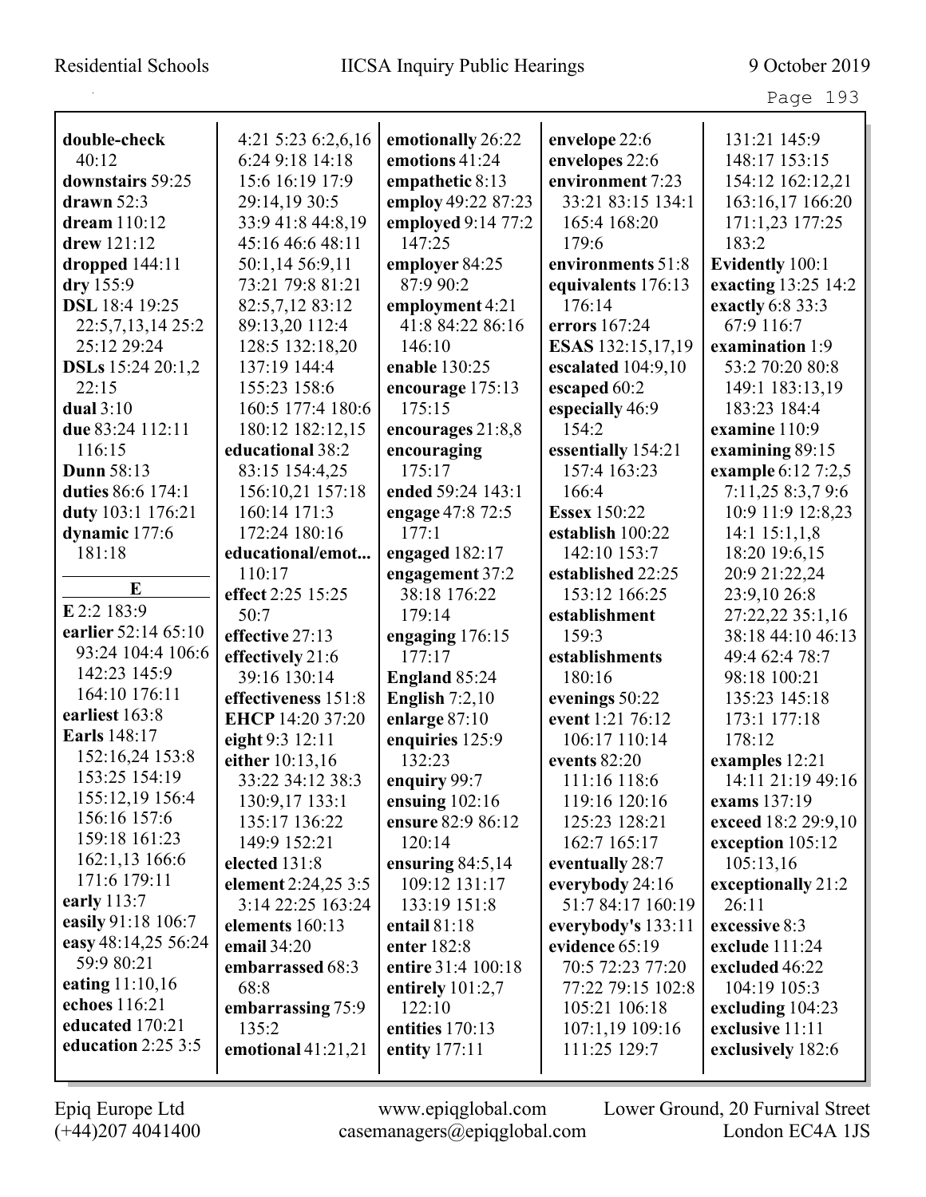| double-check             | 4:21 5:23 6:2,6,16   | emotionally 26:22  | envelope 22:6       | 131:21 145:9        |
|--------------------------|----------------------|--------------------|---------------------|---------------------|
| 40:12                    | 6:24 9:18 14:18      | emotions 41:24     | envelopes 22:6      | 148:17 153:15       |
| downstairs 59:25         | 15:6 16:19 17:9      | empathetic 8:13    | environment 7:23    | 154:12 162:12,21    |
| drawn $52:3$             | 29:14,19 30:5        | employ 49:22 87:23 | 33:21 83:15 134:1   | 163:16,17 166:20    |
| dream 110:12             | 33:9 41:8 44:8,19    | employed 9:14 77:2 | 165:4 168:20        | 171:1,23 177:25     |
| drew 121:12              | 45:16 46:6 48:11     | 147:25             | 179:6               | 183:2               |
| dropped $144:11$         | 50:1,14 56:9,11      | employer 84:25     | environments 51:8   | Evidently 100:1     |
| dry 155:9                | 73:21 79:8 81:21     | 87:9 90:2          | equivalents 176:13  | exacting 13:25 14:2 |
| DSL 18:4 19:25           | 82:5,7,12 83:12      | employment 4:21    | 176:14              | exactly 6:8 33:3    |
| 22:5,7,13,14 25:2        | 89:13,20 112:4       | 41:8 84:22 86:16   | errors 167:24       | 67:9 116:7          |
| 25:12 29:24              | 128:5 132:18,20      | 146:10             | ESAS 132:15,17,19   | examination 1:9     |
| <b>DSLs</b> 15:24 20:1,2 | 137:19 144:4         | enable 130:25      | escalated 104:9,10  | 53:2 70:20 80:8     |
| 22:15                    | 155:23 158:6         | encourage 175:13   | escaped 60:2        | 149:1 183:13,19     |
| dual $3:10$              | 160:5 177:4 180:6    | 175:15             | especially 46:9     | 183:23 184:4        |
| due 83:24 112:11         | 180:12 182:12,15     | encourages 21:8,8  | 154:2               | examine 110:9       |
| 116:15                   | educational 38:2     | encouraging        | essentially 154:21  | examining 89:15     |
| <b>Dunn 58:13</b>        | 83:15 154:4,25       | 175:17             | 157:4 163:23        | example 6:12 7:2,5  |
| duties 86:6 174:1        | 156:10,21 157:18     | ended 59:24 143:1  | 166:4               | 7:11,25 8:3,7 9:6   |
| duty 103:1 176:21        | 160:14 171:3         | engage 47:8 72:5   | <b>Essex 150:22</b> | 10:9 11:9 12:8,23   |
| dynamic 177:6            | 172:24 180:16        | 177:1              | establish 100:22    | $14:1$ $15:1,1,8$   |
| 181:18                   | educational/emot     | engaged 182:17     | 142:10 153:7        | 18:20 19:6,15       |
|                          | 110:17               | engagement 37:2    | established 22:25   | 20:9 21:22,24       |
| E                        | effect 2:25 15:25    | 38:18 176:22       | 153:12 166:25       | 23:9,10 26:8        |
| E 2:2 183:9              | 50:7                 | 179:14             | establishment       | 27:22,22 35:1,16    |
| earlier 52:14 65:10      | effective 27:13      | engaging 176:15    | 159:3               | 38:18 44:10 46:13   |
| 93:24 104:4 106:6        | effectively 21:6     | 177:17             | establishments      | 49:4 62:4 78:7      |
| 142:23 145:9             | 39:16 130:14         | England 85:24      | 180:16              | 98:18 100:21        |
| 164:10 176:11            | effectiveness 151:8  | English $7:2,10$   | evenings 50:22      | 135:23 145:18       |
| earliest 163:8           | EHCP 14:20 37:20     | enlarge 87:10      | event 1:21 76:12    | 173:1 177:18        |
| <b>Earls</b> 148:17      | eight 9:3 12:11      | enquiries 125:9    | 106:17 110:14       | 178:12              |
| 152:16,24 153:8          | either 10:13,16      | 132:23             | events 82:20        | examples 12:21      |
| 153:25 154:19            | 33:22 34:12 38:3     | enquiry 99:7       | 111:16 118:6        | 14:11 21:19 49:16   |
| 155:12,19 156:4          | 130:9,17 133:1       | ensuing $102:16$   | 119:16 120:16       | exams 137:19        |
| 156:16 157:6             | 135:17 136:22        | ensure 82:9 86:12  | 125:23 128:21       | exceed 18:2 29:9,10 |
| 159:18 161:23            | 149:9 152:21         | 120:14             | 162:7 165:17        | exception 105:12    |
| 162:1,13 166:6           | elected 131:8        | ensuring $84:5,14$ | eventually 28:7     | 105:13,16           |
| 171:6 179:11             | element 2:24,25 3:5  | 109:12 131:17      | everybody 24:16     | exceptionally 21:2  |
| early 113:7              | 3:14 22:25 163:24    | 133:19 151:8       | 51:7 84:17 160:19   | 26:11               |
| easily 91:18 106:7       | elements 160:13      | entail 81:18       | everybody's 133:11  | excessive 8:3       |
| easy 48:14,25 56:24      | email 34:20          | enter 182:8        | evidence 65:19      | exclude 111:24      |
| 59:9 80:21               | embarrassed 68:3     | entire 31:4 100:18 | 70:5 72:23 77:20    | excluded 46:22      |
| eating 11:10,16          | 68:8                 | entirely $101:2,7$ | 77:22 79:15 102:8   | 104:19 105:3        |
| echoes 116:21            | embarrassing 75:9    | 122:10             | 105:21 106:18       | excluding 104:23    |
| educated 170:21          | 135:2                | entities 170:13    | 107:1,19 109:16     | exclusive 11:11     |
| education 2:25 3:5       | emotional $41:21,21$ | entity 177:11      | 111:25 129:7        | exclusively 182:6   |
|                          |                      |                    |                     |                     |

L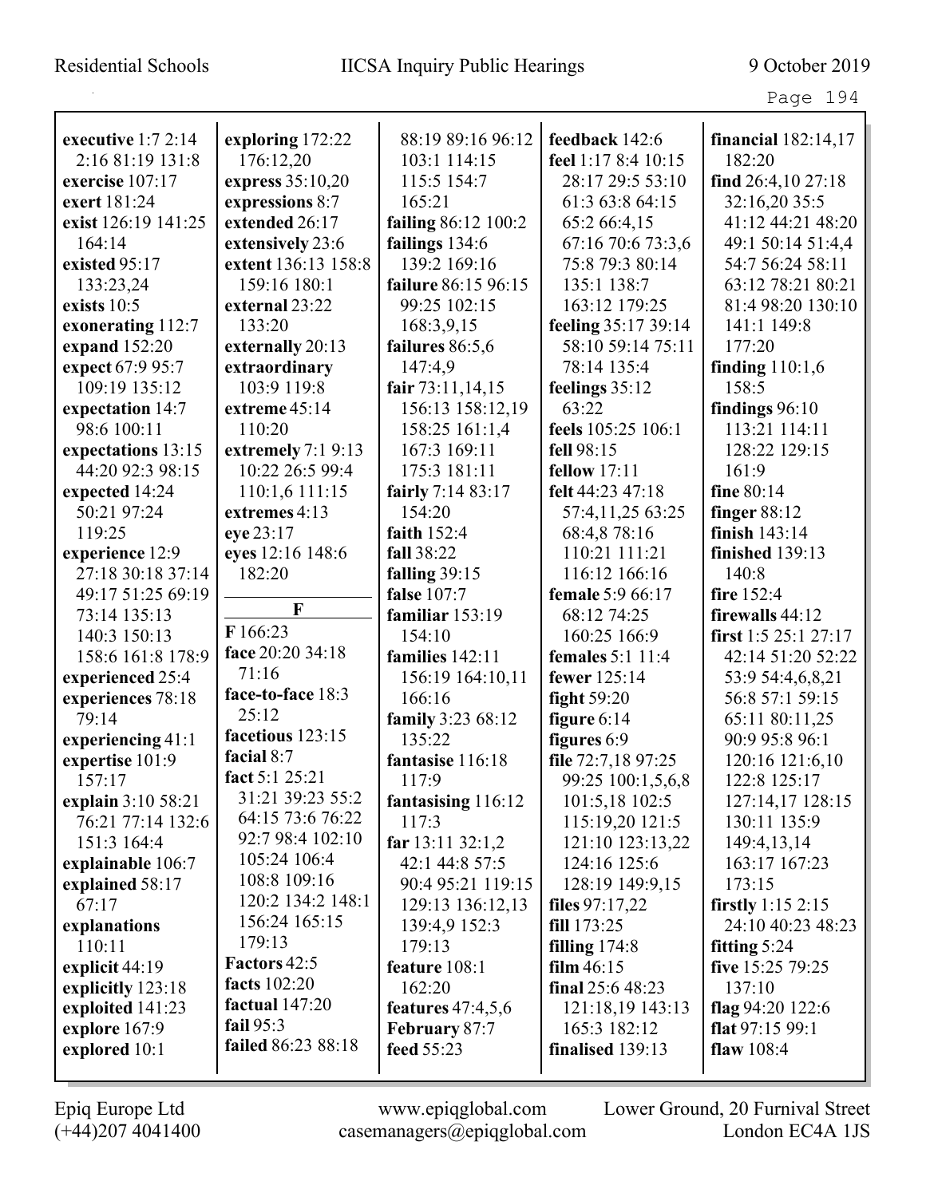Page 194

|                     |                     | 88:19 89:16 96:12   | feedback 142:6          |                        |
|---------------------|---------------------|---------------------|-------------------------|------------------------|
| executive $1:72:14$ | exploring 172:22    |                     |                         | financial 182:14,17    |
| 2:16 81:19 131:8    | 176:12,20           | 103:1 114:15        | feel 1:17 8:4 10:15     | 182:20                 |
| exercise 107:17     | express 35:10,20    | 115:5 154:7         | 28:17 29:5 53:10        | find $26:4,1027:18$    |
| exert 181:24        | expressions 8:7     | 165:21              | 61:3 63:8 64:15         | 32:16,20 35:5          |
| exist 126:19 141:25 | extended 26:17      | failing 86:12 100:2 | 65:2 66:4,15            | 41:12 44:21 48:20      |
| 164:14              | extensively 23:6    | failings 134:6      | 67:16 70:6 73:3,6       | 49:1 50:14 51:4,4      |
| existed 95:17       | extent 136:13 158:8 | 139:2 169:16        | 75:8 79:3 80:14         | 54:7 56:24 58:11       |
| 133:23,24           | 159:16 180:1        | failure 86:15 96:15 | 135:1 138:7             | 63:12 78:21 80:21      |
| exists $10:5$       | external 23:22      | 99:25 102:15        | 163:12 179:25           | 81:4 98:20 130:10      |
| exonerating 112:7   | 133:20              | 168:3,9,15          | feeling 35:17 39:14     | 141:1 149:8            |
| expand 152:20       | externally 20:13    | failures 86:5,6     | 58:10 59:14 75:11       | 177:20                 |
| expect 67:9 95:7    | extraordinary       | 147:4,9             | 78:14 135:4             | finding $110:1,6$      |
| 109:19 135:12       | 103:9 119:8         | fair 73:11,14,15    | feelings 35:12          | 158:5                  |
| expectation 14:7    | extreme 45:14       | 156:13 158:12,19    | 63:22                   | findings $96:10$       |
| 98:6 100:11         | 110:20              | 158:25 161:1,4      | feels 105:25 106:1      | 113:21 114:11          |
| expectations 13:15  | extremely 7:1 9:13  | 167:3 169:11        | fell 98:15              | 128:22 129:15          |
| 44:20 92:3 98:15    | 10:22 26:5 99:4     | 175:3 181:11        | <b>fellow</b> 17:11     | 161:9                  |
| expected 14:24      | 110:1,6 111:15      | fairly 7:14 83:17   | felt 44:23 47:18        | fine 80:14             |
| 50:21 97:24         | extremes 4:13       | 154:20              | 57:4,11,25 63:25        | finger $88:12$         |
| 119:25              | eye 23:17           | faith $152:4$       | 68:4,878:16             | finish 143:14          |
| experience 12:9     | eyes 12:16 148:6    | fall 38:22          | 110:21 111:21           | finished 139:13        |
| 27:18 30:18 37:14   | 182:20              | falling $39:15$     | 116:12 166:16           | 140:8                  |
| 49:17 51:25 69:19   |                     | false 107:7         | female 5:9 66:17        | fire 152:4             |
| 73:14 135:13        | F                   | familiar 153:19     | 68:12 74:25             | firewalls 44:12        |
| 140:3 150:13        | F 166:23            | 154:10              | 160:25 166:9            | first $1:5$ 25:1 27:17 |
| 158:6 161:8 178:9   | face 20:20 34:18    | families 142:11     | <b>females</b> 5:1 11:4 | 42:14 51:20 52:22      |
| experienced 25:4    | 71:16               | 156:19 164:10,11    | fewer 125:14            | 53:9 54:4,6,8,21       |
| experiences 78:18   | face-to-face 18:3   | 166:16              | fight $59:20$           | 56:8 57:1 59:15        |
| 79:14               | 25:12               | family 3:23 68:12   | figure $6:14$           | 65:11 80:11,25         |
| experiencing 41:1   | facetious 123:15    | 135:22              | figures 6:9             | 90:9 95:8 96:1         |
| expertise 101:9     | facial 8:7          | fantasise 116:18    | file 72:7,18 97:25      | 120:16 121:6,10        |
| 157:17              | fact 5:1 25:21      | 117:9               | 99:25 100:1,5,6,8       | 122:8 125:17           |
| explain 3:10 58:21  | 31:21 39:23 55:2    | fantasising 116:12  | 101:5,18 102:5          | 127:14,17 128:15       |
| 76:21 77:14 132:6   | 64:15 73:6 76:22    | 117:3               | 115:19,20 121:5         | 130:11 135:9           |
| 151:3 164:4         | 92:7 98:4 102:10    | far $13:11\,32:1,2$ | 121:10 123:13,22        | 149:4, 13, 14          |
| explainable 106:7   | 105:24 106:4        | 42:1 44:8 57:5      | 124:16 125:6            | 163:17 167:23          |
| explained 58:17     | 108:8 109:16        | 90:4 95:21 119:15   | 128:19 149:9,15         | 173:15                 |
| 67:17               | 120:2 134:2 148:1   | 129:13 136:12,13    | files $97:17,22$        | firstly $1:15$ 2:15    |
| explanations        | 156:24 165:15       | 139:4,9 152:3       | fill 173:25             | 24:10 40:23 48:23      |
| 110:11              | 179:13              | 179:13              | filling $174:8$         | fitting $5:24$         |
| explicit 44:19      | Factors 42:5        | feature 108:1       | film $46:15$            | five 15:25 79:25       |
| explicitly 123:18   | facts $102:20$      | 162:20              | final 25:6 48:23        | 137:10                 |
| exploited 141:23    | factual $147:20$    | features $47:4,5,6$ | 121:18,19 143:13        | flag 94:20 122:6       |
| explore 167:9       | fail 95:3           | February 87:7       | 165:3 182:12            | flat $97:1599:1$       |
| explored 10:1       | failed 86:23 88:18  | feed 55:23          | finalised 139:13        | flaw $108:4$           |
|                     |                     |                     |                         |                        |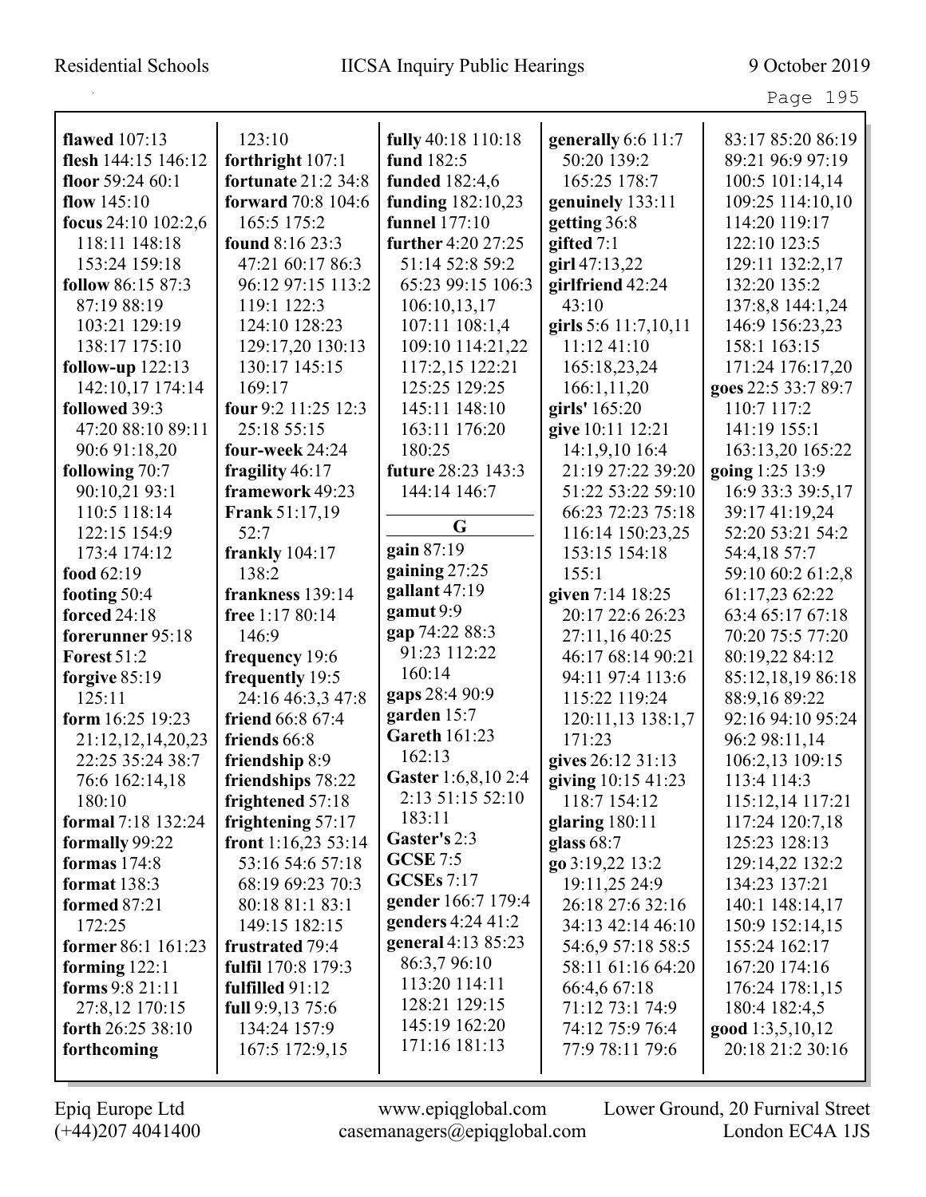| <b>flawed</b> 107:13     | 123:10                     | fully 40:18 110:18   | generally 6:6 11:7   | 83:17 85:20 86:19   |
|--------------------------|----------------------------|----------------------|----------------------|---------------------|
| flesh 144:15 146:12      | forthright 107:1           | fund 182:5           | 50:20 139:2          | 89:21 96:9 97:19    |
| floor $59:2460:1$        | <b>fortunate 21:2 34:8</b> | funded 182:4,6       | 165:25 178:7         | 100:5 101:14,14     |
| flow $145:10$            | forward 70:8 104:6         | funding 182:10,23    | genuinely 133:11     | 109:25 114:10,10    |
| focus $24:10$ $102:2,6$  | 165:5 175:2                | funnel 177:10        | getting 36:8         | 114:20 119:17       |
| 118:11 148:18            | found 8:16 23:3            | further 4:20 27:25   | gifted $7:1$         | 122:10 123:5        |
| 153:24 159:18            | 47:21 60:17 86:3           | 51:14 52:8 59:2      | girl 47:13,22        | 129:11 132:2,17     |
| <b>follow</b> 86:15 87:3 | 96:12 97:15 113:2          | 65:23 99:15 106:3    | girlfriend 42:24     | 132:20 135:2        |
| 87:19 88:19              | 119:1 122:3                | 106:10,13,17         | 43:10                | 137:8,8 144:1,24    |
| 103:21 129:19            | 124:10 128:23              | 107:11 108:1,4       | girls 5:6 11:7,10,11 | 146:9 156:23,23     |
| 138:17 175:10            | 129:17,20 130:13           | 109:10 114:21,22     | 11:12 41:10          | 158:1 163:15        |
| follow-up $122:13$       | 130:17 145:15              | 117:2,15 122:21      | 165:18,23,24         | 171:24 176:17,20    |
| 142:10,17 174:14         | 169:17                     | 125:25 129:25        | 166:1,11,20          | goes 22:5 33:7 89:7 |
| followed 39:3            | four 9:2 11:25 12:3        | 145:11 148:10        | girls' 165:20        | 110:7 117:2         |
| 47:20 88:10 89:11        | 25:18 55:15                | 163:11 176:20        | give 10:11 12:21     | 141:19 155:1        |
| 90:6 91:18,20            | four-week 24:24            | 180:25               | 14:1,9,10 16:4       | 163:13,20 165:22    |
| following 70:7           | fragility $46:17$          | future 28:23 143:3   | 21:19 27:22 39:20    | going 1:25 13:9     |
| 90:10,21 93:1            | framework 49:23            | 144:14 146:7         | 51:22 53:22 59:10    | 16:9 33:3 39:5,17   |
| 110:5 118:14             | <b>Frank 51:17,19</b>      |                      | 66:23 72:23 75:18    | 39:17 41:19,24      |
| 122:15 154:9             | 52:7                       | G                    | 116:14 150:23,25     | 52:20 53:21 54:2    |
| 173:4 174:12             | frankly $104:17$           | gain 87:19           | 153:15 154:18        | 54:4,18 57:7        |
| food 62:19               | 138:2                      | gaining $27:25$      | 155:1                | 59:10 60:2 61:2,8   |
| footing 50:4             | frankness 139:14           | gallant 47:19        | given 7:14 18:25     | 61:17,23 62:22      |
| forced 24:18             | free 1:17 80:14            | gamut 9:9            | 20:17 22:6 26:23     | 63:4 65:17 67:18    |
| forerunner 95:18         | 146:9                      | gap 74:22 88:3       | 27:11,16 40:25       | 70:20 75:5 77:20    |
| <b>Forest 51:2</b>       | frequency 19:6             | 91:23 112:22         | 46:17 68:14 90:21    | 80:19,22 84:12      |
| forgive $85:19$          | frequently 19:5            | 160:14               | 94:11 97:4 113:6     | 85:12,18,19 86:18   |
| 125:11                   | 24:16 46:3,3 47:8          | gaps 28:4 90:9       | 115:22 119:24        | 88:9,16 89:22       |
| form 16:25 19:23         | friend 66:8 67:4           | garden 15:7          | 120:11,13 138:1,7    | 92:16 94:10 95:24   |
| 21:12,12,14,20,23        | friends 66:8               | <b>Gareth 161:23</b> | 171:23               | 96:2 98:11,14       |
| 22:25 35:24 38:7         | friendship 8:9             | 162:13               | gives 26:12 31:13    | 106:2,13 109:15     |
| 76:6 162:14,18           | friendships 78:22          | Gaster 1:6,8,10 2:4  | giving 10:15 41:23   | 113:4 114:3         |
| 180:10                   | frightened 57:18           | 2:13 51:15 52:10     | 118:7 154:12         | 115:12,14 117:21    |
| formal 7:18 132:24       | frightening $57:17$        | 183:11               | glaring $180:11$     | 117:24 120:7,18     |
| formally 99:22           | front $1:16,2353:14$       | Gaster's 2:3         | glass $68:7$         | 125:23 128:13       |
| formas $174:8$           | 53:16 54:6 57:18           | <b>GCSE</b> 7:5      | go 3:19,22 13:2      | 129:14,22 132:2     |
| <b>format</b> 138:3      | 68:19 69:23 70:3           | <b>GCSEs</b> 7:17    | 19:11,25 24:9        | 134:23 137:21       |
| formed 87:21             | 80:18 81:1 83:1            | gender 166:7 179:4   | 26:18 27:6 32:16     | 140:1 148:14,17     |
| 172:25                   | 149:15 182:15              | genders 4:24 41:2    | 34:13 42:14 46:10    | 150:9 152:14,15     |
| former 86:1 161:23       | <b>frustrated</b> 79:4     | general 4:13 85:23   | 54:6,9 57:18 58:5    | 155:24 162:17       |
| forming $122:1$          | fulfil 170:8 179:3         | 86:3,796:10          | 58:11 61:16 64:20    | 167:20 174:16       |
| forms 9:8 21:11          | fulfilled $91:12$          | 113:20 114:11        | 66:4,6 67:18         | 176:24 178:1,15     |
| 27:8,12 170:15           | full 9:9,13 75:6           | 128:21 129:15        | 71:12 73:1 74:9      | 180:4 182:4,5       |
| forth 26:25 38:10        | 134:24 157:9               | 145:19 162:20        | 74:12 75:9 76:4      | good 1:3,5,10,12    |
| forthcoming              | 167:5 172:9,15             | 171:16 181:13        | 77:9 78:11 79:6      | 20:18 21:2 30:16    |
|                          |                            |                      |                      |                     |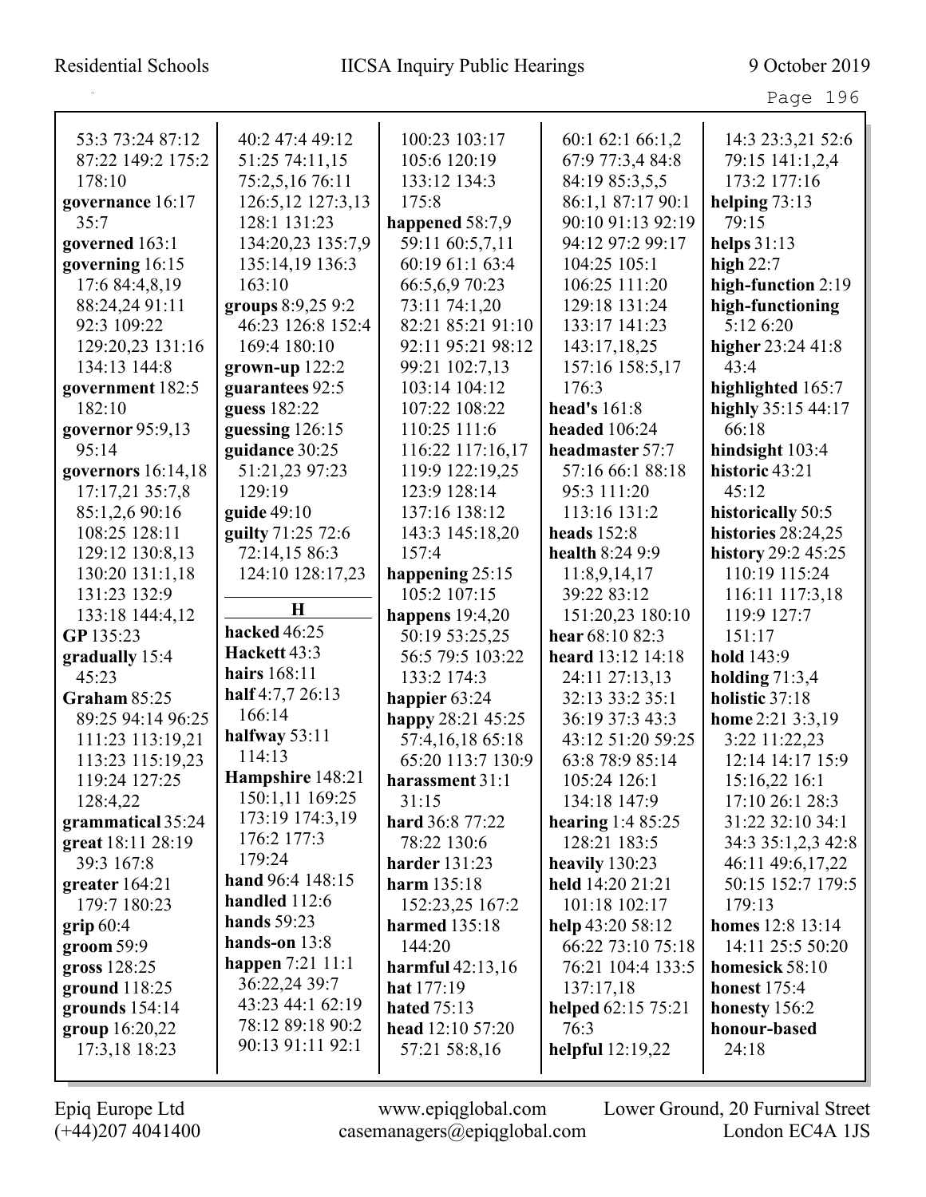| 53:3 73:24 87:12     | 40:2 47:4 49:12   | 100:23 103:17        | 60:1 62:1 66:1,2     | 14:3 23:3,21 52:6  |
|----------------------|-------------------|----------------------|----------------------|--------------------|
| 87:22 149:2 175:2    | 51:25 74:11,15    | 105:6 120:19         | 67:9 77:3,4 84:8     | 79:15 141:1,2,4    |
| 178:10               | 75:2,5,16 76:11   | 133:12 134:3         | 84:19 85:3,5,5       | 173:2 177:16       |
| governance 16:17     | 126:5,12 127:3,13 | 175:8                | 86:1,1 87:17 90:1    | helping $73:13$    |
| 35:7                 | 128:1 131:23      | happened 58:7,9      | 90:10 91:13 92:19    | 79:15              |
| governed 163:1       | 134:20,23 135:7,9 | 59:11 60:5,7,11      | 94:12 97:2 99:17     | helps $31:13$      |
| governing 16:15      | 135:14,19 136:3   | 60:19 61:1 63:4      | 104:25 105:1         | high $22:7$        |
| 17:6 84:4,8,19       | 163:10            | 66:5,6,9 70:23       | 106:25 111:20        | high-function 2:19 |
| 88:24,24 91:11       | groups 8:9,25 9:2 | 73:11 74:1,20        | 129:18 131:24        | high-functioning   |
| 92:3 109:22          | 46:23 126:8 152:4 | 82:21 85:21 91:10    | 133:17 141:23        | 5:12 6:20          |
| 129:20,23 131:16     | 169:4 180:10      | 92:11 95:21 98:12    | 143:17,18,25         | higher 23:24 41:8  |
| 134:13 144:8         | grown-up $122:2$  | 99:21 102:7,13       | 157:16 158:5,17      | 43:4               |
| government 182:5     | guarantees 92:5   | 103:14 104:12        | 176:3                | highlighted 165:7  |
| 182:10               | guess 182:22      | 107:22 108:22        | head's 161:8         | highly 35:15 44:17 |
| governor 95:9,13     | guessing 126:15   | 110:25 111:6         | <b>headed</b> 106:24 | 66:18              |
| 95:14                | guidance 30:25    | 116:22 117:16,17     | headmaster 57:7      | hindsight 103:4    |
| governors $16:14,18$ | 51:21,23 97:23    | 119:9 122:19,25      | 57:16 66:1 88:18     | historic 43:21     |
| 17:17,21 35:7,8      | 129:19            | 123:9 128:14         | 95:3 111:20          | 45:12              |
| 85:1,2,6 90:16       | guide 49:10       | 137:16 138:12        | 113:16 131:2         | historically 50:5  |
| 108:25 128:11        | guilty 71:25 72:6 | 143:3 145:18,20      | <b>heads</b> 152:8   | histories 28:24,25 |
| 129:12 130:8,13      | 72:14,15 86:3     | 157:4                | health 8:24 9:9      | history 29:2 45:25 |
| 130:20 131:1,18      | 124:10 128:17,23  | happening 25:15      | 11:8,9,14,17         | 110:19 115:24      |
| 131:23 132:9         |                   | 105:2 107:15         | 39:22 83:12          | 116:11 117:3,18    |
| 133:18 144:4,12      | $\mathbf H$       | happens $19:4,20$    | 151:20,23 180:10     | 119:9 127:7        |
| GP 135:23            | hacked 46:25      | 50:19 53:25,25       | hear 68:10 82:3      | 151:17             |
| gradually 15:4       | Hackett 43:3      | 56:5 79:5 103:22     | heard 13:12 14:18    | hold 143:9         |
| 45:23                | hairs 168:11      | 133:2 174:3          | 24:11 27:13,13       | holding $71:3,4$   |
| Graham 85:25         | half 4:7,7 26:13  | happier 63:24        | 32:13 33:2 35:1      | holistic 37:18     |
| 89:25 94:14 96:25    | 166:14            | happy 28:21 45:25    | 36:19 37:3 43:3      | home 2:21 3:3,19   |
| 111:23 113:19,21     | halfway $53:11$   | 57:4,16,18 65:18     | 43:12 51:20 59:25    | 3:22 11:22,23      |
| 113:23 115:19,23     | 114:13            | 65:20 113:7 130:9    | 63:8 78:9 85:14      | 12:14 14:17 15:9   |
| 119:24 127:25        | Hampshire 148:21  | harassment 31:1      | 105:24 126:1         | 15:16.22 16:1      |
| 128:4,22             | 150:1,11 169:25   | 31:15                | 134:18 147:9         | 17:10 26:1 28:3    |
| grammatical 35:24    | 173:19 174:3,19   | hard 36:8 77:22      | hearing $1:485:25$   | 31:22 32:10 34:1   |
| great 18:11 28:19    | 176:2 177:3       | 78:22 130:6          | 128:21 183:5         | 34:3 35:1,2,3 42:8 |
| 39:3 167:8           | 179:24            | <b>harder</b> 131:23 | heavily 130:23       | 46:11 49:6,17,22   |
| greater 164:21       | hand 96:4 148:15  | harm 135:18          | held 14:20 21:21     | 50:15 152:7 179:5  |
| 179:7 180:23         | handled 112:6     | 152:23,25 167:2      | 101:18 102:17        | 179:13             |
| grip 60:4            | hands 59:23       | harmed 135:18        | help 43:20 58:12     | homes 12:8 13:14   |
| groom 59:9           | hands-on 13:8     | 144:20               | 66:22 73:10 75:18    | 14:11 25:5 50:20   |
| gross 128:25         | happen 7:21 11:1  | harmful $42:13,16$   | 76:21 104:4 133:5    | homesick 58:10     |
| ground 118:25        | 36:22,24 39:7     | hat 177:19           | 137:17,18            | honest $175:4$     |
| grounds $154:14$     | 43:23 44:1 62:19  | hated $75:13$        | helped 62:15 75:21   | honesty $156:2$    |
| group 16:20,22       | 78:12 89:18 90:2  | head 12:10 57:20     | 76:3                 | honour-based       |
| 17:3,18 18:23        | 90:13 91:11 92:1  | 57:21 58:8,16        | helpful 12:19,22     | 24:18              |
|                      |                   |                      |                      |                    |

L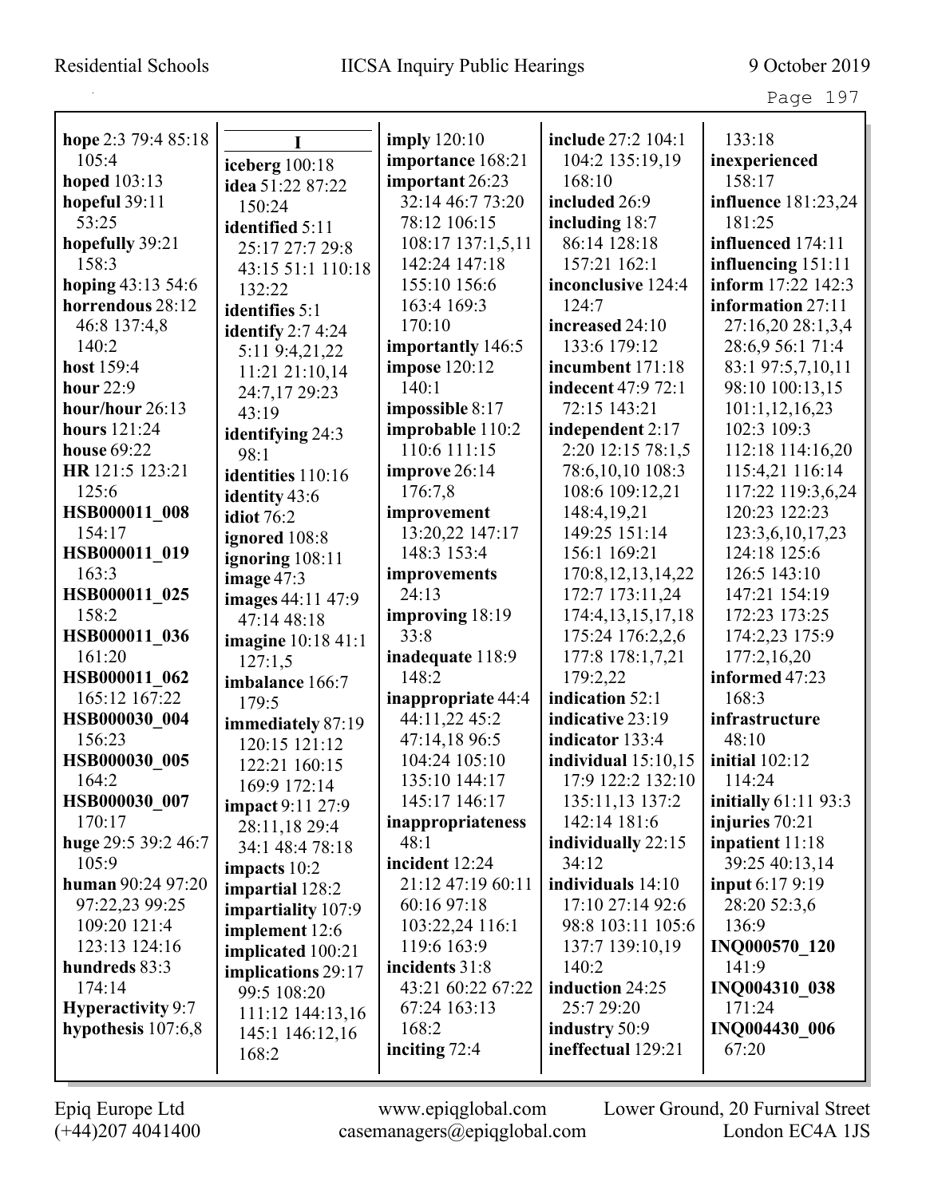| hope 2:3 79:4 85:18  |                                | <b>imply</b> 120:10 | include 27:2 104:1        | 133:18                      |
|----------------------|--------------------------------|---------------------|---------------------------|-----------------------------|
| 105:4                |                                | importance 168:21   | 104:2 135:19,19           | inexperienced               |
| hoped 103:13         | iceberg 100:18                 | important 26:23     | 168:10                    | 158:17                      |
| hopeful 39:11        | idea 51:22 87:22               | 32:14 46:7 73:20    | included 26:9             | influence 181:23,24         |
| 53:25                | 150:24                         | 78:12 106:15        | including 18:7            | 181:25                      |
| hopefully 39:21      | identified 5:11                | 108:17 137:1,5,11   | 86:14 128:18              | influenced 174:11           |
| 158:3                | 25:17 27:7 29:8                | 142:24 147:18       | 157:21 162:1              | influencing 151:11          |
| hoping 43:13 54:6    | 43:15 51:1 110:18              | 155:10 156:6        | inconclusive 124:4        | inform 17:22 142:3          |
| horrendous 28:12     | 132:22                         | 163:4 169:3         | 124:7                     | information 27:11           |
| 46:8 137:4,8         | identifies 5:1                 | 170:10              | increased 24:10           | 27:16,20 28:1,3,4           |
| 140:2                | identify $2:74:24$             | importantly 146:5   | 133:6 179:12              | 28:6,9 56:1 71:4            |
| host 159:4           | 5:11 9:4,21,22                 | impose 120:12       | incumbent 171:18          | 83:1 97:5,7,10,11           |
| <b>hour</b> 22:9     | 11:21 21:10,14                 | 140:1               | <b>indecent</b> 47:9 72:1 | 98:10 100:13,15             |
| hour/hour 26:13      | 24:7,17 29:23                  | impossible 8:17     | 72:15 143:21              | 101:1,12,16,23              |
| <b>hours</b> 121:24  | 43:19                          | improbable 110:2    | independent 2:17          | 102:3 109:3                 |
| <b>house 69:22</b>   | identifying 24:3               | 110:6 111:15        | 2:20 12:15 78:1,5         | 112:18 114:16,20            |
| HR 121:5 123:21      | 98:1                           | improve 26:14       | 78:6,10,10 108:3          | 115:4,21 116:14             |
| 125:6                | identities 110:16              | 176:7,8             | 108:6 109:12,21           | 117:22 119:3,6,24           |
| HSB000011 008        | identity 43:6                  | improvement         | 148:4,19,21               | 120:23 122:23               |
| 154:17               | <b>idiot</b> 76:2              | 13:20,22 147:17     | 149:25 151:14             | 123:3,6,10,17,23            |
| HSB000011 019        | ignored 108:8                  | 148:3 153:4         | 156:1 169:21              | 124:18 125:6                |
| 163:3                | ignoring 108:11                | improvements        | 170:8, 12, 13, 14, 22     | 126:5 143:10                |
| HSB000011 025        | image $47:3$                   | 24:13               | 172:7 173:11,24           | 147:21 154:19               |
| 158:2                | images 44:11 47:9              | improving 18:19     | 174:4, 13, 15, 17, 18     | 172:23 173:25               |
| HSB000011 036        | 47:14 48:18                    | 33:8                | 175:24 176:2,2,6          | 174:2,23 175:9              |
| 161:20               | imagine 10:18 41:1             | inadequate 118:9    | 177:8 178:1,7,21          | 177:2,16,20                 |
| HSB000011 062        | 127:1,5                        | 148:2               | 179:2,22                  | informed 47:23              |
| 165:12 167:22        | imbalance 166:7                | inappropriate 44:4  | indication 52:1           | 168:3                       |
| HSB000030 004        | 179:5                          | 44:11,22 45:2       | indicative 23:19          | infrastructure              |
| 156:23               | immediately 87:19              | 47:14,18 96:5       | indicator 133:4           | 48:10                       |
| HSB000030 005        | 120:15 121:12<br>122:21 160:15 | 104:24 105:10       | individual $15:10,15$     | <b>initial</b> 102:12       |
| 164:2                | 169:9 172:14                   | 135:10 144:17       | 17:9 122:2 132:10         | 114:24                      |
| HSB000030 007        | <b>impact</b> 9:11 27:9        | 145:17 146:17       | 135:11,13 137:2           | <b>initially</b> 61:11 93:3 |
| 170:17               | 28:11,18 29:4                  | inappropriateness   | 142:14 181:6              | injuries 70:21              |
| huge 29:5 39:2 46:7  | 34:1 48:4 78:18                | 48:1                | individually 22:15        | inpatient 11:18             |
| 105:9                | impacts 10:2                   | incident 12:24      | 34:12                     | 39:25 40:13,14              |
| human 90:24 97:20    | impartial 128:2                | 21:12 47:19 60:11   | individuals 14:10         | <b>input</b> 6:17 9:19      |
| 97:22,23 99:25       | impartiality 107:9             | 60:16 97:18         | 17:10 27:14 92:6          | 28:20 52:3,6                |
| 109:20 121:4         | implement 12:6                 | 103:22,24 116:1     | 98:8 103:11 105:6         | 136:9                       |
| 123:13 124:16        | implicated 100:21              | 119:6 163:9         | 137:7 139:10,19           | <b>INQ000570 120</b>        |
| hundreds 83:3        | implications 29:17             | incidents 31:8      | 140:2                     | 141:9                       |
| 174:14               | 99:5 108:20                    | 43:21 60:22 67:22   | induction 24:25           | INQ004310 038               |
| Hyperactivity 9:7    | 111:12 144:13,16               | 67:24 163:13        | 25:7 29:20                | 171:24                      |
| hypothesis $107:6,8$ | 145:1 146:12,16                | 168:2               | industry 50:9             | INQ004430 006               |
|                      | 168:2                          | inciting 72:4       | ineffectual 129:21        | 67:20                       |
|                      |                                |                     |                           |                             |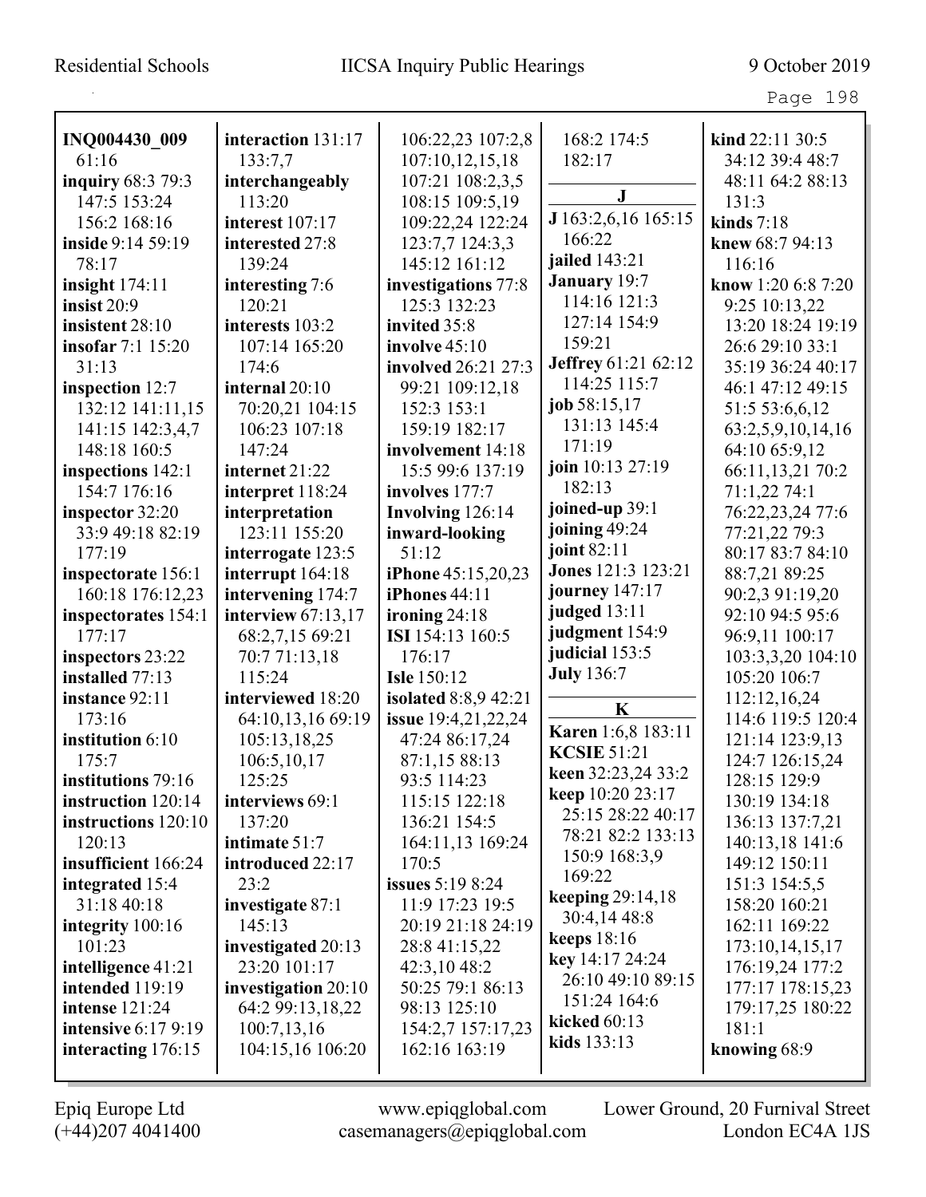Page 198

| INQ004430 009              | interaction 131:17   | 106:22,23 107:2,8       | 168:2 174:5                                     | kind 22:11 30:5    |
|----------------------------|----------------------|-------------------------|-------------------------------------------------|--------------------|
| 61:16                      | 133:7,7              | 107:10,12,15,18         | 182:17                                          | 34:12 39:4 48:7    |
| inquiry 68:3 79:3          | interchangeably      | 107:21 108:2,3,5        |                                                 | 48:11 64:2 88:13   |
| 147:5 153:24               | 113:20               | 108:15 109:5,19         | ${\bf J}$                                       | 131:3              |
| 156:2 168:16               | interest 107:17      | 109:22,24 122:24        | J 163:2,6,16 165:15                             | kinds $7:18$       |
| inside 9:14 59:19          | interested 27:8      | 123:7,7 124:3,3         | 166:22                                          | knew 68:7 94:13    |
| 78:17                      | 139:24               | 145:12 161:12           | jailed 143:21                                   | 116:16             |
| insight $174:11$           | interesting 7:6      | investigations 77:8     | January 19:7                                    | know 1:20 6:8 7:20 |
| insist $20:9$              | 120:21               | 125:3 132:23            | 114:16 121:3                                    | 9:25 10:13,22      |
| insistent 28:10            | interests 103:2      | invited 35:8            | 127:14 154:9                                    | 13:20 18:24 19:19  |
| <b>insofar</b> 7:1 15:20   | 107:14 165:20        | involve $45:10$         | 159:21                                          | 26:6 29:10 33:1    |
| 31:13                      | 174:6                | involved 26:21 27:3     | Jeffrey 61:21 62:12                             | 35:19 36:24 40:17  |
| inspection 12:7            | internal 20:10       | 99:21 109:12,18         | 114:25 115:7                                    | 46:1 47:12 49:15   |
| 132:12 141:11,15           | 70:20,21 104:15      | 152:3 153:1             | job 58:15,17                                    | 51:5 53:6,6,12     |
| 141:15 142:3,4,7           | 106:23 107:18        | 159:19 182:17           | 131:13 145:4                                    | 63:2,5,9,10,14,16  |
| 148:18 160:5               | 147:24               | involvement 14:18       | 171:19                                          | 64:10 65:9,12      |
| inspections 142:1          | internet 21:22       | 15:5 99:6 137:19        | join 10:13 27:19                                | 66:11,13,21 70:2   |
| 154:7 176:16               | interpret 118:24     | involves 177:7          | 182:13                                          | 71:1,22 74:1       |
| inspector 32:20            | interpretation       | Involving 126:14        | joined-up 39:1                                  | 76:22,23,24 77:6   |
| 33:9 49:18 82:19           | 123:11 155:20        | inward-looking          | joining 49:24                                   | 77:21,22 79:3      |
| 177:19                     | interrogate 123:5    | 51:12                   | joint 82:11                                     | 80:17 83:7 84:10   |
| inspectorate 156:1         | interrupt 164:18     | iPhone 45:15,20,23      | Jones 121:3 123:21                              | 88:7,21 89:25      |
| 160:18 176:12,23           | intervening 174:7    | <b>iPhones</b> 44:11    | journey 147:17                                  | 90:2,3 91:19,20    |
| inspectorates 154:1        | interview $67:13,17$ | ironing $24:18$         | judged 13:11                                    | 92:10 94:5 95:6    |
| 177:17                     | 68:2,7,15 69:21      | ISI 154:13 160:5        | judgment 154:9                                  | 96:9,11 100:17     |
| inspectors 23:22           | 70:7 71:13,18        | 176:17                  | judicial 153:5                                  | 103:3,3,20 104:10  |
| installed 77:13            | 115:24               | <b>Isle 150:12</b>      | <b>July</b> 136:7                               | 105:20 106:7       |
| instance 92:11             | interviewed 18:20    | isolated 8:8,9 42:21    | K                                               | 112:12,16,24       |
| 173:16                     | 64:10,13,16 69:19    | issue 19:4,21,22,24     |                                                 | 114:6 119:5 120:4  |
| institution 6:10           | 105:13,18,25         | 47:24 86:17,24          | <b>Karen</b> 1:6,8 183:11<br><b>KCSIE 51:21</b> | 121:14 123:9,13    |
| 175:7                      | 106:5, 10, 17        | 87:1,15 88:13           |                                                 | 124:7 126:15,24    |
| institutions 79:16         | 125:25               | 93:5 114:23             | keen 32:23,24 33:2                              | 128:15 129:9       |
| instruction 120:14         | interviews 69:1      | 115:15 122:18           | keep 10:20 23:17<br>25:15 28:22 40:17           | 130:19 134:18      |
| instructions 120:10        | 137:20               | 136:21 154:5            | 78:21 82:2 133:13                               | 136:13 137:7,21    |
| 120:13                     | intimate 51:7        | 164:11,13 169:24        | 150:9 168:3,9                                   | 140:13,18 141:6    |
| insufficient 166:24        | introduced 22:17     | 170:5                   | 169:22                                          | 149:12 150:11      |
| integrated 15:4            | 23:2                 | <b>issues</b> 5:19 8:24 | keeping 29:14,18                                | 151:3 154:5,5      |
| 31:18 40:18                | investigate 87:1     | 11:9 17:23 19:5         | 30:4,14 48:8                                    | 158:20 160:21      |
| integrity $100:16$         | 145:13               | 20:19 21:18 24:19       | <b>keeps</b> 18:16                              | 162:11 169:22      |
| 101:23                     | investigated 20:13   | 28:8 41:15,22           | key 14:17 24:24                                 | 173:10,14,15,17    |
| intelligence 41:21         | 23:20 101:17         | 42:3,10 48:2            | 26:10 49:10 89:15                               | 176:19,24 177:2    |
| intended 119:19            | investigation 20:10  | 50:25 79:1 86:13        | 151:24 164:6                                    | 177:17 178:15,23   |
| intense 121:24             | 64:2 99:13,18,22     | 98:13 125:10            | kicked $60:13$                                  | 179:17,25 180:22   |
| <b>intensive 6:17 9:19</b> | 100:7,13,16          | 154:2,7 157:17,23       | kids 133:13                                     | 181:1              |
| interacting 176:15         | 104:15,16 106:20     | 162:16 163:19           |                                                 | knowing 68:9       |
|                            |                      |                         |                                                 |                    |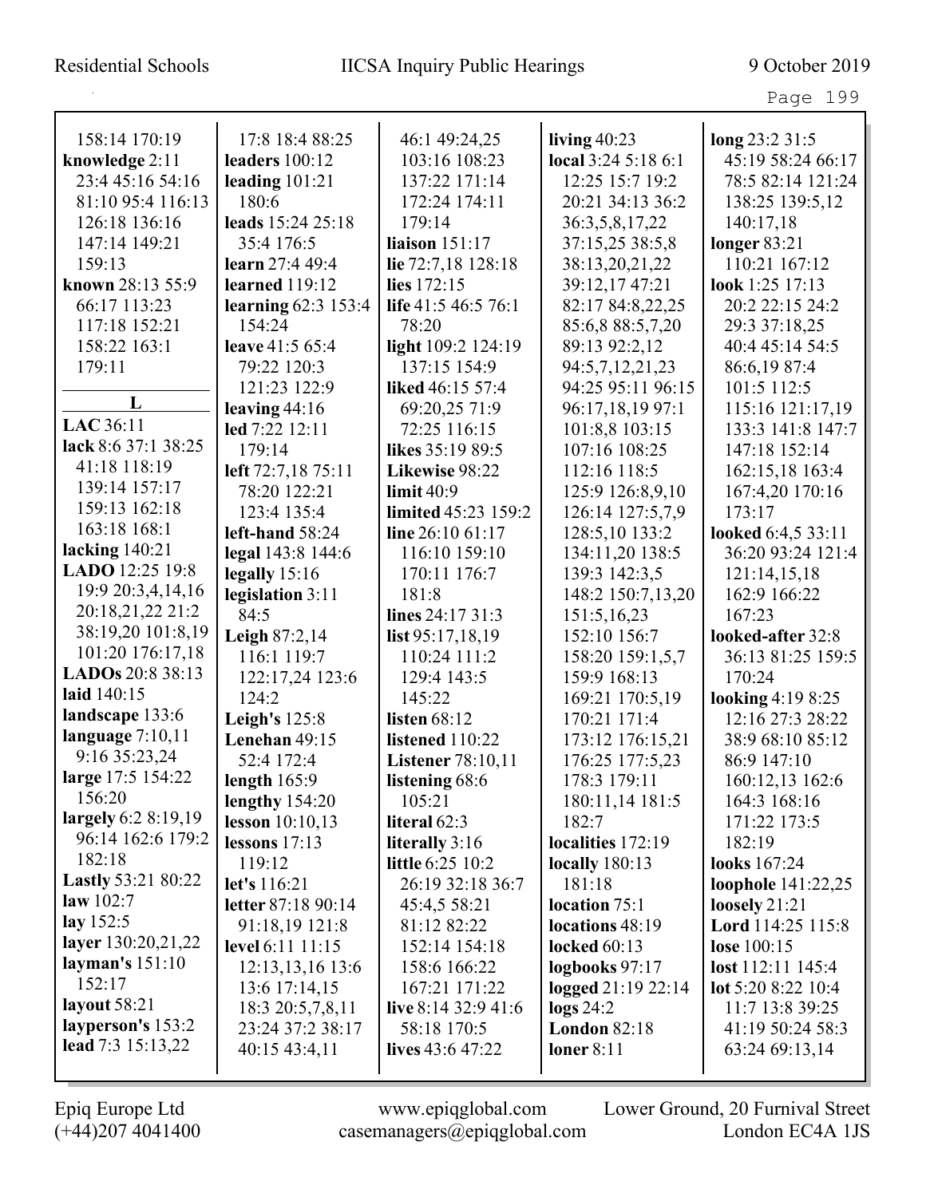|                           | 17:8 18:4 88:25          |                          |                                       |                                     |
|---------------------------|--------------------------|--------------------------|---------------------------------------|-------------------------------------|
| 158:14 170:19             |                          | 46:1 49:24,25            | living $40:23$<br>local 3:24 5:18 6:1 | long 23:2 31:5<br>45:19 58:24 66:17 |
| knowledge 2:11            | leaders $100:12$         | 103:16 108:23            |                                       |                                     |
| 23:4 45:16 54:16          | leading $101:21$         | 137:22 171:14            | 12:25 15:7 19:2                       | 78:5 82:14 121:24                   |
| 81:10 95:4 116:13         | 180:6                    | 172:24 174:11            | 20:21 34:13 36:2                      | 138:25 139:5,12                     |
| 126:18 136:16             | leads 15:24 25:18        | 179:14                   | 36:3,5,8,17,22                        | 140:17,18                           |
| 147:14 149:21             | 35:4 176:5               | liaison 151:17           | 37:15,25 38:5,8                       | longer $83:21$                      |
| 159:13                    | learn 27:4 49:4          | lie 72:7,18 128:18       | 38:13,20,21,22                        | 110:21 167:12                       |
| known 28:13 55:9          | <b>learned</b> 119:12    | lies 172:15              | 39:12,17 47:21                        | look 1:25 17:13                     |
| 66:17 113:23              | learning $62:3$ 153:4    | life 41:5 46:5 76:1      | 82:17 84:8,22,25                      | 20:2 22:15 24:2                     |
| 117:18 152:21             | 154:24                   | 78:20                    | 85:6,8 88:5,7,20                      | 29:3 37:18,25                       |
| 158:22 163:1              | leave 41:5 65:4          | light 109:2 124:19       | 89:13 92:2,12                         | 40:4 45:14 54:5                     |
| 179:11                    | 79:22 120:3              | 137:15 154:9             | 94:5,7,12,21,23                       | 86:6,19 87:4                        |
| L                         | 121:23 122:9             | liked 46:15 57:4         | 94:25 95:11 96:15                     | 101:5 112:5                         |
|                           | leaving $44:16$          | 69:20,25 71:9            | 96:17,18,19 97:1                      | 115:16 121:17,19                    |
| LAC 36:11                 | led 7:22 12:11           | 72:25 116:15             | 101:8,8 103:15                        | 133:3 141:8 147:7                   |
| lack 8:6 37:1 38:25       | 179:14                   | likes 35:19 89:5         | 107:16 108:25                         | 147:18 152:14                       |
| 41:18 118:19              | left 72:7,18 75:11       | Likewise 98:22           | 112:16 118:5                          | 162:15,18 163:4                     |
| 139:14 157:17             | 78:20 122:21             | $\lim$ it 40:9           | 125:9 126:8,9,10                      | 167:4,20 170:16                     |
| 159:13 162:18             | 123:4 135:4              | limited 45:23 159:2      | 126:14 127:5,7,9                      | 173:17                              |
| 163:18 168:1              | left-hand $58:24$        | line 26:10 61:17         | 128:5,10 133:2                        | looked 6:4,5 33:11                  |
| lacking $140:21$          | legal 143:8 144:6        | 116:10 159:10            | 134:11,20 138:5                       | 36:20 93:24 121:4                   |
| LADO 12:25 19:8           | legally $15:16$          | 170:11 176:7             | 139:3 142:3,5                         | 121:14,15,18                        |
| 19:9 20:3,4,14,16         | legislation 3:11         | 181:8                    | 148:2 150:7,13,20                     | 162:9 166:22                        |
| 20:18,21,22 21:2          | 84:5                     | lines 24:17 31:3         | 151:5,16,23                           | 167:23                              |
| 38:19,20 101:8,19         | <b>Leigh 87:2,14</b>     | list 95:17,18,19         | 152:10 156:7                          | looked-after 32:8                   |
| 101:20 176:17,18          | 116:1 119:7              | 110:24 111:2             | 158:20 159:1,5,7                      | 36:13 81:25 159:5                   |
| LADOs 20:8 38:13          | 122:17,24 123:6          | 129:4 143:5              | 159:9 168:13                          | 170:24                              |
| laid 140:15               | 124:2                    | 145:22                   | 169:21 170:5,19                       | looking $4:198:25$                  |
| landscape 133:6           | <b>Leigh's</b> 125:8     | <b>listen</b> 68:12      | 170:21 171:4                          | 12:16 27:3 28:22                    |
| language $7:10,11$        | Lenehan 49:15            | listened 110:22          | 173:12 176:15,21                      | 38:9 68:10 85:12                    |
| 9:16 35:23,24             | 52:4 172:4               | <b>Listener 78:10,11</b> | 176:25 177:5,23                       | 86:9 147:10                         |
| large 17:5 154:22         | length $165:9$           | listening 68:6           | 178:3 179:11                          | 160:12,13 162:6                     |
| 156:20                    | lengthy $154:20$         | 105:21                   | 180:11,14 181:5                       | 164:3 168:16                        |
| largely $6:28:19,19$      | <b>lesson</b> $10:10,13$ | literal 62:3             | 182:7                                 | 171:22 173:5                        |
| 96:14 162:6 179:2         | lessons $17:13$          | literally 3:16           | localities 172:19                     | 182:19                              |
| 182:18                    | 119:12                   | little 6:25 10:2         | <b>locally</b> 180:13                 | <b>looks</b> 167:24                 |
| <b>Lastly 53:21 80:22</b> | let's 116:21             | 26:19 32:18 36:7         | 181:18                                | loophole 141:22,25                  |
| law 102:7                 | letter 87:18 90:14       | 45:4,5 58:21             | location 75:1                         | loosely $21:21$                     |
| lay 152:5                 | 91:18,19 121:8           | 81:12 82:22              | locations 48:19                       | Lord 114:25 115:8                   |
| layer 130:20,21,22        | level 6:11 11:15         | 152:14 154:18            | <b>locked</b> 60:13                   | lose 100:15                         |
| layman's $151:10$         | 12:13, 13, 16 13:6       | 158:6 166:22             | logbooks 97:17                        | lost 112:11 145:4                   |
| 152:17                    | 13:6 17:14,15            | 167:21 171:22            | logged 21:19 22:14                    | lot $5:208:2210:4$                  |
| layout 58:21              | 18:3 20:5,7,8,11         | live $8:14\,32:9\,41:6$  | $\log s 24:2$                         | 11:7 13:8 39:25                     |
| layperson's 153:2         | 23:24 37:2 38:17         | 58:18 170:5              | <b>London 82:18</b>                   | 41:19 50:24 58:3                    |
| lead 7:3 15:13,22         | 40:15 43:4,11            | lives $43:6$ 47:22       | loner $8:11$                          | 63:24 69:13,14                      |
|                           |                          |                          |                                       |                                     |

L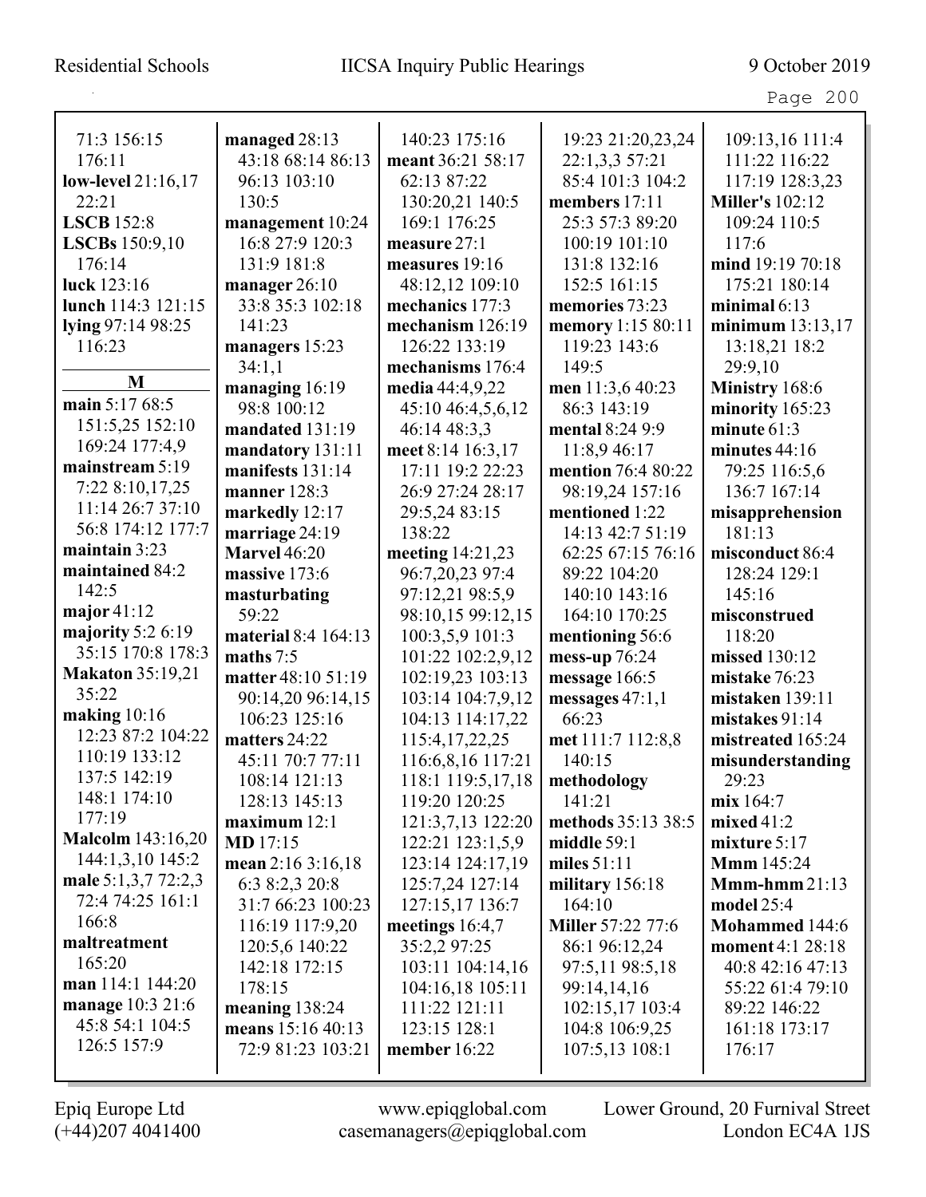|                          |                         |                                      |                                | Page 200                             |
|--------------------------|-------------------------|--------------------------------------|--------------------------------|--------------------------------------|
| 71:3 156:15              | managed 28:13           | 140:23 175:16                        | 19:23 21:20,23,24              | 109:13,16 111:4                      |
| 176:11                   | 43:18 68:14 86:13       | meant 36:21 58:17                    | 22:1,3,3 57:21                 | 111:22 116:22                        |
| low-level 21:16,17       | 96:13 103:10            | 62:13 87:22                          | 85:4 101:3 104:2               | 117:19 128:3,23                      |
| 22:21                    | 130:5                   | 130:20,21 140:5                      | members 17:11                  | <b>Miller's 102:12</b>               |
| <b>LSCB</b> 152:8        | management 10:24        | 169:1 176:25                         | 25:3 57:3 89:20                | 109:24 110:5                         |
| LSCBs 150:9,10           | 16:8 27:9 120:3         | measure $27:1$                       | 100:19 101:10                  | 117:6                                |
| 176:14                   | 131:9 181:8             | measures 19:16                       | 131:8 132:16                   | mind 19:19 70:18                     |
| luck 123:16              | manager 26:10           | 48:12,12 109:10                      | 152:5 161:15                   | 175:21 180:14                        |
| lunch 114:3 121:15       | 33:8 35:3 102:18        | mechanics 177:3                      | memories 73:23                 | minimal $6:13$                       |
| lying 97:14 98:25        | 141:23                  | mechanism 126:19                     | memory 1:15 80:11              | minimum $13:13,17$                   |
| 116:23                   | managers 15:23          | 126:22 133:19                        | 119:23 143:6                   | 13:18,21 18:2                        |
|                          | 34:1,1                  | mechanisms 176:4                     | 149:5                          | 29:9,10                              |
| M                        | managing 16:19          | media $44:4,9,22$                    | men 11:3,6 40:23               | Ministry 168:6                       |
| main 5:17 68:5           | 98:8 100:12             | 45:10 46:4,5,6,12                    | 86:3 143:19                    | minority 165:23                      |
| 151:5,25 152:10          | mandated 131:19         | 46:14 48:3,3                         | mental 8:24 9:9                | minute $61:3$                        |
| 169:24 177:4,9           | mandatory 131:11        | meet 8:14 16:3,17                    | 11:8,9 46:17                   | minutes $44:16$                      |
| mainstream 5:19          | manifests 131:14        | 17:11 19:2 22:23                     | mention 76:4 80:22             | 79:25 116:5,6                        |
| 7:22 8:10,17,25          | manner $128:3$          | 26:9 27:24 28:17                     | 98:19,24 157:16                | 136:7 167:14                         |
| 11:14 26:7 37:10         | markedly 12:17          | 29:5,24 83:15                        | mentioned 1:22                 | misapprehension                      |
| 56:8 174:12 177:7        | marriage 24:19          | 138:22                               | 14:13 42:7 51:19               | 181:13                               |
| maintain 3:23            | <b>Marvel</b> 46:20     | meeting 14:21,23                     | 62:25 67:15 76:16              | misconduct 86:4                      |
| maintained 84:2          | massive 173:6           | 96:7,20,23 97:4                      | 89:22 104:20                   | 128:24 129:1                         |
| 142:5                    | masturbating            | 97:12,21 98:5,9                      | 140:10 143:16                  | 145:16                               |
| major $41:12$            | 59:22                   | 98:10,15 99:12,15                    | 164:10 170:25                  | misconstrued                         |
| majority $5:26:19$       | material 8:4 164:13     | 100:3,5,9 101:3                      | mentioning 56:6                | 118:20                               |
| 35:15 170:8 178:3        | maths $7:5$             | 101:22 102:2,9,12                    | mess-up 76:24                  | missed 130:12                        |
| <b>Makaton</b> 35:19,21  | matter 48:10 51:19      | 102:19,23 103:13                     | message 166:5                  | mistake 76:23                        |
| 35:22                    | 90:14,20 96:14,15       | 103:14 104:7,9,12                    | messages $47:1,1$              | mistaken 139:11                      |
| making 10:16             | 106:23 125:16           | 104:13 114:17,22                     | 66:23                          | mistakes $91:14$                     |
| 12:23 87:2 104:22        | matters 24:22           | 115:4, 17, 22, 25                    | met 111:7 112:8,8              | mistreated 165:24                    |
| 110:19 133:12            | 45:11 70:7 77:11        | 116:6,8,16 117:21                    | 140:15                         | misunderstanding                     |
| 137:5 142:19             | 108:14 121:13           | 118:1 119:5,17,18                    | methodology                    | 29:23                                |
| 148:1 174:10<br>177:19   | 128:13 145:13           | 119:20 120:25                        | 141:21                         | mix 164:7                            |
| <b>Malcolm</b> 143:16,20 | maximum 12:1            | 121:3,7,13 122:20                    | methods 35:13 38:5             | $mixed$ 41:2                         |
| 144:1,3,10 145:2         | <b>MD</b> 17:15         | 122:21 123:1,5,9                     | middle $59:1$                  | mixture $5:17$                       |
| male 5:1,3,7 72:2,3      | mean $2:16\,3:16,18$    | 123:14 124:17,19                     | miles $51:11$                  | <b>Mmm</b> 145:24                    |
| 72:4 74:25 161:1         | 6:3 8:2,3 20:8          | 125:7,24 127:14                      | military $156:18$              | $Mmm-hmm21:13$                       |
| 166:8                    | 31:7 66:23 100:23       | 127:15,17 136:7                      | 164:10                         | model $25:4$                         |
| maltreatment             | 116:19 117:9,20         | meetings $16:4,7$                    | <b>Miller</b> 57:22 77:6       | Mohammed 144:6                       |
| 165:20                   | 120:5,6 140:22          | 35:2,297:25                          | 86:1 96:12,24                  | moment 4:1 28:18                     |
| man 114:1 144:20         | 142:18 172:15<br>178:15 | 103:11 104:14,16<br>104:16,18 105:11 | 97:5,11 98:5,18<br>99:14,14,16 | 40:8 42:16 47:13<br>55:22 61:4 79:10 |
| manage 10:3 21:6         | meaning $138:24$        | 111:22 121:11                        | 102:15,17 103:4                | 89:22 146:22                         |
| 45:8 54:1 104:5          | means 15:16 40:13       | 123:15 128:1                         | 104:8 106:9,25                 | 161:18 173:17                        |
| 126:5 157:9              | 72:9 81:23 103:21       | member $16:22$                       | 107:5,13 108:1                 | 176:17                               |
|                          |                         |                                      |                                |                                      |

(+44)207 4041400 casemanagers@epiqglobal.com London EC4A 1JS

Epiq Europe Ltd www.epiqglobal.com Lower Ground, 20 Furnival Street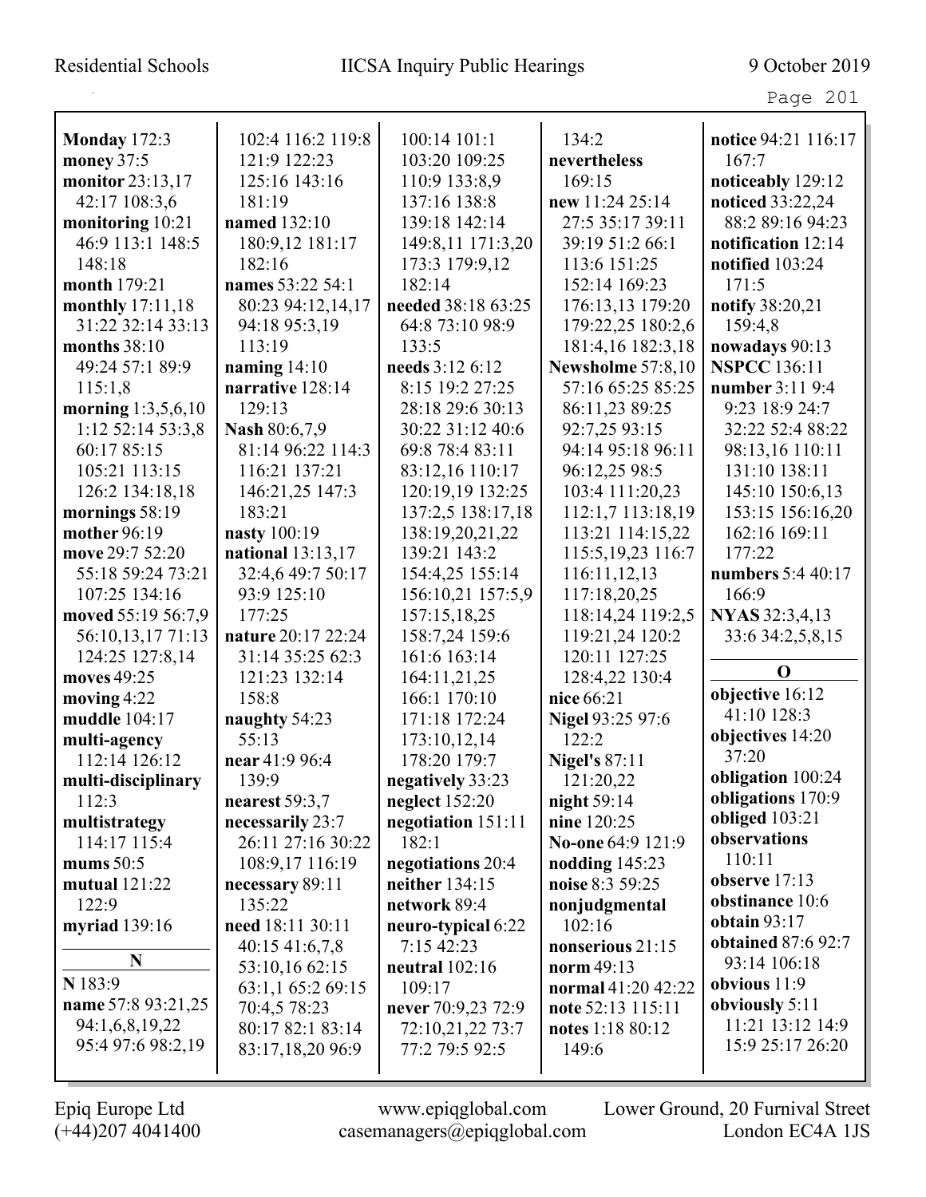| <b>Monday</b> 172:3  | 102:4 116:2 119:8  | 100:14 101:1       | 134:2                | notice 94:21 116:17       |
|----------------------|--------------------|--------------------|----------------------|---------------------------|
| money 37:5           | 121:9 122:23       | 103:20 109:25      | nevertheless         | 167:7                     |
| monitor 23:13,17     | 125:16 143:16      | 110:9 133:8,9      | 169:15               | noticeably 129:12         |
| 42:17 108:3,6        | 181:19             | 137:16 138:8       | new 11:24 25:14      | noticed 33:22,24          |
| monitoring 10:21     | named 132:10       | 139:18 142:14      | 27:5 35:17 39:11     | 88:2 89:16 94:23          |
| 46:9 113:1 148:5     | 180:9,12 181:17    | 149:8,11 171:3,20  | 39:19 51:2 66:1      | notification 12:14        |
| 148:18               | 182:16             | 173:3 179:9,12     | 113:6 151:25         | notified 103:24           |
| month 179:21         | names 53:22 54:1   | 182:14             | 152:14 169:23        | 171:5                     |
| monthly 17:11,18     | 80:23 94:12,14,17  | needed 38:18 63:25 | 176:13,13 179:20     | notify 38:20,21           |
| 31:22 32:14 33:13    | 94:18 95:3,19      | 64:8 73:10 98:9    | 179:22,25 180:2,6    | 159:4,8                   |
| months $38:10$       | 113:19             | 133:5              | 181:4,16 182:3,18    | nowadays 90:13            |
| 49:24 57:1 89:9      | naming $14:10$     | needs 3:12 6:12    | Newsholme 57:8,10    | <b>NSPCC</b> 136:11       |
| 115:1,8              | narrative 128:14   | 8:15 19:2 27:25    | 57:16 65:25 85:25    | number 3:11 9:4           |
| morning $1:3,5,6,10$ | 129:13             | 28:18 29:6 30:13   | 86:11,23 89:25       | 9:23 18:9 24:7            |
| 1:12 52:14 53:3,8    | Nash 80:6,7,9      | 30:22 31:12 40:6   | 92:7,25 93:15        | 32:22 52:4 88:22          |
| 60:17 85:15          | 81:14 96:22 114:3  | 69:8 78:4 83:11    | 94:14 95:18 96:11    | 98:13,16 110:11           |
| 105:21 113:15        | 116:21 137:21      | 83:12,16 110:17    | 96:12,25 98:5        | 131:10 138:11             |
| 126:2 134:18,18      | 146:21,25 147:3    | 120:19,19 132:25   | 103:4 111:20,23      | 145:10 150:6,13           |
| mornings 58:19       | 183:21             | 137:2,5 138:17,18  | 112:1,7 113:18,19    | 153:15 156:16,20          |
| mother 96:19         | nasty 100:19       | 138:19,20,21,22    | 113:21 114:15,22     | 162:16 169:11             |
| move 29:7 52:20      | national 13:13,17  | 139:21 143:2       | 115:5, 19, 23 116:7  | 177:22                    |
| 55:18 59:24 73:21    | 32:4,6 49:7 50:17  | 154:4,25 155:14    | 116:11,12,13         | numbers 5:4 40:17         |
| 107:25 134:16        | 93:9 125:10        | 156:10,21 157:5,9  | 117:18,20,25         | 166:9                     |
| moved 55:19 56:7,9   | 177:25             | 157:15,18,25       | 118:14,24 119:2,5    | NYAS 32:3,4,13            |
| 56:10,13,17 71:13    | nature 20:17 22:24 | 158:7,24 159:6     | 119:21,24 120:2      | 33:6 34:2,5,8,15          |
| 124:25 127:8,14      | 31:14 35:25 62:3   | 161:6 163:14       | 120:11 127:25        |                           |
| moves 49:25          | 121:23 132:14      | 164:11,21,25       | 128:4,22 130:4       | $\mathbf 0$               |
| moving $4:22$        | 158:8              | 166:1 170:10       | nice 66:21           | objective 16:12           |
| muddle 104:17        | naughty 54:23      | 171:18 172:24      | Nigel 93:25 97:6     | 41:10 128:3               |
| multi-agency         | 55:13              | 173:10,12,14       | 122:2                | objectives 14:20          |
| 112:14 126:12        | near 41:9 96:4     | 178:20 179:7       | <b>Nigel's 87:11</b> | 37:20                     |
| multi-disciplinary   | 139:9              | negatively 33:23   | 121:20,22            | obligation 100:24         |
| 112:3                | nearest $59:3,7$   | neglect $152:20$   | night 59:14          | obligations 170:9         |
| multistrategy        | necessarily 23:7   | negotiation 151:11 | nine 120:25          | obliged 103:21            |
| 114:17 115:4         | 26:11 27:16 30:22  | 182:1              | No-one 64:9 121:9    | observations<br>110:11    |
| mums $50:5$          | 108:9,17 116:19    | negotiations 20:4  | nodding $145:23$     |                           |
| mutual $121:22$      | necessary 89:11    | neither 134:15     | noise 8:3 59:25      | observe 17:13             |
| 122:9                | 135:22             | network 89:4       | nonjudgmental        | obstinance 10:6           |
| myriad 139:16        | need 18:11 30:11   | neuro-typical 6:22 | 102:16               | obtain $93:17$            |
| N                    | $40:15\;41:6,7,8$  | 7:15 42:23         | nonserious 21:15     | <b>obtained</b> 87:6 92:7 |
|                      | 53:10,16 62:15     | neutral $102:16$   | norm 49:13           | 93:14 106:18              |
| N 183:9              | 63:1,1 65:2 69:15  | 109:17             | normal 41:20 42:22   | obvious $11:9$            |
| name 57:8 93:21,25   | 70:4,5 78:23       | never 70:9,23 72:9 | note 52:13 115:11    | obviously 5:11            |
| 94:1,6,8,19,22       | 80:17 82:1 83:14   | 72:10,21,22 73:7   | notes 1:18 80:12     | 11:21 13:12 14:9          |
| 95:4 97:6 98:2,19    | 83:17,18,20 96:9   | 77:2 79:5 92:5     | 149:6                | 15:9 25:17 26:20          |
|                      |                    |                    |                      |                           |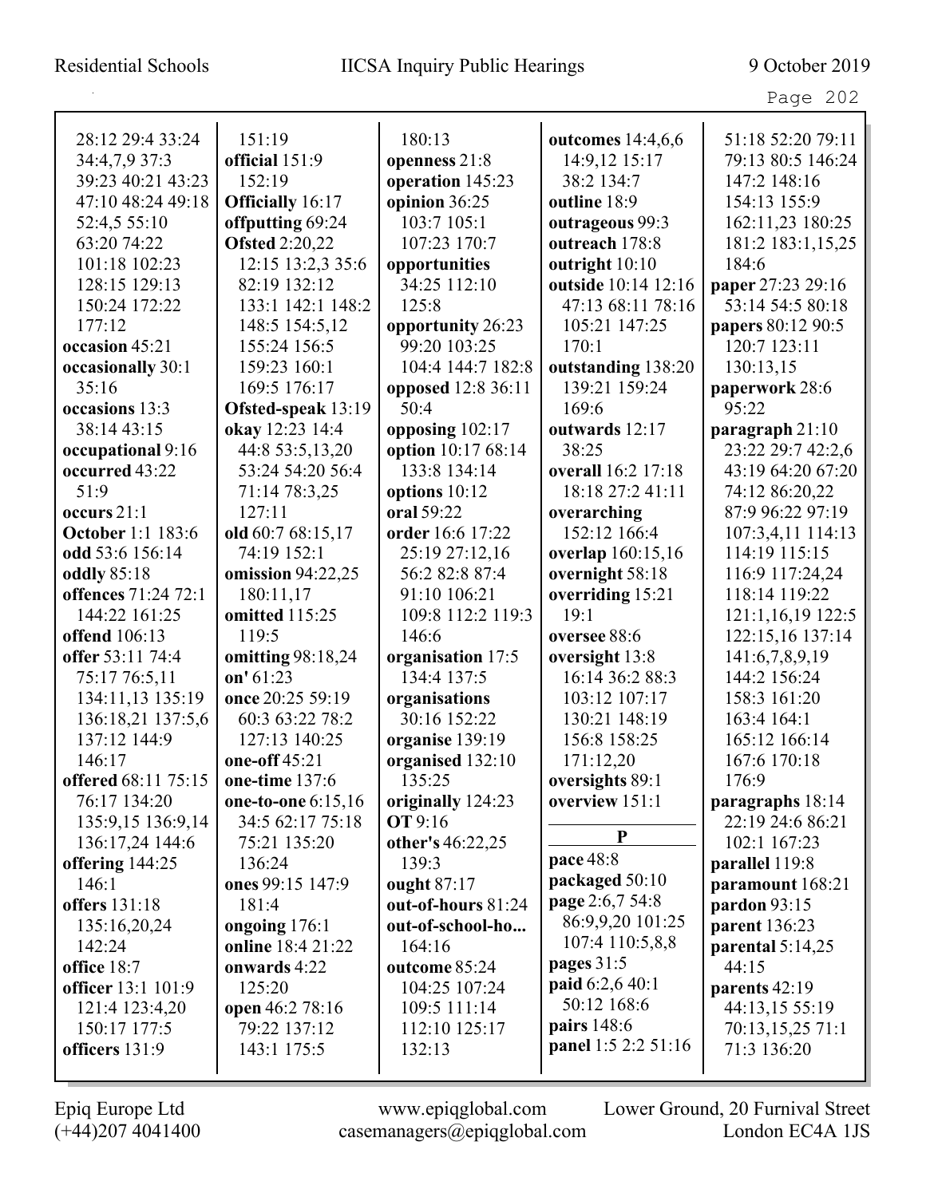| 28:12 29:4 33:24         | 151:19                  | 180:13             | outcomes 14:4,6,6              | 51:18 52:20 79:11  |
|--------------------------|-------------------------|--------------------|--------------------------------|--------------------|
| 34:4,7,9 37:3            | official 151:9          | openness 21:8      | 14:9,12 15:17                  | 79:13 80:5 146:24  |
| 39:23 40:21 43:23        | 152:19                  | operation 145:23   | 38:2 134:7                     | 147:2 148:16       |
| 47:10 48:24 49:18        | <b>Officially</b> 16:17 | opinion 36:25      | outline 18:9                   | 154:13 155:9       |
| 52:4,5 55:10             | offputting 69:24        | 103:7 105:1        | outrageous 99:3                | 162:11,23 180:25   |
| 63:20 74:22              | <b>Ofsted 2:20,22</b>   | 107:23 170:7       | outreach 178:8                 | 181:2 183:1,15,25  |
| 101:18 102:23            | 12:15 13:2,3 35:6       | opportunities      | outright 10:10                 | 184:6              |
| 128:15 129:13            | 82:19 132:12            | 34:25 112:10       | outside 10:14 12:16            | paper 27:23 29:16  |
| 150:24 172:22            | 133:1 142:1 148:2       | 125:8              | 47:13 68:11 78:16              | 53:14 54:5 80:18   |
| 177:12                   | 148:5 154:5,12          | opportunity 26:23  | 105:21 147:25                  | papers 80:12 90:5  |
| occasion 45:21           | 155:24 156:5            | 99:20 103:25       | 170:1                          | 120:7 123:11       |
| occasionally 30:1        | 159:23 160:1            | 104:4 144:7 182:8  | outstanding 138:20             | 130:13,15          |
| 35:16                    | 169:5 176:17            | opposed 12:8 36:11 | 139:21 159:24                  | paperwork 28:6     |
| occasions 13:3           | Ofsted-speak 13:19      | 50:4               | 169:6                          | 95:22              |
| 38:14 43:15              | okay 12:23 14:4         | opposing 102:17    | outwards 12:17                 | paragraph 21:10    |
| occupational 9:16        | 44:8 53:5,13,20         | option 10:17 68:14 | 38:25                          | 23:22 29:7 42:2,6  |
| occurred 43:22           | 53:24 54:20 56:4        | 133:8 134:14       | overall 16:2 17:18             | 43:19 64:20 67:20  |
| 51:9                     | 71:14 78:3,25           | options 10:12      | 18:18 27:2 41:11               | 74:12 86:20,22     |
| occurs $21:1$            | 127:11                  | oral 59:22         | overarching                    | 87:9 96:22 97:19   |
| <b>October 1:1 183:6</b> | old 60:7 68:15,17       | order 16:6 17:22   | 152:12 166:4                   | 107:3,4,11 114:13  |
| odd 53:6 156:14          | 74:19 152:1             | 25:19 27:12,16     | overlap 160:15,16              | 114:19 115:15      |
| <b>oddly</b> 85:18       | omission 94:22,25       | 56:2 82:8 87:4     | overnight 58:18                | 116:9 117:24,24    |
| offences 71:24 72:1      | 180:11,17               | 91:10 106:21       | overriding 15:21               | 118:14 119:22      |
| 144:22 161:25            | omitted 115:25          | 109:8 112:2 119:3  | 19:1                           | 121:1,16,19 122:5  |
| offend 106:13            | 119:5                   | 146:6              | oversee 88:6                   | 122:15,16 137:14   |
| offer 53:11 74:4         | omitting 98:18,24       | organisation 17:5  | oversight 13:8                 | 141:6,7,8,9,19     |
| 75:17 76:5,11            | on' $61:23$             | 134:4 137:5        | 16:14 36:2 88:3                | 144:2 156:24       |
| 134:11,13 135:19         | once 20:25 59:19        | organisations      | 103:12 107:17                  | 158:3 161:20       |
| 136:18,21 137:5,6        | 60:3 63:22 78:2         | 30:16 152:22       | 130:21 148:19                  | 163:4 164:1        |
| 137:12 144:9             | 127:13 140:25           | organise 139:19    | 156:8 158:25                   | 165:12 166:14      |
| 146:17                   | one-off 45:21           | organised 132:10   | 171:12,20                      | 167:6 170:18       |
| offered 68:11 75:15      | one-time 137:6          | 135:25             | oversights 89:1                | 176:9              |
| 76:17 134:20             | one-to-one 6:15,16      | originally 124:23  | overview 151:1                 | paragraphs 18:14   |
| 135:9,15 136:9,14        | 34:5 62:17 75:18        | <b>OT</b> 9:16     | ${\bf P}$                      | 22:19 24:6 86:21   |
| 136:17,24 144:6          | 75:21 135:20            | other's 46:22,25   |                                | 102:1 167:23       |
| offering 144:25          | 136:24                  | 139:3              | pace 48:8                      | parallel 119:8     |
| 146:1                    | ones 99:15 147:9        | ought 87:17        | packaged 50:10                 | paramount 168:21   |
| offers 131:18            | 181:4                   | out-of-hours 81:24 | page 2:6,7 54:8                | pardon 93:15       |
| 135:16,20,24             | ongoing 176:1           | out-of-school-ho   | 86:9,9,20 101:25               | parent 136:23      |
| 142:24                   | online 18:4 21:22       | 164:16             | 107:4 110:5,8,8                | parental $5:14,25$ |
| office 18:7              | onwards 4:22            | outcome 85:24      | pages $31:5$                   | 44:15              |
| officer 13:1 101:9       | 125:20                  | 104:25 107:24      | paid 6:2,6 40:1<br>50:12 168:6 | parents 42:19      |
| 121:4 123:4,20           | open 46:2 78:16         | 109:5 111:14       | pairs 148:6                    | 44:13,15 55:19     |
| 150:17 177:5             | 79:22 137:12            | 112:10 125:17      | panel 1:5 2:2 51:16            | 70:13,15,25 71:1   |
| officers 131:9           | 143:1 175:5             | 132:13             |                                | 71:3 136:20        |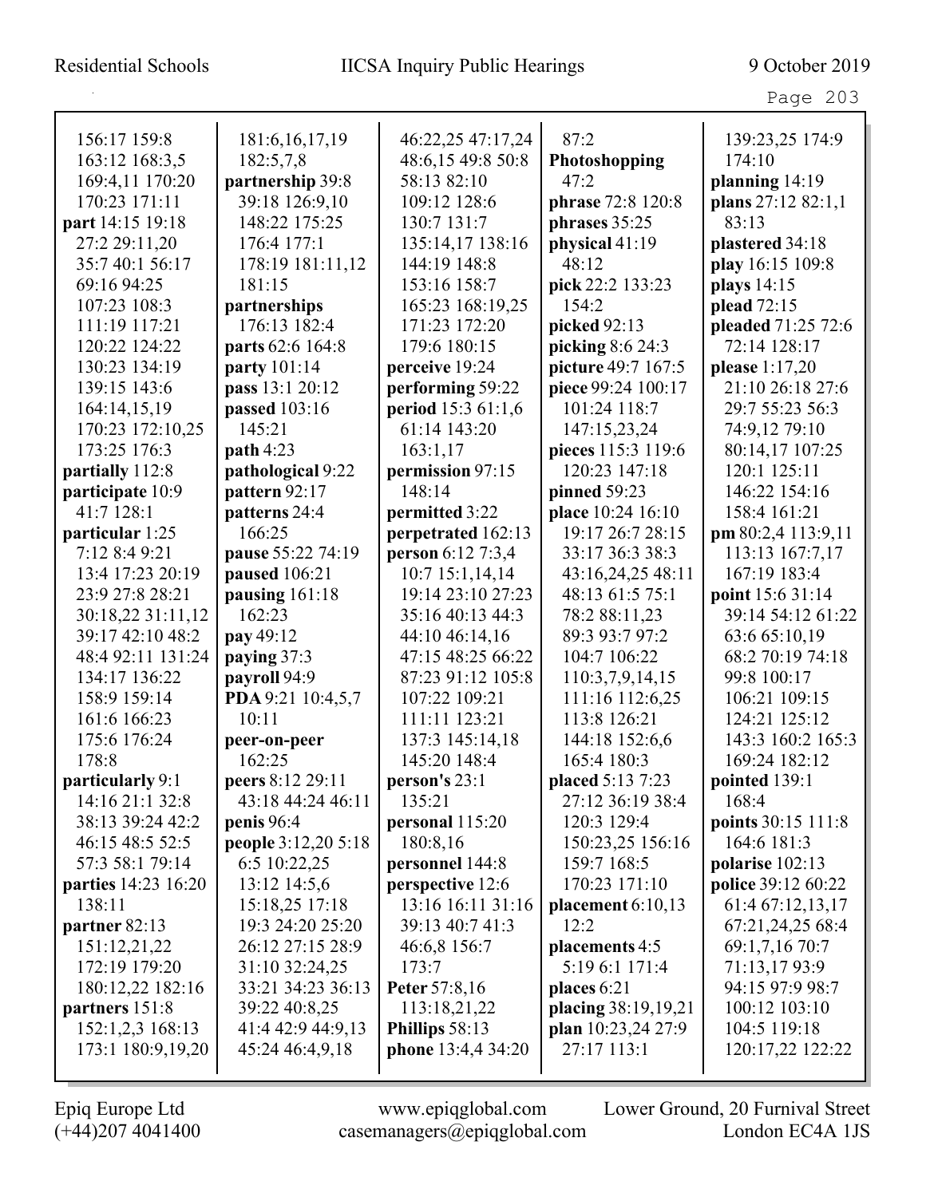Page 203

| 156:17 159:8               | 181:6, 16, 17, 19   | 46:22,25 47:17,24  | 87:2                | 139:23,25 174:9    |
|----------------------------|---------------------|--------------------|---------------------|--------------------|
| 163:12 168:3,5             | 182:5,7,8           | 48:6,15 49:8 50:8  | Photoshopping       | 174:10             |
| 169:4,11 170:20            | partnership 39:8    | 58:13 82:10        | 47:2                | planning 14:19     |
| 170:23 171:11              | 39:18 126:9,10      | 109:12 128:6       | phrase 72:8 120:8   | plans 27:12 82:1,1 |
| part 14:15 19:18           | 148:22 175:25       | 130:7 131:7        | phrases 35:25       | 83:13              |
| 27:2 29:11,20              | 176:4 177:1         | 135:14,17 138:16   | physical 41:19      | plastered 34:18    |
| 35:7 40:1 56:17            | 178:19 181:11,12    | 144:19 148:8       | 48:12               | play 16:15 109:8   |
| 69:16 94:25                | 181:15              | 153:16 158:7       | pick 22:2 133:23    | plays 14:15        |
| 107:23 108:3               | partnerships        | 165:23 168:19,25   | 154.2               | plead 72:15        |
| 111:19 117:21              | 176:13 182:4        | 171:23 172:20      | picked 92:13        | pleaded 71:25 72:6 |
| 120:22 124:22              | parts 62:6 164:8    | 179:6 180:15       | picking 8:6 24:3    | 72:14 128:17       |
| 130:23 134:19              | party 101:14        | perceive 19:24     | picture 49:7 167:5  | please 1:17,20     |
| 139:15 143:6               | pass 13:1 20:12     | performing 59:22   | piece 99:24 100:17  | 21:10 26:18 27:6   |
| 164:14,15,19               | passed 103:16       | period 15:3 61:1,6 | 101:24 118:7        | 29:7 55:23 56:3    |
| 170:23 172:10,25           | 145:21              | 61:14 143:20       | 147:15,23,24        | 74:9,12 79:10      |
| 173:25 176:3               | path 4:23           | 163:1,17           | pieces 115:3 119:6  | 80:14,17 107:25    |
| partially 112:8            | pathological 9:22   | permission 97:15   | 120:23 147:18       | 120:1 125:11       |
| participate 10:9           | pattern 92:17       | 148:14             | pinned 59:23        | 146:22 154:16      |
| 41:7 128:1                 | patterns 24:4       | permitted 3:22     | place 10:24 16:10   | 158:4 161:21       |
| particular 1:25            | 166:25              | perpetrated 162:13 | 19:17 26:7 28:15    | pm 80:2,4 113:9,11 |
| 7:12 8:4 9:21              | pause 55:22 74:19   | person 6:12 7:3,4  | 33:17 36:3 38:3     | 113:13 167:7,17    |
| 13:4 17:23 20:19           | paused 106:21       | 10:7 15:1,14,14    | 43:16,24,25 48:11   | 167:19 183:4       |
| 23:9 27:8 28:21            | pausing 161:18      | 19:14 23:10 27:23  | 48:13 61:5 75:1     | point 15:6 31:14   |
| 30:18,22 31:11,12          | 162:23              | 35:16 40:13 44:3   | 78:2 88:11,23       | 39:14 54:12 61:22  |
| 39:17 42:10 48:2           | pay 49:12           | 44:10 46:14,16     | 89:3 93:7 97:2      | 63:6 65:10,19      |
| 48:4 92:11 131:24          | paying 37:3         | 47:15 48:25 66:22  | 104:7 106:22        | 68:2 70:19 74:18   |
| 134:17 136:22              | payroll 94:9        | 87:23 91:12 105:8  | 110:3,7,9,14,15     | 99:8 100:17        |
| 158:9 159:14               | PDA 9:21 10:4,5,7   | 107:22 109:21      | 111:16 112:6,25     | 106:21 109:15      |
| 161:6 166:23               | 10:11               | 111:11 123:21      | 113:8 126:21        | 124:21 125:12      |
| 175:6 176:24               | peer-on-peer        | 137:3 145:14,18    | 144:18 152:6,6      | 143:3 160:2 165:3  |
| 178:8                      | 162:25              | 145:20 148:4       | 165:4 180:3         | 169:24 182:12      |
| particularly 9:1           | peers 8:12 29:11    | person's 23:1      | placed 5:13 7:23    | pointed 139:1      |
| 14:16 21:1 32:8            | 43:18 44:24 46:11   | 135:21             | 27:12 36:19 38:4    | 168:4              |
| 38:13 39:24 42:2           | penis $96:4$        | personal 115:20    | 120:3 129:4         | points 30:15 111:8 |
| 46:15 48:5 52:5            | people 3:12,20 5:18 | 180:8,16           | 150:23,25 156:16    | 164:6 181:3        |
| 57:3 58:1 79:14            | 6:5 10:22,25        | personnel 144:8    | 159:7 168:5         | polarise 102:13    |
| <b>parties</b> 14:23 16:20 | 13:12 14:5,6        | perspective 12:6   | 170:23 171:10       | police 39:12 60:22 |
| 138:11                     | 15:18,25 17:18      | 13:16 16:11 31:16  | placement $6:10,13$ | 61:4 67:12,13,17   |
| partner 82:13              | 19:3 24:20 25:20    | 39:13 40:7 41:3    | 12:2                | 67:21,24,25 68:4   |
| 151:12,21,22               | 26:12 27:15 28:9    | 46:6,8 156:7       | placements 4:5      | 69:1,7,16 70:7     |
| 172:19 179:20              | 31:10 32:24,25      | 173:7              | 5:19 6:1 171:4      | 71:13,1793:9       |
| 180:12,22 182:16           | 33:21 34:23 36:13   | Peter 57:8,16      | places $6:21$       | 94:15 97:9 98:7    |
| partners 151:8             | 39:22 40:8,25       | 113:18,21,22       | placing 38:19,19,21 | 100:12 103:10      |
| 152:1,2,3 168:13           | 41:4 42:9 44:9,13   | Phillips 58:13     | plan 10:23,24 27:9  | 104:5 119:18       |
| 173:1 180:9,19,20          | 45:24 46:4,9,18     | phone 13:4,4 34:20 | 27:17 113:1         | 120:17,22 122:22   |
|                            |                     |                    |                     |                    |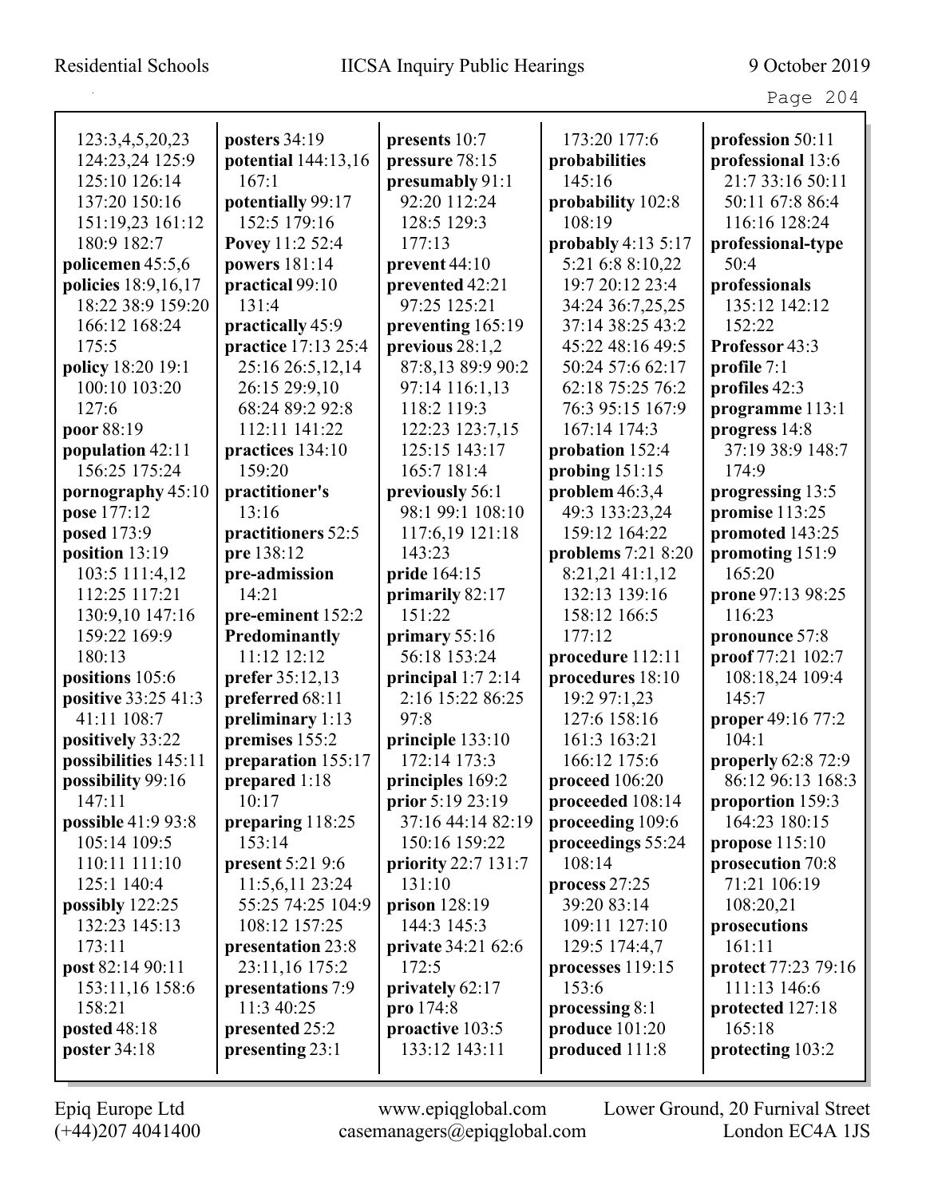| 123:3,4,5,20,23      | posters 34:19           | presents 10:7             | 173:20 177:6        | profession 50:11          |
|----------------------|-------------------------|---------------------------|---------------------|---------------------------|
| 124:23,24 125:9      | potential 144:13,16     | pressure 78:15            | probabilities       | professional 13:6         |
| 125:10 126:14        | 167:1                   | presumably 91:1           | 145:16              | 21:7 33:16 50:11          |
| 137:20 150:16        | potentially 99:17       | 92:20 112:24              | probability 102:8   | 50:11 67:8 86:4           |
| 151:19,23 161:12     | 152:5 179:16            | 128:5 129:3               | 108:19              | 116:16 128:24             |
| 180:9 182:7          | Povey 11:2 52:4         | 177:13                    | probably $4:135:17$ | professional-type         |
| policemen 45:5,6     | powers 181:14           | prevent $44:10$           | 5:21 6:8 8:10,22    | 50:4                      |
| policies 18:9,16,17  | practical 99:10         | prevented 42:21           | 19:7 20:12 23:4     | professionals             |
| 18:22 38:9 159:20    | 131:4                   | 97:25 125:21              | 34:24 36:7,25,25    | 135:12 142:12             |
| 166:12 168:24        | practically 45:9        | preventing 165:19         | 37:14 38:25 43:2    | 152:22                    |
| 175:5                | practice 17:13 25:4     | previous $28:1,2$         | 45:22 48:16 49:5    | Professor 43:3            |
| policy 18:20 19:1    | 25:16 26:5,12,14        | 87:8,13 89:9 90:2         | 50:24 57:6 62:17    | profile 7:1               |
| 100:10 103:20        | 26:15 29:9,10           | 97:14 116:1,13            | 62:18 75:25 76:2    | profiles 42:3             |
| 127:6                | 68:24 89:2 92:8         | 118:2 119:3               | 76:3 95:15 167:9    | programme 113:1           |
| poor 88:19           | 112:11 141:22           | 122:23 123:7,15           | 167:14 174:3        | progress 14:8             |
| population 42:11     | practices 134:10        | 125:15 143:17             | probation 152:4     | 37:19 38:9 148:7          |
| 156:25 175:24        | 159:20                  | 165:7 181:4               | probing 151:15      | 174:9                     |
| pornography 45:10    | practitioner's          | previously 56:1           | problem $46:3,4$    | progressing 13:5          |
| pose 177:12          | 13:16                   | 98:1 99:1 108:10          | 49:3 133:23,24      | promise 113:25            |
| posed 173:9          | practitioners 52:5      | 117:6,19 121:18           | 159:12 164:22       | promoted 143:25           |
| position 13:19       | pre 138:12              | 143:23                    | problems 7:21 8:20  | promoting 151:9           |
| 103:5 111:4,12       | pre-admission           | pride 164:15              | 8:21,21 41:1,12     | 165:20                    |
| 112:25 117:21        | 14:21                   | primarily 82:17           | 132:13 139:16       | prone 97:13 98:25         |
| 130:9,10 147:16      | pre-eminent 152:2       | 151:22                    | 158:12 166:5        | 116:23                    |
| 159:22 169:9         | Predominantly           | primary 55:16             | 177:12              | pronounce 57:8            |
| 180:13               | 11:12 12:12             | 56:18 153:24              | procedure 112:11    | proof 77:21 102:7         |
| positions 105:6      | prefer 35:12,13         | principal $1:72:14$       | procedures 18:10    | 108:18,24 109:4           |
| positive 33:25 41:3  | preferred 68:11         | 2:16 15:22 86:25          | 19:2 97:1,23        | 145:7                     |
| 41:11 108:7          | preliminary 1:13        | 97:8                      | 127:6 158:16        | proper 49:16 77:2         |
| positively 33:22     | premises 155:2          | principle 133:10          | 161:3 163:21        | 104:1                     |
| possibilities 145:11 | preparation 155:17      | 172:14 173:3              | 166:12 175:6        | <b>properly 62:8 72:9</b> |
| possibility 99:16    | prepared 1:18           | principles 169:2          | proceed 106:20      | 86:12 96:13 168:3         |
| 147:11               | 10:17                   | prior 5:19 23:19          | proceeded 108:14    | proportion 159:3          |
| possible 41:9 93:8   | preparing 118:25        | 37:16 44:14 82:19         | proceeding 109:6    | 164:23 180:15             |
| 105:14 109:5         | 153:14                  | 150:16 159:22             | proceedings 55:24   | propose 115:10            |
| 110:11 111:10        | <b>present</b> 5:21 9:6 | priority 22:7 131:7       | 108:14              | prosecution 70:8          |
| 125:1 140:4          | 11:5,6,11 23:24         | 131:10                    | process 27:25       | 71:21 106:19              |
| possibly $122:25$    | 55:25 74:25 104:9       | prison $128:19$           | 39:20 83:14         | 108:20,21                 |
| 132:23 145:13        | 108:12 157:25           | 144:3 145:3               | 109:11 127:10       | prosecutions              |
| 173:11               | presentation 23:8       | <b>private</b> 34:21 62:6 | 129:5 174:4,7       | 161:11                    |
| post 82:14 90:11     | 23:11,16 175:2          | 172:5                     | processes 119:15    | protect 77:23 79:16       |
| 153:11,16 158:6      | presentations 7:9       | privately 62:17           | 153:6               | 111:13 146:6              |
| 158:21               | 11:3 40:25              | pro 174:8                 | processing 8:1      | protected 127:18          |
| <b>posted</b> 48:18  | presented 25:2          | proactive 103:5           | produce 101:20      | 165:18                    |
| poster 34:18         | presenting 23:1         | 133:12 143:11             | produced 111:8      | protecting 103:2          |
|                      |                         |                           |                     |                           |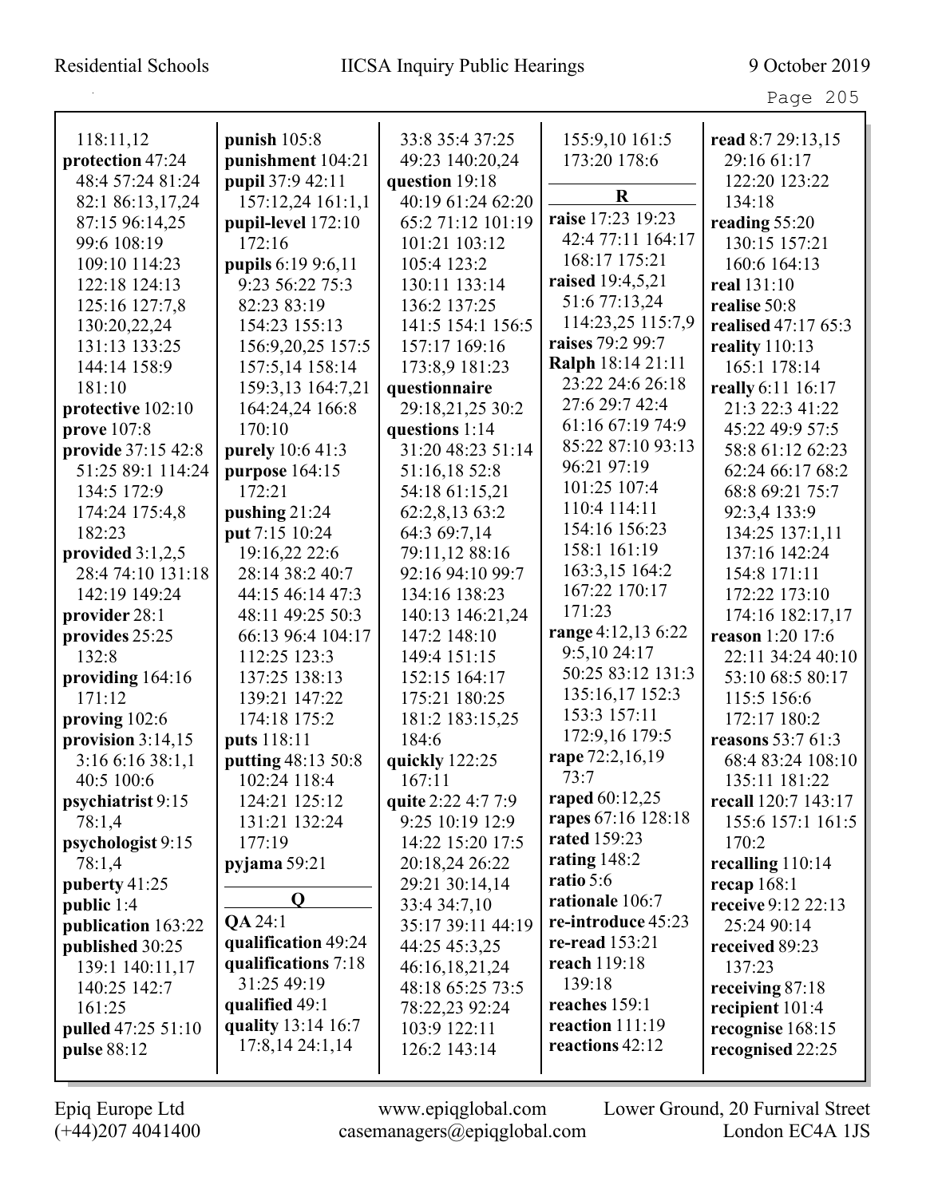Page 205

| 118:11,12           | punish $105:8$            | 33:8 35:4 37:25    | 155:9,10 161:5     | read 8:7 29:13,15   |
|---------------------|---------------------------|--------------------|--------------------|---------------------|
| protection 47:24    | punishment 104:21         | 49:23 140:20,24    | 173:20 178:6       | 29:16 61:17         |
| 48:4 57:24 81:24    | pupil 37:9 42:11          | question 19:18     |                    | 122:20 123:22       |
| 82:1 86:13,17,24    | 157:12,24 161:1,1         | 40:19 61:24 62:20  | R                  | 134:18              |
| 87:15 96:14,25      | pupil-level 172:10        | 65:2 71:12 101:19  | raise 17:23 19:23  | reading 55:20       |
| 99:6 108:19         | 172:16                    | 101:21 103:12      | 42:4 77:11 164:17  | 130:15 157:21       |
| 109:10 114:23       | <b>pupils</b> 6:19 9:6,11 | 105:4 123:2        | 168:17 175:21      | 160:6 164:13        |
| 122:18 124:13       | 9:23 56:22 75:3           | 130:11 133:14      | raised 19:4,5,21   | real 131:10         |
| 125:16 127:7,8      | 82:23 83:19               | 136:2 137:25       | 51:6 77:13,24      | realise 50:8        |
| 130:20,22,24        | 154:23 155:13             | 141:5 154:1 156:5  | 114:23,25 115:7,9  | realised 47:17 65:3 |
| 131:13 133:25       | 156:9,20,25 157:5         | 157:17 169:16      | raises 79:2 99:7   | reality $110:13$    |
| 144:14 158:9        | 157:5,14 158:14           | 173:8,9 181:23     | Ralph 18:14 21:11  | 165:1 178:14        |
| 181:10              | 159:3,13 164:7,21         | questionnaire      | 23:22 24:6 26:18   | really 6:11 16:17   |
| protective 102:10   | 164:24,24 166:8           | 29:18,21,25 30:2   | 27:6 29:7 42:4     | 21:3 22:3 41:22     |
| prove 107:8         | 170:10                    | questions 1:14     | 61:16 67:19 74:9   | 45:22 49:9 57:5     |
| provide 37:15 42:8  | purely 10:6 41:3          | 31:20 48:23 51:14  | 85:22 87:10 93:13  | 58:8 61:12 62:23    |
| 51:25 89:1 114:24   | purpose 164:15            | 51:16,18 52:8      | 96:21 97:19        | 62:24 66:17 68:2    |
| 134:5 172:9         | 172:21                    | 54:18 61:15,21     | 101:25 107:4       | 68:8 69:21 75:7     |
| 174:24 175:4,8      | pushing $21:24$           | 62:2,8,13 63:2     | 110:4 114:11       | 92:3,4 133:9        |
| 182:23              | put 7:15 10:24            | 64:3 69:7,14       | 154:16 156:23      | 134:25 137:1,11     |
| provided $3:1,2,5$  | 19:16,22 22:6             | 79:11,12 88:16     | 158:1 161:19       | 137:16 142:24       |
| 28:4 74:10 131:18   | 28:14 38:2 40:7           | 92:16 94:10 99:7   | 163:3,15 164:2     | 154:8 171:11        |
| 142:19 149:24       | 44:15 46:14 47:3          | 134:16 138:23      | 167:22 170:17      | 172:22 173:10       |
| provider 28:1       | 48:11 49:25 50:3          | 140:13 146:21,24   | 171:23             | 174:16 182:17,17    |
| provides 25:25      | 66:13 96:4 104:17         | 147:2 148:10       | range 4:12,13 6:22 | reason 1:20 17:6    |
| 132:8               | 112:25 123:3              | 149:4 151:15       | 9:5,1024:17        | 22:11 34:24 40:10   |
| providing 164:16    | 137:25 138:13             | 152:15 164:17      | 50:25 83:12 131:3  | 53:10 68:5 80:17    |
| 171.12              | 139:21 147:22             | 175:21 180:25      | 135:16,17 152:3    | 115:5 156:6         |
| proving $102:6$     | 174:18 175:2              | 181:2 183:15,25    | 153:3 157:11       | 172:17 180:2        |
| provision $3:14,15$ | puts 118:11               | 184:6              | 172:9,16 179:5     | reasons 53:7 61:3   |
| 3:166:1638:1,1      | putting 48:13 50:8        | quickly 122:25     | rape 72:2,16,19    | 68:4 83:24 108:10   |
| 40:5 100:6          | 102:24 118:4              | 167:11             | 73:7               | 135:11 181:22       |
| psychiatrist 9:15   | 124:21 125:12             | quite 2:22 4:7 7:9 | raped 60:12,25     | recall 120:7 143:17 |
| 78:1,4              | 131:21 132:24             | 9:25 10:19 12:9    | rapes 67:16 128:18 | 155:6 157:1 161:5   |
| psychologist 9:15   | 177:19                    | 14:22 15:20 17:5   | rated 159:23       | 170:2               |
| 78:1,4              | pyjama 59:21              | 20:18,24 26:22     | rating $148:2$     | recalling 110:14    |
| puberty 41:25       |                           | 29:21 30:14,14     | ratio 5:6          | recap $168:1$       |
| public 1:4          | $\mathbf Q$               | 33:4 34:7,10       | rationale 106:7    | receive 9:12 22:13  |
| publication 163:22  | QA 24:1                   | 35:17 39:11 44:19  | re-introduce 45:23 | 25:24 90:14         |
| published 30:25     | qualification 49:24       | 44:25 45:3,25      | re-read $153:21$   | received 89:23      |
| 139:1 140:11,17     | qualifications 7:18       | 46:16,18,21,24     | reach 119:18       | 137:23              |
| 140:25 142:7        | 31:25 49:19               | 48:18 65:25 73:5   | 139:18             | receiving 87:18     |
| 161:25              | qualified 49:1            | 78:22,23 92:24     | reaches 159:1      | recipient 101:4     |
| pulled 47:25 51:10  | quality 13:14 16:7        | 103:9 122:11       | reaction 111:19    | recognise 168:15    |
| pulse 88:12         | 17:8,14 24:1,14           | 126:2 143:14       | reactions 42:12    | recognised 22:25    |
|                     |                           |                    |                    |                     |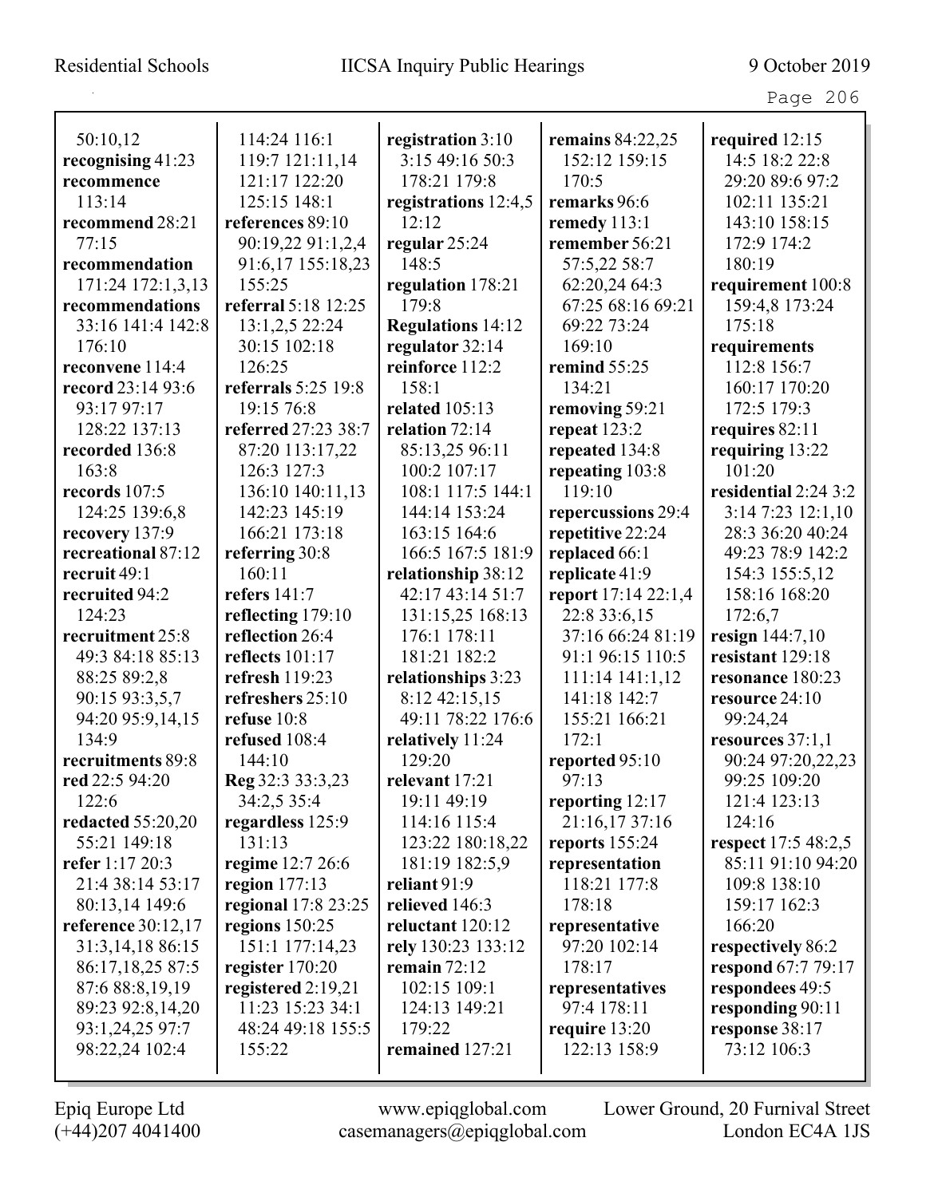Page 206

| 50:10,12           | 114:24 116:1        | registration 3:10        | remains $84:22,25$  | required 12:15       |
|--------------------|---------------------|--------------------------|---------------------|----------------------|
| recognising 41:23  | 119:7 121:11,14     | 3:15 49:16 50:3          | 152:12 159:15       | 14:5 18:2 22:8       |
| recommence         | 121:17 122:20       | 178:21 179:8             | 170:5               | 29:20 89:6 97:2      |
| 113:14             | 125:15 148:1        | registrations 12:4,5     | remarks 96:6        | 102:11 135:21        |
| recommend 28:21    | references 89:10    | 12:12                    | remedy 113:1        | 143:10 158:15        |
| 77:15              | 90:19,22 91:1,2,4   | regular 25:24            | remember 56:21      | 172:9 174:2          |
| recommendation     | 91:6,17 155:18,23   | 148:5                    | 57:5,22 58:7        | 180:19               |
| 171:24 172:1,3,13  | 155:25              | regulation 178:21        | 62:20,24 64:3       | requirement 100:8    |
| recommendations    | referral 5:18 12:25 | 179:8                    | 67:25 68:16 69:21   | 159:4,8 173:24       |
| 33:16 141:4 142:8  | 13:1,2,5 22:24      | <b>Regulations 14:12</b> | 69:22 73:24         | 175:18               |
| 176:10             | 30:15 102:18        | regulator 32:14          | 169:10              | requirements         |
| reconvene 114:4    | 126:25              | reinforce 112:2          | remind 55:25        | 112:8 156:7          |
| record 23:14 93:6  | referrals 5:25 19:8 | 158:1                    | 134:21              | 160:17 170:20        |
| 93:17 97:17        | 19:15 76:8          | <b>related</b> 105:13    | removing 59:21      | 172:5 179:3          |
| 128:22 137:13      | referred 27:23 38:7 | relation 72:14           | repeat $123:2$      | requires 82:11       |
| recorded 136:8     | 87:20 113:17,22     | 85:13,25 96:11           | repeated 134:8      | requiring 13:22      |
| 163:8              | 126:3 127:3         | 100:2 107:17             | repeating 103:8     | 101:20               |
| records 107:5      | 136:10 140:11,13    | 108:1 117:5 144:1        | 119:10              | residential 2:24 3:2 |
| 124:25 139:6,8     | 142:23 145:19       | 144:14 153:24            | repercussions 29:4  | 3:14 7:23 12:1,10    |
| recovery 137:9     | 166:21 173:18       | 163:15 164:6             | repetitive 22:24    | 28:3 36:20 40:24     |
| recreational 87:12 | referring 30:8      | 166:5 167:5 181:9        | replaced 66:1       | 49:23 78:9 142:2     |
| recruit 49:1       | 160:11              | relationship 38:12       | replicate 41:9      | 154:3 155:5,12       |
| recruited 94:2     | refers 141:7        | 42:17 43:14 51:7         | report 17:14 22:1,4 | 158:16 168:20        |
| 124:23             | reflecting 179:10   | 131:15,25 168:13         | 22:8 33:6,15        | 172:6,7              |
| recruitment 25:8   | reflection 26:4     | 176:1 178:11             | 37:16 66:24 81:19   | resign 144:7,10      |
| 49:3 84:18 85:13   | reflects 101:17     | 181:21 182:2             | 91:1 96:15 110:5    | resistant 129:18     |
| 88:25 89:2,8       | refresh 119:23      | relationships 3:23       | 111:14 141:1,12     | resonance 180:23     |
| 90:15 93:3,5,7     | refreshers 25:10    | 8:12 42:15,15            | 141:18 142:7        | resource 24:10       |
| 94:20 95:9,14,15   | refuse 10:8         | 49:11 78:22 176:6        | 155:21 166:21       | 99:24,24             |
| 134:9              | refused 108:4       | relatively 11:24         | 172:1               | resources $37:1,1$   |
| recruitments 89:8  | 144:10              | 129:20                   | reported 95:10      | 90:24 97:20,22,23    |
| red 22:5 94:20     | Reg 32:3 33:3,23    | relevant 17:21           | 97:13               | 99:25 109:20         |
| 122:6              | 34:2,5 35:4         | 19:11 49:19              | reporting 12:17     | 121:4 123:13         |
| redacted 55:20,20  | regardless 125:9    | 114:16 115:4             | 21:16,1737:16       | 124:16               |
| 55:21 149:18       | 131:13              | 123:22 180:18,22         | reports $155:24$    | respect 17:5 48:2,5  |
| refer 1:17 20:3    | regime 12:7 26:6    | 181:19 182:5,9           | representation      | 85:11 91:10 94:20    |
| 21:4 38:14 53:17   | region 177:13       | reliant 91:9             | 118:21 177:8        | 109:8 138:10         |
| 80:13,14 149:6     | regional 17:8 23:25 | relieved 146:3           | 178:18              | 159:17 162:3         |
| reference 30:12,17 | regions 150:25      | reluctant 120:12         | representative      | 166:20               |
| 31:3,14,18 86:15   | 151:1 177:14,23     | rely 130:23 133:12       | 97:20 102:14        | respectively 86:2    |
| 86:17,18,25 87:5   | register 170:20     | remain $72:12$           | 178:17              | respond 67:7 79:17   |
| 87:6 88:8,19,19    | registered 2:19,21  | 102:15 109:1             | representatives     | respondees 49:5      |
| 89:23 92:8,14,20   | 11:23 15:23 34:1    | 124:13 149:21            | 97:4 178:11         | responding 90:11     |
| 93:1,24,25 97:7    | 48:24 49:18 155:5   | 179:22                   | require $13:20$     | response 38:17       |
| 98:22,24 102:4     | 155:22              | remained 127:21          | 122:13 158:9        | 73:12 106:3          |
|                    |                     |                          |                     |                      |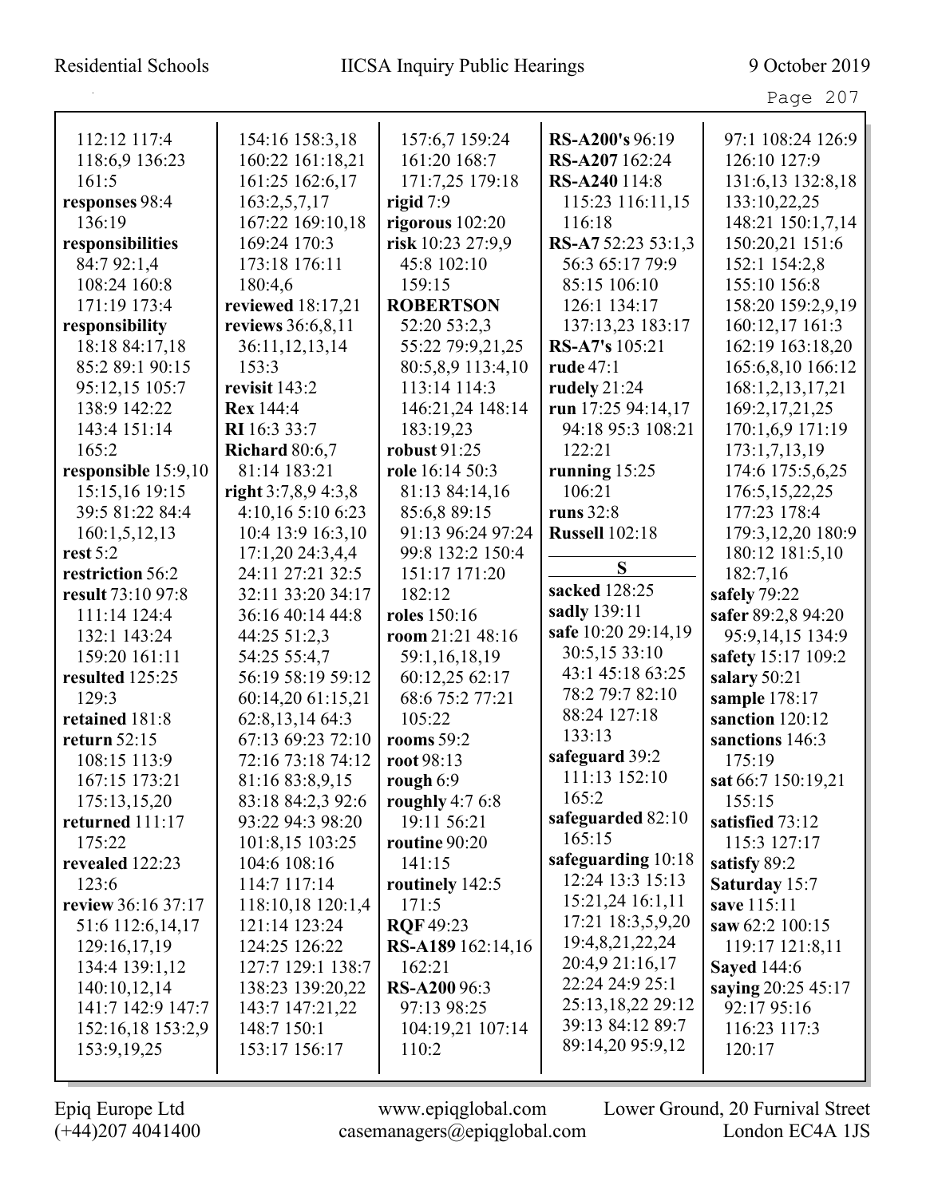Page 207

| 112:12 117:4        | 154:16 158:3,18       | 157:6,7 159:24      | RS-A200's 96:19       | 97:1 108:24 126:9   |
|---------------------|-----------------------|---------------------|-----------------------|---------------------|
| 118:6,9 136:23      | 160:22 161:18,21      | 161:20 168:7        | RS-A207 162:24        | 126:10 127:9        |
| 161:5               | 161:25 162:6,17       | 171:7,25 179:18     | RS-A240 114:8         | 131:6,13 132:8,18   |
| responses 98:4      | 163:2,5,7,17          | rigid $7:9$         | 115:23 116:11,15      | 133:10,22,25        |
| 136:19              | 167:22 169:10,18      | rigorous 102:20     | 116:18                | 148:21 150:1,7,14   |
| responsibilities    | 169:24 170:3          | risk 10:23 27:9,9   | RS-A7 52:23 53:1,3    | 150:20,21 151:6     |
| 84:7 92:1,4         | 173:18 176:11         | 45:8 102:10         | 56:3 65:17 79:9       | 152:1 154:2,8       |
| 108:24 160:8        | 180:4,6               | 159:15              | 85:15 106:10          | 155:10 156:8        |
| 171:19 173:4        | reviewed 18:17,21     | <b>ROBERTSON</b>    | 126:1 134:17          | 158:20 159:2,9,19   |
| responsibility      | reviews 36:6,8,11     | 52:20 53:2.3        | 137:13,23 183:17      | 160:12,17 161:3     |
| 18:18 84:17,18      | 36:11, 12, 13, 14     | 55:22 79:9,21,25    | <b>RS-A7's</b> 105:21 | 162:19 163:18,20    |
| 85:2 89:1 90:15     | 153:3                 | 80:5,8,9 113:4,10   | <b>rude</b> 47:1      | 165:6,8,10 166:12   |
| 95:12,15 105:7      | revisit 143:2         | 113:14 114:3        | rudely $21:24$        | 168:1,2,13,17,21    |
| 138:9 142:22        | <b>Rex</b> 144:4      | 146:21,24 148:14    | run 17:25 94:14,17    | 169:2,17,21,25      |
| 143:4 151:14        | <b>RI</b> 16:3 33:7   | 183:19,23           | 94:18 95:3 108:21     | 170:1,6,9 171:19    |
| 165:2               | <b>Richard</b> 80:6,7 | robust 91:25        | 122:21                | 173:1,7,13,19       |
| responsible 15:9,10 | 81:14 183:21          | role 16:14 50:3     | running $15:25$       | 174:6 175:5,6,25    |
| 15:15,16 19:15      | right 3:7,8,9 4:3,8   | 81:13 84:14,16      | 106:21                | 176:5, 15, 22, 25   |
| 39:5 81:22 84:4     | 4:10,165:106:23       | 85:6,889:15         | runs $32:8$           | 177:23 178:4        |
| 160:1, 5, 12, 13    | 10:4 13:9 16:3,10     | 91:13 96:24 97:24   | <b>Russell</b> 102:18 | 179:3, 12, 20 180:9 |
| rest $5:2$          | 17:1,20 24:3,4,4      | 99:8 132:2 150:4    |                       | 180:12 181:5,10     |
| restriction 56:2    | 24:11 27:21 32:5      | 151:17 171:20       | S                     | 182:7,16            |
| result 73:10 97:8   | 32:11 33:20 34:17     | 182:12              | sacked 128:25         | safely 79:22        |
| 111:14 124:4        | 36:16 40:14 44:8      | roles 150:16        | sadly 139:11          | safer 89:2,8 94:20  |
| 132:1 143:24        | 44:25 51:2,3          | room 21:21 48:16    | safe 10:20 29:14,19   | 95:9,14,15 134:9    |
| 159:20 161:11       | 54:25 55:4,7          | 59:1,16,18,19       | 30:5,15 33:10         | safety 15:17 109:2  |
| resulted 125:25     | 56:19 58:19 59:12     | 60:12,25 62:17      | 43:1 45:18 63:25      | salary 50:21        |
| 129:3               | 60:14,20 61:15,21     | 68:6 75:2 77:21     | 78:2 79:7 82:10       | sample 178:17       |
| retained 181:8      | 62:8,13,14 64:3       | 105:22              | 88:24 127:18          | sanction 120:12     |
| return $52:15$      | 67:13 69:23 72:10     | rooms $59:2$        | 133:13                | sanctions 146:3     |
| 108:15 113:9        | 72:16 73:18 74:12     | root 98:13          | safeguard 39:2        | 175:19              |
| 167:15 173:21       | 81:16 83:8,9,15       | rough $6:9$         | 111:13 152:10         | sat 66:7 150:19,21  |
| 175:13,15,20        | 83:18 84:2,3 92:6     | roughly $4:76:8$    | 165:2                 | 155:15              |
| returned 111:17     | 93:22 94:3 98:20      | 19:11 56:21         | safeguarded 82:10     | satisfied 73:12     |
| 175:22              | 101:8,15 103:25       | routine 90:20       | 165:15                | 115:3 127:17        |
| revealed 122:23     | 104:6 108:16          | 141:15              | safeguarding 10:18    | satisfy 89:2        |
| 123:6               | 114:7 117:14          | routinely 142:5     | 12:24 13:3 15:13      | Saturday 15:7       |
| review 36:16 37:17  | 118:10,18 120:1,4     | 171:5               | 15:21,24 16:1,11      | save 115:11         |
| 51:6 112:6,14,17    | 121:14 123:24         | <b>ROF 49:23</b>    | 17:21 18:3,5,9,20     | saw 62:2 100:15     |
| 129:16,17,19        | 124:25 126:22         | RS-A189 162:14,16   | 19:4,8,21,22,24       | 119:17 121:8,11     |
| 134:4 139:1,12      | 127:7 129:1 138:7     | 162:21              | 20:4,9 21:16,17       | <b>Sayed</b> 144:6  |
| 140:10,12,14        | 138:23 139:20,22      | <b>RS-A200</b> 96:3 | 22:24 24:9 25:1       | saying 20:25 45:17  |
| 141:7 142:9 147:7   | 143:7 147:21,22       | 97:13 98:25         | 25:13,18,22 29:12     | 92:17 95:16         |
| 152:16,18 153:2,9   | 148:7 150:1           | 104:19,21 107:14    | 39:13 84:12 89:7      | 116:23 117:3        |
| 153:9, 19, 25       | 153:17 156:17         | 110:2               | 89:14,20 95:9,12      | 120:17              |
|                     |                       |                     |                       |                     |
|                     |                       |                     |                       |                     |

L

(+44)207 4041400 casemanagers@epiqglobal.com London EC4A 1JS

Epiq Europe Ltd www.epiqglobal.com Lower Ground, 20 Furnival Street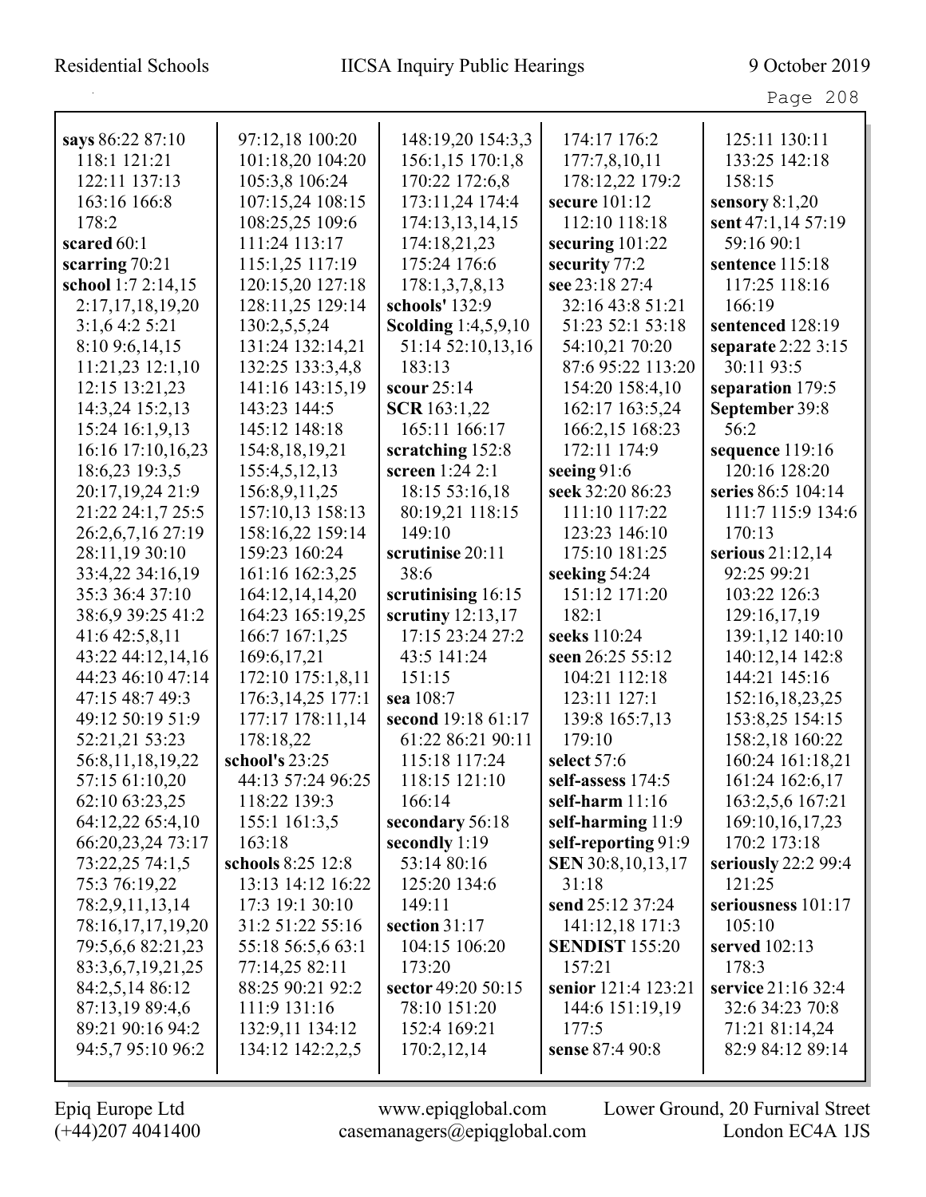| says 86:22 87:10   | 97:12,18 100:20   | 148:19,20 154:3,3          | 174:17 176:2          | 125:11 130:11       |
|--------------------|-------------------|----------------------------|-----------------------|---------------------|
| 118:1 121:21       | 101:18,20 104:20  | 156:1,15 170:1,8           | 177:7,8,10,11         | 133:25 142:18       |
| 122:11 137:13      | 105:3,8 106:24    | 170:22 172:6,8             | 178:12,22 179:2       | 158:15              |
| 163:16 166:8       | 107:15,24 108:15  | 173:11,24 174:4            | secure 101:12         | sensory $8:1,20$    |
| 178:2              | 108:25,25 109:6   | 174:13,13,14,15            | 112:10 118:18         | sent 47:1,14 57:19  |
| scared 60:1        | 111:24 113:17     | 174:18,21,23               | securing $101:22$     | 59:16 90:1          |
| scarring 70:21     | 115:1,25 117:19   | 175:24 176:6               | security 77:2         | sentence 115:18     |
| school 1:7 2:14,15 | 120:15,20 127:18  | 178:1,3,7,8,13             | see 23:18 27:4        | 117:25 118:16       |
| 2:17,17,18,19,20   | 128:11,25 129:14  | schools' 132:9             | 32:16 43:8 51:21      | 166:19              |
| 3:1,6 4:2 5:21     | 130:2,5,5,24      | <b>Scolding</b> 1:4,5,9,10 | 51:23 52:1 53:18      | sentenced 128:19    |
| 8:10 9:6,14,15     | 131:24 132:14,21  | 51:14 52:10,13,16          | 54:10,21 70:20        | separate 2:22 3:15  |
| 11:21,23 12:1,10   | 132:25 133:3,4,8  | 183:13                     | 87:6 95:22 113:20     | 30:11 93:5          |
| 12:15 13:21,23     | 141:16 143:15,19  | scour 25:14                | 154:20 158:4,10       | separation 179:5    |
| 14:3,24 15:2,13    | 143:23 144:5      | <b>SCR</b> 163:1,22        | 162:17 163:5,24       | September 39:8      |
| 15:24 16:1,9,13    | 145:12 148:18     | 165:11 166:17              | 166:2,15 168:23       | 56:2                |
| 16:16 17:10,16,23  | 154:8, 18, 19, 21 | scratching 152:8           | 172:11 174:9          | sequence 119:16     |
| 18:6,23 19:3,5     | 155:4,5,12,13     | screen 1:24 2:1            | seeing 91:6           | 120:16 128:20       |
| 20:17,19,24 21:9   | 156:8,9,11,25     | 18:15 53:16,18             | seek 32:20 86:23      | series 86:5 104:14  |
| 21:22 24:1,7 25:5  | 157:10,13 158:13  | 80:19,21 118:15            | 111:10 117:22         | 111:7 115:9 134:6   |
| 26:2,6,7,16 27:19  | 158:16,22 159:14  | 149:10                     | 123:23 146:10         | 170:13              |
| 28:11,19 30:10     | 159:23 160:24     | scrutinise 20:11           | 175:10 181:25         | serious 21:12,14    |
| 33:4,22 34:16,19   | 161:16 162:3,25   | 38:6                       | seeking 54:24         | 92:25 99:21         |
| 35:3 36:4 37:10    | 164:12,14,14,20   | scrutinising 16:15         | 151:12 171:20         | 103:22 126:3        |
| 38:6,9 39:25 41:2  | 164:23 165:19,25  | scrutiny $12:13,17$        | 182:1                 | 129:16,17,19        |
| 41:6 42:5,8,11     | 166:7 167:1,25    | 17:15 23:24 27:2           | seeks 110:24          | 139:1,12 140:10     |
| 43:22 44:12,14,16  | 169:6, 17, 21     | 43:5 141:24                | seen 26:25 55:12      | 140:12,14 142:8     |
| 44:23 46:10 47:14  | 172:10 175:1,8,11 | 151:15                     | 104:21 112:18         | 144:21 145:16       |
| 47:15 48:7 49:3    | 176:3,14,25 177:1 | sea 108:7                  | 123:11 127:1          | 152:16,18,23,25     |
| 49:12 50:19 51:9   | 177:17 178:11,14  | second 19:18 61:17         | 139:8 165:7,13        | 153:8,25 154:15     |
| 52:21,21 53:23     | 178:18,22         | 61:22 86:21 90:11          | 179:10                | 158:2,18 160:22     |
| 56:8,11,18,19,22   | school's 23:25    | 115:18 117:24              | select 57:6           | 160:24 161:18,21    |
| 57:15 61:10,20     | 44:13 57:24 96:25 | 118:15 121:10              | self-assess 174:5     | 161:24 162:6,17     |
| 62:10 63:23,25     | 118:22 139:3      | 166:14                     | self-harm $11:16$     | 163:2,5,6 167:21    |
| 64:12,22 65:4,10   | 155:1 161:3,5     | secondary 56:18            | self-harming 11:9     | 169:10,16,17,23     |
| 66:20,23,24 73:17  | 163:18            | secondly 1:19              | self-reporting 91:9   | 170:2 173:18        |
| 73:22,25 74:1,5    | schools 8:25 12:8 | 53:14 80:16                | SEN 30:8, 10, 13, 17  | seriously 22:2 99:4 |
| 75:3 76:19,22      | 13:13 14:12 16:22 | 125:20 134:6               | 31:18                 | 121:25              |
| 78:2,9,11,13,14    | 17:3 19:1 30:10   | 149:11                     | send 25:12 37:24      | seriousness 101:17  |
| 78:16,17,17,19,20  | 31:2 51:22 55:16  | section 31:17              | 141:12,18 171:3       | 105:10              |
| 79:5,6,6 82:21,23  | 55:18 56:5,6 63:1 | 104:15 106:20              | <b>SENDIST 155:20</b> | served 102:13       |
| 83:3,6,7,19,21,25  | 77:14,25 82:11    | 173:20                     | 157:21                | 178:3               |
| 84:2,5,14 86:12    | 88:25 90:21 92:2  | sector 49:20 50:15         | senior 121:4 123:21   | service 21:16 32:4  |
| 87:13,19 89:4,6    | 111:9 131:16      | 78:10 151:20               | 144:6 151:19,19       | 32:6 34:23 70:8     |
| 89:21 90:16 94:2   | 132:9,11 134:12   | 152:4 169:21               | 177:5                 | 71:21 81:14,24      |
| 94:5,7 95:10 96:2  | 134:12 142:2,2,5  | 170:2,12,14                | sense 87:4 90:8       | 82:9 84:12 89:14    |
|                    |                   |                            |                       |                     |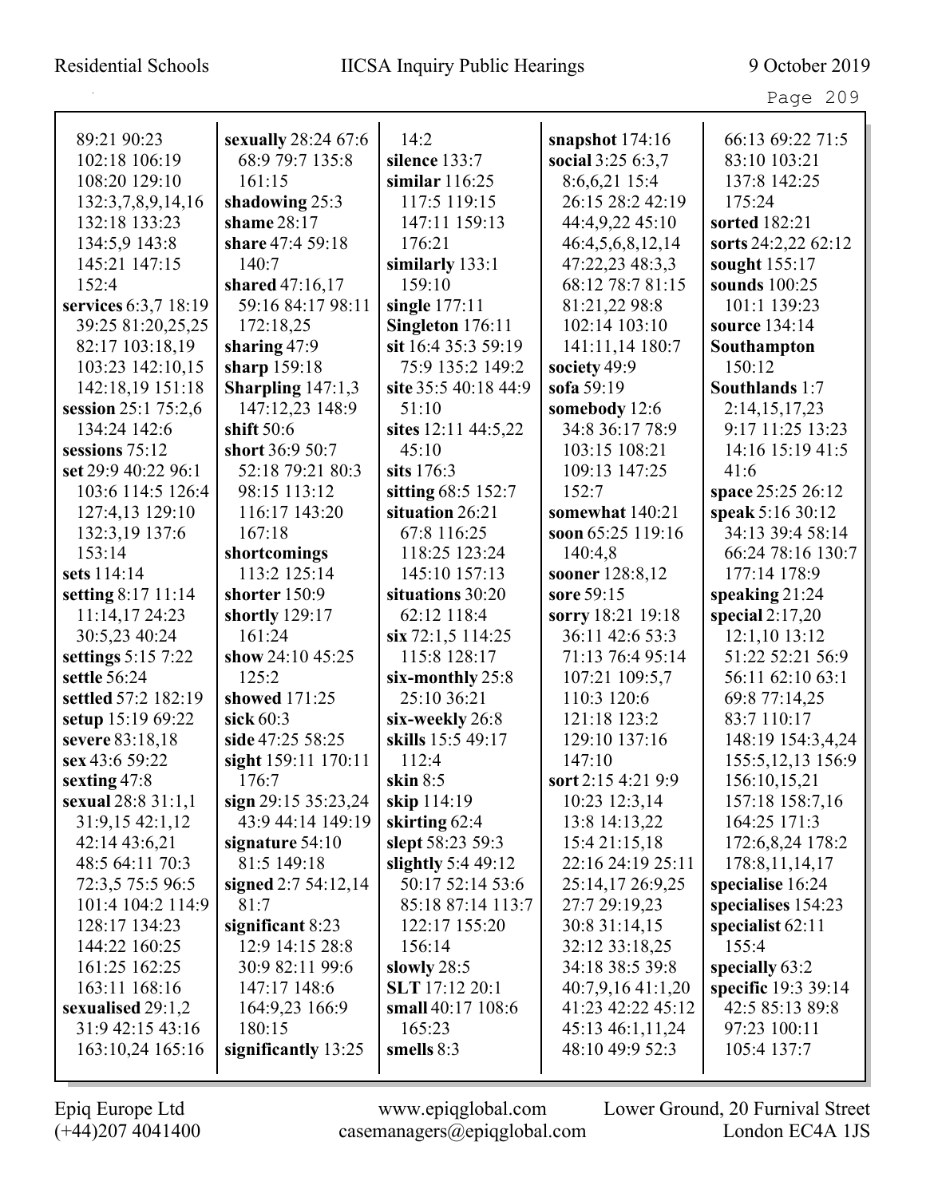Page 209

| 89:21 90:23          | sexually 28:24 67:6    | 14:2                  | snapshot $174:16$  | 66:13 69:22 71:5    |
|----------------------|------------------------|-----------------------|--------------------|---------------------|
| 102:18 106:19        | 68:9 79:7 135:8        | silence 133:7         | social 3:25 6:3,7  | 83:10 103:21        |
| 108:20 129:10        | 161:15                 | similar $116:25$      | 8:6,6,21 15:4      | 137:8 142:25        |
| 132:3,7,8,9,14,16    | shadowing 25:3         | 117:5 119:15          | 26:15 28:2 42:19   | 175:24              |
| 132:18 133:23        | shame 28:17            | 147:11 159:13         | 44:4,9,22 45:10    | sorted 182:21       |
| 134:5,9 143:8        | share 47:4 59:18       | 176:21                | 46:4,5,6,8,12,14   | sorts 24:2,22 62:12 |
| 145:21 147:15        | 140:7                  | similarly 133:1       | 47:22,23 48:3,3    | sought 155:17       |
| 152:4                | shared 47:16,17        | 159:10                | 68:12 78:7 81:15   | sounds 100:25       |
| services 6:3,7 18:19 | 59:16 84:17 98:11      | single $177:11$       | 81:21,22 98:8      | 101:1 139:23        |
| 39:25 81:20,25,25    | 172:18,25              | Singleton 176:11      | 102:14 103:10      | source 134:14       |
| 82:17 103:18,19      | sharing $47:9$         | sit 16:4 35:3 59:19   | 141:11,14 180:7    | Southampton         |
| 103:23 142:10,15     | sharp 159:18           | 75:9 135:2 149:2      | society 49:9       | 150:12              |
| 142:18,19 151:18     | Sharpling $147:1,3$    | site 35:5 40:18 44:9  | sofa 59:19         | Southlands 1:7      |
| session 25:1 75:2,6  | 147:12,23 148:9        | 51:10                 | somebody 12:6      | 2:14, 15, 17, 23    |
| 134:24 142:6         | shift $50:6$           | sites 12:11 44:5,22   | 34:8 36:17 78:9    | 9:17 11:25 13:23    |
| sessions 75:12       | short 36:9 50:7        | 45:10                 | 103:15 108:21      | 14:16 15:19 41:5    |
| set 29:9 40:22 96:1  | 52:18 79:21 80:3       | sits $176:3$          | 109:13 147:25      | 41:6                |
| 103:6 114:5 126:4    | 98:15 113:12           | sitting 68:5 152:7    | 152:7              | space 25:25 26:12   |
| 127:4,13 129:10      | 116:17 143:20          | situation 26:21       | somewhat 140:21    | speak 5:16 30:12    |
| 132:3,19 137:6       | 167:18                 | 67:8 116:25           | soon 65:25 119:16  | 34:13 39:4 58:14    |
| 153:14               | shortcomings           | 118:25 123:24         | 140:4,8            | 66:24 78:16 130:7   |
| sets 114:14          | 113:2 125:14           | 145:10 157:13         | sooner 128:8,12    | 177:14 178:9        |
| setting 8:17 11:14   | shorter 150:9          | situations 30:20      | sore 59:15         | speaking $21:24$    |
| 11:14,17 24:23       | shortly 129:17         | 62:12 118:4           | sorry 18:21 19:18  | special $2:17,20$   |
| 30:5,23 40:24        | 161:24                 | $\sin 72:1,5$ 114:25  | 36:11 42:6 53:3    | $12:1,10$ 13:12     |
| settings 5:15 7:22   | show 24:10 45:25       | 115:8 128:17          | 71:13 76:4 95:14   | 51:22 52:21 56:9    |
| settle 56:24         | 125:2                  | six-monthly $25:8$    | 107:21 109:5,7     | 56:11 62:10 63:1    |
| settled 57:2 182:19  | showed 171:25          | 25:10 36:21           | 110:3 120:6        | 69:8 77:14,25       |
| setup 15:19 69:22    | sick $60:3$            | six-weekly 26:8       | 121:18 123:2       | 83:7 110:17         |
| severe 83:18,18      | side 47:25 58:25       | skills 15:5 49:17     | 129:10 137:16      | 148:19 154:3,4,24   |
| sex 43:6 59:22       | sight 159:11 170:11    | 112:4                 | 147:10             | 155:5, 12, 13 156:9 |
| sexting 47:8         | 176:7                  | skin $8:5$            | sort 2:15 4:21 9:9 | 156:10,15,21        |
| sexual 28:8 31:1,1   | sign $29:15\,35:23,24$ | skip 114:19           | 10:23 12:3,14      | 157:18 158:7,16     |
| 31:9,15 42:1,12      | 43:9 44:14 149:19      | skirting 62:4         | 13:8 14:13,22      | 164:25 171:3        |
| 42:14 43:6,21        | signature $54:10$      | slept 58:23 59:3      | 15:4 21:15,18      | 172:6,8,24 178:2    |
| 48:5 64:11 70:3      | 81:5 149:18            | slightly $5:449:12$   | 22:16 24:19 25:11  | 178:8, 11, 14, 17   |
| 72:3,5 75:5 96:5     | signed 2:7 54:12,14    | 50:17 52:14 53:6      | 25:14,17 26:9,25   | specialise 16:24    |
| 101:4 104:2 114:9    | 81:7                   | 85:18 87:14 113:7     | 27:7 29:19,23      | specialises 154:23  |
| 128:17 134:23        | significant $8:23$     | 122:17 155:20         | 30:8 31:14,15      | specialist $62:11$  |
| 144:22 160:25        | 12:9 14:15 28:8        | 156:14                | 32:12 33:18,25     | 155:4               |
| 161:25 162:25        | 30:9 82:11 99:6        | slowly $28:5$         | 34:18 38:5 39:8    | specially 63:2      |
| 163:11 168:16        | 147:17 148:6           | <b>SLT</b> 17:12 20:1 | 40:7,9,1641:1,20   | specific 19:3 39:14 |
| sexualised $29:1,2$  | 164:9,23 166:9         | small 40:17 108:6     | 41:23 42:22 45:12  | 42:5 85:13 89:8     |
| 31:9 42:15 43:16     | 180:15                 | 165:23                | 45:13 46:1,11,24   | 97:23 100:11        |
| 163:10,24 165:16     | significantly 13:25    | smells $8:3$          | 48:10 49:9 52:3    | 105:4 137:7         |
|                      |                        |                       |                    |                     |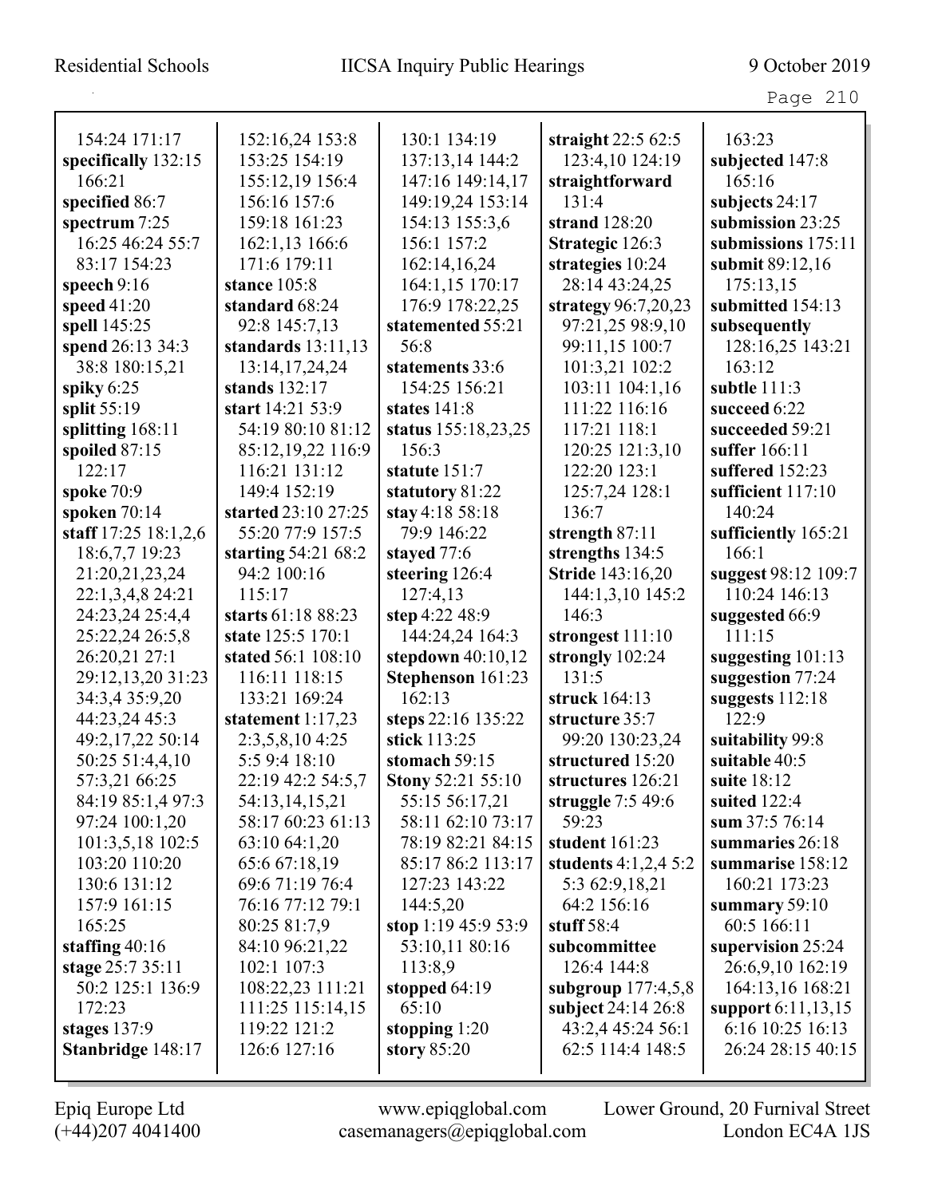| ane |  |
|-----|--|
|-----|--|

| 154:24 171:17        | 152:16,24 153:8      | 130:1 134:19             | straight $22:562:5$     | 163:23               |
|----------------------|----------------------|--------------------------|-------------------------|----------------------|
| specifically 132:15  | 153:25 154:19        | 137:13,14 144:2          | 123:4,10 124:19         | subjected 147:8      |
| 166:21               | 155:12,19 156:4      | 147:16 149:14,17         | straightforward         | 165:16               |
| specified 86:7       | 156:16 157:6         | 149:19,24 153:14         | 131:4                   | subjects 24:17       |
| spectrum 7:25        | 159:18 161:23        | 154:13 155:3,6           | strand 128:20           | submission 23:25     |
| 16:25 46:24 55:7     | 162:1,13 166:6       | 156:1 157:2              | Strategic 126:3         | submissions 175:11   |
| 83:17 154:23         | 171:6 179:11         | 162:14,16,24             | strategies 10:24        | submit 89:12,16      |
| speech $9:16$        | stance 105:8         | 164:1,15 170:17          | 28:14 43:24.25          | 175:13,15            |
| speed $41:20$        | standard 68:24       | 176:9 178:22,25          | strategy 96:7,20,23     | submitted 154:13     |
| spell 145:25         | 92:8 145:7,13        | statemented 55:21        | 97:21,25 98:9,10        | subsequently         |
| spend 26:13 34:3     | standards $13:11,13$ | 56:8                     | 99:11,15 100:7          | 128:16,25 143:21     |
| 38:8 180:15,21       | 13:14, 17, 24, 24    | statements 33:6          | 101:3,21 102:2          | 163:12               |
| spiky $6:25$         | stands 132:17        | 154:25 156:21            | 103:11 104:1,16         | subtle 111:3         |
| split 55:19          | start 14:21 53:9     | states 141:8             | 111:22 116:16           | succeed 6:22         |
| splitting 168:11     | 54:19 80:10 81:12    | status 155:18,23,25      | 117:21 118:1            | succeeded 59:21      |
| spoiled 87:15        | 85:12,19,22 116:9    | 156:3                    | 120:25 121:3,10         | suffer 166:11        |
| 122:17               | 116:21 131:12        | statute 151:7            | 122:20 123:1            | suffered 152:23      |
| spoke 70:9           | 149:4 152:19         | statutory 81:22          | 125:7,24 128:1          | sufficient 117:10    |
| spoken $70:14$       | started 23:10 27:25  | stay 4:18 58:18          | 136:7                   | 140:24               |
| staff 17:25 18:1,2,6 | 55:20 77:9 157:5     | 79:9 146:22              | strength 87:11          | sufficiently 165:21  |
| 18:6,7,7 19:23       | starting $54:2168:2$ | stayed 77:6              | strengths 134:5         | 166:1                |
| 21:20,21,23,24       | 94:2 100:16          | steering 126:4           | <b>Stride 143:16,20</b> | suggest 98:12 109:7  |
| 22:1,3,4,8 24:21     | 115:17               | 127:4,13                 | 144:1,3,10 145:2        | 110:24 146:13        |
| 24:23,24 25:4,4      | starts 61:18 88:23   | step 4:22 48:9           | 146:3                   | suggested 66:9       |
| 25:22,24 26:5,8      | state 125:5 170:1    | 144:24,24 164:3          | strongest 111:10        | 111:15               |
| 26:20,21 27:1        | stated 56:1 108:10   | stepdown $40:10,12$      | strongly 102:24         | suggesting $101:13$  |
| 29:12,13,20 31:23    | 116:11 118:15        | Stephenson 161:23        | 131:5                   | suggestion 77:24     |
| 34:3,4 35:9,20       | 133:21 169:24        | 162:13                   | struck 164:13           | suggests 112:18      |
| 44:23,24 45:3        | statement $1:17,23$  | steps 22:16 135:22       | structure 35:7          | 122:9                |
| 49:2,17,22 50:14     | 2:3,5,8,10 4:25      | stick 113:25             | 99:20 130:23,24         | suitability 99:8     |
| 50:25 51:4,4,10      | 5:5 9:4 18:10        | stomach 59:15            | structured 15:20        | suitable 40:5        |
| 57:3,21 66:25        | 22:19 42:2 54:5,7    | <b>Stony 52:21 55:10</b> | structures 126:21       | suite 18:12          |
| 84:19 85:1,4 97:3    | 54:13,14,15,21       | 55:15 56:17,21           | struggle $7:549:6$      | suited 122:4         |
| 97:24 100:1,20       | 58:17 60:23 61:13    | 58:11 62:10 73:17        | 59:23                   | sum 37:5 76:14       |
| 101:3,5,18 102:5     | 63:10 64:1,20        | 78:19 82:21 84:15        | student $161:23$        | summaries 26:18      |
| 103:20 110:20        | 65:6 67:18,19        | 85:17 86:2 113:17        | students $4:1,2,4,5:2$  | summarise 158:12     |
| 130:6 131:12         | 69:6 71:19 76:4      | 127:23 143:22            | 5:3 62:9,18,21          | 160:21 173:23        |
| 157:9 161:15         | 76:16 77:12 79:1     | 144:5,20                 | 64:2 156:16             | summary $59:10$      |
| 165:25               | 80:25 81:7,9         | stop 1:19 45:9 53:9      | stuff $58:4$            | 60:5 166:11          |
| staffing $40:16$     | 84:10 96:21,22       | 53:10,11 80:16           | subcommittee            | supervision 25:24    |
| stage 25:7 35:11     | 102:1 107:3          | 113:8,9                  | 126:4 144:8             | 26:6,9,10 162:19     |
| 50:2 125:1 136:9     | 108:22,23 111:21     | stopped $64:19$          | subgroup $177:4,5,8$    | 164:13,16 168:21     |
| 172:23               | 111:25 115:14,15     | 65:10                    | subject 24:14 26:8      | support $6:11,13,15$ |
| stages $137:9$       | 119:22 121:2         | stopping $1:20$          | 43:2,4 45:24 56:1       | 6:16 10:25 16:13     |
| Stanbridge 148:17    | 126:6 127:16         | story 85:20              | 62:5 114:4 148:5        | 26:24 28:15 40:15    |
|                      |                      |                          |                         |                      |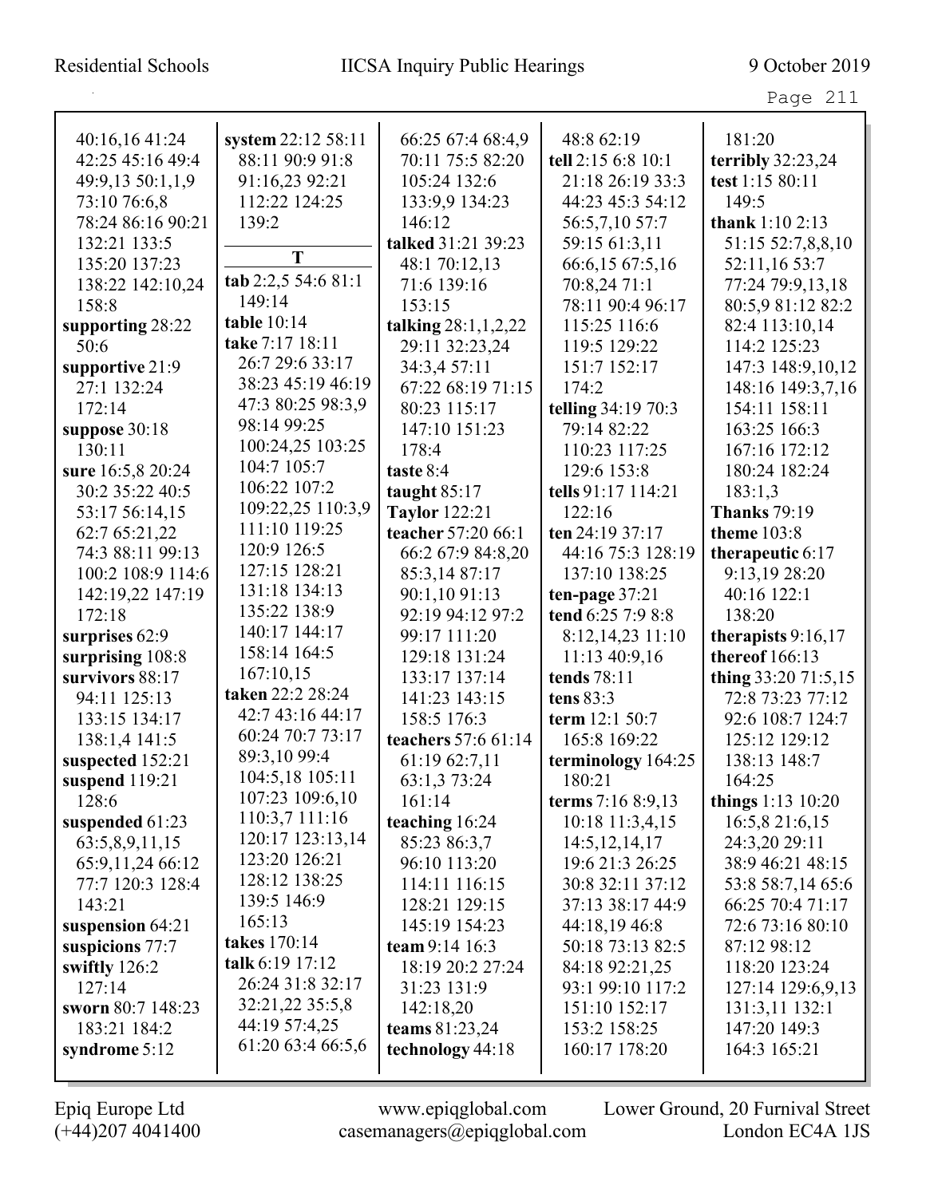## Residential Schools IICSA Inquiry Public Hearings 9 October 2019

Page 211

| 40:16,16 41:24    | system 22:12 58:11  | 66:25 67:4 68:4,9     | 48:8 62:19         | 181:20                 |
|-------------------|---------------------|-----------------------|--------------------|------------------------|
| 42:25 45:16 49:4  | 88:11 90:9 91:8     | 70:11 75:5 82:20      | tell 2:15 6:8 10:1 | terribly 32:23,24      |
| 49:9,13 50:1,1,9  | 91:16,23 92:21      | 105:24 132:6          | 21:18 26:19 33:3   | test 1:15 80:11        |
| 73:10 76:6,8      | 112:22 124:25       | 133:9,9 134:23        | 44:23 45:3 54:12   | 149:5                  |
| 78:24 86:16 90:21 | 139:2               | 146:12                | 56:5,7,10 57:7     | thank $1:102:13$       |
| 132:21 133:5      |                     | talked 31:21 39:23    | 59:15 61:3,11      | 51:15 52:7,8,8,10      |
| 135:20 137:23     | T                   | 48:1 70:12,13         | 66:6,15 67:5,16    | 52:11,16 53:7          |
| 138:22 142:10,24  | tab 2:2,5 54:6 81:1 | 71:6 139:16           | 70:8,24 71:1       | 77:24 79:9,13,18       |
| 158:8             | 149:14              | 153:15                | 78:11 90:4 96:17   | 80:5,9 81:12 82:2      |
| supporting 28:22  | table 10:14         | talking $28:1,1,2,22$ | 115:25 116:6       | 82:4 113:10,14         |
| 50:6              | take 7:17 18:11     | 29:11 32:23,24        | 119:5 129:22       | 114:2 125:23           |
| supportive 21:9   | 26:7 29:6 33:17     | 34:3,4 57:11          | 151:7 152:17       | 147:3 148:9,10,12      |
| 27:1 132:24       | 38:23 45:19 46:19   | 67:22 68:19 71:15     | 174:2              | 148:16 149:3,7,16      |
| 172:14            | 47:3 80:25 98:3,9   | 80:23 115:17          | telling 34:19 70:3 | 154:11 158:11          |
| suppose 30:18     | 98:14 99:25         | 147:10 151:23         | 79:14 82:22        | 163:25 166:3           |
| 130:11            | 100:24,25 103:25    | 178:4                 | 110:23 117:25      | 167:16 172:12          |
| sure 16:5,8 20:24 | 104:7 105:7         | taste 8:4             | 129:6 153:8        | 180:24 182:24          |
| 30:2 35:22 40:5   | 106:22 107:2        | taught $85:17$        | tells 91:17 114:21 | 183:1,3                |
| 53:17 56:14,15    | 109:22,25 110:3,9   | <b>Taylor</b> 122:21  | 122:16             | <b>Thanks</b> 79:19    |
| 62:7 65:21,22     | 111:10 119:25       | teacher 57:20 66:1    | ten 24:19 37:17    | <b>theme</b> 103:8     |
| 74:3 88:11 99:13  | 120:9 126:5         | 66:2 67:9 84:8,20     | 44:16 75:3 128:19  | therapeutic $6:17$     |
| 100:2 108:9 114:6 | 127:15 128:21       | 85:3,14 87:17         | 137:10 138:25      | 9:13,19 28:20          |
| 142:19,22 147:19  | 131:18 134:13       | 90:1,10 91:13         | ten-page $37:21$   | 40:16 122:1            |
| 172:18            | 135:22 138:9        | 92:19 94:12 97:2      | tend 6:25 7:9 8:8  | 138:20                 |
| surprises 62:9    | 140:17 144:17       | 99:17 111:20          | 8:12,14,23 11:10   | therapists $9:16,17$   |
| surprising 108:8  | 158:14 164:5        | 129:18 131:24         | 11:13 40:9,16      | thereof 166:13         |
| survivors 88:17   | 167:10,15           | 133:17 137:14         | tends 78:11        | thing 33:20 71:5,15    |
| 94:11 125:13      | taken 22:2 28:24    | 141:23 143:15         | tens 83:3          | 72:8 73:23 77:12       |
| 133:15 134:17     | 42:7 43:16 44:17    | 158:5 176:3           | term 12:1 50:7     | 92:6 108:7 124:7       |
| 138:1,4 141:5     | 60:24 70:7 73:17    | teachers 57:6 61:14   | 165:8 169:22       | 125:12 129:12          |
| suspected 152:21  | 89:3,10 99:4        | 61:19 62:7,11         | terminology 164:25 | 138:13 148:7           |
| suspend 119:21    | 104:5,18 105:11     | 63:1,3 73:24          | 180:21             | 164:25                 |
| 128:6             | 107:23 109:6,10     | 161:14                | terms 7:16 8:9,13  | things $1:13 \; 10:20$ |
| suspended 61:23   | 110:3,7 111:16      | teaching 16:24        | 10:18 11:3,4,15    | 16:5,8 21:6,15         |
| 63:5,8,9,11,15    | 120:17 123:13,14    | 85:23 86:3,7          | 14:5, 12, 14, 17   | 24:3,20 29:11          |
| 65:9,11,24 66:12  | 123:20 126:21       | 96:10 113:20          | 19:6 21:3 26:25    | 38:9 46:21 48:15       |
| 77:7 120:3 128:4  | 128:12 138:25       | 114:11 116:15         | 30:8 32:11 37:12   | 53:8 58:7,14 65:6      |
| 143:21            | 139:5 146:9         | 128:21 129:15         | 37:13 38:17 44:9   | 66:25 70:4 71:17       |
| suspension 64:21  | 165:13              | 145:19 154:23         | 44:18,19 46:8      | 72:6 73:16 80:10       |
| suspicions 77:7   | takes 170:14        | team $9:14$ 16:3      | 50:18 73:13 82:5   | 87:12 98:12            |
| swiftly 126:2     | talk 6:19 17:12     | 18:19 20:2 27:24      | 84:18 92:21,25     | 118:20 123:24          |
| 127:14            | 26:24 31:8 32:17    | 31:23 131:9           | 93:1 99:10 117:2   | 127:14 129:6,9,13      |
| sworn 80:7 148:23 | 32:21,22 35:5,8     | 142:18,20             | 151:10 152:17      | 131:3,11 132:1         |
| 183:21 184:2      | 44:19 57:4,25       | teams $81:23,24$      | 153:2 158:25       | 147:20 149:3           |
| syndrome $5:12$   | 61:20 63:4 66:5,6   | technology 44:18      | 160:17 178:20      | 164:3 165:21           |
|                   |                     |                       |                    |                        |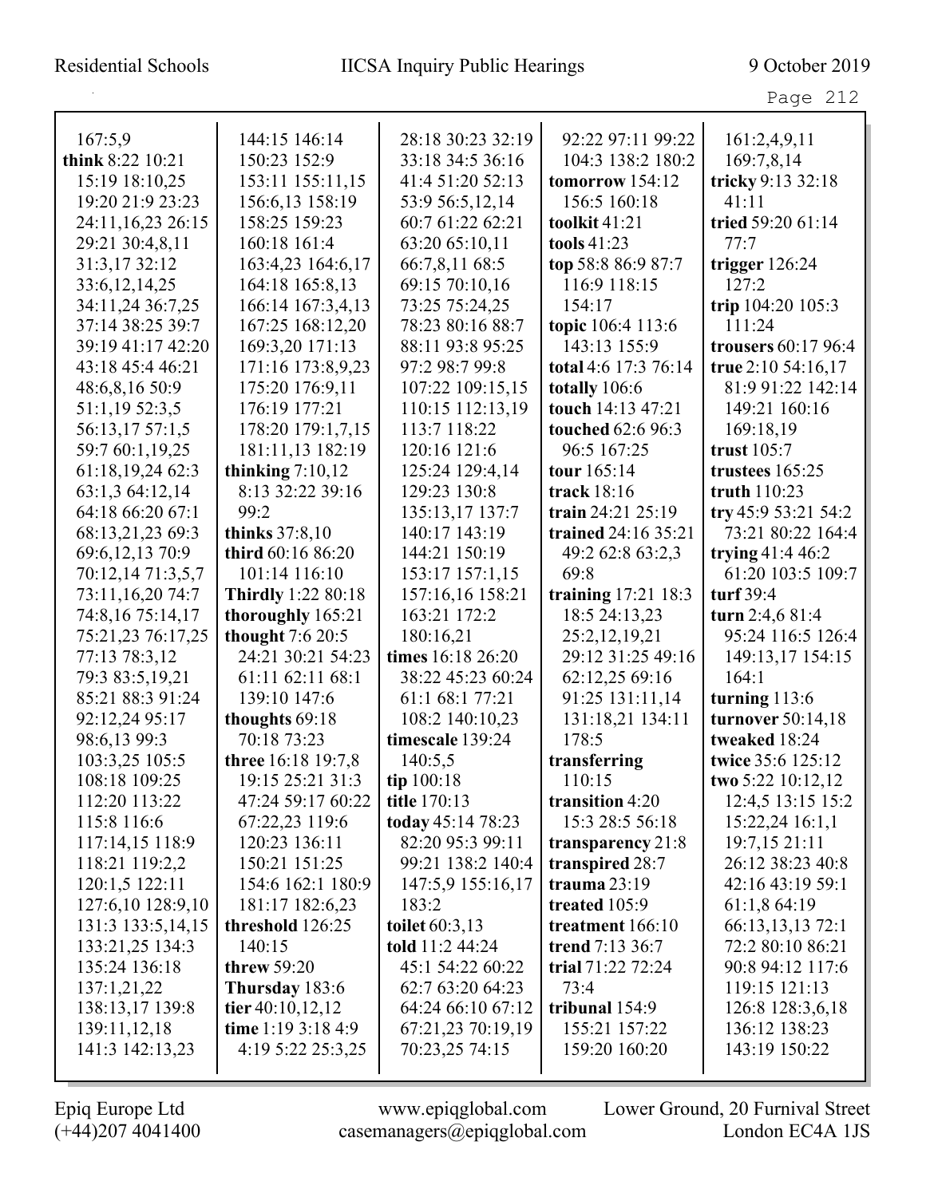| . .<br>л |  |
|----------|--|
|----------|--|

| 167:5,9                         | 144:15 146:14                           | 28:18 30:23 32:19                   | 92:22 97:11 99:22              | 161:2,4,9,11                   |
|---------------------------------|-----------------------------------------|-------------------------------------|--------------------------------|--------------------------------|
| think 8:22 10:21                | 150:23 152:9                            | 33:18 34:5 36:16                    | 104:3 138:2 180:2              | 169:7,8,14                     |
| 15:19 18:10,25                  | 153:11 155:11,15                        | 41:4 51:20 52:13                    | tomorrow 154:12                | tricky 9:13 32:18              |
| 19:20 21:9 23:23                | 156:6,13 158:19                         | 53:9 56:5,12,14                     | 156:5 160:18                   | 41:11                          |
| 24:11,16,23 26:15               | 158:25 159:23                           | 60:7 61:22 62:21                    | toolkit 41:21                  | tried 59:20 61:14              |
| 29:21 30:4,8,11                 | 160:18 161:4                            | 63:20 65:10,11                      | tools $41:23$                  | 77:7                           |
| 31:3,17 32:12                   | 163:4,23 164:6,17                       | 66:7,8,11 68:5                      | top 58:8 86:9 87:7             | trigger 126:24                 |
| 33:6, 12, 14, 25                | 164:18 165:8,13                         | 69:15 70:10,16                      | 116:9 118:15                   | 127:2                          |
| 34:11,24 36:7,25                | 166:14 167:3,4,13                       | 73:25 75:24,25                      | 154:17                         | trip 104:20 105:3              |
| 37:14 38:25 39:7                | 167:25 168:12,20                        | 78:23 80:16 88:7                    | topic 106:4 113:6              | 111:24                         |
| 39:19 41:17 42:20               | 169:3,20 171:13                         | 88:11 93:8 95:25                    | 143:13 155:9                   | trousers 60:17 96:4            |
| 43:18 45:4 46:21                | 171:16 173:8,9,23                       | 97:2 98:7 99:8                      | total 4:6 17:3 76:14           | true 2:10 54:16,17             |
| 48:6,8,16 50:9                  | 175:20 176:9,11                         | 107:22 109:15,15                    | totally 106:6                  | 81:9 91:22 142:14              |
| 51:1,19 52:3,5                  | 176:19 177:21                           | 110:15 112:13,19                    | touch 14:13 47:21              | 149:21 160:16                  |
| 56:13,17 57:1,5                 | 178:20 179:1,7,15                       | 113:7 118:22                        | touched 62:6 96:3              | 169:18,19                      |
| 59:7 60:1,19,25                 | 181:11,13 182:19                        | 120:16 121:6                        | 96:5 167:25                    | trust $105:7$                  |
| 61:18,19,24 62:3                | thinking $7:10,12$                      | 125:24 129:4,14                     | tour 165:14                    | trustees 165:25                |
| 63:1,3 64:12,14                 | 8:13 32:22 39:16                        | 129:23 130:8                        | track 18:16                    | truth 110:23                   |
| 64:18 66:20 67:1                | 99:2                                    | 135:13,17 137:7                     | train 24:21 25:19              | try 45:9 53:21 54:2            |
| 68:13,21,23 69:3                | thinks 37:8,10                          | 140:17 143:19                       | trained 24:16 35:21            | 73:21 80:22 164:4              |
| 69:6,12,13 70:9                 | third 60:16 86:20                       | 144:21 150:19                       | 49:2 62:8 63:2,3               | trying $41:446:2$              |
| 70:12,14 71:3,5,7               | 101:14 116:10                           | 153:17 157:1,15                     | 69:8                           | 61:20 103:5 109:7              |
| 73:11,16,20 74:7                | <b>Thirdly</b> 1:22 80:18               | 157:16,16 158:21                    | training 17:21 18:3            | turf $39:4$                    |
| 74:8,16 75:14,17                | thoroughly 165:21                       | 163:21 172:2                        | 18:5 24:13,23                  | turn $2:4,681:4$               |
| 75:21,23 76:17,25               | thought 7:6 20:5                        | 180:16,21                           | 25:2,12,19,21                  | 95:24 116:5 126:4              |
| 77:13 78:3,12                   | 24:21 30:21 54:23                       | times 16:18 26:20                   | 29:12 31:25 49:16              | 149:13,17 154:15               |
| 79:3 83:5,19,21                 | 61:11 62:11 68:1                        | 38:22 45:23 60:24                   | 62:12,25 69:16                 | 164:1                          |
| 85:21 88:3 91:24                | 139:10 147:6                            | 61:1 68:1 77:21                     | 91:25 131:11,14                | turning $113:6$                |
| 92:12,24 95:17                  | thoughts 69:18                          | 108:2 140:10,23                     | 131:18,21 134:11               | turnover 50:14,18              |
| 98:6,13 99:3                    | 70:18 73:23                             | timescale 139:24                    | 178:5                          | tweaked 18:24                  |
| 103:3,25 105:5                  | three 16:18 19:7,8                      | 140:5,5                             | transferring                   | twice 35:6 125:12              |
| 108:18 109:25                   | 19:15 25:21 31:3                        | tip $100:18$                        | 110:15                         | two 5:22 10:12,12              |
| 112:20 113:22                   | 47:24 59:17 60:22                       | title 170:13                        | transition 4:20                | 12:4,5 13:15 15:2              |
| 115:8 116:6                     | 67:22,23 119:6                          | today 45:14 78:23                   | 15:3 28:5 56:18                | 15:22,24 16:1,1                |
| 117:14,15 118:9                 | 120:23 136:11                           | 82:20 95:3 99:11                    | transparency 21:8              | 19:7,15 21:11                  |
| 118:21 119:2,2                  | 150:21 151:25                           | 99:21 138:2 140:4                   | transpired 28:7                | 26:12 38:23 40:8               |
| 120:1,5 122:11                  | 154:6 162:1 180:9                       | 147:5,9 155:16,17                   | trauma $23:19$                 | 42:16 43:19 59:1               |
| 127:6,10 128:9,10               | 181:17 182:6,23                         | 183:2                               | treated $105:9$                | 61:1,8 64:19                   |
| 131:3 133:5,14,15               | threshold 126:25                        | toilet $60:3,13$                    | treatment 166:10               | 66:13,13,13 72:1               |
| 133:21,25 134:3                 | 140:15                                  | <b>told</b> 11:2 44:24              | trend $7:13\,36:7$             | 72:2 80:10 86:21               |
| 135:24 136:18                   | threw $59:20$                           | 45:1 54:22 60:22                    | trial 71:22 72:24              | 90:8 94:12 117:6               |
| 137:1,21,22                     | Thursday 183:6                          | 62:7 63:20 64:23                    | 73:4                           | 119:15 121:13                  |
| 138:13,17 139:8                 | tier $40:10,12,12$                      | 64:24 66:10 67:12                   | tribunal $154:9$               | 126:8 128:3,6,18               |
| 139:11,12,18<br>141:3 142:13,23 | time 1:19 3:18 4:9<br>4:19 5:22 25:3,25 | 67:21,23 70:19,19<br>70:23,25 74:15 | 155:21 157:22<br>159:20 160:20 | 136:12 138:23<br>143:19 150:22 |
|                                 |                                         |                                     |                                |                                |
|                                 |                                         |                                     |                                |                                |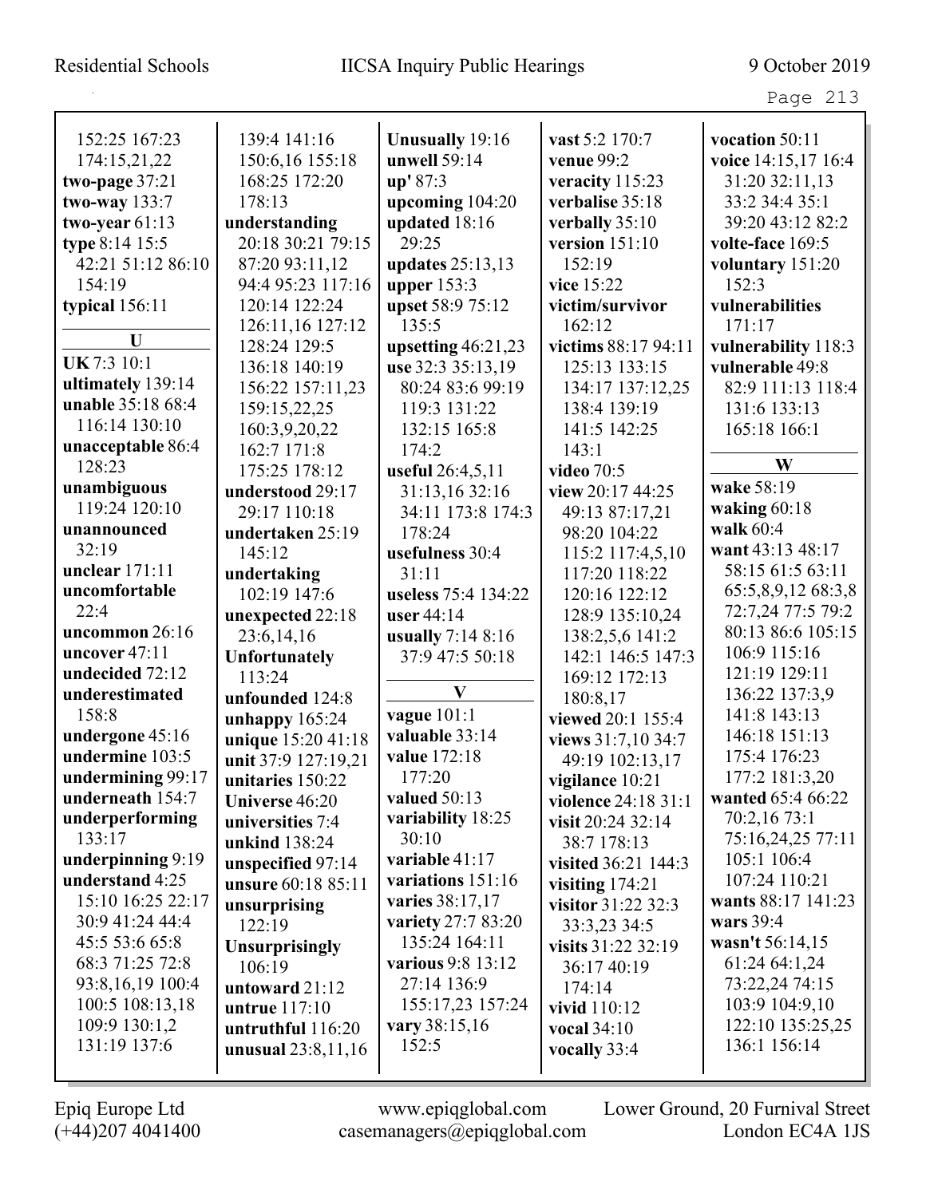Page 213

| 152:25 167:23     | 139:4 141:16          | <b>Unusually 19:16</b> | vast 5:2 170:7      | vocation $50:11$    |
|-------------------|-----------------------|------------------------|---------------------|---------------------|
| 174:15,21,22      | 150:6,16 155:18       | unwell 59:14           | venue 99:2          | voice 14:15,17 16:4 |
| two-page 37:21    | 168:25 172:20         | up' 87:3               | veracity 115:23     | 31:20 32:11,13      |
| two-way 133:7     | 178:13                | upcoming 104:20        | verbalise 35:18     | 33:2 34:4 35:1      |
| two-year $61:13$  | understanding         | updated 18:16          | verbally 35:10      | 39:20 43:12 82:2    |
| type 8:14 15:5    | 20:18 30:21 79:15     | 29:25                  | version $151:10$    | volte-face 169:5    |
| 42:21 51:12 86:10 | 87:20 93:11,12        | updates 25:13,13       | 152:19              | voluntary 151:20    |
| 154:19            | 94:4 95:23 117:16     | upper $153:3$          | vice 15:22          | 152:3               |
| typical 156:11    | 120:14 122:24         | upset 58:9 75:12       | victim/survivor     | vulnerabilities     |
|                   | 126:11,16 127:12      | 135:5                  | 162:12              | 171:17              |
| U                 | 128:24 129:5          | upsetting 46:21,23     | victims 88:17 94:11 | vulnerability 118:3 |
| UK 7:3 10:1       | 136:18 140:19         | use 32:3 35:13,19      | 125:13 133:15       | vulnerable 49:8     |
| ultimately 139:14 | 156:22 157:11,23      | 80:24 83:6 99:19       | 134:17 137:12,25    | 82:9 111:13 118:4   |
| unable 35:18 68:4 | 159:15,22,25          | 119:3 131:22           | 138:4 139:19        | 131:6 133:13        |
| 116:14 130:10     | 160:3,9,20,22         | 132:15 165:8           | 141:5 142:25        | 165:18 166:1        |
| unacceptable 86:4 | 162:7 171:8           | 174:2                  | 143:1               |                     |
| 128:23            | 175:25 178:12         | useful 26:4,5,11       | video 70:5          | W                   |
| unambiguous       | understood 29:17      | 31:13,16 32:16         | view 20:17 44:25    | wake 58:19          |
| 119:24 120:10     | 29:17 110:18          | 34:11 173:8 174:3      | 49:13 87:17,21      | waking $60:18$      |
| unannounced       | undertaken 25:19      | 178:24                 | 98:20 104:22        | walk 60:4           |
| 32:19             | 145:12                | usefulness 30:4        | 115:2 117:4,5,10    | want 43:13 48:17    |
| unclear $171:11$  | undertaking           | 31:11                  | 117:20 118:22       | 58:15 61:5 63:11    |
| uncomfortable     | 102:19 147:6          | useless 75:4 134:22    | 120:16 122:12       | 65:5,8,9,12 68:3,8  |
| 22:4              | unexpected 22:18      | user $44:14$           | 128:9 135:10,24     | 72:7,24 77:5 79:2   |
| uncommon 26:16    | 23:6,14,16            | usually $7:148:16$     | 138:2,5,6 141:2     | 80:13 86:6 105:15   |
| uncover 47:11     | <b>Unfortunately</b>  | 37:9 47:5 50:18        | 142:1 146:5 147:3   | 106:9 115:16        |
| undecided 72:12   | 113:24                |                        | 169:12 172:13       | 121:19 129:11       |
| underestimated    | unfounded 124:8       | $\mathbf{V}$           | 180:8,17            | 136:22 137:3,9      |
| 158:8             | unhappy 165:24        | vague 101:1            | viewed 20:1 155:4   | 141:8 143:13        |
| undergone 45:16   | unique 15:20 41:18    | valuable 33:14         | views 31:7,10 34:7  | 146:18 151:13       |
| undermine 103:5   | unit 37:9 127:19,21   | value 172:18           | 49:19 102:13,17     | 175:4 176:23        |
| undermining 99:17 | unitaries 150:22      | 177:20                 | vigilance 10:21     | 177:2 181:3,20      |
| underneath 154:7  | Universe 46:20        | valued 50:13           | violence 24:18 31:1 | wanted 65:4 66:22   |
| underperforming   | universities 7:4      | variability 18:25      | visit 20:24 32:14   | 70:2,16 73:1        |
| 133:17            | unkind 138:24         | 30:10                  | 38:7 178:13         | 75:16,24,25 77:11   |
| underpinning 9:19 | unspecified 97:14     | variable 41:17         | visited 36:21 144:3 | 105:1 106:4         |
| understand 4:25   | unsure 60:18 85:11    | variations 151:16      | visiting $174:21$   | 107:24 110:21       |
| 15:10 16:25 22:17 | unsurprising          | varies 38:17,17        | visitor 31:22 32:3  | wants 88:17 141:23  |
| 30:9 41:24 44:4   | 122:19                | variety 27:7 83:20     | 33:3,23 34:5        | wars $39:4$         |
| 45:5 53:6 65:8    | <b>Unsurprisingly</b> | 135:24 164:11          | visits 31:22 32:19  | wasn't 56:14,15     |
| 68:3 71:25 72:8   | 106:19                | various 9:8 13:12      | 36:17 40:19         | 61:24 64:1,24       |
| 93:8,16,19 100:4  | untoward 21:12        | 27:14 136:9            | 174:14              | 73:22,24 74:15      |
| 100:5 108:13,18   | untrue 117:10         | 155:17,23 157:24       | vivid 110:12        | 103:9 104:9,10      |
| 109:9 130:1,2     | untruthful 116:20     | vary 38:15,16          | vocal 34:10         | 122:10 135:25,25    |
| 131:19 137:6      | unusual $23:8,11,16$  | 152:5                  | vocally 33:4        | 136:1 156:14        |
|                   |                       |                        |                     |                     |
|                   |                       |                        |                     |                     |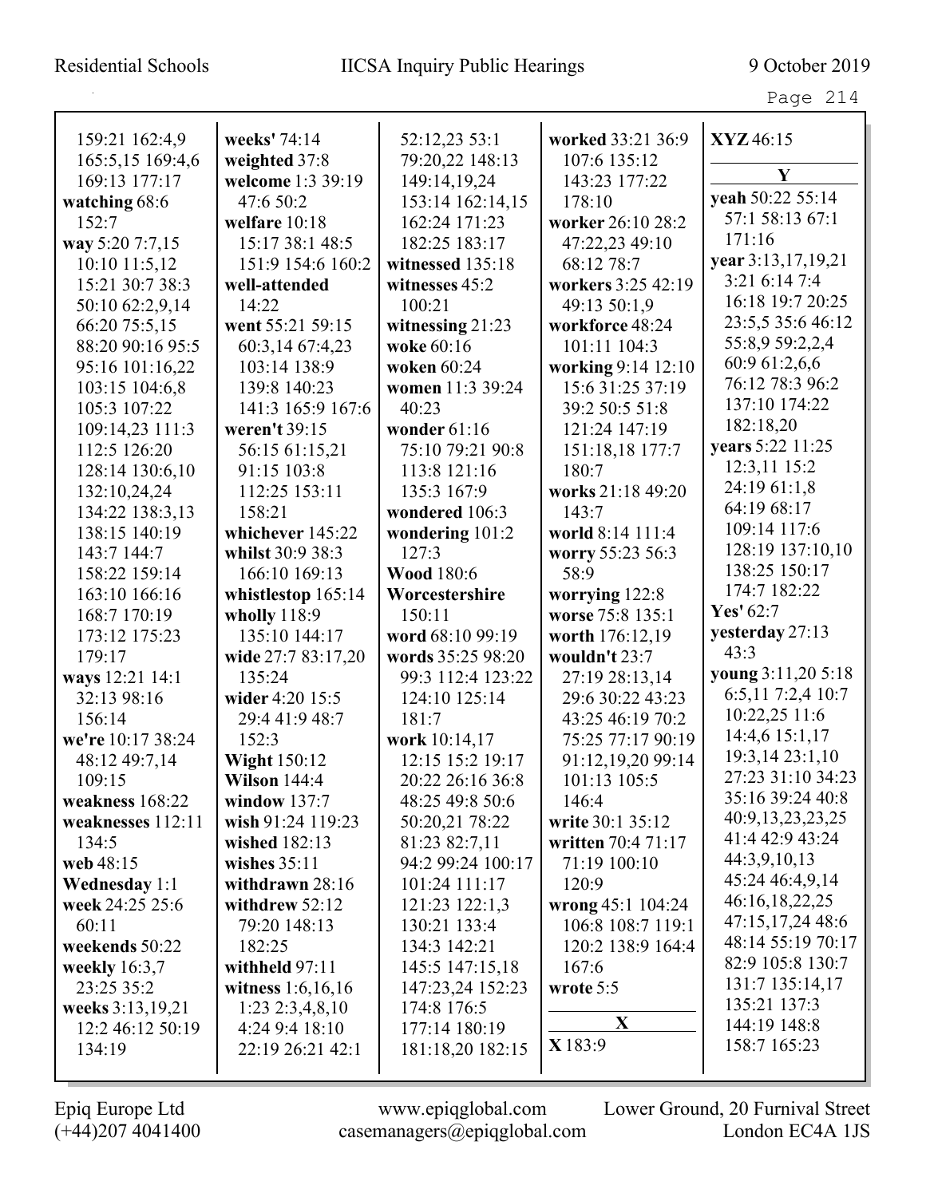## Residential Schools IICSA Inquiry Public Hearings 9 October 2019

| . .<br>Ξ.<br>$\sim$ |  |
|---------------------|--|
|---------------------|--|

| 159:21 162:4,9       | weeks' 74:14        | 52:12,23 53:1      | worked 33:21 36:9  | XYZ46:15           |
|----------------------|---------------------|--------------------|--------------------|--------------------|
| 165:5,15 169:4,6     | weighted 37:8       | 79:20,22 148:13    | 107:6 135:12       | Y                  |
| 169:13 177:17        | welcome 1:3 39:19   | 149:14,19,24       | 143:23 177:22      |                    |
| watching 68:6        | 47:6 50:2           | 153:14 162:14,15   | 178:10             | yeah 50:22 55:14   |
| 152:7                | welfare 10:18       | 162:24 171:23      | worker 26:10 28:2  | 57:1 58:13 67:1    |
| way 5:20 7:7,15      | 15:17 38:1 48:5     | 182:25 183:17      | 47:22,23 49:10     | 171:16             |
| 10:10 11:5,12        | 151:9 154:6 160:2   | witnessed 135:18   | 68:12 78:7         | year 3:13,17,19,21 |
| 15:21 30:7 38:3      | well-attended       | witnesses 45:2     | workers 3:25 42:19 | 3:21 6:14 7:4      |
| 50:10 62:2,9,14      | 14:22               | 100:21             | 49:13 50:1,9       | 16:18 19:7 20:25   |
| 66:20 75:5,15        | went 55:21 59:15    | witnessing $21:23$ | workforce 48:24    | 23:5,5 35:6 46:12  |
| 88:20 90:16 95:5     | 60:3,14 67:4,23     | woke 60:16         | 101:11 104:3       | 55:8,9 59:2,2,4    |
| 95:16 101:16,22      | 103:14 138:9        | woken 60:24        | working 9:14 12:10 | 60:9 61:2,6,6      |
| 103:15 104:6,8       | 139:8 140:23        | women 11:3 39:24   | 15:6 31:25 37:19   | 76:12 78:3 96:2    |
| 105:3 107:22         | 141:3 165:9 167:6   | 40:23              | 39:2 50:5 51:8     | 137:10 174:22      |
| 109:14,23 111:3      | weren't 39:15       | wonder 61:16       | 121:24 147:19      | 182:18,20          |
| 112:5 126:20         | 56:15 61:15,21      | 75:10 79:21 90:8   | 151:18,18 177:7    | years 5:22 11:25   |
| 128:14 130:6,10      | 91:15 103:8         | 113:8 121:16       | 180:7              | 12:3,11 15:2       |
| 132:10,24,24         | 112:25 153:11       | 135:3 167:9        | works 21:18 49:20  | 24:19 61:1,8       |
| 134:22 138:3,13      | 158:21              | wondered 106:3     | 143:7              | 64:19 68:17        |
| 138:15 140:19        | whichever 145:22    | wondering 101:2    | world 8:14 111:4   | 109:14 117:6       |
| 143:7 144:7          | whilst 30:9 38:3    | 127:3              | worry 55:23 56:3   | 128:19 137:10,10   |
| 158:22 159:14        | 166:10 169:13       | <b>Wood 180:6</b>  | 58:9               | 138:25 150:17      |
| 163:10 166:16        | whistlestop 165:14  | Worcestershire     | worrying 122:8     | 174:7 182:22       |
| 168:7 170:19         | wholly 118:9        | 150:11             | worse 75:8 135:1   | Yes' 62:7          |
| 173:12 175:23        | 135:10 144:17       | word 68:10 99:19   | worth 176:12,19    | yesterday 27:13    |
| 179:17               | wide 27:7 83:17,20  | words 35:25 98:20  | wouldn't 23:7      | 43:3               |
| ways 12:21 14:1      | 135:24              | 99:3 112:4 123:22  | 27:19 28:13,14     | young 3:11,20 5:18 |
| 32:13 98:16          | wider 4:20 15:5     | 124:10 125:14      | 29:6 30:22 43:23   | 6:5,11 7:2,4 10:7  |
| 156:14               | 29:4 41:9 48:7      | 181:7              | 43:25 46:19 70:2   | 10:22,25 11:6      |
| we're 10:17 38:24    | 152:3               | work 10:14,17      | 75:25 77:17 90:19  | 14:4,6 15:1,17     |
| 48:12 49:7,14        | <b>Wight 150:12</b> | 12:15 15:2 19:17   | 91:12,19,20 99:14  | 19:3,14 23:1,10    |
| 109:15               | <b>Wilson 144:4</b> | 20:22 26:16 36:8   | 101:13 105:5       | 27:23 31:10 34:23  |
| weakness 168:22      | window $137:7$      | 48:25 49:8 50:6    | 146:4              | 35:16 39:24 40:8   |
| weaknesses 112:11    | wish 91:24 119:23   | 50:20,21 78:22     | write 30:1 35:12   | 40:9,13,23,23,25   |
| 134:5                | wished 182:13       | 81:23 82:7,11      | written 70:4 71:17 | 41:4 42:9 43:24    |
| web 48:15            | wishes $35:11$      | 94:2 99:24 100:17  | 71:19 100:10       | 44:3,9,10,13       |
| <b>Wednesday</b> 1:1 | withdrawn $28:16$   | 101:24 111:17      | 120:9              | 45:24 46:4,9,14    |
| week 24:25 25:6      | withdrew $52:12$    | 121:23 122:1,3     | wrong 45:1 104:24  | 46:16,18,22,25     |
| 60:11                | 79:20 148:13        | 130:21 133:4       | 106:8 108:7 119:1  | 47:15,17,24 48:6   |
| weekends 50:22       | 182:25              | 134:3 142:21       | 120:2 138:9 164:4  | 48:14 55:19 70:17  |
| weekly $16:3,7$      | withheld $97:11$    | 145:5 147:15,18    | 167:6              | 82:9 105:8 130:7   |
| 23:25 35:2           | witness $1:6,16,16$ | 147:23,24 152:23   | wrote 5:5          | 131:7 135:14,17    |
| weeks 3:13,19,21     | $1:23$ $2:3,4,8,10$ | 174:8 176:5        |                    | 135:21 137:3       |
| 12:2 46:12 50:19     | 4:24 9:4 18:10      | 177:14 180:19      | $\mathbf{X}$       | 144:19 148:8       |
| 134:19               | 22:19 26:21 42:1    | 181:18,20 182:15   | X 183:9            | 158:7 165:23       |
|                      |                     |                    |                    |                    |